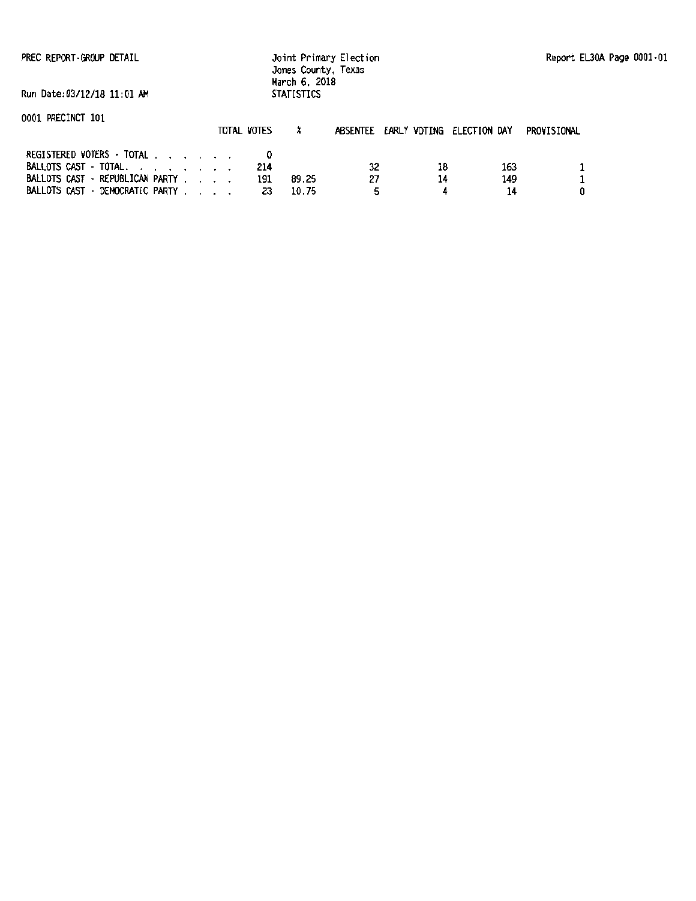PREC REPORT-GROUP DETAIL

#### Joint Primary Election Jones County, Texas March 6, 2018 STATISTICS

Run Date:03/12/18 11:01 AM

0001 PRECINCT 101 REGISTERED VOTERS · TOTAL BALLOTS CAST - TOTAL. . . . . . . . . 214<br>BALLOTS CAST - REPUBLICAN PARTY . . . . 191<br>BALLOTS CAST - DEMOCRATIC PARTY . . . . 23 TOTAL VOTES  $x$  ABSENTEE EARLY VOTING ELECTION DAY PROVISIONAL  $\mathbf{0}$ 191 89.25 23 10.75 32 27 5 18 14 4 163 149 14 1 1 0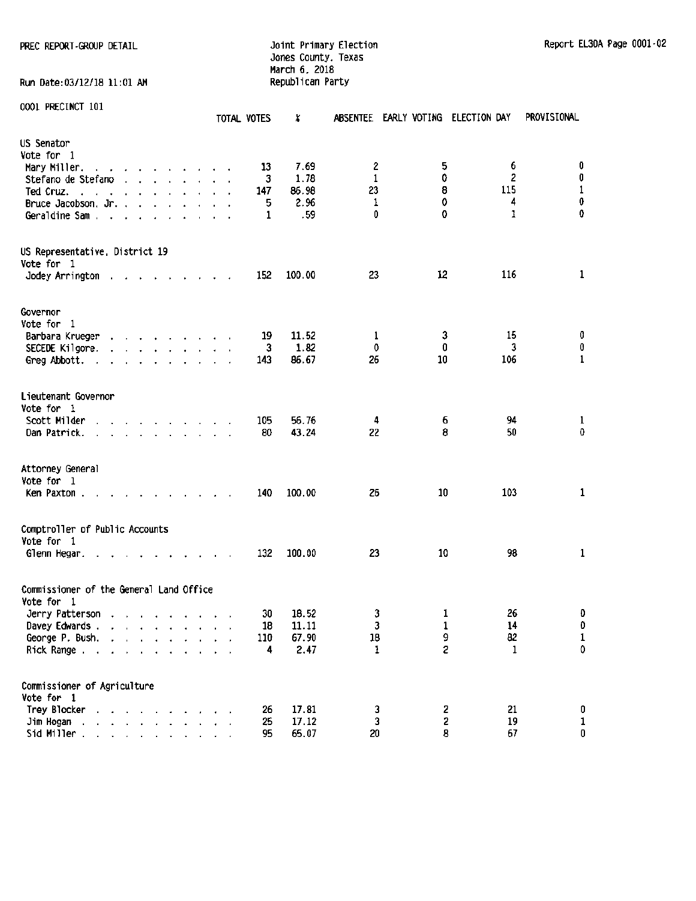## PREC REPORT-GROUP DETAIL **CONTRAIL CONTRAINING CONTRAINING CONTRAINING** Doint Primary Election Report EL30A Page 0001-02 Jones County, Texas March 6, 2018<br>Republican Party

Run Date:03/12/18 11:01 AM

|  | 0001 PRECINCT 101 |  |
|--|-------------------|--|
|--|-------------------|--|

|                                                                                                                                                                                                                                                                                 | TOTAL VOTES                         | X              | <b>ABSENTEE</b> | EARLY VOTING ELECTION DAY |              | PROVISIONAL        |
|---------------------------------------------------------------------------------------------------------------------------------------------------------------------------------------------------------------------------------------------------------------------------------|-------------------------------------|----------------|-----------------|---------------------------|--------------|--------------------|
| US Senator<br>Vote for 1                                                                                                                                                                                                                                                        |                                     |                |                 |                           |              |                    |
| Mary Miller.<br>and the contract of the state of<br>$\sim$                                                                                                                                                                                                                      | 13                                  | 7.69           | 2               | 5                         | 6            | 0                  |
| Stefano de Stefano<br>and the state of the state of the                                                                                                                                                                                                                         | 3                                   | 1.78           | 1               | 0                         | 2            | $\pmb{0}$          |
| Ted Cruz.<br><b>Carl Contractor</b><br>$\sim$<br>$\overline{\phantom{a}}$                                                                                                                                                                                                       | 147                                 | 86.98          | 23              | 8                         | 115          | $\mathbf 1$        |
| Bruce Jacobson, Jr.                                                                                                                                                                                                                                                             | 5                                   | 2.96           | 1               | 0                         | 4            | $\pmb{0}$          |
| Geraldine Sam.<br>$\mathcal{L}$<br>$\ddot{\phantom{a}}$<br>$\sim$<br>$\overline{\phantom{a}}$                                                                                                                                                                                   | 1                                   | .59            | 0               | 0                         | $\mathbf{I}$ | 0                  |
| US Representative, District 19<br>Vote for 1                                                                                                                                                                                                                                    |                                     |                |                 |                           |              |                    |
| Jodey Arrington<br>the contract of the contract of the<br>$\mathbf{r}$                                                                                                                                                                                                          | 152                                 | 100.00         | 23              | 12                        | 116          | $\mathbf{1}$       |
| Governor<br>Vote for 1                                                                                                                                                                                                                                                          |                                     |                |                 |                           |              |                    |
| Barbara Krueger<br>$\mathbf{r}$ and $\mathbf{r}$ are the set of the set of the set of the set of the set of the set of the set of the set of the set of the set of the set of the set of the set of the set of the set of the set of the set of the set                         | 19                                  | 11.52          | 1               | 3                         | 15           | 0                  |
| SECEDE Kilgore.<br>and the contract of the contract of                                                                                                                                                                                                                          | 3                                   | 1.82           | 0               | 0                         | 3            | $\pmb{0}$          |
| Greg Abbott.<br>and a strain and a strain and                                                                                                                                                                                                                                   | 143                                 | 86.67          | 26              | 10                        | 106          | $\mathbf 1$        |
| Lieutenant Governor<br>Vote for 1<br>Scott Milder<br>and the state of the state of the state of<br>Dan Patrick.                                                                                                                                                                 | 105<br>80                           | 56.76<br>43.24 | 4<br>22         | 6<br>8                    | 94<br>50     | $\mathbf{1}$<br>0  |
| Attorney General<br>Vote for 1<br>Ken Paxton.<br>the property of the control of the control of the control of the control of the control of the control of the control of the control of the control of the control of the control of the control of the control of the control | 140                                 | 100.00         | 26              | 10                        | 103          | $\mathbf{1}$       |
| Comptroller of Public Accounts<br>Vote for 1                                                                                                                                                                                                                                    |                                     |                |                 |                           |              |                    |
| Glenn Hegar.<br>$\sim$ $\sim$                                                                                                                                                                                                                                                   | 132<br>$\sim$                       | 100.00         | 23              | 10                        | 98           | 1                  |
| Commissioner of the General Land Office<br>Vote for 1                                                                                                                                                                                                                           |                                     |                |                 |                           |              |                    |
| Jerry Patterson<br>the contract of the contract of                                                                                                                                                                                                                              | 30                                  | 18.52          | 3               | 1                         | 26           | 0                  |
| Davey Edwards .<br>$\alpha = 0.1$                                                                                                                                                                                                                                               | ${\bf 18}$                          | 11.11          | 3               | 1                         | 14           | $\mathbf 0$        |
| George P. Bush.                                                                                                                                                                                                                                                                 | 110                                 | 67.90          | 18              | 9                         | 82           | $\mathbf 1$        |
| Rick Range                                                                                                                                                                                                                                                                      | 4<br>$\ddot{\phantom{1}}$<br>$\sim$ | 2.47           | 1               | S.                        | $\mathbf{1}$ | $\pmb{\mathsf{0}}$ |
| Commissioner of Agriculture<br>Vote for 1                                                                                                                                                                                                                                       |                                     |                |                 |                           |              |                    |
| Trey Blocker                                                                                                                                                                                                                                                                    | 26                                  | 17.81          | 3               | 2                         | 21           | 0                  |
| Jim Hogan<br><b>Contract Advised Association</b>                                                                                                                                                                                                                                | 25                                  | 17.12          | 3               | $\overline{c}$            | 19           | $\mathbf 1$        |
| Sid Miller.<br>and a strain and a strain and                                                                                                                                                                                                                                    | 95                                  | 65.07          | 20              | 8                         | 67           | 0                  |
|                                                                                                                                                                                                                                                                                 |                                     |                |                 |                           |              |                    |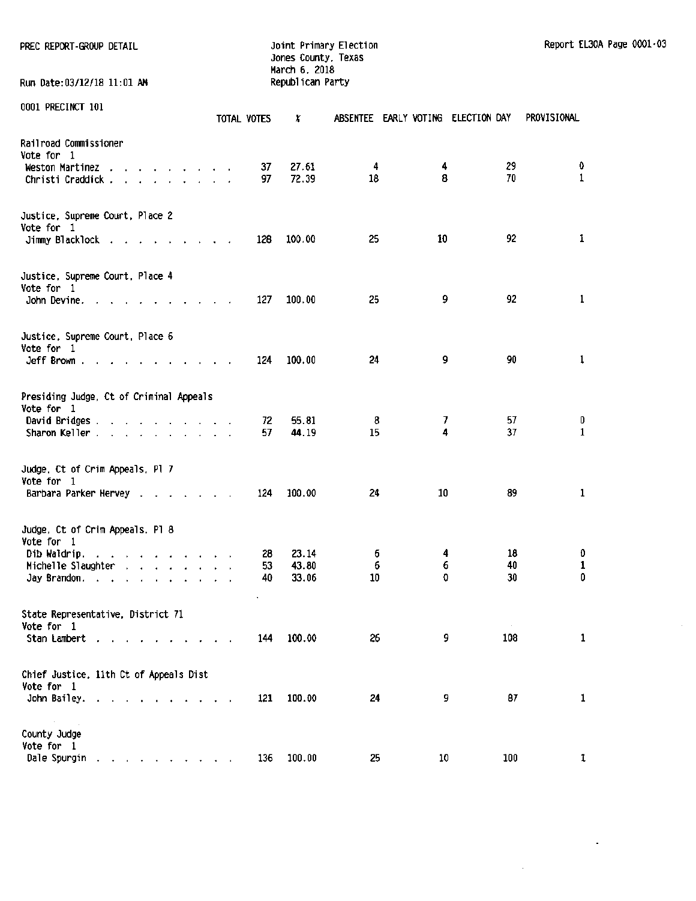PREC REPORT-GROUP DETAIL **Detail computer of the State of America** Joint Primary Election Report El30A Page 0001-03 Jones County, Texas March 6. 2018 Run Date:03/12/18 11:01 AM Republican Party

 $\hat{\boldsymbol{\beta}}$ 

 $\mathbb{Z}^2$ 

 $\sim 10^{-1}$ 

|                                                                                                                                                                                                                                                      |                                                | TOTAL VOTES | x      |    | ABSENTEE EARLY VOTING ELECTION DAY |               | PROVISIONAL  |
|------------------------------------------------------------------------------------------------------------------------------------------------------------------------------------------------------------------------------------------------------|------------------------------------------------|-------------|--------|----|------------------------------------|---------------|--------------|
| Railroad Commissioner<br>Vote for 1                                                                                                                                                                                                                  |                                                |             |        |    |                                    |               |              |
| Weston Martinez<br>and the contract of the<br>$\overline{\phantom{a}}$                                                                                                                                                                               |                                                | 37          | 27.61  | 4  | 4                                  | 29            | 0            |
| Christi Craddick.<br>and a state of the state of the                                                                                                                                                                                                 |                                                | 97          | 72.39  | 18 | 8                                  | 70            | $\mathbf{1}$ |
| Justice, Supreme Court, Place 2                                                                                                                                                                                                                      |                                                |             |        |    |                                    |               |              |
| Vote for 1                                                                                                                                                                                                                                           |                                                |             |        |    |                                    | 92            |              |
| Jimmy Blacklock                                                                                                                                                                                                                                      |                                                | 128         | 100.00 | 25 | 10                                 |               | 1            |
| Justice, Supreme Court, Place 4                                                                                                                                                                                                                      |                                                |             |        |    |                                    |               |              |
| Vote for 1<br>John Devine. .                                                                                                                                                                                                                         |                                                | 127         | 100.00 | 25 | 9                                  | 92            | $\mathbf{1}$ |
| the contract of the contract of<br>$\sim$                                                                                                                                                                                                            |                                                |             |        |    |                                    |               |              |
| Justice, Supreme Court, Place 6<br>Vote for 1                                                                                                                                                                                                        |                                                |             |        |    |                                    |               |              |
| Jeff Brown                                                                                                                                                                                                                                           | $\mathbf{a}$ and $\mathbf{a}$ and $\mathbf{a}$ | 124         | 100.00 | 24 | 9                                  | 90            | $\mathbf{1}$ |
| Presiding Judge, Ct of Criminal Appeals<br>Vote for 1                                                                                                                                                                                                |                                                |             |        |    |                                    |               |              |
| David Bridges                                                                                                                                                                                                                                        |                                                | 72.         | 55.81  | 8  | 7                                  | 57            | 0            |
| Sharon Keller                                                                                                                                                                                                                                        |                                                | 57          | 44.19  | 15 | 4                                  | 37            | 1            |
| Judge, Ct of Crim Appeals, Pl 7<br>Vote for 1                                                                                                                                                                                                        |                                                |             |        |    |                                    |               |              |
| Barbara Parker Hervey .<br>and the contract of                                                                                                                                                                                                       |                                                | 124         | 100.00 | 24 | 10                                 | 89            | $\mathbf 1$  |
| Judge, Ct of Crim Appeals. Pl 8<br>Vote for 1                                                                                                                                                                                                        |                                                |             |        |    |                                    |               |              |
| Dib Waldrip.<br>a construction of the construction of                                                                                                                                                                                                |                                                | 28          | 23.14  | 6  | 4                                  | 18            | 0            |
| Michelle Slaughter<br>and the contract of the contract of the contract of the contract of the contract of the contract of the contract of the contract of the contract of the contract of the contract of the contract of the contract of the contra |                                                | 53          | 43.80  | 6  | 6                                  | 40            | 1<br>0       |
| Jay Brandon.                                                                                                                                                                                                                                         |                                                | 40          | 33.06  | 10 | 0                                  | 30            |              |
| State Representative, District 71                                                                                                                                                                                                                    |                                                |             |        |    |                                    |               |              |
| Vote for 1<br>Stan Lambert                                                                                                                                                                                                                           |                                                | 144         | 100.00 | 26 | 9                                  | $\sim$<br>108 | 1            |
|                                                                                                                                                                                                                                                      |                                                |             |        |    |                                    |               |              |
| Chief Justice, 11th Ct of Appeals Dist                                                                                                                                                                                                               |                                                |             |        |    |                                    |               |              |
| Vote for 1<br>John Bailey.                                                                                                                                                                                                                           |                                                | 121         | 100.00 | 24 | 9                                  | 87            | 1            |
| <b>All Contract Contract</b><br><b>State</b>                                                                                                                                                                                                         |                                                |             |        |    |                                    |               |              |
| County Judge<br>Vote for 1                                                                                                                                                                                                                           |                                                |             |        |    |                                    |               |              |
| Dale Spurgin<br>$\sim$ $\sim$ $\sim$                                                                                                                                                                                                                 |                                                | 136         | 100.00 | 25 | 10                                 | 100           | 1            |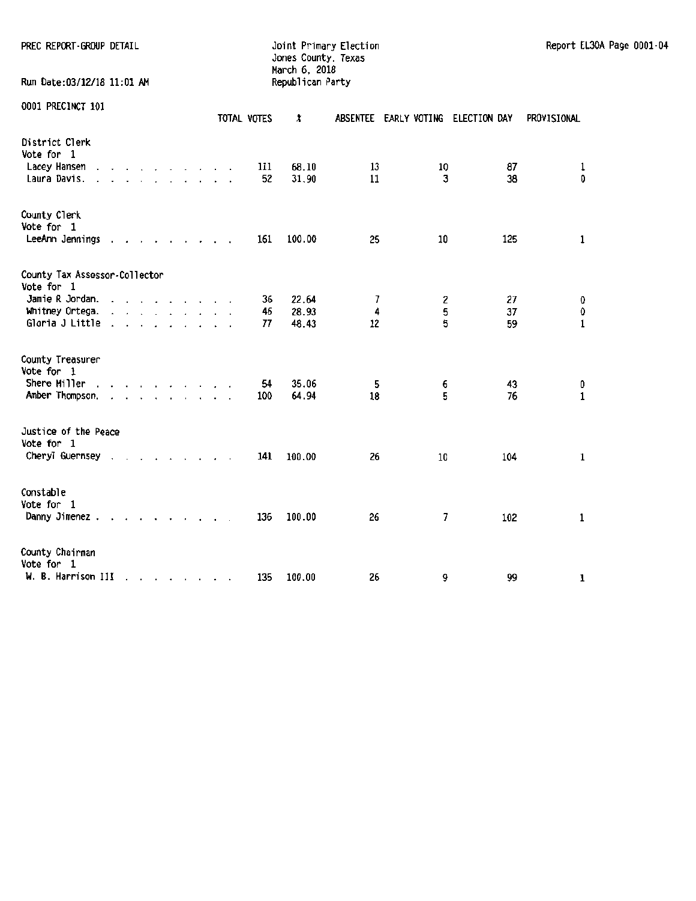## Jones County, Texas March 6, 2018

Run Date:03/12/18 11:01 AM one precinct 101<br>000 Precinct 101

| 0001 PRECINCT 101                                            |                      |        |                                                                                                                                                      |  |  | TOTAL VOTES | X              |          | ABSENTEE EARLY VOTING ELECTION DAY |          | PROVISIONAL        |
|--------------------------------------------------------------|----------------------|--------|------------------------------------------------------------------------------------------------------------------------------------------------------|--|--|-------------|----------------|----------|------------------------------------|----------|--------------------|
| District Clerk<br>Vote for 1<br>Lacey Hansen<br>Laura Davis. |                      |        |                                                                                                                                                      |  |  | 111<br>52   | 68.10<br>31.90 | 13<br>11 | 10<br>3                            | 87<br>38 | $\mathbf{1}$<br>0  |
| County Clerk<br>Vote for 1<br>LeeAnn Jennings                | $\cdot$              |        |                                                                                                                                                      |  |  | 161         | 100.00         | 25       | 10                                 | 125      | $\mathbf 1$        |
| County Tax Assessor-Collector<br>Vote for 1                  |                      |        |                                                                                                                                                      |  |  |             |                |          |                                    |          |                    |
| Jamie R Jordan.                                              | $\ddot{\phantom{0}}$ | $\sim$ | $\cdot$ $\cdot$ $\cdot$ $\cdot$ $\cdot$ $\cdot$                                                                                                      |  |  | 36          | 22.64          | 7        | 2                                  | 27       | 0                  |
| Whitney Ortega.                                              | $\blacksquare$       |        | the contract of the contract of the                                                                                                                  |  |  | 46          | 28.93          | 4        | 5                                  | 37       | $\pmb{\mathsf{0}}$ |
| Gloria J Little                                              |                      |        |                                                                                                                                                      |  |  | 77          | 48.43          | 12       | 5                                  | 59       | $\mathbf 1$        |
| County Treasurer<br>Vote for 1                               |                      |        |                                                                                                                                                      |  |  |             |                |          |                                    |          |                    |
| Shere Miller<br>Amber Thompson.                              | $\cdot$              |        | $\mathbf{r}$ , $\mathbf{r}$ , $\mathbf{r}$ , $\mathbf{r}$ , $\mathbf{r}$<br>$\mathbf{r}$ , $\mathbf{r}$ , $\mathbf{r}$ , $\mathbf{r}$ , $\mathbf{r}$ |  |  | 54<br>100   | 35.06<br>64.94 | 5<br>18  | 6<br>5                             | 43<br>76 | 0<br>$\mathbf 1$   |
| Justice of the Peace<br>Vote for 1<br>Cheryl Guernsey        |                      |        |                                                                                                                                                      |  |  | 141         | 100.00         | 26       | 10                                 | 104      | $\mathbf{1}$       |
| Constable<br>Vote for 1<br>Danny Jimenez.                    |                      |        |                                                                                                                                                      |  |  | 136         | 100.00         | 26       | 7                                  | 102      | $\mathbf{1}$       |
| County Chairman<br>Vote for 1<br>W. B. Harrison III          |                      |        | and a series of the series of the                                                                                                                    |  |  | 135         | 100.00         | 26       | 9                                  | 99       | 1                  |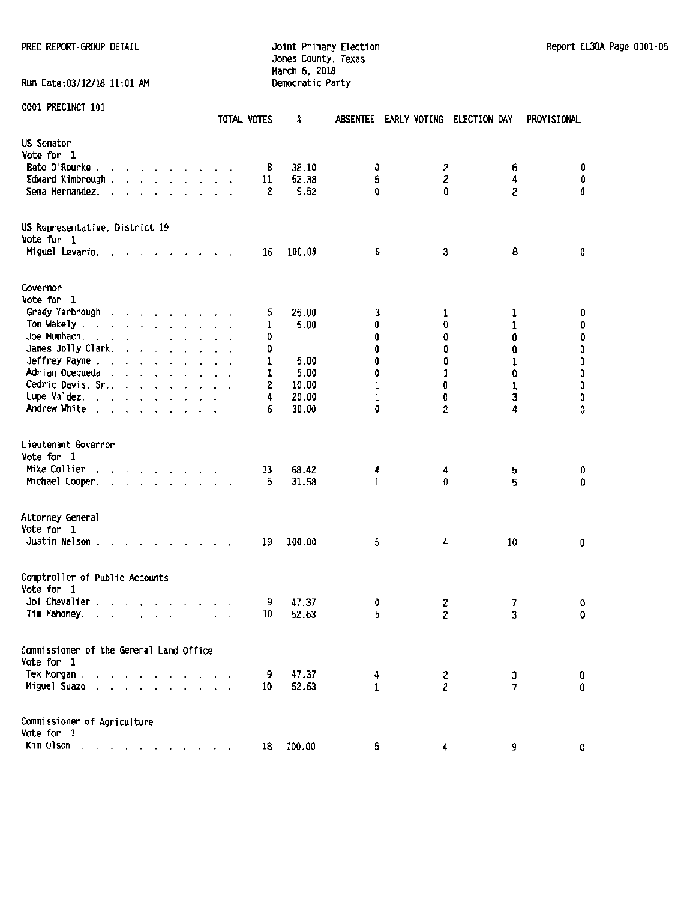## Jones County. Texas March 6. 2018 Run Date:03/12/18 11:01 AM Democratic Party

|                                                                                                                                                                                                                                                | TOTAL VOTES | X             | absentee     | EARLY VOTING ELECTION DAY |                | PROVISIONAL                                 |
|------------------------------------------------------------------------------------------------------------------------------------------------------------------------------------------------------------------------------------------------|-------------|---------------|--------------|---------------------------|----------------|---------------------------------------------|
| US Senator<br>Vote for 1<br>Beto O'Rourke                                                                                                                                                                                                      | 8           | 38.10         | 0            | 2                         | 6              | 0                                           |
| Edward Kimbrough.<br>$\begin{array}{cccccccccccccc} \bullet & \bullet & \bullet & \bullet & \bullet & \bullet & \bullet & \bullet & \bullet & \bullet & \bullet & \bullet & \bullet \end{array}$<br>Sema Hernandez.<br>$\ddot{\phantom{0}}$    | 11<br>2     | 52.38<br>9.52 | 5<br>0       | 2<br>0                    | 4<br>2         | 0<br>0                                      |
| US Representative, District 19                                                                                                                                                                                                                 |             |               |              |                           |                |                                             |
| Vote for 1<br>Miguel Levario.                                                                                                                                                                                                                  | 16          | 100.00        | 5            | 3                         | 8              | 0                                           |
| Governor<br>Vote for 1                                                                                                                                                                                                                         |             |               |              |                           |                |                                             |
| Grady Yarbrough                                                                                                                                                                                                                                | 5           | 25.00         | 3            | 1                         | 1              | 0                                           |
| Tom Wakely.<br>the contract of the contract of the                                                                                                                                                                                             | 1           | 5.00          | 0            | 0                         | 1              | 0                                           |
| Joe Mumbach.<br>and a series of the series of the series of the series of the series of the series of the series of the series of the series of the series of the series of the series of the series of the series of the series of the series | 0           |               | 0            | Û                         | 0              |                                             |
| James Jolly Clark.<br><b>Carl Adams</b>                                                                                                                                                                                                        | 0           |               | Û            | 0                         | 0              | $\begin{smallmatrix}0\0\0\end{smallmatrix}$ |
| Jeffrey Payne                                                                                                                                                                                                                                  | 1           | 5.00          | 0            | 0                         | $\mathbf{1}$   | 0                                           |
| Adrian Ocegueda .<br>and a series of                                                                                                                                                                                                           | 1           | 5.00          | 0            | ı                         | 0              | 0                                           |
| Cedric Davis, Sr.,                                                                                                                                                                                                                             | 2           | 10.00         | 1            | 0                         | $\mathbf 1$    | $\pmb{0}$                                   |
| Lupe Valdez.                                                                                                                                                                                                                                   | 4           | 20.00         | 1            | 0                         | 3              | $\pmb{0}$                                   |
| Andrew White .                                                                                                                                                                                                                                 | 6           | 30.00         | 0            | 2                         | 4              | 0                                           |
| Lieutenant Governor<br>Vote for 1                                                                                                                                                                                                              |             |               |              |                           |                |                                             |
| Mike Collier<br>$\mathbf{r}$ , $\mathbf{r}$ , $\mathbf{r}$ , $\mathbf{r}$ , $\mathbf{r}$ , $\mathbf{r}$                                                                                                                                        | 13          | 68.42         | 4            | 4                         | 5              | 0                                           |
| Michael Cooper.<br>$\mathbf{r}$ , and $\mathbf{r}$ , and $\mathbf{r}$ , and $\mathbf{r}$<br>$\ddot{\phantom{a}}$                                                                                                                               | 6           | 31.58         | $\mathbf{1}$ | O                         | 5              | 0                                           |
| Attorney General<br>Vote for 1                                                                                                                                                                                                                 |             |               |              |                           |                |                                             |
| Justin Nelson.<br>$\mathbf{r}$ , $\mathbf{r}$ , $\mathbf{r}$ , $\mathbf{r}$ , $\mathbf{r}$                                                                                                                                                     | 19          | 100.00        | 5            | 4                         | 10             | 0                                           |
| Comptroller of Public Accounts<br>Vote for 1                                                                                                                                                                                                   |             |               |              |                           |                |                                             |
| Joi Chevalier.<br>and a state of the state                                                                                                                                                                                                     | 9           | 47.37         | 0            | 2                         | 7              | 0                                           |
| Tim Mahoney.<br>and a strain and a state                                                                                                                                                                                                       | 10          | 52.63         | 5            | 2                         | 3              | 0                                           |
| Commissioner of the General Land Office<br>Vote for 1                                                                                                                                                                                          |             |               |              |                           |                |                                             |
| Tex Morgan .                                                                                                                                                                                                                                   | 9           | 47.37         | 4            | 2                         | 3              | 0                                           |
| Miguel Suazo                                                                                                                                                                                                                                   | 10          | 52.63         | 1            | $\overline{\mathbf{c}}$   | $\overline{7}$ | 0                                           |
| Commissioner of Agriculture                                                                                                                                                                                                                    |             |               |              |                           |                |                                             |
| Vote for 1<br>Kim Olson                                                                                                                                                                                                                        | 18          | 100.00        |              |                           |                |                                             |
| $\sim$ $\sim$ $\sim$<br>$\cdot$                                                                                                                                                                                                                |             |               | 5            | 4                         | 9              | 0                                           |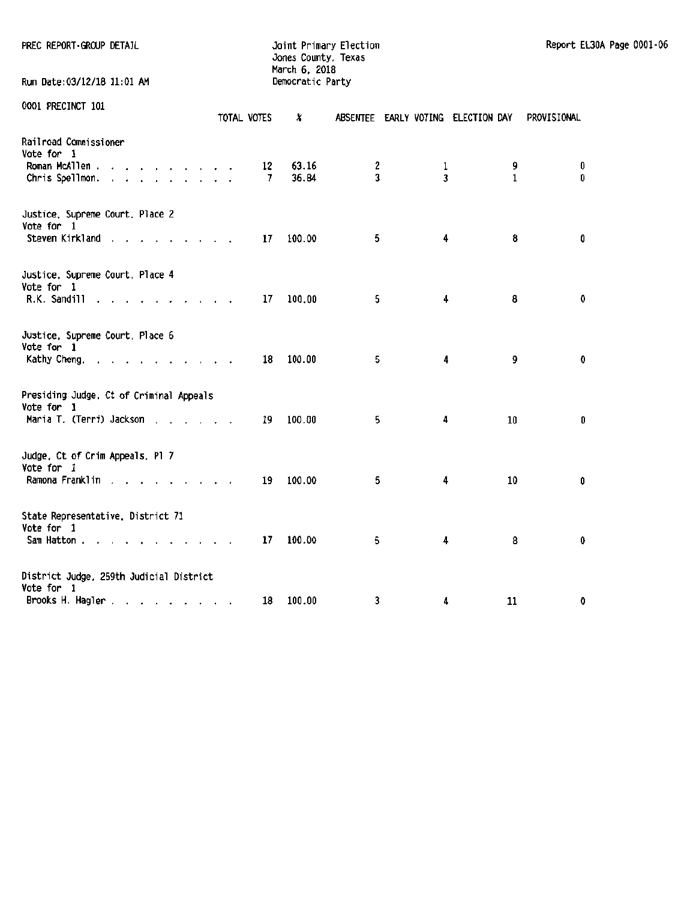| PREC REPORT GROUP DETAIL                                            |                      |    | Jones County, Texas<br>March 6, 2018 | Joint Primary Election |                                    |              | Report EL30A Page 0001-06 |  |
|---------------------------------------------------------------------|----------------------|----|--------------------------------------|------------------------|------------------------------------|--------------|---------------------------|--|
| Run Date: 03/12/18 11:01 AM                                         |                      |    | Democratic Party                     |                        |                                    |              |                           |  |
| 0001 PRECINCT 101                                                   | TOTAL VOTES          |    | X                                    |                        | ABSENTEE EARLY VOTING ELECTION DAY |              | <b>PROVISIONAL</b>        |  |
| Railroad Commissioner                                               |                      |    |                                      |                        |                                    |              |                           |  |
| Vote for 1<br>Roman McAllen.<br>the contract of the contract of the |                      | 12 | 63.16                                | 2                      | $\mathbf{1}$                       | 9            | 0                         |  |
| Chris Spellmon.                                                     |                      | 7  | 36.84                                | 3                      | 3                                  | $\mathbf{1}$ | 0                         |  |
| Justice, Supreme Court, Place 2                                     |                      |    |                                      |                        |                                    |              |                           |  |
| Vote for 1<br>Steven Kirkland                                       |                      | 17 | 100.00                               | 5                      | 4                                  | 8            | 0                         |  |
| Justice, Supreme Court, Place 4                                     |                      |    |                                      |                        |                                    |              |                           |  |
| Vote for 1                                                          |                      |    |                                      |                        | 4                                  | 8            | 0                         |  |
| R.K. Sandill                                                        |                      | 17 | 100.00                               | 5                      |                                    |              |                           |  |
| Justice, Supreme Court, Place 6<br>Vote for 1                       |                      |    |                                      |                        |                                    |              |                           |  |
| Kathy Cheng.                                                        |                      | 18 | 100.00                               | 5                      | 4                                  | 9            | 0                         |  |
| Presiding Judge, Ct of Criminal Appeals                             |                      |    |                                      |                        |                                    |              |                           |  |
| Vote for 1<br>Maria T. (Terri) Jackson                              |                      | 19 | 100.00                               | 5                      | 4                                  | 10           | 0                         |  |
|                                                                     |                      |    |                                      |                        |                                    |              |                           |  |
| Judge, Ct of Crim Appeals, Pl 7<br>Vote for 1                       |                      |    |                                      |                        |                                    |              |                           |  |
| Ramona Franklin                                                     |                      | 19 | 100.00                               | 5                      | 4                                  | 10           | 0                         |  |
| State Representative, District 71                                   |                      |    |                                      |                        |                                    |              |                           |  |
| Vote for 1<br>Sam Hatton                                            |                      | 17 | 100.00                               | 5                      | 4                                  | 8            | 0                         |  |
|                                                                     | $\sim$ $\sim$ $\sim$ |    |                                      |                        |                                    |              |                           |  |
| District Judge, 259th Judicial District<br>Vote for 1               |                      |    |                                      |                        |                                    |              |                           |  |
| Brooks H. Hagler                                                    |                      | 18 | 100.00                               | 3                      | 4                                  | 11           | 0                         |  |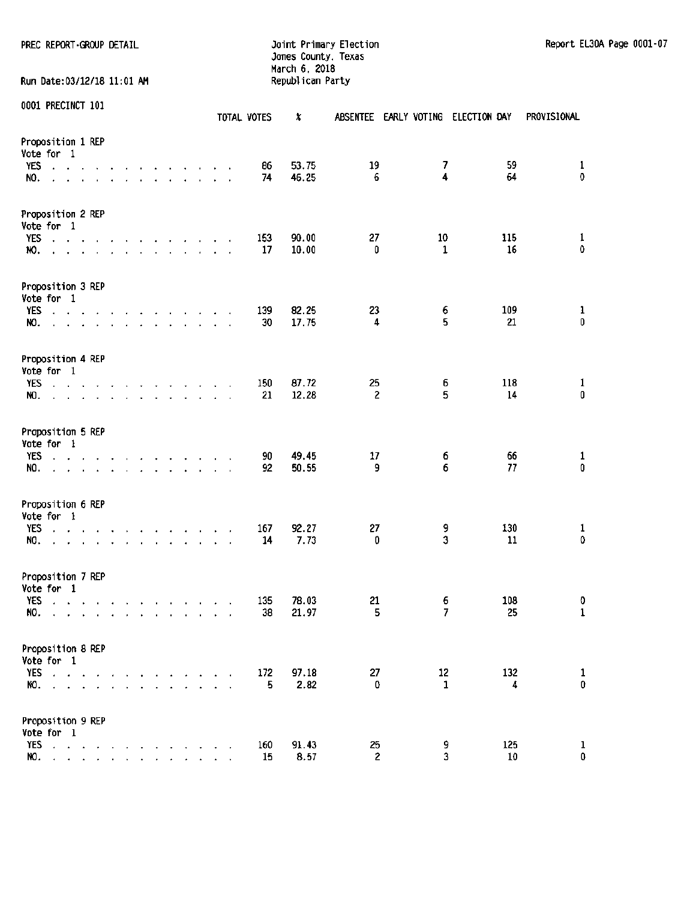Run Date:03/12/18 11:01 AM

# Jones County. Texas March 6, 2018

|                                                                                                                           |                  |                                                |               |                          |                                                                                                                                                                                                                                      |               |                                                      |                |                      |                      | TOTAL VOTES | x              | ABSENTEE EARLY VOTING |                          | ELECTION DAY      | PROVISIONAL                  |
|---------------------------------------------------------------------------------------------------------------------------|------------------|------------------------------------------------|---------------|--------------------------|--------------------------------------------------------------------------------------------------------------------------------------------------------------------------------------------------------------------------------------|---------------|------------------------------------------------------|----------------|----------------------|----------------------|-------------|----------------|-----------------------|--------------------------|-------------------|------------------------------|
| Proposition 1 REP<br>Vote for 1<br>YES<br>$\mathbf{A} = \mathbf{A}$                                                       |                  |                                                |               |                          | the contract of the contract                                                                                                                                                                                                         |               |                                                      |                |                      |                      | 86          | 53.75          | 19                    | $\overline{\phantom{a}}$ | 59                | 1                            |
| NO.                                                                                                                       |                  |                                                |               |                          | $\sim$                                                                                                                                                                                                                               | $\sim$        | $\mathbf{r}$                                         | $\mathbf{r}$ . |                      |                      | 74          | 46.25          | 6                     | 4                        | 64                | $\pmb{0}$                    |
| Proposition 2 REP<br>Vote for 1                                                                                           |                  |                                                |               |                          |                                                                                                                                                                                                                                      |               |                                                      |                |                      |                      |             |                |                       |                          |                   |                              |
| <b>YES</b><br>$\sim$<br>NO.                                                                                               |                  |                                                |               |                          | design and a state of the state of the<br><u>in the second contract of the second second</u>                                                                                                                                         |               |                                                      |                |                      | $\ddot{\phantom{a}}$ | 153<br>17   | 90.00<br>10.00 | 27<br>0               | 10<br>1                  | 115<br>16         | $\mathbf{1}$<br>$\mathbf 0$  |
| Proposition 3 REP<br>Vote for 1                                                                                           |                  |                                                |               |                          |                                                                                                                                                                                                                                      |               |                                                      |                |                      |                      |             |                |                       |                          |                   |                              |
| YES<br>ماري والمناور والمنام المناور والمنام المناورة<br>NO.<br>and a series of the contract of the                       |                  |                                                |               |                          |                                                                                                                                                                                                                                      |               |                                                      |                |                      |                      | 139<br>30   | 82.25<br>17.75 | 23<br>4               | 6<br>5                   | 109<br>21         | $\mathbf{1}$<br>$\mathbf{0}$ |
| Proposition 4 REP<br>Vote for 1                                                                                           |                  |                                                |               |                          |                                                                                                                                                                                                                                      |               |                                                      |                |                      |                      |             |                |                       |                          |                   |                              |
| YES<br>$\mathbf{r} = \mathbf{r}$ .<br>NO.                                                                                 |                  |                                                |               |                          | $\mathbf{r}$ and $\mathbf{r}$ are the set of the set of the set of the set of the set of the set of the set of the set of the set of the set of the set of the set of the set of the set of the set of the set of the set of the set |               |                                                      |                |                      |                      | 150<br>21   | 87.72<br>12.28 | 25<br>$\overline{c}$  | 6<br>5                   | 118<br>14         | $\mathbf{1}$<br>$\pmb{0}$    |
| Proposition 5 REP<br>Vote for 1                                                                                           |                  |                                                |               |                          |                                                                                                                                                                                                                                      |               |                                                      |                |                      |                      |             |                |                       |                          |                   |                              |
| <b>YES</b><br>$\cdot$<br>$\mathbf{r}$<br>NO.<br>÷.                                                                        |                  | <b>Contract Contract</b>                       |               |                          | and the second control of the second second<br>design and contract and contract and                                                                                                                                                  |               |                                                      |                |                      |                      | 90<br>92    | 49.45<br>50.55 | 17<br>9               | 6<br>6                   | 66<br>77          | 1<br>$\mathbf 0$             |
| Proposition 6 REP<br>Vote for 1                                                                                           |                  |                                                |               |                          |                                                                                                                                                                                                                                      |               |                                                      |                |                      |                      |             |                |                       |                          |                   |                              |
| <b>YES</b><br>$\sim$<br>NO.                                                                                               |                  |                                                |               |                          | $\sim$                                                                                                                                                                                                                               |               | the contract of the contract of<br><b>Contractor</b> |                |                      |                      | 167<br>14   | 92.27<br>7.73  | 27<br>0               | 9<br>3                   | 130<br>${\bf 11}$ | $\mathbf{1}$<br>$\mathbf 0$  |
| Proposition 7 REP<br>Vote for 1                                                                                           |                  |                                                |               |                          |                                                                                                                                                                                                                                      |               |                                                      |                |                      |                      |             |                |                       |                          |                   |                              |
| <b>YES</b><br>the contract of the contract of the<br>$\mathbf{r}$<br>NO.<br>v.                                            |                  |                                                |               |                          | and a straightful contract and a                                                                                                                                                                                                     |               |                                                      |                | $\ddot{\phantom{1}}$ |                      | 135<br>38   | 78.03<br>21.97 | 21<br>5               | 6<br>7                   | 108<br>25         | 0<br>$\mathbf 1$             |
| Proposition 8 REP<br>Vote for 1                                                                                           |                  |                                                |               |                          |                                                                                                                                                                                                                                      |               |                                                      |                |                      |                      |             |                |                       |                          |                   |                              |
| <b>YES</b><br>$\mathbf{A}$<br>NO.<br>$\Delta$<br>$\Delta$                                                                 | <b>Carl Carl</b> |                                                | $\mathcal{A}$ | $\overline{\phantom{a}}$ | $\Delta$                                                                                                                                                                                                                             | $\mathcal{L}$ |                                                      |                |                      |                      | 172<br>5    | 97.18<br>2.82  | 27<br>0               | 12<br>$\mathbf{1}$       | 132<br>4          | $\mathbf{1}$<br>$\pmb{0}$    |
| Proposition 9 REP<br>Vote for 1                                                                                           |                  |                                                |               |                          |                                                                                                                                                                                                                                      |               |                                                      |                |                      |                      |             |                |                       |                          |                   |                              |
| <b>YES</b><br>$\mathcal{A}=\mathcal{A}=\mathcal{A}=\mathcal{A}=\mathcal{A}=\mathcal{A}$<br>NO.<br>$\cdot$<br>$\mathbf{r}$ |                  | $\mathbf{r}$ and $\mathbf{r}$ and $\mathbf{r}$ |               |                          |                                                                                                                                                                                                                                      |               |                                                      |                |                      |                      | 160<br>15   | 91.43<br>8.57  | 25<br>2               | 9<br>3                   | 125<br>$10\,$     | $\mathbf 1$<br>0             |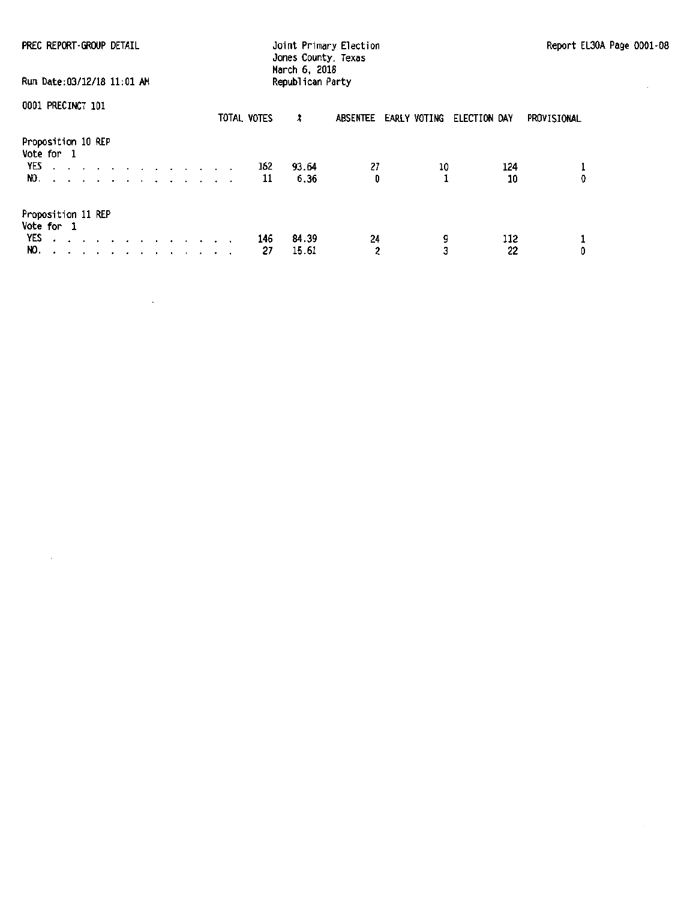| PREC REPORT-GROUP DETAIL                                                                                                                             |             | Joint Primary Election<br>Jones County, Texas<br>March 6, 2018 |                          |                     | Report EL30A Page 0001-08 |
|------------------------------------------------------------------------------------------------------------------------------------------------------|-------------|----------------------------------------------------------------|--------------------------|---------------------|---------------------------|
| Run Date: 03/12/18 11:01 AM                                                                                                                          |             | Republican Party                                               |                          |                     |                           |
| 0001 PRECINCT 101                                                                                                                                    | TOTAL VOTES | x                                                              | EARLY VOTING<br>ABSENTEE | ELECTION DAY        | PROVISIONAL               |
| Proposition 10 REP<br>Vote for 1<br>YES<br>$\alpha$ , and $\alpha$ , and $\alpha$ , and $\alpha$ , and $\alpha$ , and $\alpha$ , and $\alpha$<br>NO. |             | 93.64<br>162<br>11<br>6.36                                     | 27<br>0                  | 10<br>124<br>10     | 0                         |
| Proposition 11 REP<br>Vote for 1<br>YES described a construction of the MES<br>NO.                                                                   |             | 84.39<br>146<br>27<br>15.61                                    | 24<br>2                  | 9<br>112<br>3<br>22 | 1<br>0                    |

 $\sim 10^{11}$  km  $^{-1}$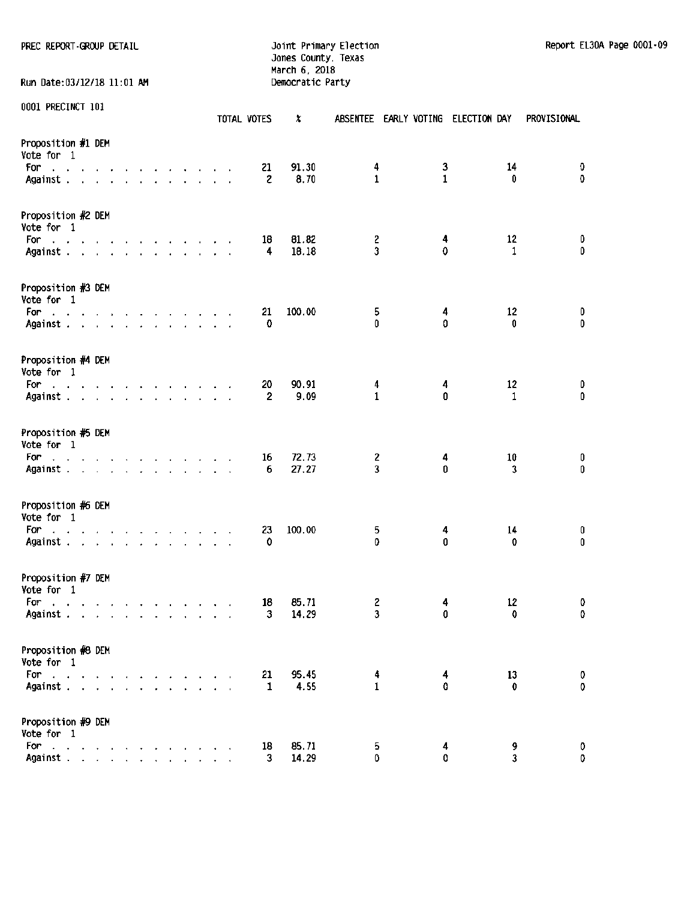PREC REPORT GROUP DETAIL **Fig. 10** Joint Primary Election Report EL30A Page 0001-09

Run Date:03/12/18 11:01 AM

Jones County, Texas March 6, 2018<br>Democratic Party

|                                                                                                |  |                          |        |              |  |              | TOTAL VOTES          | X              |                   |              | ABSENTEE EARLY VOTING ELECTION DAY |                    | PROVISIONAL      |
|------------------------------------------------------------------------------------------------|--|--------------------------|--------|--------------|--|--------------|----------------------|----------------|-------------------|--------------|------------------------------------|--------------------|------------------|
| Proposition #1 DEM<br>Vote for 1<br>For<br>the contract of the contract of the contract of the |  |                          |        |              |  |              | 21                   | 91.30          | 4                 | 3            |                                    | 14                 | 0                |
| Against                                                                                        |  |                          |        |              |  |              | 2                    | 8.70           | $\mathbf{1}$      | $\mathbf{1}$ |                                    | 0                  | $\mathbf 0$      |
| Proposition #2 DEM<br>Vote for 1                                                               |  |                          |        |              |  |              |                      |                |                   |              |                                    |                    |                  |
| For<br>the contract of the contract of the contract of<br>Against                              |  |                          |        |              |  |              | 18<br>4              | 81.82<br>18.18 | $\mathbf{2}$<br>3 | 4<br>0       |                                    | 12<br>$\mathbf{1}$ | 0<br>0           |
| Proposition #3 DEM<br>Vote for 1                                                               |  |                          |        |              |  |              |                      |                |                   |              |                                    |                    |                  |
| For:<br>and the contract of the contract of the contract of<br>Against                         |  |                          |        |              |  |              | 21<br>0              | 100.00         | 5<br>0            | 4<br>0       |                                    | 12<br>0            | 0<br>0           |
| Proposition #4 DEM<br>Vote for 1                                                               |  |                          |        |              |  |              |                      |                |                   |              |                                    |                    |                  |
| For<br>the contract of the contract of the contract of<br>Against                              |  |                          |        |              |  | $\mathbf{A}$ | 20<br>$\overline{2}$ | 90.91<br>9.09  | 4<br>$\mathbf{1}$ | 4<br>0       |                                    | 12<br>$\mathbf{1}$ | 0<br>0           |
| Proposition #5 DEM<br>Vote for 1                                                               |  |                          |        |              |  |              |                      |                |                   |              |                                    |                    |                  |
| For<br>the contract of the contract of the contract of<br>Against                              |  |                          |        |              |  |              | 16<br>6              | 72.73<br>27.27 | 2<br>3            | 4<br>0       |                                    | 10<br>3            | 0<br>0           |
| Proposition #6 DEM<br>Vote for 1                                                               |  |                          |        |              |  |              |                      |                |                   |              |                                    |                    |                  |
| For:<br>the contract of the contract of the contract of<br>Against                             |  |                          |        |              |  |              | 23<br>0              | 100.00         | 5<br>0            | 4<br>0       |                                    | 14<br>0            | 0<br>$\mathbf 0$ |
| Proposition #7 DEM<br>Vote for 1                                                               |  |                          |        |              |  |              |                      |                |                   |              |                                    |                    |                  |
| For<br>a construction of the construction of<br>Against                                        |  |                          |        |              |  |              | 18<br>3              | 85.71<br>14.29 | 2<br>3            | 4<br>0       |                                    | 12<br>0            | 0<br>0           |
| Proposition #8 DEM<br>Vote for 1                                                               |  |                          |        |              |  |              |                      |                |                   |              |                                    |                    |                  |
| For<br>Against                                                                                 |  | $\overline{\phantom{a}}$ | $\sim$ | $\mathbf{r}$ |  |              | 21<br>$\mathbf{1}$   | 95.45<br>4.55  | 4<br>$\mathbf{1}$ | 4<br>۵       |                                    | 13<br>0            | 0<br>$\mathbf 0$ |
| Proposition #9 DEM<br>Vote for 1                                                               |  |                          |        |              |  |              |                      |                |                   |              |                                    |                    |                  |
| For<br>$\mathcal{A}=\mathcal{A}=\mathcal{A}=\mathcal{A}=\mathcal{A}=\mathcal{A}$<br>Against    |  |                          |        |              |  |              | 18<br>3              | 85.71<br>14.29 | 5.<br>0           | 4<br>0       |                                    | 9<br>3             | 0<br>0           |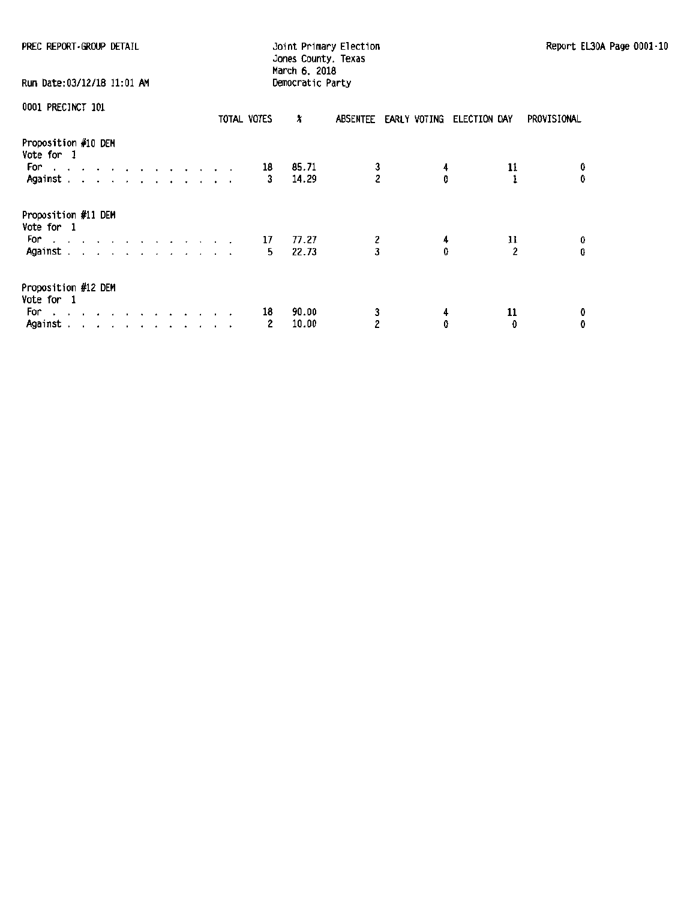| PREC REPORT GROUP DETAIL                                                                                                                                                                                                                                                       |             | Joint Primary Election<br>Jones County, Texas<br>March 6, 2018 | Report EL30A Page 0001-10          |             |  |
|--------------------------------------------------------------------------------------------------------------------------------------------------------------------------------------------------------------------------------------------------------------------------------|-------------|----------------------------------------------------------------|------------------------------------|-------------|--|
| Run Date:03/12/18 11:01 AM                                                                                                                                                                                                                                                     |             | Democratic Party                                               |                                    |             |  |
| 0001 PRECINCT 101                                                                                                                                                                                                                                                              | TOTAL VOTES | x                                                              | ABSENTEE EARLY VOTING ELECTION DAY | PROVISIONAL |  |
| Proposition #10 DEM<br>Vote for 1<br>For a state of the state of the state of the state of the state of the state of the state of the state of the<br>Against $\cdots$ $\cdots$ $\cdots$                                                                                       | 18          | 85.71<br>$\frac{3}{2}$<br>14.29                                | 11                                 |             |  |
| Proposition #11 DEM<br>Vote for 1<br>For a series and a series and a series<br>Against. <i>.</i>                                                                                                                                                                               | 17<br>5.    | $\frac{2}{3}$<br>77.27<br>22.73                                | 4<br>11                            | Û           |  |
| Proposition #12 DEM<br>Vote for 1<br>For a second contract and contract of the second second second second second second second second second second second second second second second second second second second second second second second second second secon<br>Against | 18<br>2     | 90.00<br>3<br>2<br>10.00                                       | 11<br>4<br>0<br>$\mathbf{0}$       | 0<br>0      |  |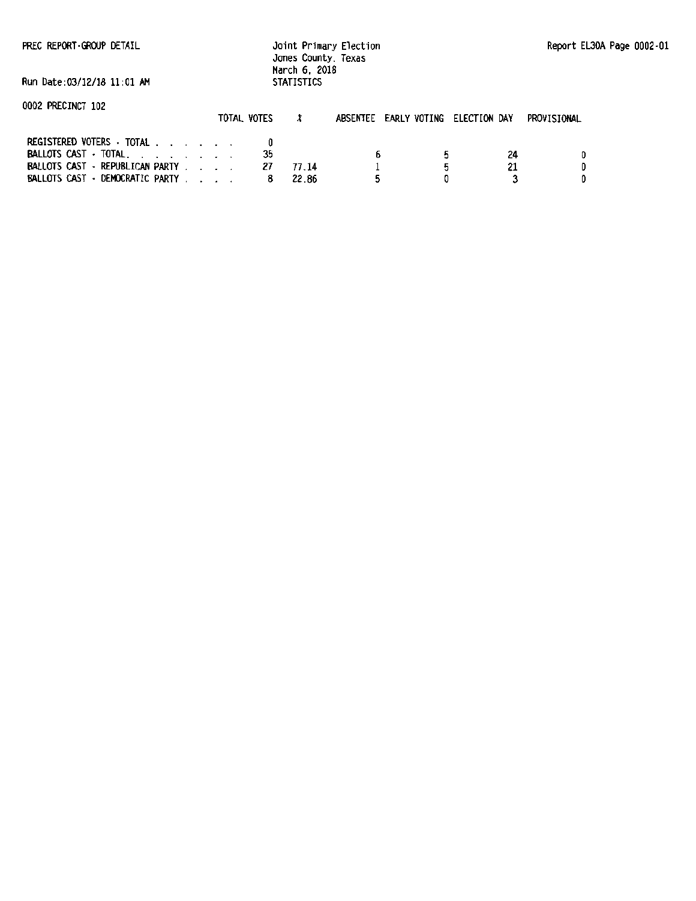Joint Primary Election Jones County. Texas March 6. 2018 **STATISTICS** 

Run Date:OJ/12/18 11:01 AM

| 0002 PRECINCT 102 |  |  |
|-------------------|--|--|
|-------------------|--|--|

|                                 | TOTAL VOTES |       | ABSENTEE EARLY VOTING ELECTION DAY | PROVISIONAL |
|---------------------------------|-------------|-------|------------------------------------|-------------|
| REGISTERED VOTERS · TOTAL       |             |       |                                    |             |
| BALLOTS CAST TOTAL.             |             |       |                                    | 24          |
| BALLOTS CAST - REPUBLICAN PARTY |             | 77 14 |                                    |             |
| BALLOTS CAST - DEMOCRATIC PARTY |             | 22.86 |                                    |             |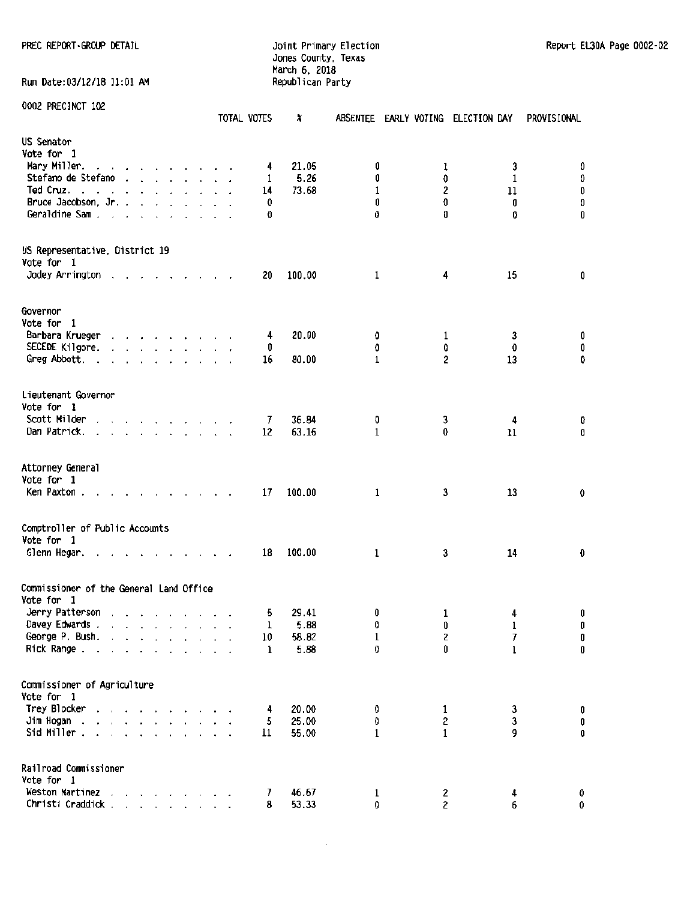## Jones County, Texas March 6, 2018 Run Date:03/12/18 11:01 AM Republican Party

0002 PRECINCT 102

|                                                       |                                                                       |                      |                      |                      |         |                                                                          |        |                      | TOTAL VOTES | X      |              |              | ABSENTEE EARLY VOTING ELECTION DAY | PROVISIONAL |
|-------------------------------------------------------|-----------------------------------------------------------------------|----------------------|----------------------|----------------------|---------|--------------------------------------------------------------------------|--------|----------------------|-------------|--------|--------------|--------------|------------------------------------|-------------|
| US Senator                                            |                                                                       |                      |                      |                      |         |                                                                          |        |                      |             |        |              |              |                                    |             |
| Vote for 1                                            |                                                                       |                      |                      |                      |         |                                                                          |        |                      |             |        |              |              |                                    |             |
| Mary Miller.                                          | and a series and a series                                             |                      |                      |                      |         |                                                                          |        |                      | 4           | 21.05  | 0            | ı            | 3                                  | O           |
| Stefano de Stefano                                    |                                                                       |                      |                      |                      |         | $\mathbf{r}$ , $\mathbf{r}$ , $\mathbf{r}$ , $\mathbf{r}$ , $\mathbf{r}$ |        |                      | 1           | 5.26   | 0            | 0            | $\mathbf{1}$                       | 0           |
| Ted Cruz.<br>$\cdot$ .                                | $\overline{\phantom{a}}$<br>$\ddot{\phantom{1}}$                      |                      |                      |                      |         | $\cdot$                                                                  |        |                      | 14          | 73.68  | 1            | 2            | 11                                 | 0           |
| Bruce Jacobson, Jr., ., ., ., .,                      |                                                                       |                      |                      |                      |         |                                                                          |        | $\ddot{\phantom{a}}$ | O           |        | 0            | Û            | 0                                  | O           |
| Geraldine Sam                                         | $\ddot{\phantom{0}}$                                                  |                      | $\cdot$ $\cdot$      |                      | $\cdot$ |                                                                          |        |                      | O           |        | 0            | o            | 0                                  | 0           |
|                                                       |                                                                       |                      |                      |                      |         |                                                                          |        |                      |             |        |              |              |                                    |             |
| US Representative, District 19                        |                                                                       |                      |                      |                      |         |                                                                          |        |                      |             |        |              |              |                                    |             |
| Vote for 1                                            |                                                                       |                      |                      |                      |         |                                                                          |        |                      |             |        |              |              |                                    |             |
| Jodey Arrington                                       |                                                                       |                      |                      |                      |         | $\mathbf{v} = \mathbf{v} + \mathbf{v} + \mathbf{v}$ .                    |        |                      | 20          | 100.00 | 1            | 4            | 15                                 | 0           |
|                                                       |                                                                       |                      |                      |                      |         |                                                                          |        |                      |             |        |              |              |                                    |             |
| Governor                                              |                                                                       |                      |                      |                      |         |                                                                          |        |                      |             |        |              |              |                                    |             |
| Vote for 1                                            |                                                                       |                      |                      |                      |         |                                                                          |        |                      |             |        |              |              |                                    |             |
| Barbara Krueger                                       |                                                                       |                      |                      |                      |         |                                                                          |        |                      | 4           | 20.00  | 0            | 1            | 3                                  | 0           |
| SECEDE Kilgore.                                       | $\mathbf{r}$ , and $\mathbf{r}$ , and $\mathbf{r}$ , and $\mathbf{r}$ |                      |                      |                      |         |                                                                          |        |                      | 0           |        | 0            | 0            | 0                                  | 0           |
| Greg Abbott.                                          |                                                                       |                      |                      |                      |         |                                                                          |        |                      | 16          | 80.00  | $\mathbf{1}$ | 2            | 13                                 | 0           |
| Lieutenant Governor                                   |                                                                       |                      |                      |                      |         |                                                                          |        |                      |             |        |              |              |                                    |             |
| Vote for 1                                            |                                                                       |                      |                      |                      |         |                                                                          |        |                      |             |        |              |              |                                    |             |
| Scott Milder                                          |                                                                       |                      |                      |                      |         | the contract of the contract of                                          |        |                      | 7           | 36.84  | O            | 3            | 4                                  | 0           |
| Dan Patrick.                                          |                                                                       | $\ddot{\phantom{1}}$ |                      |                      |         | and a state of the state.                                                |        |                      | 12          | 63.16  | $\mathbf{1}$ | 0            | 11                                 | 0           |
|                                                       |                                                                       |                      |                      |                      |         |                                                                          |        |                      |             |        |              |              |                                    |             |
| Attorney General                                      |                                                                       |                      |                      |                      |         |                                                                          |        |                      |             |        |              |              |                                    |             |
| Vote for 1                                            |                                                                       |                      |                      |                      |         |                                                                          |        |                      |             |        |              |              |                                    |             |
| Ken Paxton.                                           |                                                                       |                      |                      |                      |         |                                                                          | $\sim$ |                      | 17          | 100.00 | $\mathbf{1}$ | 3            | 13                                 | 0           |
|                                                       |                                                                       |                      |                      |                      |         |                                                                          |        |                      |             |        |              |              |                                    |             |
| Comptroller of Public Accounts<br>Vote for 1          |                                                                       |                      |                      |                      |         |                                                                          |        |                      |             |        |              |              |                                    |             |
| Glenn Hegar.                                          |                                                                       |                      |                      |                      |         |                                                                          |        |                      | 18          | 100.00 | $\mathbf{1}$ | 3            | 14                                 | 0           |
|                                                       |                                                                       |                      |                      |                      |         |                                                                          |        |                      |             |        |              |              |                                    |             |
| Commissioner of the General Land Office<br>Vote for 1 |                                                                       |                      |                      |                      |         |                                                                          |        |                      |             |        |              |              |                                    |             |
| Jerry Patterson.                                      |                                                                       |                      |                      |                      |         | $\mathbf{r}$ , $\mathbf{r}$ , $\mathbf{r}$ , $\mathbf{r}$ , $\mathbf{r}$ |        |                      | 5           | 29.41  | 0            | 1            | 4                                  | 0           |
| Davey Edwards .                                       | $\sim$ $\sim$                                                         |                      |                      |                      |         |                                                                          |        |                      | ı           | 5.88   | 0            | 0            | ı                                  | 0           |
| George P. Bush.                                       | $\ddot{\phantom{a}}$                                                  |                      | $\ddot{\phantom{1}}$ | $\ddot{\phantom{0}}$ |         |                                                                          |        |                      | 10          | 58.82  | 1            | 2            | 7                                  | $\pmb{0}$   |
| Rick Range.                                           |                                                                       |                      |                      |                      |         |                                                                          |        |                      | 1           | 5.88   | 0            | 0            | ı                                  | 0           |
|                                                       |                                                                       |                      |                      |                      |         |                                                                          |        |                      |             |        |              |              |                                    |             |
| Commissioner of Agriculture                           |                                                                       |                      |                      |                      |         |                                                                          |        |                      |             |        |              |              |                                    |             |
| Vote for 1                                            |                                                                       |                      |                      |                      |         |                                                                          |        |                      |             |        |              |              |                                    |             |
| Trey Blocker                                          |                                                                       |                      |                      |                      |         | <b>Contract Contract Contract</b>                                        |        |                      | 4           | 20.00  | 0            | 1            | 3                                  | 0           |
| Jim Hogan.<br>$\mathbf{r}$                            |                                                                       |                      |                      |                      |         |                                                                          |        |                      | 5           | 25.00  | 0            | 2            | 3                                  | $\pmb{0}$   |
| Sid Miller.                                           | and a strain and a strain and a                                       |                      |                      |                      |         |                                                                          |        |                      | 11          | 55.00  | $\mathbf{1}$ | $\mathbf{1}$ | 9                                  | $\pmb{0}$   |
| Railroad Commissioner                                 |                                                                       |                      |                      |                      |         |                                                                          |        |                      |             |        |              |              |                                    |             |
| Vote for 1                                            |                                                                       |                      |                      |                      |         |                                                                          |        |                      |             |        |              |              |                                    |             |
| Weston Martinez                                       |                                                                       |                      |                      |                      |         | $\cdot$ $\cdot$ $\cdot$ $\cdot$ $\cdot$                                  |        |                      | 7           | 46.67  | $\mathbf{1}$ | 2            | 4                                  | 0           |
| Christi Craddick.                                     |                                                                       |                      |                      |                      |         | <b>Service</b> State                                                     |        |                      | 8           | 53.33  | 0            | 2            | 6                                  | 0           |

 $\bar{z}$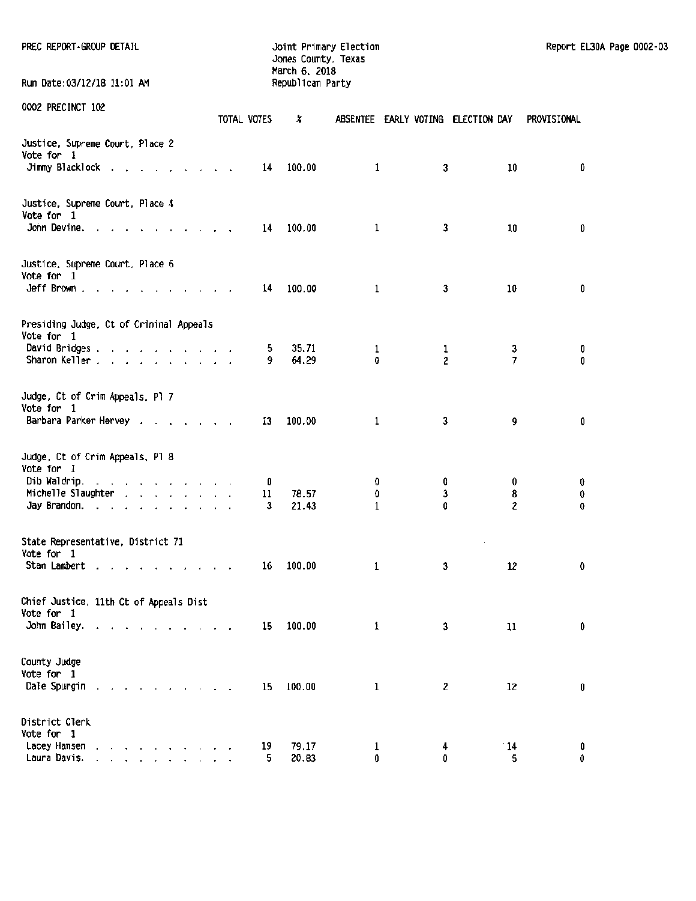| PREC REPORT-GROUP DETAIL                                                                                                        |                         | Joint Primary Election<br>Jones County, Texas<br>March 6, 2018 |                                    |                   |              | Report EL30A Page 0002-03 |  |
|---------------------------------------------------------------------------------------------------------------------------------|-------------------------|----------------------------------------------------------------|------------------------------------|-------------------|--------------|---------------------------|--|
| Run Date: 03/12/18 11:01 AM                                                                                                     |                         | Republican Party                                               |                                    |                   |              |                           |  |
| 0002 PRECINCT 102                                                                                                               | TOTAL VOTES             | x                                                              | ABSENTEE EARLY VOTING ELECTION DAY |                   |              | PROVISIONAL               |  |
| Justice, Supreme Court, Place 2<br>Vote for 1<br>Jimmy Blacklock                                                                | 14                      | 100.00                                                         | $\mathbf{1}$                       | 3                 | 10           | 0                         |  |
| Justice, Supreme Court, Place 4<br>Vote for 1<br>John Devine. $\cdots$ $\cdots$ $\cdots$ $\cdots$                               |                         | 14 100.00                                                      | 1                                  | 3                 | 10           | 0                         |  |
| Justice, Supreme Court, Place 6<br>Vote for 1<br>$Jeff Brown.$                                                                  | 14                      | 100.00                                                         | $\mathbf{1}$                       | 3                 | 10           | 0                         |  |
| Presiding Judge, Ct of Criminal Appeals<br>Vote for 1<br>David Bridges.<br>Sharon Keller                                        | 9.                      | 35.71<br>5.<br>64.29                                           | $\mathbf{1}$<br>0                  | $\mathbf{1}$<br>2 | 3<br>7       | 0<br>0                    |  |
| Judge, Ct of Crim Appeals, Pl 7<br>Vote for 1<br>Barbara Parker Hervey                                                          |                         | 100.00<br>13                                                   | 1                                  | 3                 | 9            | 0                         |  |
| Judge, Ct of Crim Appeals, Pl 8<br>Vote for 1<br>Dib Waldrip.<br>Michelle Slaughter<br>Jay Brandon.                             | o<br>$\mathbf{11}$<br>3 | 78.57<br>21.43                                                 | 0<br>0<br>$\mathbf{1}$             | 0<br>3<br>O       | 0<br>8<br>2  | 0<br>0<br>0               |  |
| State Representative, District 71<br>Vote for 1<br>Stan Lambert                                                                 | 16                      | 100.00                                                         | 1                                  | 3                 | $\sim$<br>12 | 0                         |  |
| Chief Justice, 11th Ct of Appeals Dist<br>Vote for 1<br>John Bailey.<br>$\overline{\phantom{a}}$                                | 15                      | 100.00                                                         | 1                                  | 3                 | 11           | 0                         |  |
| County Judge<br>Vote for 1<br>Dale Spurgin                                                                                      | 15                      | 100.00                                                         | 1                                  | 2                 | 12           | 0                         |  |
| District Clerk<br>Vote for 1<br>Lacey Hansen<br>and a series and a series of<br>Laura Davis.<br>the contract of the contract of | 19<br>5                 | 79.17<br>20.83                                                 | ı<br>0                             | 4<br>0            | 14<br>5      | 0<br>0                    |  |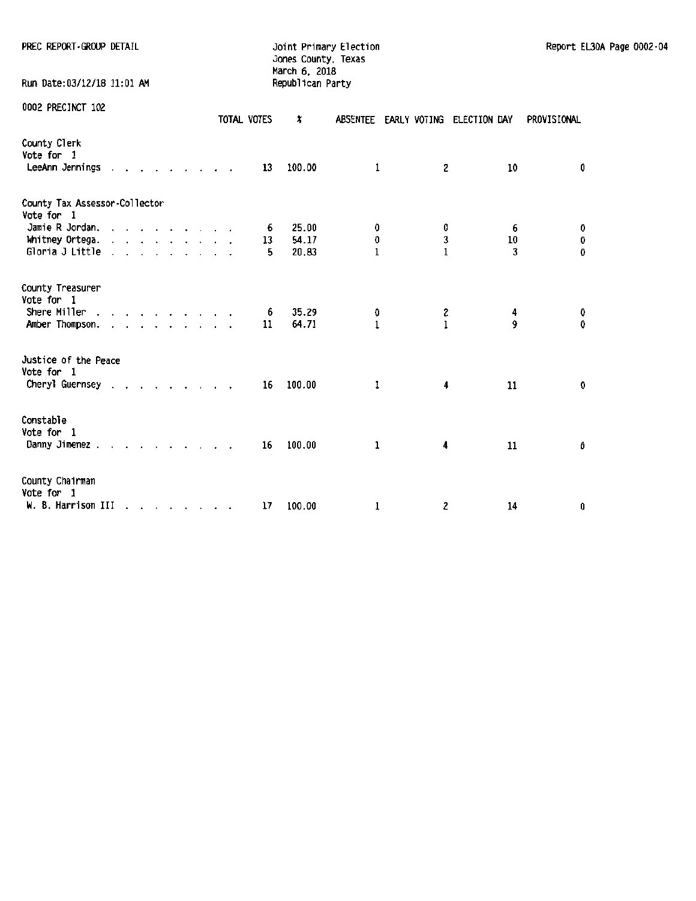| PREC REPORT-GROUP DETAIL                                       |  |  |  |  |             | Jones County, Texas<br>March 6, 2018 | Joint Primary Election |                   |                                    |        |             | Report EL30A Page 0002-04 |  |
|----------------------------------------------------------------|--|--|--|--|-------------|--------------------------------------|------------------------|-------------------|------------------------------------|--------|-------------|---------------------------|--|
| Run Date:03/12/18 11:01 AM                                     |  |  |  |  |             | Republican Party                     |                        |                   |                                    |        |             |                           |  |
| 0002 PRECINCT 102                                              |  |  |  |  | TOTAL VOTES | x                                    |                        |                   | ABSENTEE EARLY VOTING ELECTION DAY |        | PROVISIONAL |                           |  |
| County Clerk<br>Vote for 1<br>LeeAnn Jennings                  |  |  |  |  | 13          | 100.00                               | 1                      | 2                 |                                    | 10     |             | 0                         |  |
| County Tax Assessor-Collector                                  |  |  |  |  |             |                                      |                        |                   |                                    |        |             |                           |  |
| Vote for 1<br>Jamie R Jordan.                                  |  |  |  |  | 6           | 25.00                                | 0                      | 0                 |                                    | 6      |             | 0                         |  |
| Whitney Ortega. $\ldots$ $\ldots$ $\ldots$ $\ldots$            |  |  |  |  | 13          | 54.17                                | O                      | 3                 |                                    | 10     |             | 0                         |  |
| Gloria J Little                                                |  |  |  |  | 5           | 20.83                                | $\mathbf{1}$           | $\mathbf{1}$      |                                    | 3      |             | 0                         |  |
| County Treasurer<br>Vote for 1                                 |  |  |  |  |             |                                      |                        |                   |                                    |        |             |                           |  |
| Shere Miller $\ldots$ , $\ldots$ , $\ldots$<br>Amber Thompson. |  |  |  |  | 6<br>11     | 35.29<br>64.71                       | O<br>$\mathbf{1}$      | 2<br>$\mathbf{1}$ |                                    | 4<br>9 |             | 0<br>0                    |  |
| Justice of the Peace                                           |  |  |  |  |             |                                      |                        |                   |                                    |        |             |                           |  |
| Vote for 1<br>Cheryl Guernsey                                  |  |  |  |  | 16          | 100.00                               | 1                      | 4                 |                                    | 11     |             | 0                         |  |
| Constable<br>Vote for 1                                        |  |  |  |  |             |                                      |                        |                   |                                    |        |             |                           |  |
| Danny Jimenez.                                                 |  |  |  |  | 16          | 100.00                               | 1                      | 4                 |                                    | 11     |             | 0                         |  |
| County Chairman<br>Vote for 1                                  |  |  |  |  |             |                                      |                        |                   |                                    |        |             |                           |  |
| W. B. Harrison III                                             |  |  |  |  | 17          | 100.00                               | 1                      | 2                 |                                    | 14     |             | 0                         |  |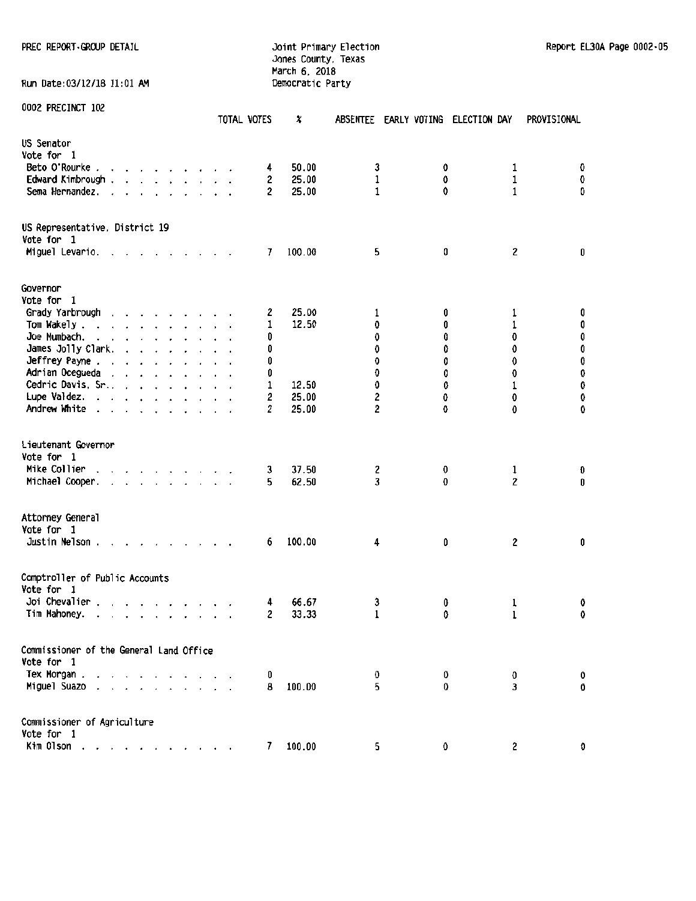PREC REPORT GROUP DETAIL **FREC REPORT ·GROUP DETAIL Joint Primary Election Report EL30A Page 0002** · 05

## Jones County. Texas March 6, 2018 Run Date:03/12/18 11:01 AM Democratic Party

|                                                                                                                                                         | TOTAL VOTES | X                        | ABSENTEE EARLY VOTING ELECTION DAY |        |                               | PROVISIONAL |
|---------------------------------------------------------------------------------------------------------------------------------------------------------|-------------|--------------------------|------------------------------------|--------|-------------------------------|-------------|
| US Senator                                                                                                                                              |             |                          |                                    |        |                               |             |
| Vote for 1                                                                                                                                              |             |                          |                                    |        |                               |             |
| Beto O'Rourke.<br>$\cdots$                                                                                                                              |             | 50.00<br>4               | 3                                  | 0      | 1                             | 0           |
| Edward Kimbrough.<br>.                                                                                                                                  |             | 25.00<br>2               | $\mathbf 1$                        | 0      | 1                             | 0           |
| Sema Hernandez.<br>$\mathbf{r}$ and $\mathbf{r}$ and $\mathbf{r}$ and $\mathbf{r}$<br>$\ddot{\phantom{a}}$                                              |             | $\overline{c}$<br>25.00  | 1                                  | 0      | 1                             | O           |
| US Representative, District 19<br>Vote for 1<br>Miguel Levario. .<br>and the contract of the contract of the                                            |             | 100.00<br>7              | 5                                  | O      | 2                             | 0           |
|                                                                                                                                                         |             |                          |                                    |        |                               |             |
| Governor                                                                                                                                                |             |                          |                                    |        |                               |             |
| Vote for 1                                                                                                                                              |             |                          |                                    |        |                               |             |
| Grady Yarbrough<br>$\cdot$ $\cdot$ $\cdot$ $\cdot$ $\cdot$ $\cdot$ $\cdot$                                                                              |             | 25.00<br>2               | 1                                  | 0      | 1                             | 0           |
| Tom Wakely.<br>$\begin{array}{cccccccccccccc} . & . & . & . & . & . & . & . \end{array}$                                                                |             | 12.50<br>1               | 0                                  | 0      | 1                             | 0           |
| Joe Mumbach.<br>$\cdot$ $\cdot$ $\cdot$ $\cdot$ $\cdot$ $\cdot$                                                                                         |             | 0                        | 0                                  | 0      | 0                             | 0           |
| James Jolly Clark.<br>and a state of the                                                                                                                |             | 0                        | 0                                  | 0      | 0                             | 0           |
| Jeffrey Payne                                                                                                                                           |             | 0                        | 0                                  | 0      | 0                             | 0           |
| Adrian Ocegueda                                                                                                                                         |             | 0                        | 0                                  | 0      | 0                             | O           |
| Cedric Davis, Sr                                                                                                                                        |             | 1<br>12.50               | 0                                  | O      | 1                             | 0           |
| Lupe Valdez.                                                                                                                                            |             | 2<br>25.00               | 2                                  | 0      | 0                             | 0           |
| Andrew White                                                                                                                                            |             | 25.00<br>2               | 2                                  | 0      | 0                             | 0           |
| Lieutenant Governor<br>Vote for 1<br>Mike Collier                                                                                                       |             | 37.50                    |                                    |        |                               |             |
| and a state of the con-<br>Michael Cooper.<br>and the company's                                                                                         |             | 3<br>62.50<br>5          | 2<br>3                             | 0<br>O | $\mathbf 1$<br>$\overline{c}$ | O<br>0      |
| Attorney General<br>Vote for 1<br>Justin Nelson.                                                                                                        |             | 100.00<br>6              | 4                                  | 0      | $\overline{c}$                | 0           |
| Comptroller of Public Accounts<br>Vote for 1<br>Joi Chevalier.<br>Tim Mahoney.<br>$\mathbf{r}$ , and $\mathbf{r}$ , and $\mathbf{r}$ , and $\mathbf{r}$ |             | 66.67<br>4<br>33.33<br>2 | 3<br>1                             | 0<br>0 | 1<br>1                        | 0<br>0      |
|                                                                                                                                                         |             |                          |                                    |        |                               |             |
| Commissioner of the General Land Office<br>Vote for 1                                                                                                   |             |                          |                                    |        |                               |             |
| Tex Morgan.                                                                                                                                             |             | 0                        | 0                                  | 0      | 0                             | 0           |
| Miguel Suazo.                                                                                                                                           |             | 100.00<br>8              | 5                                  | 0      | 3                             | 0           |
| Commissioner of Agriculture<br>Vote for 1                                                                                                               |             |                          |                                    |        |                               |             |
|                                                                                                                                                         |             |                          |                                    |        |                               |             |
| Kim Olson.                                                                                                                                              |             | 100.00<br>7              | 5                                  | 0      | $\overline{c}$                | 0           |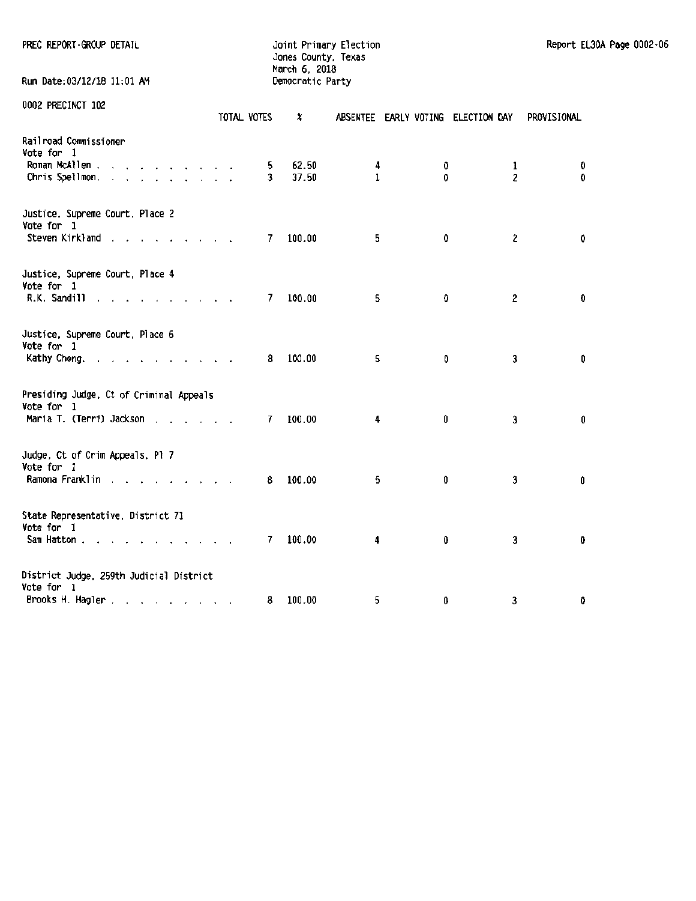|  |  |  | PREC REPORT-GROUP DETAIL |
|--|--|--|--------------------------|
|--|--|--|--------------------------|

#### PREC REPORT GROUP DETAIL **CONTRAINING CONTRAINING CONTRAINING CONTRA**ING JOInt Primary Election Report EL30A Page 0002·06 Jones County, Texas March 6. 2018

| Run Date:03/12/18 11:01 AM                                                        |  |             | Democratic Party |        |        |                                    |             |
|-----------------------------------------------------------------------------------|--|-------------|------------------|--------|--------|------------------------------------|-------------|
| 0002 PRECINCT 102                                                                 |  | TOTAL VOTES | x                |        |        | ABSENTEE EARLY VOTING ELECTION DAY | PROVISIONAL |
| Railroad Commissioner<br>Vote for 1<br>Roman McAllen<br>Chris Spellmon,           |  | 5.<br>3     | 62.50<br>37.50   | 4<br>1 | 0<br>0 | 1<br>2                             | 0<br>0      |
| Justice, Supreme Court, Place 2<br>Vote for 1<br>Steven Kirkland                  |  | 7           | 100.00           | 5      | 0      | $\overline{\mathbf{c}}$            | 0           |
| Justice, Supreme Court, Place 4<br>Vote for 1<br>R.K. Sandill                     |  | 7.          | 100.00           | 5      | 0      | 2                                  | $\pmb{0}$   |
| Justice, Supreme Court, Place 6<br>Vote for 1<br>Kathy Cheng.                     |  | 8           | 100.00           | 5      | O      | 3                                  | 0           |
| Presiding Judge, Ct of Criminal Appeals<br>Vote for 1<br>Maria T. (Terri) Jackson |  | 7           | 100.00           | 4      | 0      | 3                                  | 0           |
| Judge, Ct of Crim Appeals, Pl 7<br>Vote for 1<br>Ramona Franklin                  |  | 8           | 100.00           | 5      | 0      | 3                                  | 0           |
| State Representative, District 71<br>Vote for 1<br>Sam Hatton                     |  | 7           | 100.00           | 4      | 0      | 3                                  | 0           |
| District Judge, 259th Judicial District<br>Vote for 1<br>Brooks H. Hagler.        |  | 8           | 100.00           | 5      | 0      | 3                                  | 0           |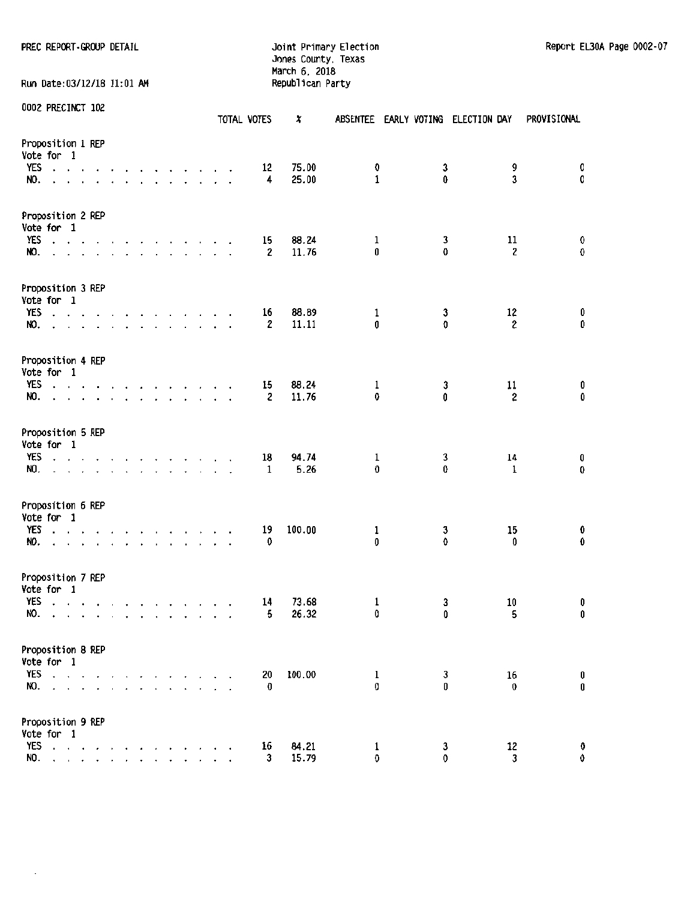PREC REPCRT·GROUP DETAIL Joint Primary Election Report EL30A Page 0002·07

Jones County, Texas March 6, 2018 Run Date:03/12/18 11:01 AM Republican Party

| 0002 PRECINCT 102 |  |
|-------------------|--|

|                                                                                                                                                                                                                                                                                                                          |                          |                                              |        |        |                                 |  |                                                                                                                                                                     |                                                                                                                                      | TOTAL VOTES        | x              |        |        | ABSENTEE EARLY VOTING ELECTION DAY | PROVISIONAL      |
|--------------------------------------------------------------------------------------------------------------------------------------------------------------------------------------------------------------------------------------------------------------------------------------------------------------------------|--------------------------|----------------------------------------------|--------|--------|---------------------------------|--|---------------------------------------------------------------------------------------------------------------------------------------------------------------------|--------------------------------------------------------------------------------------------------------------------------------------|--------------------|----------------|--------|--------|------------------------------------|------------------|
| Proposition 1 REP<br>Vote for 1<br>YES<br>$\mathbf{r}=\mathbf{r}+\mathbf{r}$<br>NO.                                                                                                                                                                                                                                      |                          | $\ddot{\phantom{0}}$<br>$\ddot{\phantom{a}}$ |        |        |                                 |  | $\begin{array}{cccccccccccccc} \bullet & \bullet & \bullet & \bullet & \bullet & \bullet & \bullet & \bullet & \bullet & \bullet \end{array}$<br>and a state of the |                                                                                                                                      | 12<br>4            | 75.00<br>25.00 | 0<br>1 | 3<br>0 | 9<br>3                             | 0<br>0           |
| Proposition 2 REP<br>Vote for 1<br>YES<br>$\cdot \cdot \cdot$ $\cdot$<br>NO.<br>$\ddot{\phantom{0}}$                                                                                                                                                                                                                     | $\overline{\phantom{a}}$ |                                              |        |        |                                 |  |                                                                                                                                                                     | the contract of the contract of the<br>$\begin{array}{cccccccccccccccccc} . & . & . & . & . & . & . & . & . & . & . & . \end{array}$ | 15<br>2            | 88.24<br>11.76 | 1<br>0 | 3<br>0 | 11<br>$\overline{\mathbf{c}}$      | 0<br>0           |
| Proposition 3 REP<br>Vote for 1<br>YES<br>the second contract of the second contract of the second contract of the second contract of the second contract of the second contract of the second contract of the second contract of the second contract of the second cont<br>and the series of the contract of the<br>NO. |                          |                                              |        |        |                                 |  |                                                                                                                                                                     |                                                                                                                                      | 16<br>2            | 88.89<br>11.11 | 1<br>0 | 3<br>O | 12<br>$\mathbf{2}$                 | 0<br>0           |
| Proposition 4 REP<br>Vote for 1<br>YES<br>and a series of a series of the series<br>NO.                                                                                                                                                                                                                                  |                          |                                              |        |        |                                 |  |                                                                                                                                                                     |                                                                                                                                      | 15<br>2            | 88.24<br>11.76 | 1<br>0 | 3<br>0 | 11<br>$\mathbf 2$                  | 0<br>0           |
| Proposition 5 REP<br>Vote for 1<br>YES<br>and the state of the state of the state of the state of the state of the state of the state of the state of the<br>NO.<br>the contract of the contract of the contract of the contract of the contract of the contract of the contract of<br>$\mathbf{r}$                      |                          |                                              |        |        |                                 |  |                                                                                                                                                                     |                                                                                                                                      | 18<br>1            | 94.74<br>5.26  | 1<br>0 | 3<br>0 | 14<br>$\mathbf 1$                  | 0<br>0           |
| Proposition 6 REP<br>Vote for 1<br>YES<br>and a series of<br>NO.<br>$\cdot$ $\cdot$                                                                                                                                                                                                                                      |                          | the contract of the contract of the          |        |        | the contract of the contract of |  |                                                                                                                                                                     |                                                                                                                                      | 19<br>0            | 100.00         | 1<br>0 | 3<br>0 | 15<br>$\mathbf{0}$                 | 0<br>$\mathbf 0$ |
| Proposition 7 REP<br>Vote for 1<br>YES<br>and a series of the contract of<br>NO.                                                                                                                                                                                                                                         |                          |                                              |        |        |                                 |  |                                                                                                                                                                     |                                                                                                                                      | 14<br>5            | 73.68<br>26.32 | 1<br>0 | 3<br>0 | 10<br>5                            | 0<br>0           |
| Proposition 8 REP<br>Vote for 1<br>YES<br>$\cdot$ $\cdot$<br>NO.<br>$\alpha$ , $\alpha$ , $\alpha$ , $\alpha$ , $\alpha$                                                                                                                                                                                                 |                          |                                              | $\sim$ | $\Box$ |                                 |  |                                                                                                                                                                     |                                                                                                                                      | 20<br>O            | 100.00         | 1<br>0 | 3<br>0 | 16<br>$\bf{0}$                     | 0<br>0           |
| Proposition 9 REP<br>Vote for 1<br>YES<br>and a series of<br>NO.<br>$\ddot{\phantom{0}}$                                                                                                                                                                                                                                 |                          | $\cdot$                                      |        |        |                                 |  |                                                                                                                                                                     |                                                                                                                                      | 16<br>$\mathbf{3}$ | 84.21<br>15.79 | 1<br>0 | 3<br>0 | 12<br>3                            | 0<br>0           |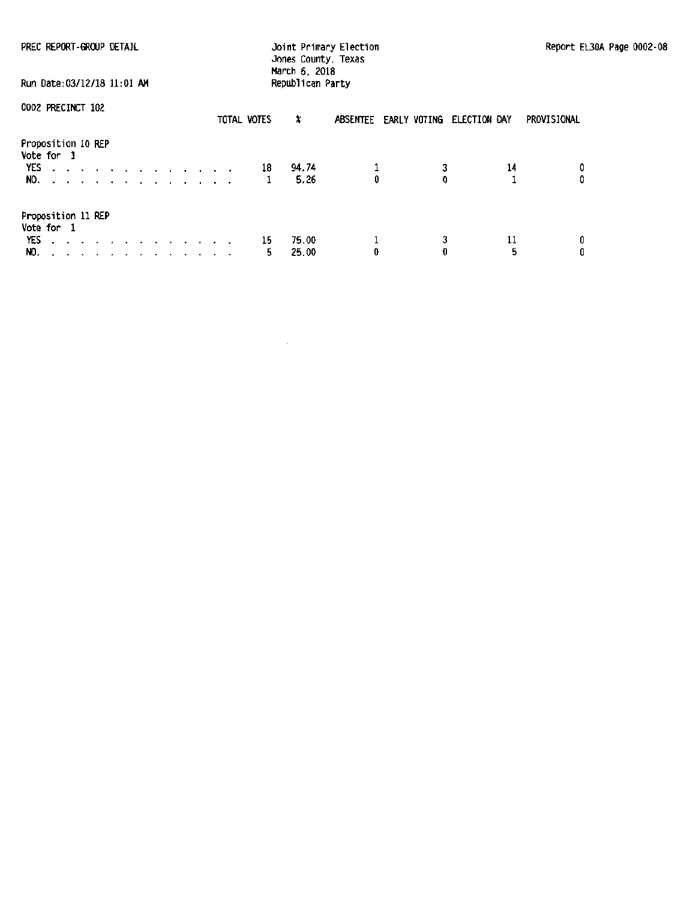| PREC REPORT-GROUP DETAIL<br>Run Date: 03/12/18 11:01 AM                                           | March 6, 2018             | Joint Primary Election<br>Jones County, Texas<br>Republican Party | Report EL30A Page 0002-08 |
|---------------------------------------------------------------------------------------------------|---------------------------|-------------------------------------------------------------------|---------------------------|
| 0002 PRECINCT 102                                                                                 | TOTAL VOTES<br>X          | ABSENTEE EARLY VOTING ELECTION DAY                                | PROVISIONAL               |
| Proposition 10 REP<br>Vote for 1<br>YES<br>and a series of the contract of the con-<br>NO.        | 94.74<br>- 18<br>5.26     | 3<br>0<br>O                                                       | O<br>14                   |
| Proposition 11 REP<br>Vote for 1<br>YES<br>the contract of the contract of the contract of<br>NO. | 75.00<br>15<br>25.00<br>5 | 3<br>0                                                            | 11<br>5                   |

 $\bar{\tau}$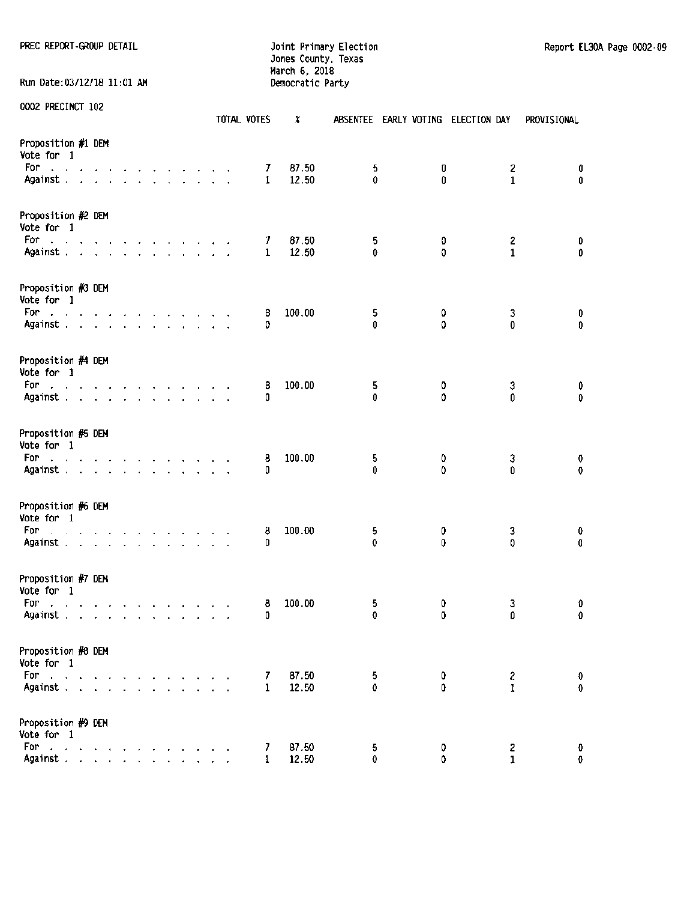PREC REPORT-GROUP DETAIL **SECOND ELECTION** Joint Primary Election Report EL30A Page 0002-09

Run Date:03/12/18 11:01 AM

Jones County, Texas March 6, 2018<br>Democratic Party

|                                                                                                                                                |  |  |                                          |  |  |  | TOTAL VOTES  | x              |          |    | ABSENTEE EARLY VOTING ELECTION DAY |                              | <b>PROVISIONAL</b> |
|------------------------------------------------------------------------------------------------------------------------------------------------|--|--|------------------------------------------|--|--|--|--------------|----------------|----------|----|------------------------------------|------------------------------|--------------------|
| Proposition #1 DEM<br>Vote for 1                                                                                                               |  |  |                                          |  |  |  |              |                |          |    |                                    |                              |                    |
| For<br>المناصر والمناصر والمناصر والمناصر والمناصر                                                                                             |  |  |                                          |  |  |  | 7<br>1       | 87.50<br>12.50 | 5<br>0   | 0  |                                    | 2                            | 0<br>$\mathbf 0$   |
| Against                                                                                                                                        |  |  |                                          |  |  |  |              |                |          | 0  |                                    | 1                            |                    |
| Proposition #2 DEM<br>Vote for 1                                                                                                               |  |  |                                          |  |  |  |              |                |          |    |                                    |                              |                    |
| For:<br>and the contract of the contract of the contract of                                                                                    |  |  |                                          |  |  |  | 7            | 87.50          | 5        | 0  |                                    | $\overline{2}$               | 0                  |
| Against                                                                                                                                        |  |  |                                          |  |  |  | $\mathbf{1}$ | 12.50          | 0        | 0  |                                    | 1                            | 0                  |
| Proposition #3 DEM<br>Vote for 1                                                                                                               |  |  |                                          |  |  |  |              |                |          |    |                                    |                              |                    |
| For:<br>والمناور والمناور والمناور والمناور والمناور والمناور                                                                                  |  |  |                                          |  |  |  | 8            | 100.00         | 5        | 0  |                                    | 3                            | 0                  |
| Against                                                                                                                                        |  |  |                                          |  |  |  | 0            |                | 0        | 0  |                                    | 0                            | 0                  |
| Proposition #4 DEM<br>Vote for 1                                                                                                               |  |  |                                          |  |  |  |              |                |          |    |                                    |                              |                    |
| For<br>والوالوا والمناور والوالو والمناور والوالو                                                                                              |  |  |                                          |  |  |  | 8            | 100.00         | 5        | 0  |                                    | 3                            | 0                  |
| Against                                                                                                                                        |  |  |                                          |  |  |  | 0            |                | 0        | 0  |                                    | 0                            | $\mathbf 0$        |
| Proposition #5 DEM<br>Vote for 1                                                                                                               |  |  |                                          |  |  |  |              |                |          |    |                                    |                              |                    |
| For<br>the contract of the contract of the contract of                                                                                         |  |  |                                          |  |  |  | 8            | 100.00         | 5        | 0  |                                    | 3                            | 0                  |
| Against                                                                                                                                        |  |  |                                          |  |  |  | 0            |                | 0        | 0  |                                    | Û                            | 0                  |
| Proposition #6 DEM<br>Vote for 1                                                                                                               |  |  |                                          |  |  |  |              |                |          |    |                                    |                              |                    |
| For<br>والمناور والمناور والمناور والمناور والمناور والمناور                                                                                   |  |  |                                          |  |  |  | 8            | 100.00         | 5        | 0  |                                    | 3                            | 0                  |
| Against                                                                                                                                        |  |  |                                          |  |  |  | 0            |                | 0        | 0  |                                    | 0                            | 0                  |
| Proposition #7 DEM<br>Vote for 1                                                                                                               |  |  |                                          |  |  |  |              |                |          |    |                                    |                              |                    |
| For                                                                                                                                            |  |  | and a state of the contract of the state |  |  |  | 8            | 100.00         | 5        | 0  |                                    | 3                            | 0                  |
| Against                                                                                                                                        |  |  |                                          |  |  |  | 0            |                | 0        | 0  |                                    | 0                            | 0                  |
| Proposition #8 DEM                                                                                                                             |  |  |                                          |  |  |  |              |                |          |    |                                    |                              |                    |
| Vote for 1                                                                                                                                     |  |  |                                          |  |  |  |              |                |          |    |                                    |                              |                    |
| For                                                                                                                                            |  |  |                                          |  |  |  | 7            | 87.50          | 5        | 0  |                                    | $\mathbf{z}$<br>$\mathbf{1}$ | 0                  |
| Against.                                                                                                                                       |  |  |                                          |  |  |  | $\mathbf{1}$ | 12.50          | $\Omega$ | n. |                                    |                              | $\pmb{\mathsf{0}}$ |
| Proposition #9 DEM<br>Vote for 1                                                                                                               |  |  |                                          |  |  |  |              |                |          |    |                                    |                              |                    |
| For<br>$\mathcal{A}^{\mathcal{A}}$ , where $\mathcal{A}^{\mathcal{A}}$ , where $\mathcal{A}^{\mathcal{A}}$ , where $\mathcal{A}^{\mathcal{A}}$ |  |  |                                          |  |  |  | 7            | 87.50          | 5        | 0  |                                    | 2                            | O                  |
| Against.                                                                                                                                       |  |  | and a state of the state of the          |  |  |  | 1            | 12.50          | 0        | 0  |                                    | $\mathbf{1}$                 | 0                  |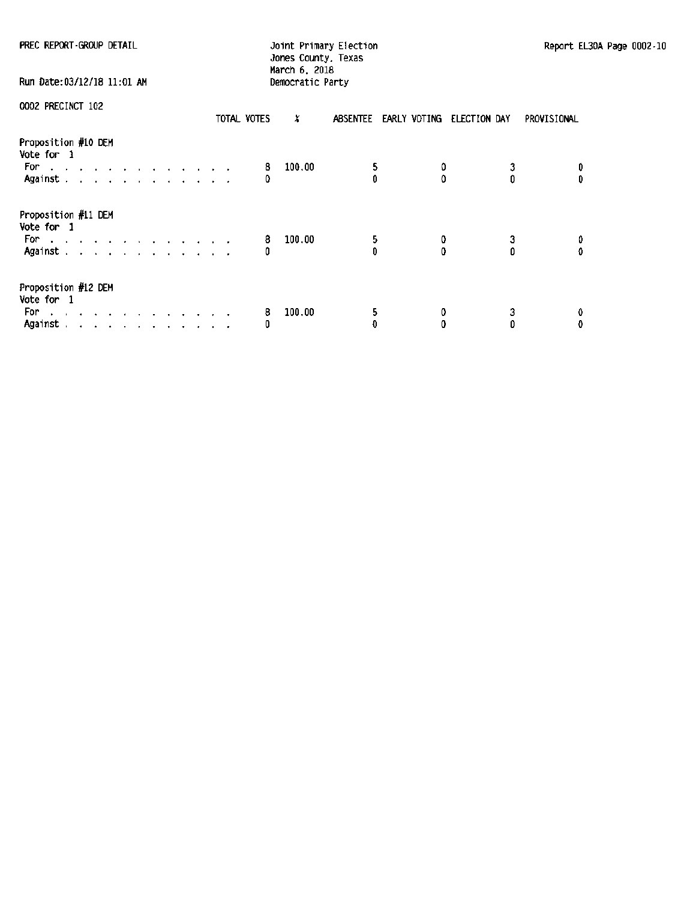| PREC REPORT GROUP DETAIL                                                                                    | Joint Primary Election<br>Report EL<br>Jones County, Texas |  |  |  |  |  |  |  |  |  |  |
|-------------------------------------------------------------------------------------------------------------|------------------------------------------------------------|--|--|--|--|--|--|--|--|--|--|
| Run Date:03/12/18 11:01 AM                                                                                  | March 6, 2018<br>Democratic Party                          |  |  |  |  |  |  |  |  |  |  |
| 0002 PRECINCT 102<br>TOTAL VOTES                                                                            | x<br>ABSENTEE EARLY VOTING ELECTION DAY<br>PROVISIONAL     |  |  |  |  |  |  |  |  |  |  |
| Proposition #10 DEM<br>Vote for 1<br>For the company of the company of the company of<br>Against.           | 100.00<br>5<br>8<br>$\mathbf{0}$<br>n<br>Ô<br>0<br>Ð       |  |  |  |  |  |  |  |  |  |  |
| Proposition #11 DEM<br>Vote for 1<br>For a contract of the contract of the contract of<br>Against.          | 100.00<br>5<br>8<br>3<br>0<br>0<br>Ď<br>o<br>0             |  |  |  |  |  |  |  |  |  |  |
| Proposition #12 DEM<br>Vote for 1<br>For:<br>المنابل والمنابين والمنابذ المنابذ المنابذ والمنابذ<br>Against | 100.00<br>5<br>3<br>8<br>0<br>O<br>O<br>0<br>O             |  |  |  |  |  |  |  |  |  |  |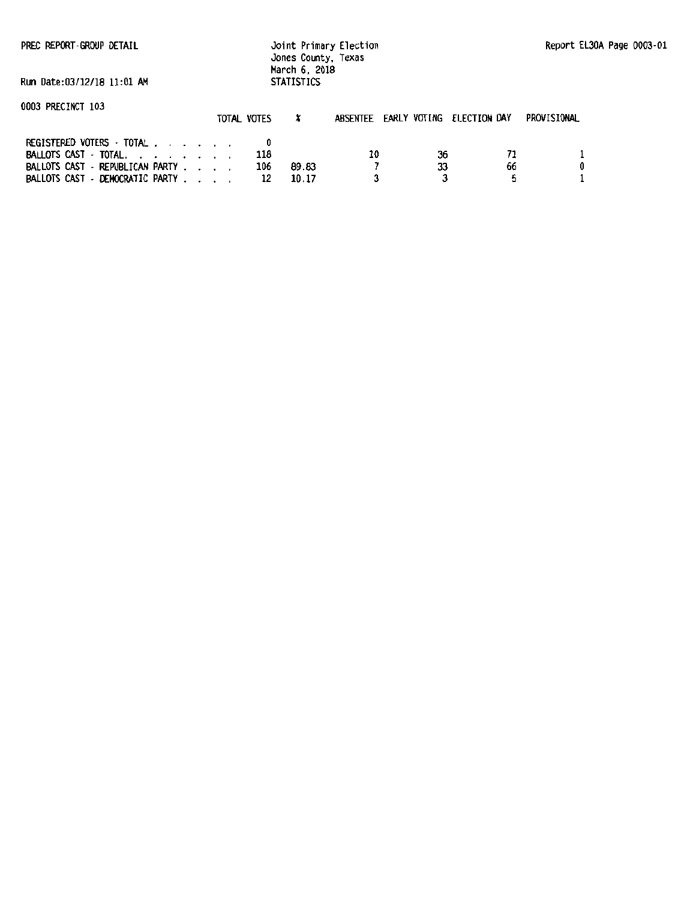PREC REPORT-GROUP DETAIL

Joint Primary Election Jones County, Texas March 6. 2018 STATISTICS

Run Date:03/12/18 11:01 AM

| UUUJ PRECINUT IUJ                                                  | TOTAL VOTES |                       | ABSENTEE EARLY VOTING ELECTION DAY |    |    | PROVISIONAL |
|--------------------------------------------------------------------|-------------|-----------------------|------------------------------------|----|----|-------------|
| REGISTERED VOTERS - TOTAL<br>BALLOTS CAST - TOTAL.                 |             | 118                   | 10                                 | 36 | 71 |             |
| BALLOTS CAST - REPUBLICAN PARTY<br>BALLOTS CAST - DEMOCRATIC PARTY |             | 106<br>89.83<br>10.17 |                                    | 33 | 66 |             |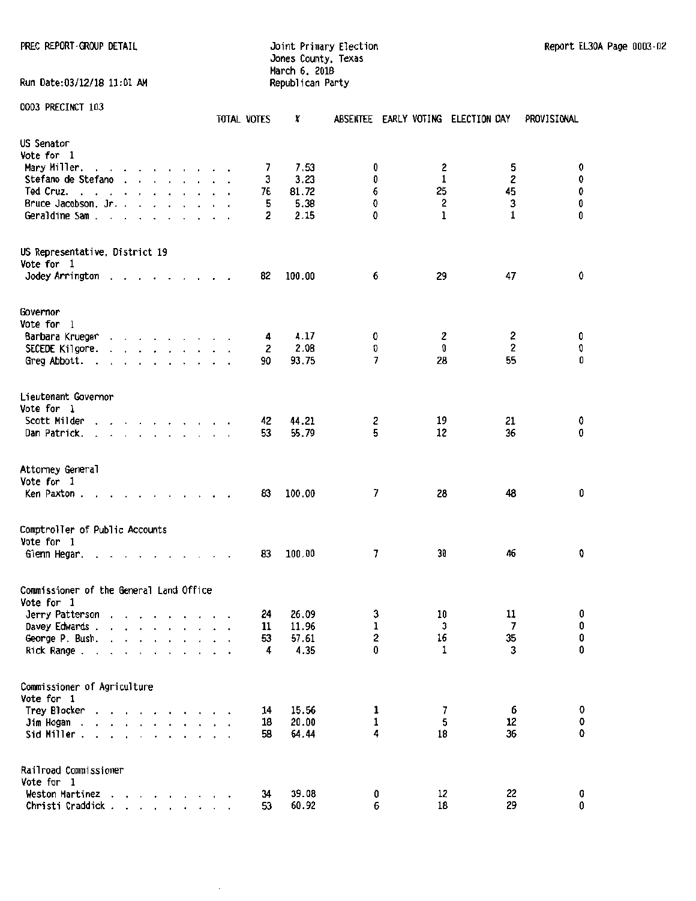PREC REPORT-GROUP DETAIL DETAIL DESCRIPTION DESCRIPTION DESCRIPTION DESCRIPTION REPORT EL PROPORT-GROUP DETAIL Jones County. Texas March 6. 2018 Run Date:03/12/18 11:01 AM Republican Party

| 0003 PRECINCT 103                                                                                                                       | TOTAL VOTES | x              |                   | ABSENTEE EARLY VOTING ELECTION DAY |                | PROVISIONAL              |
|-----------------------------------------------------------------------------------------------------------------------------------------|-------------|----------------|-------------------|------------------------------------|----------------|--------------------------|
| US Senator                                                                                                                              |             |                |                   |                                    |                |                          |
| Vote for 1                                                                                                                              |             |                |                   |                                    |                |                          |
| Mary Miller.<br>the contract of the contract of                                                                                         | 7           | 7.53           | 0                 | 2                                  | 5              | 0                        |
| Stefano de Stefano                                                                                                                      | 3           | 3.23           | 0                 | 1                                  | 2              | 0                        |
| Ted Cruz.<br>$\cdot$ $\cdot$ $\cdot$<br><b><i>Charles Committee Committee States</i></b><br>$\sim$                                      | 76          | 81.72          | 6                 | 25                                 | 45             | 0                        |
| Bruce Jacobson, Jr.                                                                                                                     | 5           | 5.38           | 0                 | $\overline{\mathbf{2}}$            | 3              | 0                        |
| Geraldine Sam.<br><b>Contract Contract</b><br>$\langle \rangle$<br>$\ddot{\phantom{1}}$                                                 | 2           | 2.15           | 0                 | $\mathbf{1}$                       | 1              | 0                        |
| US Representative, District 19                                                                                                          |             |                |                   |                                    |                |                          |
| Vote for 1                                                                                                                              |             |                |                   |                                    |                |                          |
| Jodey Arrington.<br>the contract of the contract of the<br>$\overline{\phantom{a}}$                                                     | 82          | 100.00         | 6                 | 29                                 | 47             | 0                        |
| Governor                                                                                                                                |             |                |                   |                                    |                |                          |
| Vote for 1                                                                                                                              |             |                |                   |                                    |                |                          |
| Barbara Krueger                                                                                                                         | 4           | 4.17           | 0                 | 2                                  | 2              | 0                        |
| SECEDE Kilgore.<br>$\mathbf{r} = \mathbf{r} - \mathbf{r} = \mathbf{r} - \mathbf{r} = \mathbf{r} - \mathbf{r} = \mathbf{r} - \mathbf{r}$ | 2           | 2.08           | 0                 | 0                                  | $\mathbf 2$    | 0                        |
| Greg Abbott.<br>and a state of the state of the                                                                                         | 90          | 93.75          | 7                 | 28                                 | 55             | 0                        |
| Lieutenant Governor                                                                                                                     |             |                |                   |                                    |                |                          |
| Vote for 1                                                                                                                              |             |                |                   | 19                                 | 21             | 0                        |
| Scott Milder<br>and a state of the state of the state of the                                                                            | 42<br>53    | 44.21<br>55.79 | 2<br>5            | 12                                 | 36             | 0                        |
| Dan Patrick.                                                                                                                            |             |                |                   |                                    |                |                          |
| Attorney General<br>Vote for 1                                                                                                          |             |                |                   |                                    |                |                          |
| Ken Paxton.                                                                                                                             | 83          | 100.00         | 7                 | 28                                 | 48             | 0                        |
| Comptroller of Public Accounts<br>Vote for 1                                                                                            |             |                |                   |                                    |                |                          |
| Glenn Hegar.<br>$\blacksquare$                                                                                                          | 83          | 100.00         | 7                 | 30                                 | 46             | 0                        |
| Commissioner of the General Land Office                                                                                                 |             |                |                   |                                    |                |                          |
| Vote for 1                                                                                                                              |             |                |                   |                                    | 11             |                          |
| Jerry Patterson<br>$\mathbf{r}=\mathbf{r}$                                                                                              | 24          | 26.09          | 3                 | 10<br>$\mathbf{3}$                 | $\overline{7}$ | $\mathbf 0$<br>$\pmb{0}$ |
| Davey Edwards .                                                                                                                         | 11          | 11.96          | ı<br>2            | 16                                 | 35             | 0                        |
| George P. Bush.<br>$\mathbf{r}$                                                                                                         | 53          | 57.61<br>4.35  | 0                 | 1                                  | 3              | 0                        |
| Rick Range.                                                                                                                             | 4           |                |                   |                                    |                |                          |
| Commissioner of Agriculture                                                                                                             |             |                |                   |                                    |                |                          |
| Vote for 1                                                                                                                              |             |                |                   |                                    |                |                          |
| Trey Blocker<br>$\cdot$ $\cdot$<br>.                                                                                                    | 14          | 15.56          | 1                 | 7<br>5                             | 6<br>12        | 0<br>0                   |
| Jim Hogan.<br>.                                                                                                                         | 18          | 20.00          | $\mathbf{1}$<br>4 | 18                                 | 36             | 0                        |
| Sid Miller.                                                                                                                             | 58          | 64.44          |                   |                                    |                |                          |
| Railroad Commissioner<br>Vote for 1                                                                                                     |             |                |                   |                                    |                |                          |
| Weston Martinez<br>and a state of the state of the state of                                                                             | 34          | 39.08          | 0                 | 12                                 | 22             | 0                        |
| Christi Craddick                                                                                                                        | 53          | 60.92          | 6                 | 18                                 | 29             | $\pmb{0}$                |

 $\ddot{\phantom{a}}$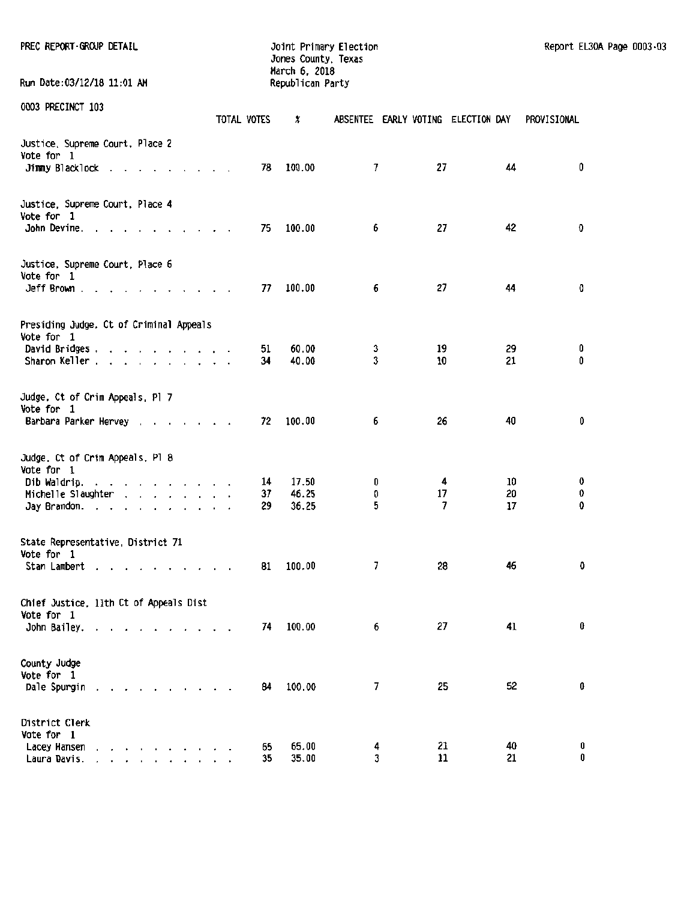| PREC REPORT GROUP DETAIL                                                                          |          |             | Jones County, Texas<br>March 6, 2018 | Joint Primary Election             |          |          | Report EL30A Page 0003.03 |  |
|---------------------------------------------------------------------------------------------------|----------|-------------|--------------------------------------|------------------------------------|----------|----------|---------------------------|--|
| Run Date:03/12/18 11:01 AM                                                                        |          |             | Republican Party                     |                                    |          |          |                           |  |
| 0003 PRECINCT 103                                                                                 |          | TOTAL VOTES | x                                    | ABSENTEE EARLY VOTING ELECTION DAY |          |          | PROVISIONAL               |  |
| Justice, Supreme Court, Place 2<br>Vote for 1<br>Jimmy Blacklock                                  |          | 78          | 100.00                               | 7                                  | 27       | 44       | 0                         |  |
|                                                                                                   |          |             |                                      |                                    |          |          |                           |  |
| Justice, Supreme Court, Place 4<br>Vote for 1<br>John Devine. $\cdots$ $\cdots$ $\cdots$ $\cdots$ |          | 75          | 100.00                               | 6                                  | 27       | 42       | O                         |  |
| Justice, Supreme Court, Place 6<br>Vote for 1                                                     |          |             |                                      |                                    |          |          |                           |  |
| Jeff Brown $\ldots$ $\ldots$ $\ldots$ $\ldots$ $\ldots$                                           |          | 77          | 100.00                               | 6                                  | 27       | 44       | 0                         |  |
| Presiding Judge, Ct of Criminal Appeals<br>Vote for 1                                             |          |             |                                      |                                    |          |          |                           |  |
| David Bridges<br>Sharon Keller                                                                    |          | 51<br>34    | 60.00<br>40.00                       | 3<br>3                             | 19<br>10 | 29<br>21 | 0<br>0                    |  |
| Judge, Ct of Crim Appeals, Pl 7<br>Vote for 1                                                     |          |             |                                      |                                    |          |          |                           |  |
| Barbara Parker Hervey                                                                             |          | 72          | 100.00                               | 6                                  | 26       | 40       | 0                         |  |
| Judge, Ct of Crim Appeals, Pl 8<br>Vote for 1                                                     |          |             |                                      |                                    |          |          |                           |  |
| Dib Waldrip.                                                                                      |          | 14          | 17.50                                | 0                                  | 4        | 10       | 0                         |  |
| Michelle Slaughter ( , , , , , , , , ,                                                            |          | 37          | 46.25                                | O                                  | 17       | 20       | 0                         |  |
| Jay Brandon.                                                                                      |          | 29          | 36.25                                | 5                                  | 7        | 17       | 0                         |  |
| State Representative, District 71<br>Vote for 1                                                   |          |             |                                      |                                    |          |          |                           |  |
| Stan Lambert                                                                                      | $\cdots$ | 81          | 100.00                               | 7                                  | 28       | 46       | 0                         |  |
| Chief Justice, lith Ct of Appeals Dist<br>Vote for 1                                              |          |             |                                      |                                    |          |          |                           |  |
| John Bailey.                                                                                      |          | 74          | 100.00                               | 6                                  | 27       | 41       | 0                         |  |
| County Judge<br>Vote for 1                                                                        |          |             |                                      |                                    |          |          | 0                         |  |
| Dale Spurgin                                                                                      |          | 84          | 100.00                               | 7                                  | 25       | 52       |                           |  |
| District Clerk<br>Vote for 1                                                                      |          |             |                                      |                                    |          |          |                           |  |
| Lacey Hansen<br>and a series and a series of the series of<br>Laura Davis.<br>.                   |          | 65<br>35    | 65.00<br>35.00                       | 4<br>3                             | 21<br>11 | 40<br>21 | 0<br>0                    |  |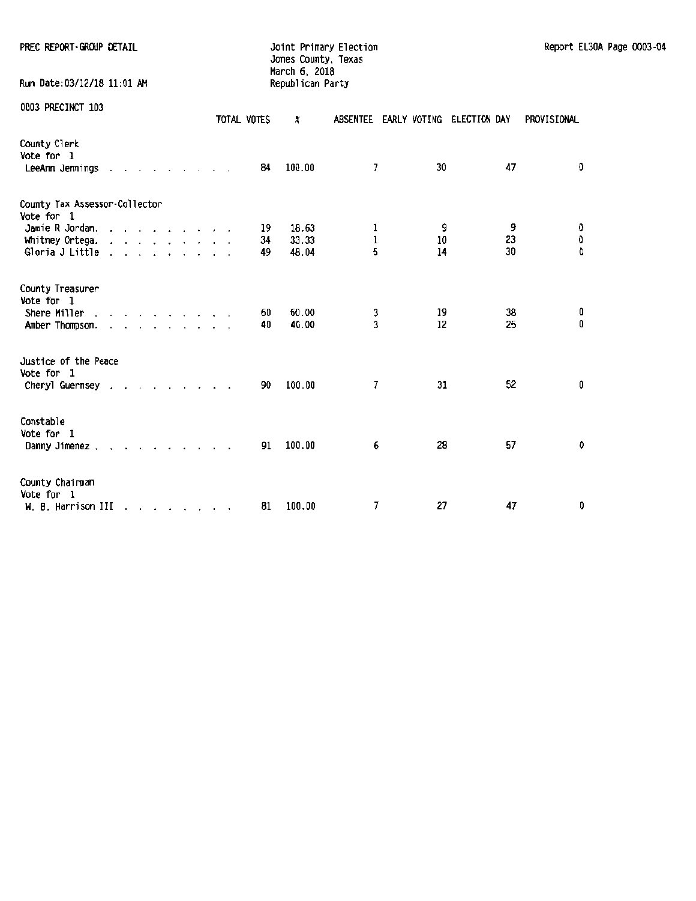| PREC REPORT-GROUP DETAIL                            |             | Joint Primary Election<br>Jones County, Texas<br>March 6, 2018 |                                    |    |    | Report EL30A Page 0003-04 |  |
|-----------------------------------------------------|-------------|----------------------------------------------------------------|------------------------------------|----|----|---------------------------|--|
| Run Date: 03/12/18 11:01 AM                         |             | Republican Party                                               |                                    |    |    |                           |  |
| 0003 PRECINCT 103                                   | TOTAL VOTES | x                                                              | ABSENTEE EARLY VOTING ELECTION DAY |    |    | PROVISIONAL               |  |
| County Clerk<br>Vote for 1<br>LeeAnn Jennings       | 84          | 100.00                                                         | 7                                  | 30 | 47 | O                         |  |
| County Tax Assessor-Collector<br>Vote for 1         |             |                                                                |                                    |    |    |                           |  |
| Jamie R Jordan.                                     | 19          | 18.63                                                          | ı                                  | 9  | 9  | 0                         |  |
| Whitney Ortega.                                     | 34          | 33.33                                                          | 1                                  | 10 | 23 | 0                         |  |
| Gloria J Little $\ldots$ $\ldots$ $\ldots$ $\ldots$ | 49.         | 48.04                                                          | 5                                  | 14 | 30 | û                         |  |
| County Treasurer<br>Vote for 1                      |             |                                                                |                                    |    |    |                           |  |
| Shere Miller                                        | 60          | 60.00                                                          | 3                                  | 19 | 38 | 0                         |  |
| Amber Thompson.                                     | 40          | 40.00                                                          | 3                                  | 12 | 25 | 0                         |  |
| Justice of the Peace<br>Vote for 1                  |             |                                                                |                                    |    |    |                           |  |
| Cheryl Guernsey                                     | 90.         | 100.00                                                         | 7                                  | 31 | 52 | 0                         |  |
| Constable<br>Vote for 1                             |             |                                                                |                                    |    |    |                           |  |
| Danny Jimenez                                       | 91          | 100.00                                                         | 6                                  | 28 | 57 | 0                         |  |
| County Chairman<br>Vote for 1                       |             |                                                                |                                    |    |    |                           |  |
| M. B. Harrison III                                  | 81          | 100.00                                                         | 7                                  | 27 | 47 | 0                         |  |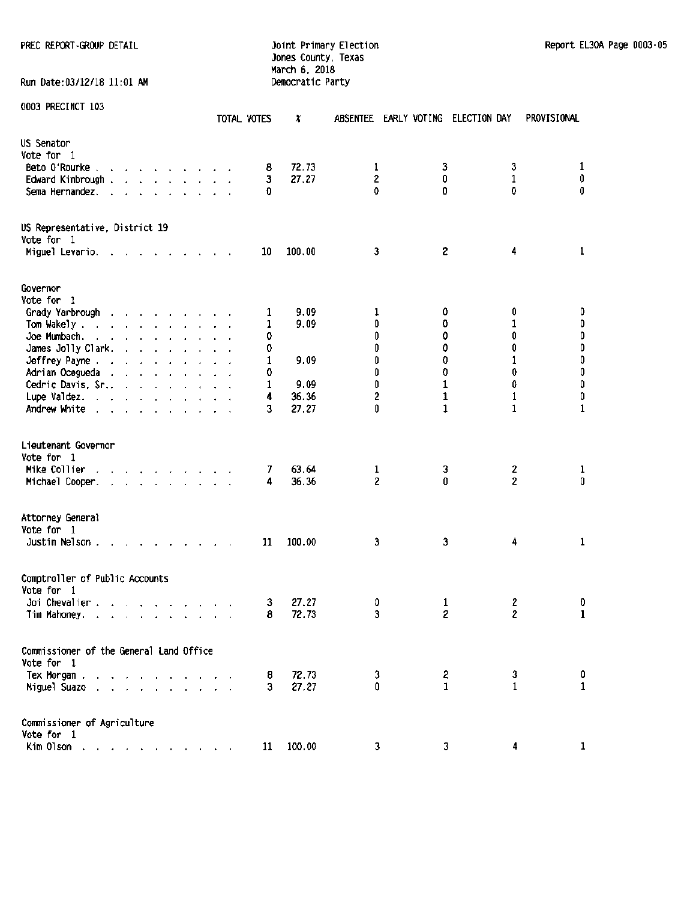PREC REPORT-GROUP DETAIL **SECOND CONTROL** Joint Primary Election Report EL30A Page 0003-05

Run Date:03/12/18 11:01 AM

# Jones County, Texas March 6, 2018<br>Democratic Party

|                                                                                                                                                                                                                                                      | TOTAL VOTES | x              | <b>ABSENTEE</b>     | EARLY VOTING | ELECTION DAY        | PROVISIONAL                 |
|------------------------------------------------------------------------------------------------------------------------------------------------------------------------------------------------------------------------------------------------------|-------------|----------------|---------------------|--------------|---------------------|-----------------------------|
| US Senator<br>Vote for 1                                                                                                                                                                                                                             |             |                |                     |              |                     |                             |
| Beto 0'Rourke.                                                                                                                                                                                                                                       | 8           | 72.73          | 1                   | 3            | 3                   | 1                           |
| Edward Kimbrough                                                                                                                                                                                                                                     | 3           | 27.27          | $\overline{2}$      | 0            | 1                   | 0                           |
| Sema Hernandez.<br>$\mathcal{A}=\mathcal{A}=\mathcal{A}=\mathcal{A}$ .<br>$\sim$                                                                                                                                                                     | Đ           |                | 0                   | 0            | 0                   | 0                           |
| US Representative, District 19<br>Vote for 1                                                                                                                                                                                                         |             |                |                     |              |                     |                             |
| Miguel Levario. .                                                                                                                                                                                                                                    | 10          | 100.00         | 3                   | S.           | 4                   | 1                           |
| Governor                                                                                                                                                                                                                                             |             |                |                     |              |                     |                             |
| Vote for 1                                                                                                                                                                                                                                           |             |                |                     |              |                     |                             |
| Grady Yarbrough<br>the contract of the contract of                                                                                                                                                                                                   | 1           | 9.09           | 1                   | 0            | 0                   | 0                           |
| Tom Wakely.<br>the contract of the contract of                                                                                                                                                                                                       | 1           | 9.09           | 0                   | 0            | 1                   | $\pmb{0}$                   |
| Joe Mumbach.<br>the contract of the contract of the                                                                                                                                                                                                  | 0           |                | 0                   | 0            | 0                   | 0                           |
| James Jolly Clark.<br>and the contract of the state                                                                                                                                                                                                  | 0           |                | 0                   | 0            | 0                   | 0                           |
| Jeffrey Payne                                                                                                                                                                                                                                        | 1           | 9.09           | 0                   | 0            | 1                   | $\pmb{0}$                   |
| Adrian Ocegueda                                                                                                                                                                                                                                      | 0           |                | 0                   | 0            | 0                   | $\pmb{0}$                   |
| Cedric Davis, Sr.,                                                                                                                                                                                                                                   | 1           | 9.09           | 0                   | $\mathbf{1}$ | 0                   | $\pmb{0}$                   |
| Lupe Valdez.                                                                                                                                                                                                                                         | 4           | 36.36          | 2                   | 1            | $\mathbf{1}$        | 0                           |
| Andrew White                                                                                                                                                                                                                                         | 3           | 27.27          | 0                   | 1            | 1                   | $\mathbf 1$                 |
| Lieutenant Governor<br>Vote for 1<br>Mike Collier<br>Michael Cooper.<br>$\mathcal{A}=\mathcal{A}=\mathcal{A}=\mathcal{A}=\mathcal{A}=\mathcal{A}=\mathcal{A}=\mathcal{A}=\mathcal{A}$                                                                | 7<br>4      | 63.64<br>36.36 | 1<br>$\overline{2}$ | 3<br>0       | 2<br>$\overline{2}$ | $\mathbf{1}$<br>$\mathbf 0$ |
| Attorney General<br>Vote for 1<br>Justin Nelson.                                                                                                                                                                                                     | 11          | 100.00         | 3                   | 3            | 4                   | 1                           |
| Comptroller of Public Accounts<br>Vote for 1                                                                                                                                                                                                         |             |                |                     |              |                     |                             |
| Joi Chevalier.<br>$\mathbf{1}^{\prime}$ , $\mathbf{1}^{\prime}$ , $\mathbf{1}^{\prime}$ , $\mathbf{1}^{\prime}$ , $\mathbf{1}^{\prime}$ , $\mathbf{1}^{\prime}$ , $\mathbf{1}^{\prime}$ , $\mathbf{1}^{\prime}$                                      | 3           | 27.27          | 0                   | 1            | 2                   | O                           |
| Tim Mahoney.<br><u>in the second contract of the second contract of the second contract of the second contract of the second contract of the second contract of the second contract of the second contract of the second contract of the second </u> | 8           | 72.73          | 3                   | 2            | 2                   | $\mathbf{1}$                |
| Commissioner of the General Land Office                                                                                                                                                                                                              |             |                |                     |              |                     |                             |
| Vote for 1                                                                                                                                                                                                                                           |             |                |                     |              |                     |                             |
| Tex Morgan                                                                                                                                                                                                                                           | 8           | 72.73          | 3                   | 2            | 3                   | 0                           |
| Miguel Suazo<br>$\sim$                                                                                                                                                                                                                               | 3           | 27.27          | 0                   | 1.           | $\mathbf{1}$        | 1                           |
| Commissioner of Agriculture                                                                                                                                                                                                                          |             |                |                     |              |                     |                             |
| Vote for 1                                                                                                                                                                                                                                           |             |                |                     |              |                     |                             |
| Kim Olson                                                                                                                                                                                                                                            | 11          | 100.00         | 3                   | 3            | 4                   | 1                           |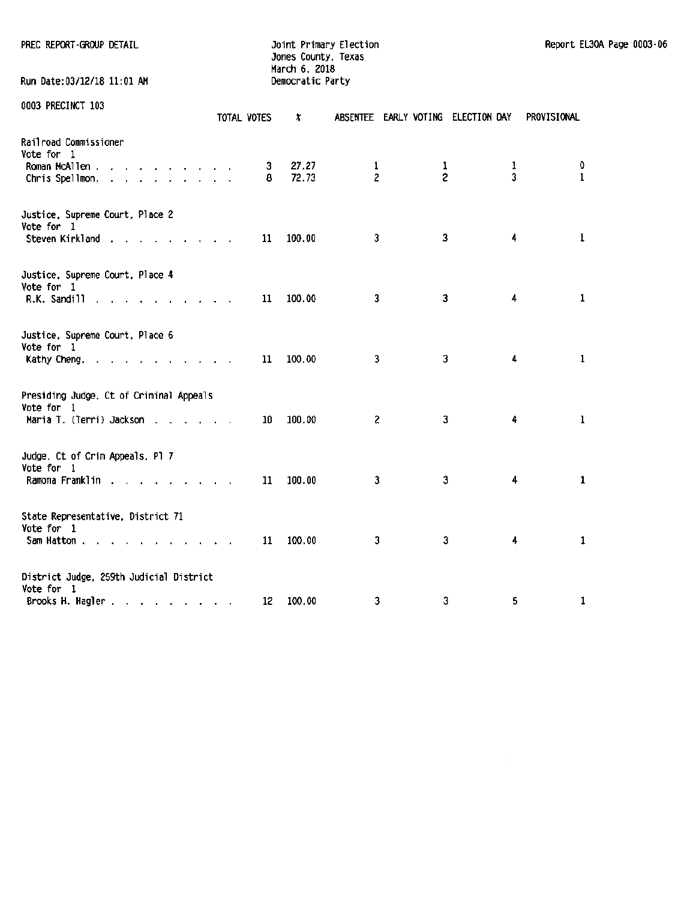Jones County, Texas March 6, 2018<br>Democratic Party

 $\bar{z}$ 

Run Date:03/12/18 11:01 AM 0003 PRECINCT 103 TOTAL VOTES X ABSENTEE EARLY VOTING ELECTION DAY PROVISIONAL Railroad Commissioner Vote for 1 Proman McAllen . . . . . . . . . . 3 27.27 1 1 1 1 1 0<br>Chris Spellmon . . . . . . . . . . 8 72.73 2 2 2 3 1 Chris Spellmon. . . . . . . . . . Justice. Supreme Court. Place 2 Vote for 1 Steven Kirkland 11 11 11 11 100.00 1 1 100.00 1 3 3 4 1 1 1 1 1 1 1  $\frac{1}{1}$  1 1  $\frac{100.00}{1}$  1 Justice. Supreme Court. Place 4 Vote for 1 R.K. Sandill 11 1.1. 11 1.1. 100.00 1 1 100.00 1 3 4 1 1 Justice. Supreme Court. Place 6 Vote for 1 Kathy Cheng. . . . . . . . . . 11 100.00 3 3 3 4 1 Presiding Judge. Ct of Criminal Appeals

Vote for 1 Maria T. (Terri) Jackson . . . . . 10 100.00 2 3 4 1 Judge, Ct of Crim Appeals. Pl 7 Vote for 1 Ramona Franklin . . . . . . . . 11 100.00 3 3 3 4 1 State Representative. District 71 Vote for 1 Sam Hatton . . . . . . . . . 11 100.00 3 3 4 1 District Judge. 259th Judicial District Vote for 1 Brooks H. Hagler . . . . . . . . . 12 100.00 3 3 3 5 1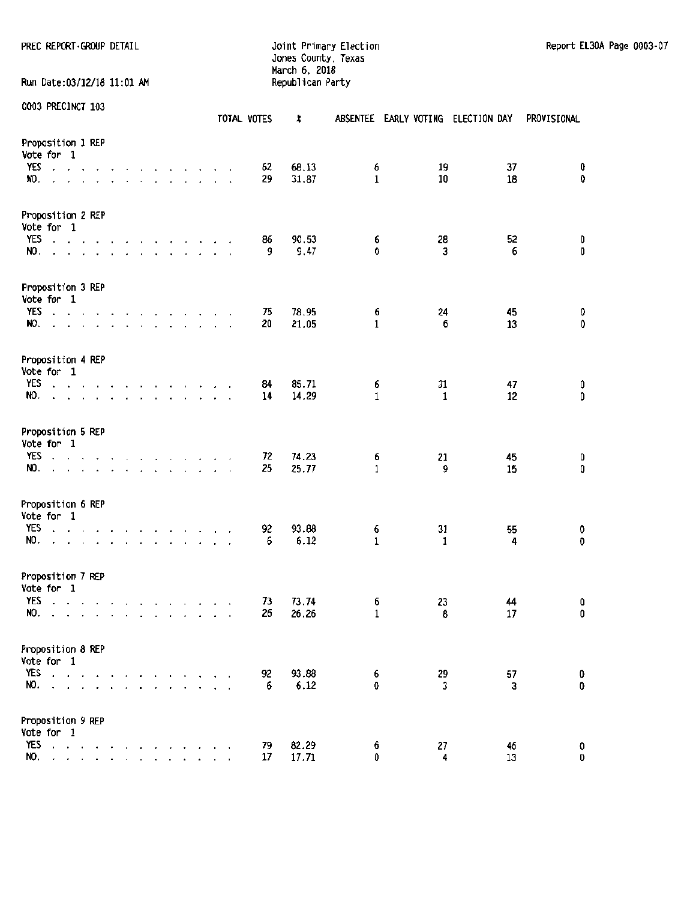PREC REPORT-GROUP DETAIL **Fig. 10** Joint Primary Election Report El30A Page 0003-07

Jones County, Texas March 6. 2018 Run Date:03/12/18 11:01 AM Republican Party

|                                        |                              | 112221101    |                           |                                                                                                                                                                                                                                                                                                                                                                                                                                                            |  |                                                                 |  |  |  | TOTAL VOTES | ×              |                   |         | ABSENTEE EARLY VOTING ELECTION DAY | PROVISIONAL    |
|----------------------------------------|------------------------------|--------------|---------------------------|------------------------------------------------------------------------------------------------------------------------------------------------------------------------------------------------------------------------------------------------------------------------------------------------------------------------------------------------------------------------------------------------------------------------------------------------------------|--|-----------------------------------------------------------------|--|--|--|-------------|----------------|-------------------|---------|------------------------------------|----------------|
| Proposition 1 REP<br>Vote for 1<br>YES |                              |              |                           |                                                                                                                                                                                                                                                                                                                                                                                                                                                            |  |                                                                 |  |  |  |             | 68.13          |                   | 19      | 37                                 | 0              |
| NO.                                    | $\ddot{\phantom{0}}$         |              |                           | the contract of the contract of the contract of the contract of the contract of the contract of the contract of the contract of the contract of the contract of the contract of the contract of the contract of the contract o<br>the company of the company of the company of                                                                                                                                                                             |  |                                                                 |  |  |  | 62<br>29    | 31.87          | 6<br>1            | 10      | 18                                 | 0              |
| Proposition 2 REP<br>Vote for 1        |                              |              |                           |                                                                                                                                                                                                                                                                                                                                                                                                                                                            |  |                                                                 |  |  |  |             |                |                   |         |                                    |                |
| YES<br>NO.                             | $\ddot{\phantom{a}}$         |              | $\mathbf{r} = \mathbf{r}$ | and a series of the company of the                                                                                                                                                                                                                                                                                                                                                                                                                         |  | and a series of the series of                                   |  |  |  | 86<br>9     | 90.53<br>9.47  | 6<br>0            | 28<br>3 | 52<br>6                            | 0<br>0         |
| Proposition 3 REP<br>Vote for 1        |                              |              |                           |                                                                                                                                                                                                                                                                                                                                                                                                                                                            |  |                                                                 |  |  |  |             |                |                   |         |                                    |                |
| NO.                                    |                              |              |                           | YES discussed and a series and a series of<br>and the contract of the contract of the contract of the contract of the contract of the contract of the contract of the contract of the contract of the contract of the contract of the contract of the contract of the contra                                                                                                                                                                               |  |                                                                 |  |  |  | 75<br>20    | 78.95<br>21.05 | 6<br>$\mathbf{1}$ | 24<br>6 | 45<br>13                           | 0<br>0         |
| Proposition 4 REP<br>Vote for 1        |                              |              |                           |                                                                                                                                                                                                                                                                                                                                                                                                                                                            |  |                                                                 |  |  |  |             |                |                   |         |                                    |                |
| YES<br>NO.                             | $\ddot{\phantom{a}}$         | $\Delta$     |                           | and a series and<br>the contract of                                                                                                                                                                                                                                                                                                                                                                                                                        |  | the contract of the contract of<br>the contract of the contract |  |  |  | 84<br>14    | 85.71<br>14.29 | 6<br>$\mathbf{1}$ | 31<br>1 | 47<br>12                           | 0<br>0         |
| Proposition 5 REP<br>Vote for 1        |                              |              |                           |                                                                                                                                                                                                                                                                                                                                                                                                                                                            |  |                                                                 |  |  |  |             |                |                   |         |                                    |                |
| <b>YES</b><br>NO.                      | $\mathbf{r}$<br>$\mathbf{r}$ | $\mathbf{r}$ |                           | $\mathbf{v} = \mathbf{v} \quad \mathbf{v} = \mathbf{v} \quad \mathbf{v} = \mathbf{v} \quad \mathbf{v} = \mathbf{v} \quad \mathbf{v} = \mathbf{v} \quad \mathbf{v} = \mathbf{v} \quad \mathbf{v} = \mathbf{v} \quad \mathbf{v} = \mathbf{v} \quad \mathbf{v} = \mathbf{v} \quad \mathbf{v} = \mathbf{v} \quad \mathbf{v} = \mathbf{v} \quad \mathbf{v} = \mathbf{v} \quad \mathbf{v} = \mathbf{v} \quad \mathbf{v} = \mathbf{v} \quad \mathbf{v} = \mathbf$ |  |                                                                 |  |  |  | 72<br>25    | 74.23<br>25.77 | 6<br>1            | 21<br>9 | 45<br>15                           | 0<br>0         |
| Proposition 6 REP<br>Vote for 1        |                              |              |                           |                                                                                                                                                                                                                                                                                                                                                                                                                                                            |  |                                                                 |  |  |  |             |                |                   |         |                                    |                |
| YES<br>NO.                             |                              |              |                           | the contract of the contract of the contract of<br>a construction of the construction of the construction of the construction of the construction of the construction of the construction of the construction of the construction of the construction of the construction of the                                                                                                                                                                           |  |                                                                 |  |  |  | 92<br>6     | 93.88<br>6.12  | 6<br>$\mathbf{1}$ | 31<br>1 | 55<br>4                            | 0<br>$\pmb{0}$ |
| Proposition 7 REP<br>Vote for 1        |                              |              |                           |                                                                                                                                                                                                                                                                                                                                                                                                                                                            |  |                                                                 |  |  |  |             |                |                   |         |                                    |                |
| YES<br>NO.                             |                              |              |                           | and a series of the contract of the<br>and a series and a series and a                                                                                                                                                                                                                                                                                                                                                                                     |  |                                                                 |  |  |  | 73<br>26    | 73.74<br>26.26 | 6<br>1            | 23<br>8 | 44<br>17                           | 0<br>0         |
| Proposition 8 REP<br>Vote for 1        |                              |              |                           |                                                                                                                                                                                                                                                                                                                                                                                                                                                            |  |                                                                 |  |  |  |             |                |                   |         |                                    |                |
| YES $\ldots$<br>NO.                    |                              |              |                           | $\cdot$ $\cdot$ $\cdot$ $\cdot$ $\cdot$ $\cdot$ $\cdot$                                                                                                                                                                                                                                                                                                                                                                                                    |  | $\mathbf{r}$                                                    |  |  |  | 92<br>6     | 93.88<br>6.12  | 6<br>0            | 29<br>3 | 57<br>3                            | 0<br>0         |
| Proposition 9 REP<br>Vote for 1        |                              |              |                           |                                                                                                                                                                                                                                                                                                                                                                                                                                                            |  |                                                                 |  |  |  |             |                |                   |         |                                    |                |
| YES<br>NO.                             |                              |              |                           | and a series of the<br>$\mathbf{r}$ . The set of $\mathbf{r}$                                                                                                                                                                                                                                                                                                                                                                                              |  | $\sim$ $\sim$ $\sim$ $\sim$ $\sim$                              |  |  |  | 79<br>17    | 82.29<br>17.71 | 6<br>0            | 27<br>4 | 46<br>13                           | O<br>0         |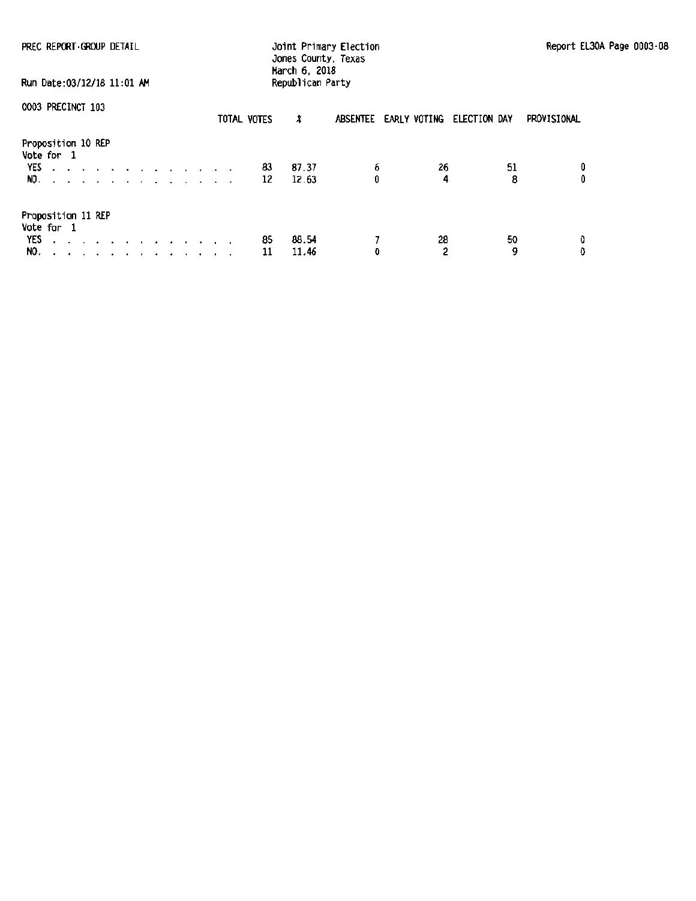| PREC REPORT GROUP DETAIL<br>Run Date: 03/12/18 11:01 AM                                           | Jones County, Texas<br>March 6, 2018<br>Republican Party | Joint Primary Election             | Report EL30A Page 0003-08 |
|---------------------------------------------------------------------------------------------------|----------------------------------------------------------|------------------------------------|---------------------------|
| 0003 PRECINCT 103                                                                                 | TOTAL VOTES<br>x                                         | ABSENTEE EARLY VOTING ELECTION DAY | PROVISIONAL               |
| Proposition 10 REP<br>Vote for 1<br>YES<br>المناطر المناطر المناطر المناطر المناطر المناطر<br>NO. | 87.37<br>83<br>12.63<br>12                               | 6<br>26<br>0<br>4                  | 51<br>0<br>8              |
| Proposition 11 REP<br>Vote for 1<br>YES<br>design and a series of the contract of the<br>NO.      | 88.54<br>85<br>11.46<br>11                               | 28<br>$\overline{c}$<br>O          | 50<br>0<br>٥<br>9         |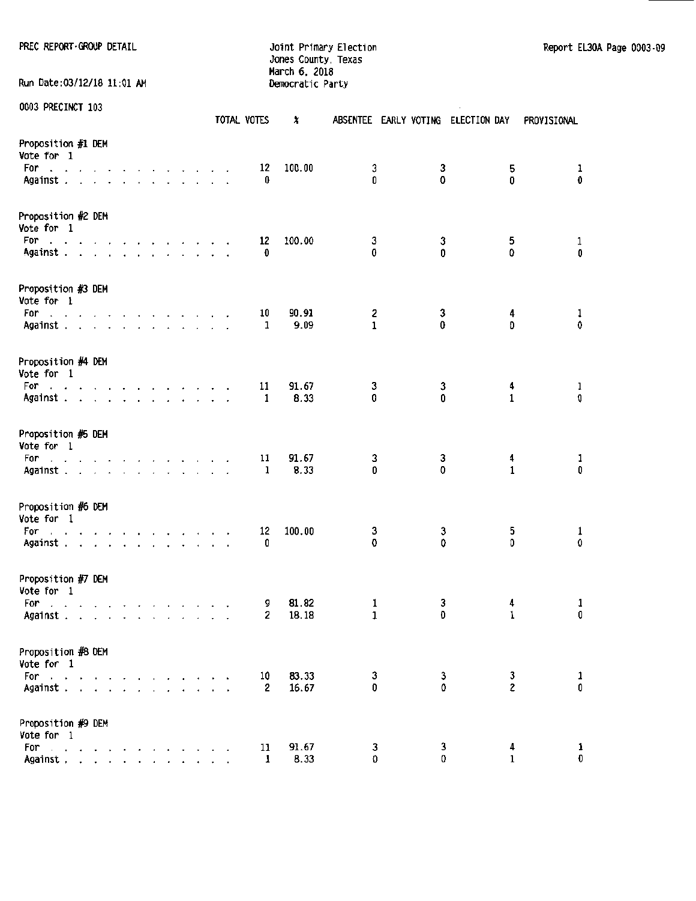PREC REPORT-GROUP DETAIL **Subset of the State of Australian** Joint Primary Election Report EL30A Page 0003-09

Jones County, Texas March 6. 2018 Run Date:03/12/18 11:01 AM Democratic Party

| UUUS PREUINUI 103                                                                                                                                                                                                                                                                                        |  |                                          |  |  |  | TOTAL VOTES         | x              |                   |        | ABSENTEE EARLY VOTING ELECTION DAY PROVISIONAL |                    |
|----------------------------------------------------------------------------------------------------------------------------------------------------------------------------------------------------------------------------------------------------------------------------------------------------------|--|------------------------------------------|--|--|--|---------------------|----------------|-------------------|--------|------------------------------------------------|--------------------|
| Proposition #1 DEM<br>Vote for 1<br>For<br>المناجل والمناجل والمناجل والمناجل والمناجل<br>Against.                                                                                                                                                                                                       |  |                                          |  |  |  | 12<br>0             | 100.00         | 3<br>Û            | 3<br>0 | 5<br>0                                         | 1<br>0             |
| Proposition #2 DEM<br>Vote for 1<br>For<br>Against                                                                                                                                                                                                                                                       |  |                                          |  |  |  | 12<br>0             | 100.00         | 3<br>0            | 3<br>0 | 5<br>$\Omega$                                  | $\mathbf{1}$<br>0  |
| Proposition #3 DEM<br>Vote for 1<br>For<br>the contract of the contract of the contract of<br>Against                                                                                                                                                                                                    |  |                                          |  |  |  | 10<br>1             | 90.91<br>9.09  | 2<br>$\mathbf{1}$ | 3<br>0 | 4<br>O                                         | $\frac{1}{\alpha}$ |
| Proposition #4 DEM<br>Vote for 1<br>For<br>and a state of the contract of the contract of<br>Against                                                                                                                                                                                                     |  |                                          |  |  |  | 11<br>1             | 91.67<br>8.33  | 3<br>0            | 3<br>0 | 4<br>$\mathbf{1}$                              | ı<br>0             |
| Proposition #5 DEM<br>Vote for 1<br>For the second contract of the second second second second second second second second second second second second second second second second second second second second second second second second second second second se<br>Against                            |  |                                          |  |  |  | 11<br>1             | 91.67<br>8.33  | 3<br>0            | 3<br>0 | 4<br>$\mathbf{1}$                              | $\mathbf{1}$<br>0  |
| Proposition #6 DEM<br>Vote for 1<br>For<br>the contract of the contract of the contract of<br>Against .                                                                                                                                                                                                  |  | the contract of the contract of the con- |  |  |  | 12<br>0             | 100.00         | 3<br>0            | 3<br>0 | 5<br>0                                         | 1<br>0             |
| Proposition #7 DEM<br>Vote for 1<br>For<br>the contract of the contract of the contract of<br>Against                                                                                                                                                                                                    |  |                                          |  |  |  | 9<br>$\overline{c}$ | 81.82<br>18.18 | 1<br>1            | 3<br>0 | 4<br>1                                         | 1<br>0             |
| Proposition #8 DEM<br>Vote for 1<br>For electric control of the state of the state of the state of the state of the state of the state of the state of the state of the state of the state of the state of the state of the state of the state of the state of the<br>Against $\cdots$ $\cdots$ $\cdots$ |  |                                          |  |  |  | 10<br>2             | 83.33<br>16.67 | 3<br>0            | 3<br>0 | 3<br>$\overline{2}$                            | $\mathbf{1}$<br>0  |
| Proposition #9 DEM<br>Vote for 1<br>For<br>and a series of the<br>Against                                                                                                                                                                                                                                |  |                                          |  |  |  | 11<br>1             | 91.67<br>8.33  | 3<br>0            | 3<br>0 | 4<br>$\mathbf{1}$                              | $\mathbf 1$<br>O   |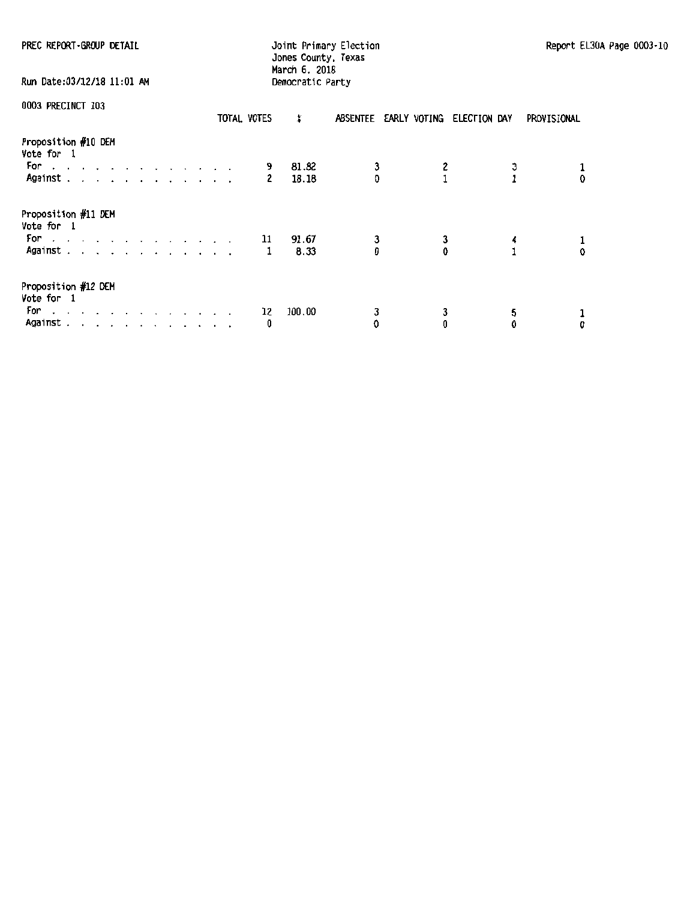|  |  | PREC REPORT GROUP DETAIL |
|--|--|--------------------------|
|--|--|--------------------------|

PREC REPORT ·GROUP DETAIL **Interpretation contracts and Detection** and Detection Report EL30A Page 0003-10 Jones County, Texas

| Run Date:03/12/18 11:01 AM                                                                                                                                                                                                                                                      |  |  |  |  |  |             | March 6, 2018<br>Democratic Party |               |        |        |                                    |        |             |
|---------------------------------------------------------------------------------------------------------------------------------------------------------------------------------------------------------------------------------------------------------------------------------|--|--|--|--|--|-------------|-----------------------------------|---------------|--------|--------|------------------------------------|--------|-------------|
| 0003 PRECINCT 103                                                                                                                                                                                                                                                               |  |  |  |  |  | TOTAL VOTES | x                                 |               |        |        | ABSENTEE EARLY VOTING ELECTION DAY |        | PROVISIONAL |
| Proposition #10 DEM<br>Vote for 1<br>For<br>and a series and a series and a series<br>Against.                                                                                                                                                                                  |  |  |  |  |  | 9<br>2      | 81.82                             | 18.18         | 3<br>Đ |        |                                    |        | 0           |
| Proposition #11 DEM<br>Vote for 1<br>For a contract and a contract of the Political Contract of the Contract of the Contract of the Contract of the Contract of the Contract of the Contract of the Contract of the Contract of the Contract of the Contract of the<br>Against. |  |  |  |  |  | 11<br>1     |                                   | 91.67<br>8.33 | 3<br>D | 3<br>0 |                                    | 4      | 0           |
| Proposition #12 DEM<br>Vote for 1<br>For<br>a construction of the construction of the con-<br>Against                                                                                                                                                                           |  |  |  |  |  | 12<br>0     | 100.00                            |               | 3<br>0 | 3<br>0 |                                    | 5<br>0 | 0           |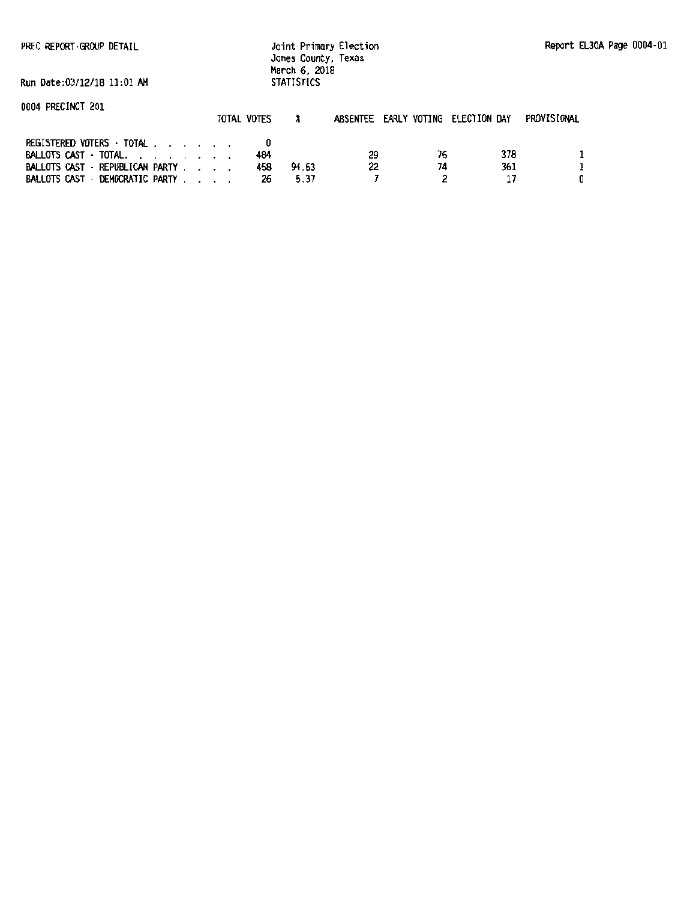PREC REPORT GROUP DETAIL

Joint Primary Election Jones County, Texas March 6, 2018 STATISTICS

Run Date:03/12/18 11:01 AM

| 0004 PRECINCT 201                   |             |              |                                    |    |     |             |
|-------------------------------------|-------------|--------------|------------------------------------|----|-----|-------------|
|                                     | TOTAL VOTES |              | ABSENTEE EARLY VOTING ELECTION DAY |    |     | PROVISIONAL |
| <b>REGISTERED VOTERS · TOTAL</b>    |             |              |                                    |    |     |             |
| BALLOTS CAST - TOTAL, , , , , , , , |             | 484          | 29                                 | 76 | 378 |             |
| BALLOTS CAST - REPUBLICAN PARTY     |             | 94.63<br>458 | 22                                 | 74 | 361 |             |
| BALLOTS CAST - DEMOCRATIC PARTY     |             | 5.37<br>26   |                                    |    |     |             |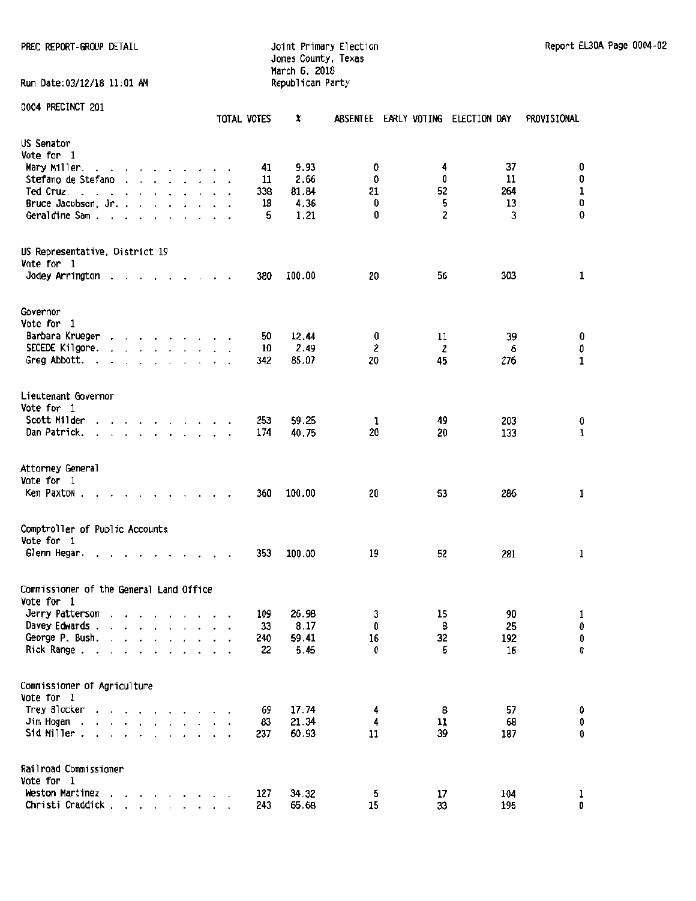#### PREC REPORT-GROUP DETAIL CHARGE CONSULTER STREET JOINT Primary Election Report EL30A Page 0004-02 Jones County, Texas March 6, 2018

| Run Date:03/12/18 11:01 AM                                 |                                                                                                                 |                                        |  |        | march o, guio<br>Republican Party |                      |  |             |        |    |  |    |                                    |              |
|------------------------------------------------------------|-----------------------------------------------------------------------------------------------------------------|----------------------------------------|--|--------|-----------------------------------|----------------------|--|-------------|--------|----|--|----|------------------------------------|--------------|
| 0004 PRECINCT 201                                          |                                                                                                                 |                                        |  |        |                                   |                      |  | TOTAL VOTES | X      |    |  |    | ABSENTEE EARLY VOTING ELECTION DAY | PROVISIONAL  |
| US Senator                                                 |                                                                                                                 |                                        |  |        |                                   |                      |  |             |        |    |  |    |                                    |              |
| Vote for 1                                                 |                                                                                                                 |                                        |  |        |                                   |                      |  |             |        |    |  |    |                                    |              |
| Mary Miller.<br>the contract of the contract of the        |                                                                                                                 |                                        |  |        |                                   |                      |  | 41          | 9.93   | 0  |  | 4  | 37                                 | 0            |
| Stefano de Stefano                                         |                                                                                                                 |                                        |  |        |                                   |                      |  | 11          | 2.66   | 0  |  | 0  | 11                                 | 0            |
| Ted Cruz.<br>$\sim$<br>$\sim$                              | the contract of the contract of the contract of the contract of the contract of the contract of the contract of |                                        |  |        |                                   |                      |  | 338         | 81.84  | 21 |  | 52 | 264                                | $\mathbf{1}$ |
| Bruce Jacobson, Jr.                                        |                                                                                                                 |                                        |  |        |                                   |                      |  | 18          | 4.36   | 0  |  | 5  | 13                                 | O            |
| Geraldine Sam                                              |                                                                                                                 |                                        |  |        |                                   | $\ddot{\phantom{0}}$ |  | 5           | 1.21   | 0  |  | 2  | 3                                  | 0            |
| US Representative, District 19                             |                                                                                                                 |                                        |  |        |                                   |                      |  |             |        |    |  |    |                                    |              |
| Vote for 1                                                 |                                                                                                                 |                                        |  |        |                                   |                      |  |             |        |    |  |    |                                    |              |
| Jodey Arrington                                            |                                                                                                                 |                                        |  |        |                                   |                      |  | 380         | 100.00 | 20 |  | 56 | 303                                | $\mathbf{1}$ |
| Governor                                                   |                                                                                                                 |                                        |  |        |                                   |                      |  |             |        |    |  |    |                                    |              |
| Vote for 1                                                 |                                                                                                                 |                                        |  |        |                                   |                      |  |             |        |    |  |    |                                    |              |
| Barbara Krueger                                            | .                                                                                                               |                                        |  |        |                                   |                      |  | 50          | 12.44  | 0  |  | 11 | 39                                 | 0            |
| SECEDE Kilgore.                                            |                                                                                                                 |                                        |  |        |                                   |                      |  | 10          | 2.49   | 2  |  | 2  | 6                                  | 0            |
| Greg Abbott.<br>$\cdot$                                    |                                                                                                                 |                                        |  |        |                                   |                      |  | 342         | 85.07  | 20 |  | 45 | 276                                | 1            |
| Lieutenant Governor                                        |                                                                                                                 |                                        |  |        |                                   |                      |  |             |        |    |  |    |                                    |              |
| Vote for 1                                                 |                                                                                                                 |                                        |  |        |                                   |                      |  |             |        |    |  |    |                                    |              |
| Scott Milder<br>.                                          |                                                                                                                 |                                        |  |        |                                   |                      |  | 253         | 59.25  | 1  |  | 49 | 203                                | 0            |
| Dan Patrick.<br>$\ddot{\phantom{1}}$                       |                                                                                                                 |                                        |  |        |                                   |                      |  | 174         | 40.75  | 20 |  | 20 | 133                                | $\mathbf 1$  |
| Attorney General                                           |                                                                                                                 |                                        |  |        |                                   |                      |  |             |        |    |  |    |                                    |              |
| Vote for 1                                                 |                                                                                                                 |                                        |  |        |                                   |                      |  |             |        |    |  |    |                                    |              |
| Ken Paxton.                                                | $\cdot$                                                                                                         |                                        |  |        |                                   |                      |  | 360         | 100.00 | 20 |  | 53 | 286                                | $\mathbf 1$  |
| Comptroller of Public Accounts                             |                                                                                                                 |                                        |  |        |                                   |                      |  |             |        |    |  |    |                                    |              |
| Vote for 1                                                 |                                                                                                                 |                                        |  |        |                                   |                      |  |             |        |    |  |    |                                    |              |
| Glenn Hegar.                                               |                                                                                                                 |                                        |  |        |                                   |                      |  | 353         | 100.00 | 19 |  | 52 | 281                                | 1            |
| Commissioner of the General Land Office                    |                                                                                                                 |                                        |  |        |                                   |                      |  |             |        |    |  |    |                                    |              |
| Vote for 1                                                 |                                                                                                                 |                                        |  |        |                                   |                      |  |             |        |    |  |    |                                    |              |
| Jerry Patterson                                            |                                                                                                                 |                                        |  |        |                                   |                      |  | 109         | 26.98  | 3  |  | 15 | 90                                 | 1            |
| Davey Edwards.                                             | $\overline{\phantom{a}}$                                                                                        | $\mathbf{r} = \mathbf{r} + \mathbf{r}$ |  |        |                                   |                      |  | 33          | 8.17   | 0  |  | 8  | 25                                 | $\pmb{0}$    |
| George P. Bush.<br>$\cdot$                                 | $\ddot{\phantom{a}}$                                                                                            |                                        |  |        |                                   |                      |  | 240         | 59.41  | 16 |  | 32 | 192                                | 0            |
| Rick Range.                                                |                                                                                                                 |                                        |  |        |                                   |                      |  | 22          | 5.45   | 0  |  | 6  | 16                                 | 0            |
| Commissioner of Agriculture                                |                                                                                                                 |                                        |  |        |                                   |                      |  |             |        |    |  |    |                                    |              |
| Vote for 1                                                 |                                                                                                                 |                                        |  |        |                                   |                      |  |             |        |    |  |    |                                    |              |
| Trey Blocker                                               |                                                                                                                 |                                        |  |        |                                   |                      |  | 69          | 17.74  | 4  |  | 8  | 57                                 | 0            |
| Jim Hogan<br>$\ddot{\phantom{0}}$<br>$\epsilon$<br>$\cdot$ | the contract of the contract of the                                                                             |                                        |  |        |                                   |                      |  | 83          | 21.34  | 4  |  | 11 | 68                                 | 0            |
| Sid Miller.<br>and a state of the state of the             |                                                                                                                 |                                        |  | $\sim$ |                                   |                      |  | 237         | 60.93  | 11 |  | 39 | 187                                | 0            |
| Railroad Commissioner                                      |                                                                                                                 |                                        |  |        |                                   |                      |  |             |        |    |  |    |                                    |              |
| Vote for 1                                                 |                                                                                                                 |                                        |  |        |                                   |                      |  |             |        |    |  |    |                                    |              |
| Weston Martinez                                            |                                                                                                                 |                                        |  |        |                                   |                      |  | 127         | 34.32  | 5  |  | 17 | 104                                | $\mathbf{1}$ |

Christi Craddick . . . . . . . . 243 65.68 15 33 195 0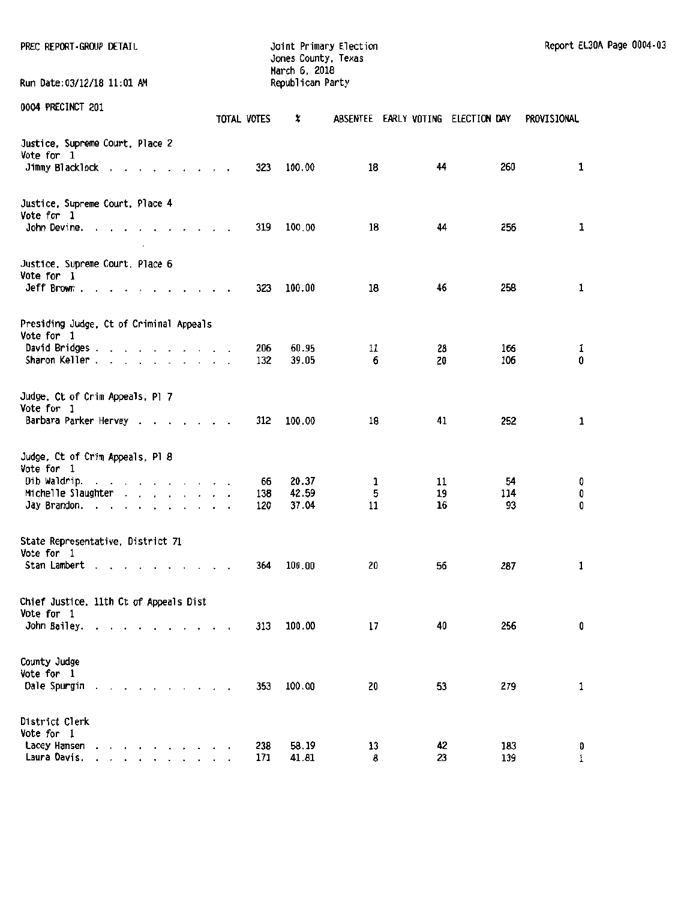| PREC REPORT GROUP DETAIL                                                                                   |             | Jones County, Texas<br>March 6, 2018 | Joint Primary Election |                                    |                 | Report EL30A Page 0004-03 |  |
|------------------------------------------------------------------------------------------------------------|-------------|--------------------------------------|------------------------|------------------------------------|-----------------|---------------------------|--|
| Run Date:03/12/18 11:01 AM                                                                                 |             | Republican Party                     |                        |                                    |                 |                           |  |
| 0004 PRECINCT 201                                                                                          | TOTAL VOTES | x                                    |                        | ABSENTEE EARLY VOTING ELECTION DAY |                 | PROVISIONAL               |  |
| Justice, Supreme Court, Place 2<br>Vote for 1<br>Jimmy Blacklock                                           | 323         | 100.00                               | 18                     | 44                                 | 260             | 1                         |  |
| Justice, Supreme Court, Place 4<br>Vote for 1<br>John Devine. $\ldots$ $\ldots$ $\ldots$ $\ldots$          | 319         | 100.00                               | 18                     | 44                                 | 256             | 1                         |  |
| Justice, Supreme Court, Place 6<br>Vote for 1<br>$Jeff$ Brown $\ldots$ $\ldots$ $\ldots$ $\ldots$ $\ldots$ | 323         | 100.00                               | 18                     | 46                                 | 258             | 1                         |  |
| Presiding Judge, Ct of Criminal Appeals<br>Vote for 1<br>David Bridges<br>Sharon Keller                    | 206<br>132  | 60.95<br>39.05                       | 11<br>6                | 28<br>20                           | 166<br>106      | 1<br>0                    |  |
| Judge. Ct of Crim Appeals. Pl 7<br>Vote for 1<br>Barbara Parker Hervey                                     | 312         | 100.00                               | 18                     | 41                                 | 252             | 1                         |  |
| Judge, Ct of Crim Appeals, Pl 8<br>Vote for 1<br>Dib Waldrip.<br>Michelle Slaughter<br>Jay Brandon.        | 138<br>120  | 20.37<br>66<br>42.59<br>37.04        | 1<br>5<br>11           | 11<br>19<br>16                     | 54<br>114<br>93 | 0<br>0<br>0               |  |
| State Representative, District 71<br>Vote for 1<br>Stan Lambert                                            | 364         | 100.00                               | 20                     | 56                                 | 287             | 1                         |  |
| Chief Justice, 11th Ct of Appeals Dist<br>Vote for 1<br>John Bailey.                                       | 313         | 100.00                               | 17                     | 40                                 | 256             | 0                         |  |
| County Judge<br>Vote for 1<br>Dale Spurgin<br>the contract of the contract of the                          | 353         | 100.00                               | 20                     | 53                                 | 279             | 1                         |  |
| District Clerk<br>Vote for 1<br>Lacey Hansen<br>the contract of the contract of the<br>Laura Davis.        | 238<br>171  | 58.19<br>41.81                       | 13<br>8                | 42<br>23                           | 183<br>139      | Đ<br>1                    |  |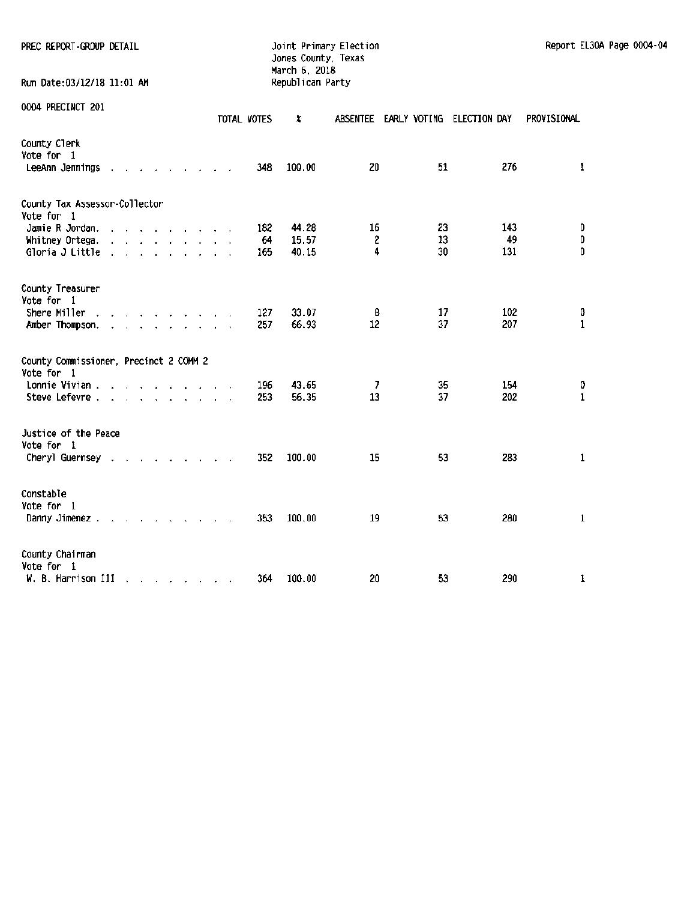| PREC REPORT-GROUP DETAIL | Joint Primary Election | Report EL30A Page 0004-04 |
|--------------------------|------------------------|---------------------------|
|--------------------------|------------------------|---------------------------|

# Jones County, Texas March 6. 2018

Run Date:03/12/18 11:01 AM Republican Party

|  | 0004 PRECINCT 201 |  |
|--|-------------------|--|
|--|-------------------|--|

| UVUT IIILVIIIVI LVI                                   |                                                                                                                                                                                                                               |      |  |                                                                                                                                                                                                                                                                                                                                                                                                                                                                                                                                                                                                       |  | TOTAL VOTES      | X                       | <b>ABSENTEE</b>         |                | EARLY VOTING ELECTION DAY | PROVISIONAL       |
|-------------------------------------------------------|-------------------------------------------------------------------------------------------------------------------------------------------------------------------------------------------------------------------------------|------|--|-------------------------------------------------------------------------------------------------------------------------------------------------------------------------------------------------------------------------------------------------------------------------------------------------------------------------------------------------------------------------------------------------------------------------------------------------------------------------------------------------------------------------------------------------------------------------------------------------------|--|------------------|-------------------------|-------------------------|----------------|---------------------------|-------------------|
| County Clerk<br>Vote for 1<br>LeeAnn Jennings         | $\mathbf{r}$                                                                                                                                                                                                                  |      |  |                                                                                                                                                                                                                                                                                                                                                                                                                                                                                                                                                                                                       |  | 348              | 100.00                  | 20                      | 51             | 276                       | 1                 |
| County Tax Assessor-Collector<br>Vote for 1           |                                                                                                                                                                                                                               |      |  |                                                                                                                                                                                                                                                                                                                                                                                                                                                                                                                                                                                                       |  |                  |                         |                         |                |                           |                   |
| Jamie R Jordan.<br>Whitney Ortega.<br>Gloria J Little | $\sim$                                                                                                                                                                                                                        | - 11 |  | the contract of the contract of the contract of the contract of the contract of the contract of the contract of<br>$\mathbf{r}$ and $\mathbf{r}$ are the set of the set of the set of the set of the set of the set of the set of the set of the set of the set of the set of the set of the set of the set of the set of the set of the set of the set<br><b><i>Contract Contract Contract Contract Contract Contract Contract Contract Contract Contract Contract Contract Contract Contract Contract Contract Contract Contract Contract Contract Contract Contract Contract Contract Cont</i></b> |  | 182<br>64<br>165 | 44.28<br>15.57<br>40.15 | 16<br>$\mathbf{c}$<br>4 | 23<br>13<br>30 | 143<br>49<br>131          | 0<br>0<br>0       |
| County Treasurer<br>Vote for 1                        |                                                                                                                                                                                                                               |      |  |                                                                                                                                                                                                                                                                                                                                                                                                                                                                                                                                                                                                       |  |                  |                         |                         |                |                           |                   |
| Shere Miller<br>Amber Thompson.                       |                                                                                                                                                                                                                               |      |  | and the contract of the second service                                                                                                                                                                                                                                                                                                                                                                                                                                                                                                                                                                |  | 127<br>257       | 33.07<br>66.93          | 8<br>12                 | 17<br>37       | 102<br>207                | 0<br>$\mathbf{1}$ |
| County Commissioner, Precinct 2 COMM 2<br>Vote for 1  |                                                                                                                                                                                                                               |      |  |                                                                                                                                                                                                                                                                                                                                                                                                                                                                                                                                                                                                       |  |                  |                         |                         |                |                           |                   |
| Lonnie Vivian.<br>Steve Lefevre.                      | and the contract of the second service of the service of the service of the service of the service of the service of the service of the service of the service of the service of the service of the service of the service of |      |  | the contract of the contract of the                                                                                                                                                                                                                                                                                                                                                                                                                                                                                                                                                                   |  | 196<br>253       | 43.65<br>56.35          | -7<br>13                | 35<br>37       | 154<br>202                | 0<br>$\mathbf{1}$ |
| Justice of the Peace<br>Vote for 1                    |                                                                                                                                                                                                                               |      |  |                                                                                                                                                                                                                                                                                                                                                                                                                                                                                                                                                                                                       |  |                  |                         |                         |                |                           |                   |
| Cheryl Guernsey .                                     |                                                                                                                                                                                                                               |      |  | and the second control of the second                                                                                                                                                                                                                                                                                                                                                                                                                                                                                                                                                                  |  | 352              | 100.00                  | 15                      | 53             | 283                       | 1                 |
| Constable<br>Vote for 1<br>Danny Jimenez.             | the contract of the contract of the contract of the contract of the contract of the contract of the contract of                                                                                                               |      |  |                                                                                                                                                                                                                                                                                                                                                                                                                                                                                                                                                                                                       |  | 353              | 100.00                  | 19                      | 53             | 280                       | 1                 |
| County Chairman<br>Vote for 1<br>W. B. Harrison III   |                                                                                                                                                                                                                               |      |  | and the state of the state of the                                                                                                                                                                                                                                                                                                                                                                                                                                                                                                                                                                     |  | 364              | 100.00                  | 20                      | 53             | 290                       | 1                 |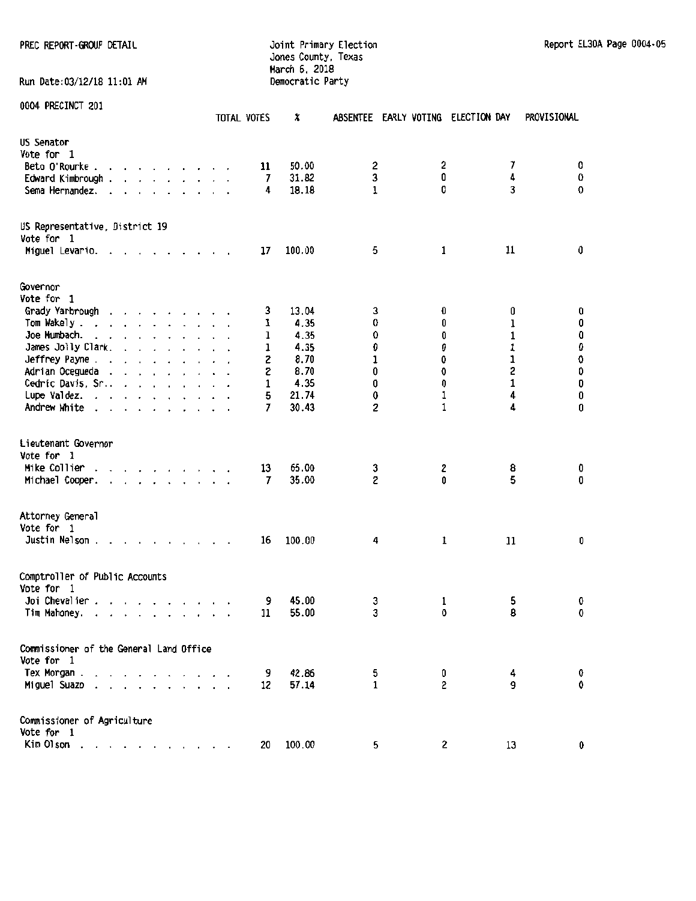## PREC REPORT -Gl.OOP DETAIL Joint Primary Election Report EL30A Page 0004-05 Jones County, Texas March 6, 2018<br>Democratic Party

Run Date:03/12/18 11:01 AM

| AAA LUCCIMAI CAT                                                                                                                                                                                                                                                         | TOTAL VOTES | X                                       |              | ABSENTEE EARLY VOTING ELECTION DAY | PROVISIONAL |             |
|--------------------------------------------------------------------------------------------------------------------------------------------------------------------------------------------------------------------------------------------------------------------------|-------------|-----------------------------------------|--------------|------------------------------------|-------------|-------------|
| US Senator<br>Vote for 1<br>Beto O'Rourke.<br><u>in the second contract of the second second</u><br>Edward Kimbrough .<br>and the contract of the contract of the<br>Sema Hernandez.<br>the contract of the contract of the<br>$\ddot{\phantom{1}}$                      |             | 50.00<br>11<br>31.82<br>7<br>18.18<br>4 | 2<br>3<br>1  | 2<br>0<br>0                        | 7<br>4<br>3 | 0<br>0<br>0 |
| US Representative, District 19<br>Vote for 1                                                                                                                                                                                                                             |             |                                         |              |                                    |             |             |
| Miguel Levario. .<br>the contract of the contract of the contract of the contract of the contract of the contract of the contract of the contract of the contract of the contract of the contract of the contract of the contract of the contract o                      |             | 100.00<br>17                            | 5            | 1                                  | 11          | 0           |
| Governor<br>Vote for 1                                                                                                                                                                                                                                                   |             |                                         |              |                                    |             |             |
| Grady Yarbrough<br>$\mathbf{r}$ , and $\mathbf{r}$ , and $\mathbf{r}$ , and $\mathbf{r}$                                                                                                                                                                                 |             | 13.04<br>3                              | 3            | 0                                  | 0           | 0           |
| Tom Wakely.                                                                                                                                                                                                                                                              |             | 4.35<br>1                               | 0            | 0                                  | ı           | 0           |
| Joe Mumbach.                                                                                                                                                                                                                                                             |             | 4.35<br>1                               | 0            | 0                                  | 1           | Û           |
| James Jolly Clark.<br>$\mathbf{r}$ . The set of the set of the set of the set of the set of the set of the set of the set of the set of the set of the set of the set of the set of the set of the set of the set of the set of the set of the set of t<br>Jeffrey Payne |             | 4.35<br>1<br>8.70                       | Û<br>1       | 0<br>0                             | 1<br>1      | 0<br>0      |
| Adrian Ocegueda                                                                                                                                                                                                                                                          |             | 2<br>8.70<br>2                          | 0            | 0                                  | 2           | 0           |
| Cedric Davis, Sr.                                                                                                                                                                                                                                                        |             | 4.35<br>1                               | 0            | 0                                  | 1           | 0           |
| Lupe Valdez. $\ldots$ $\ldots$ $\ldots$                                                                                                                                                                                                                                  |             | 21.74<br>5                              | 0            | 1                                  | 4           | 0           |
| Andrew White                                                                                                                                                                                                                                                             |             | 30.43<br>7                              | 2            | $\mathbf{1}$                       | 4           | 0           |
| Lieutenant Governor<br>Vote for 1<br>Mike Collier<br>$\mathbf{r}$ , $\mathbf{r}$ , $\mathbf{r}$ , $\mathbf{r}$ , $\mathbf{r}$ , $\mathbf{r}$<br>Michael Cooper.<br>.                                                                                                     |             | 13<br>65.00<br>35.00<br>7               | 3<br>2       | 2<br>0                             | 8<br>5      | 0<br>0      |
| Attorney General<br>Vote for 1<br>Justin Nelson $\ldots$ $\ldots$ $\ldots$ $\ldots$                                                                                                                                                                                      |             | 100.00<br>16                            | 4            | 1                                  | 11          | 0           |
| Comptroller of Public Accounts<br>Vote for 1                                                                                                                                                                                                                             |             |                                         |              |                                    |             |             |
| Joi Chevalier.<br>and the contract of the state of<br>Tim Mahoney.<br>the contract of the contract of the con-                                                                                                                                                           |             | 45.00<br>9<br>55.00<br>11               | 3<br>3       | 1<br>0                             | 5<br>8      | 0<br>0      |
|                                                                                                                                                                                                                                                                          |             |                                         |              |                                    |             |             |
| Commissioner of the General Land Office<br>Vote for 1                                                                                                                                                                                                                    |             |                                         |              |                                    |             |             |
| Tex Morgan.                                                                                                                                                                                                                                                              |             | 42.86<br>9                              | 5            | 0                                  | 4           | O.          |
| Miguel Suazo<br>$\mathbf{r}$ , $\mathbf{r}$ , $\mathbf{r}$                                                                                                                                                                                                               |             | 57.14<br>12                             | $\mathbf{1}$ | 2                                  | g           | 0           |
| Commissioner of Agriculture<br>Vote for 1                                                                                                                                                                                                                                |             |                                         |              |                                    |             |             |
| Kim Olson                                                                                                                                                                                                                                                                |             | 100.00<br>20                            | 5            | 2                                  | 13          | 0           |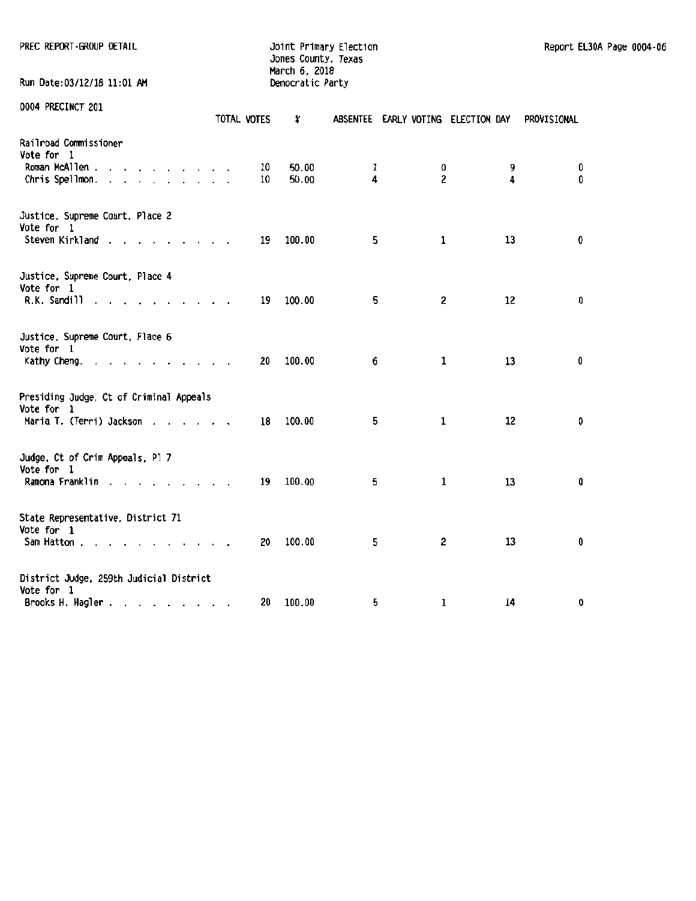| PREC REPORT-GROUP DETAIL                              |             | Joint Primary Election<br>Jones County, Texas<br>March 6, 2018 |                   |              | Report EL30A Page 0004-06          |             |  |
|-------------------------------------------------------|-------------|----------------------------------------------------------------|-------------------|--------------|------------------------------------|-------------|--|
| Run Date:03/12/18 11:01 AM                            |             | Democratic Party                                               |                   |              |                                    |             |  |
| 0004 PRECINCT 201                                     | TOTAL VOTES | x                                                              |                   |              | ABSENTEE EARLY VOTING ELECTION DAY | PROVISIONAL |  |
| Railroad Commissioner<br>Vote for 1                   |             |                                                                |                   |              |                                    |             |  |
| Roman McAllen<br>Chris Spellmon.                      | 10<br>10    | 50.00<br>50.00                                                 | $\mathbf{1}$<br>4 | 0<br>2       | 9<br>4                             | 0<br>0      |  |
| Justice, Supreme Court, Place 2<br>Vote for 1         |             |                                                                |                   |              |                                    |             |  |
| Steven Kirkland                                       | 19          | 100.00                                                         | 5                 | 1            | 13                                 | 0           |  |
| Justice, Supreme Court, Place 4<br>Vote for 1         |             |                                                                |                   |              |                                    |             |  |
| R.K. Sandill                                          | 19          | 100.00                                                         | 5                 | 2            | 12                                 | 0           |  |
| Justice, Supreme Court, Place 6<br>Vote for 1         |             |                                                                |                   |              |                                    |             |  |
| Kathy Cheng.                                          | 20          | 100.00                                                         | 6                 | 1            | 13                                 | 0           |  |
| Presiding Judge, Ct of Criminal Appeals<br>Vote for 1 |             |                                                                |                   |              |                                    |             |  |
| Maria T. (Terri) Jackson                              | 18          | 100.00                                                         | 5                 | 1            | 12                                 | 0           |  |
| Judge, Ct of Crim Appeals, Pl 7<br>Vote for 1         |             |                                                                |                   |              |                                    |             |  |
| Ramona Franklin                                       | 19          | 100.00                                                         | 5                 | $\mathbf{1}$ | 13                                 | 0           |  |
| State Representative, District 71<br>Vote for 1       |             |                                                                |                   |              |                                    |             |  |
| Sam Hatton                                            | 20          | 100.00                                                         | 5                 | 2            | 13                                 | 0           |  |
| District Judge, 259th Judicial District<br>Vote for 1 |             |                                                                |                   |              |                                    |             |  |
| Brooks H. Hagler                                      | 20          | 100.00                                                         | 5                 | 1            | 14                                 | 0           |  |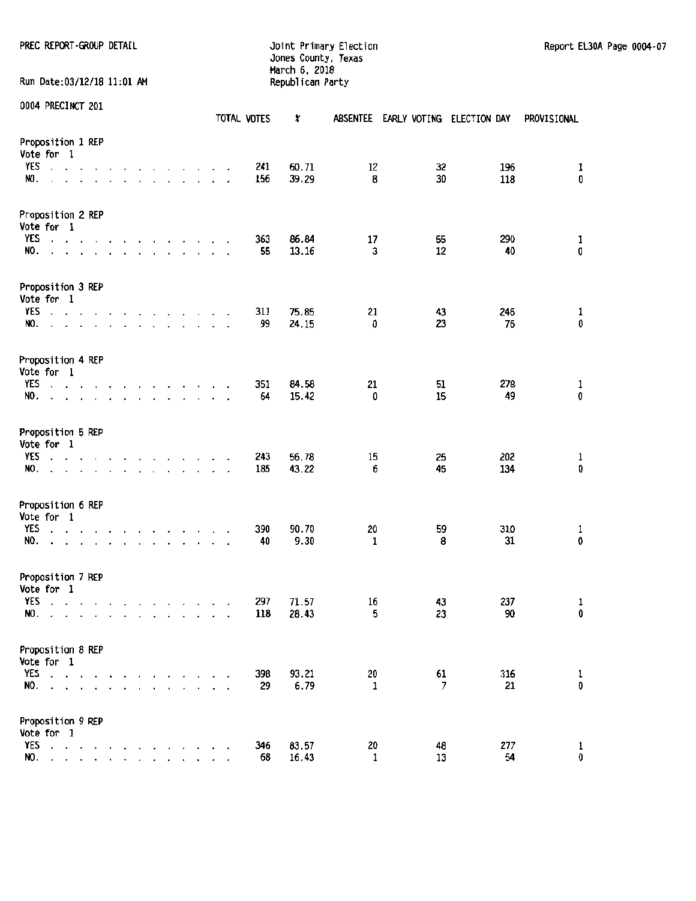## Jones County, Texas March 6. 2018 Run Date:03/12/18 11:01 AM Republican Party

|                   | 0004 PRECINCT 201                                                             |                                                                                                                                                                                                                                |        |                          |                                                                                                                                                   |  |  |                          | TOTAL VOTES | X              |         | ABSENTEE EARLY VOTING ELECTION DAY |            | PROVISIONAL                               |
|-------------------|-------------------------------------------------------------------------------|--------------------------------------------------------------------------------------------------------------------------------------------------------------------------------------------------------------------------------|--------|--------------------------|---------------------------------------------------------------------------------------------------------------------------------------------------|--|--|--------------------------|-------------|----------------|---------|------------------------------------|------------|-------------------------------------------|
|                   | Proposition 1 REP<br>Vote for 1                                               |                                                                                                                                                                                                                                |        |                          |                                                                                                                                                   |  |  |                          |             |                |         |                                    |            |                                           |
| YES<br>NO.        | $\cdot \cdot \cdot$ $\cdot$                                                   | and a strain and a strain and a strain and                                                                                                                                                                                     |        |                          | the contract of the contract of the contract of                                                                                                   |  |  |                          | 241<br>156  | 60.71<br>39.29 | 12<br>8 | 32<br>30                           | 196<br>118 | 1<br>0                                    |
|                   | Proposition 2 REP<br>Vote for 1                                               |                                                                                                                                                                                                                                |        |                          |                                                                                                                                                   |  |  |                          |             |                |         |                                    |            |                                           |
| YES<br>NO.        | and a state of<br>$\lambda$                                                   |                                                                                                                                                                                                                                |        | $\sim$                   | the contract of the contract of<br>$\mathbf{r}$ . The set of the set of $\mathbf{r}$                                                              |  |  | $\overline{\phantom{a}}$ | 363<br>55   | 86.84<br>13.16 | 17<br>3 | 55<br>12                           | 290<br>40  | $\mathbf{1}$<br>0                         |
|                   | Proposition 3 REP<br>Vote for 1                                               |                                                                                                                                                                                                                                |        |                          |                                                                                                                                                   |  |  |                          |             |                |         |                                    |            |                                           |
| <b>YES</b><br>NO. | $\mathbf{a}$ and $\mathbf{a}$ and $\mathbf{a}$<br>$\mathcal{L}^{\mathcal{L}}$ |                                                                                                                                                                                                                                | $\sim$ | $\overline{\phantom{a}}$ | $\mathbf{r}$ , $\mathbf{r}$ , $\mathbf{r}$ , $\mathbf{r}$ , $\mathbf{r}$<br>$\mathbf{r}$ , and $\mathbf{r}$ , and $\mathbf{r}$ , and $\mathbf{r}$ |  |  |                          | 311<br>99   | 75.85<br>24.15 | 21<br>0 | 43<br>23                           | 246<br>76  | $\frac{1}{0}$                             |
|                   | Proposition 4 REP<br>Vote for 1                                               |                                                                                                                                                                                                                                |        |                          |                                                                                                                                                   |  |  |                          |             |                |         |                                    |            |                                           |
| YES<br>NO.        | $\ddot{\phantom{0}}$                                                          | and a state of the<br>and a state of the contract of the                                                                                                                                                                       |        | $\sim$                   | and the second control of the second                                                                                                              |  |  |                          | 351<br>64   | 84.58<br>15.42 | 21<br>0 | 51<br>15                           | 278<br>49  | $\begin{smallmatrix}1\0\end{smallmatrix}$ |
|                   | Proposition 5 REP<br>Vote for 1                                               |                                                                                                                                                                                                                                |        |                          |                                                                                                                                                   |  |  |                          |             |                |         |                                    |            |                                           |
| YES<br>NO.        | $\cdot$<br>$\overline{a}$                                                     | and the contract of the contract of the contract of the contract of the contract of the contract of the contract of the contract of the contract of the contract of the contract of the contract of the contract of the contra |        |                          |                                                                                                                                                   |  |  | $\overline{\phantom{a}}$ | 243<br>185  | 56,78<br>43.22 | 15<br>6 | 25<br>45                           | 202<br>134 | $\mathbf{1}$<br>0                         |
|                   | Proposition 6 REP<br>Vote for 1                                               |                                                                                                                                                                                                                                |        |                          |                                                                                                                                                   |  |  |                          |             |                |         |                                    |            |                                           |
| YES<br>NO.        | $\blacksquare$                                                                | $\mathbf{v}$ and $\mathbf{v}$ and $\mathbf{v}$<br>the contract of the contract of the contract of                                                                                                                              |        | $\overline{a}$           | and the contract of the contract of                                                                                                               |  |  |                          | 390<br>40   | 90.70<br>9.30  | 20<br>1 | 59<br>8                            | 310<br>31  | $\begin{smallmatrix}1\0\end{smallmatrix}$ |
|                   | Proposition 7 REP<br>Vote for 1                                               |                                                                                                                                                                                                                                |        |                          |                                                                                                                                                   |  |  |                          |             |                |         |                                    |            |                                           |
| <b>YES</b><br>NO. | and a state of the state                                                      |                                                                                                                                                                                                                                |        | $\overline{\phantom{a}}$ | $\mathbf{r}$ , and $\mathbf{r}$ , and $\mathbf{r}$                                                                                                |  |  | $\overline{\phantom{a}}$ | 297<br>118  | 71.57<br>28.43 | 16<br>5 | 43<br>23                           | 237<br>90  | $\mathbf{1}$<br>0                         |
|                   | Proposition 8 REP<br>Vote for 1                                               |                                                                                                                                                                                                                                |        |                          |                                                                                                                                                   |  |  |                          |             |                |         |                                    |            |                                           |
| YES<br>NO.        | $\sim$                                                                        |                                                                                                                                                                                                                                |        |                          |                                                                                                                                                   |  |  |                          | 398<br>29   | 93.21<br>6.79  | 20<br>1 | 61<br>7                            | 316<br>21  | $\begin{smallmatrix}1\0\end{smallmatrix}$ |
|                   | Proposition 9 REP<br>Vote for 1                                               |                                                                                                                                                                                                                                |        |                          |                                                                                                                                                   |  |  |                          |             |                |         |                                    |            |                                           |
| YES<br>NO.        | $\cdot$ $\cdot$                                                               |                                                                                                                                                                                                                                |        |                          |                                                                                                                                                   |  |  |                          | 346<br>68   | 83.57<br>16.43 | 20<br>1 | 48<br>13                           | 277<br>54  | 1<br>O                                    |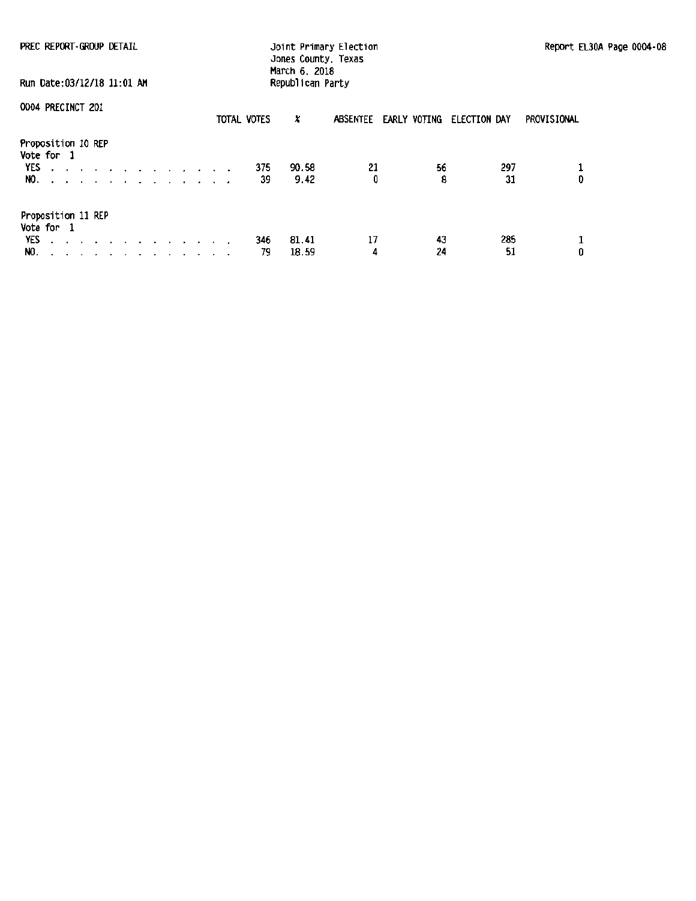| PREC REPORT-GROUP DETAIL<br>Run Date: 03/12/18 11:01 AM                                                    |             | Joint Primary Election<br>Jones County, Texas<br>March 6, 2018<br>Republican Party |                       | Report EL30A Page 0004-08   |        |  |
|------------------------------------------------------------------------------------------------------------|-------------|------------------------------------------------------------------------------------|-----------------------|-----------------------------|--------|--|
| 0004 PRECINCT 201                                                                                          |             |                                                                                    |                       |                             |        |  |
|                                                                                                            | TOTAL VOTES | x                                                                                  | ABSENTEE EARLY VOTING | PROVISIONAL<br>ELECTION DAY |        |  |
| Proposition 10 REP<br>Vote for 1<br>YES<br>the contract of the contract of the contract of<br>NO. <i>.</i> | 375<br>39   | 90.58<br>21<br>Û<br>9.42                                                           | 56<br>8               | 297<br>31                   | 0      |  |
| Proposition 11 REP<br>Vote for 1<br>YES<br>the contract of the contract of the contract of the<br>NO.      | 346<br>79   | 17<br>81.41<br>18.59<br>4                                                          | 43<br>24              | 285<br>51                   | 1<br>0 |  |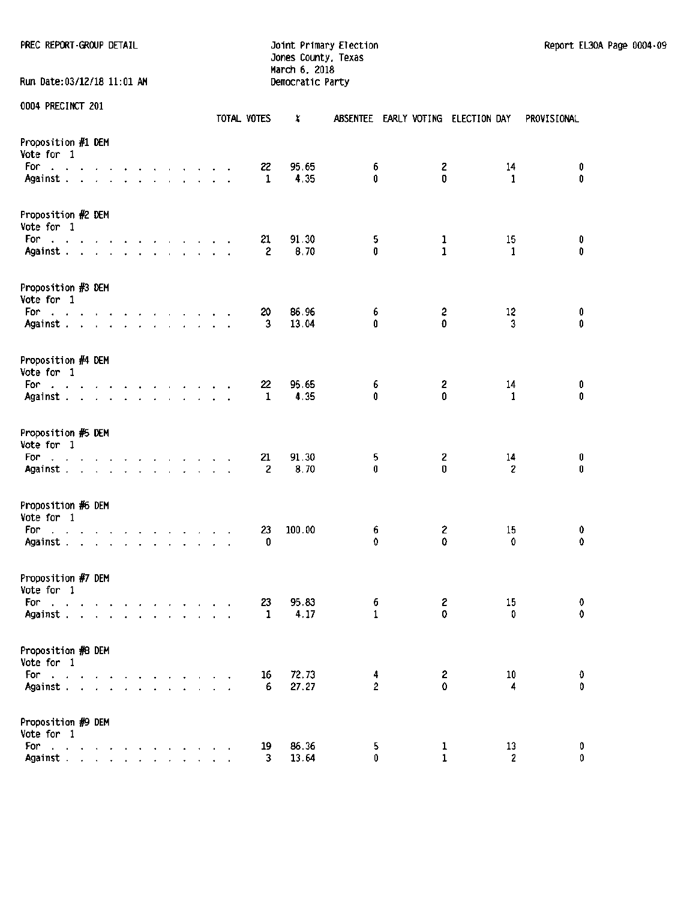PREC REPORT -GROUP DETAIL **CONTRAINING CONTRAINING CONTRAINING CONTRAINING** DOTATION DOTATION PAGE OF DETAIL DETAIL

Jones County, Texas March 6, 2018 Run Date:03/12/18 11:01 AM Democratic Party

|                                                                                                |        |  |                                                                                                                                                                                                                                   |  |  |  |  | TOTAL VOTES |                      | x              | <b>ABSENTEE</b>     |                   | EARLY VOTING ELECTION DAY | PROVISIONAL      |
|------------------------------------------------------------------------------------------------|--------|--|-----------------------------------------------------------------------------------------------------------------------------------------------------------------------------------------------------------------------------------|--|--|--|--|-------------|----------------------|----------------|---------------------|-------------------|---------------------------|------------------|
| Proposition #1 DEM<br>Vote for 1<br>For<br>and the contract of the contract of the contract of |        |  |                                                                                                                                                                                                                                   |  |  |  |  |             | 22                   | 95.65          | 6                   | 2                 | 14                        | $\pmb{0}$        |
| Against.                                                                                       |        |  |                                                                                                                                                                                                                                   |  |  |  |  |             | 1                    | 4.35           | 0                   | 0                 | 1                         | 0                |
| Proposition #2 DEM<br>Vote for 1                                                               |        |  |                                                                                                                                                                                                                                   |  |  |  |  |             |                      |                |                     |                   |                           |                  |
| For<br>and the company of the company of the company of<br>Against.                            |        |  |                                                                                                                                                                                                                                   |  |  |  |  |             | 21<br>$\overline{c}$ | 91.30<br>8.70  | 5<br>0              | 1<br>$\mathbf{1}$ | 15<br>1                   | 0<br>0           |
| Proposition #3 DEM<br>Vote for 1                                                               |        |  |                                                                                                                                                                                                                                   |  |  |  |  |             |                      |                |                     |                   |                           |                  |
| For a strategic contract of the state of<br>Against                                            |        |  |                                                                                                                                                                                                                                   |  |  |  |  |             | 20<br>3              | 86.96<br>13.04 | 6<br>û              | 2<br>0            | 12<br>3                   | 0<br>0           |
| Proposition #4 DEM<br>Vote for 1                                                               |        |  |                                                                                                                                                                                                                                   |  |  |  |  |             |                      |                |                     |                   |                           |                  |
| For<br>and a series of the contract of the contract of<br>Against                              |        |  |                                                                                                                                                                                                                                   |  |  |  |  |             | 22<br>1              | 95.65<br>4.35  | 6<br>0              | 2<br>0            | 14<br>1                   | 0<br>0           |
| Proposition #5 DEM<br>Vote for 1                                                               |        |  |                                                                                                                                                                                                                                   |  |  |  |  |             |                      |                |                     |                   |                           |                  |
| For<br>the contract of the contract of the contract of<br>Against                              |        |  |                                                                                                                                                                                                                                   |  |  |  |  |             | 21<br>2              | 91.30<br>8.70  | 5<br>0              | 2<br>0            | 14<br>$\overline{c}$      | 0<br>$\mathbf 0$ |
| Proposition #6 DEM<br>Vote for 1                                                               |        |  |                                                                                                                                                                                                                                   |  |  |  |  |             |                      |                |                     |                   |                           |                  |
| For<br>والمتابع والمتابع والمتابع والمتابع والمتابع والمتابع<br>Against                        |        |  |                                                                                                                                                                                                                                   |  |  |  |  |             | 23<br>0              | 100.00         | 6<br>0              | 2<br>0            | 15<br>0                   | 0<br>0           |
| Proposition #7 DEM<br>Vote for 1                                                               |        |  |                                                                                                                                                                                                                                   |  |  |  |  |             |                      |                |                     |                   |                           |                  |
| For<br>and a series and a series of the series<br>Against                                      |        |  |                                                                                                                                                                                                                                   |  |  |  |  |             | 23<br>1              | 95.83<br>4.17  | 6<br>1              | 2<br>0            | 15<br>0                   | 0<br>0           |
| Proposition #8 DEM<br>Vote for 1                                                               |        |  |                                                                                                                                                                                                                                   |  |  |  |  |             |                      |                |                     |                   |                           |                  |
| For<br><b>Carl All Anna</b><br>Against.                                                        | $\sim$ |  |                                                                                                                                                                                                                                   |  |  |  |  |             | 16<br>6              | 72.73<br>27.27 | 4<br>$\overline{2}$ | $\mathbf{2}$<br>0 | 10<br>4                   | 0<br>0           |
| Proposition #9 DEM<br>Vote for 1                                                               |        |  |                                                                                                                                                                                                                                   |  |  |  |  |             |                      |                |                     |                   |                           |                  |
| For<br>the contract of the contract of<br>Against.                                             |        |  | $\mathbf{r}$ . The contract of the contract of the contract of the contract of the contract of the contract of the contract of the contract of the contract of the contract of the contract of the contract of the contract of th |  |  |  |  |             | 19<br>3              | 86.36<br>13.64 | 5<br>0              | 1<br>$\mathbf{1}$ | 13<br>2                   | 0<br>0           |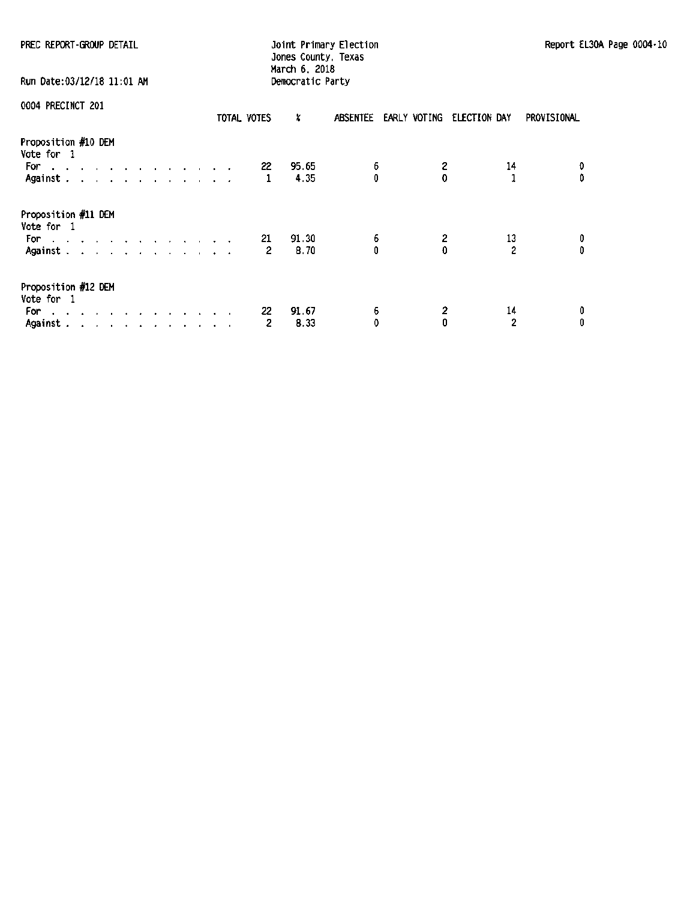| PREC REPORT-GROUP DETAIL                                                                                          | Joint Primary Election<br>Jones County, Texas<br>March 6, 2018 |                  |                                    |                           |             |  |  |  |
|-------------------------------------------------------------------------------------------------------------------|----------------------------------------------------------------|------------------|------------------------------------|---------------------------|-------------|--|--|--|
| Run Date:03/12/18 11:01 AM                                                                                        |                                                                | Democratic Party |                                    |                           |             |  |  |  |
| 0004 PRECINCT 201                                                                                                 | TOTAL VOTES                                                    | x                | ABSENTEE EARLY VOTING ELECTION DAY |                           | PROVISIONAL |  |  |  |
| Proposition #10 DEM<br>Vote for 1<br>For a company of the company of the second service<br>Against                | 22<br>1                                                        | 95.65<br>4.35    | 6<br>0                             | 2<br>14<br>0              | 0<br>û      |  |  |  |
| Proposition #11 DEM<br>Vote for 1<br>For a strategic contract of the state of the<br>Against                      | 21<br>2                                                        | 91.30<br>8.70    | 6<br>0                             | 2<br>13<br>$\overline{c}$ | 0<br>o      |  |  |  |
| Proposition #12 DEM<br>Vote for 1<br>For l<br>the contract of the contract of the contract of the con-<br>Against | 22<br>2                                                        | 91.67<br>8.33    | 6<br>0                             | 2<br>14<br>2<br>0         | 0<br>0      |  |  |  |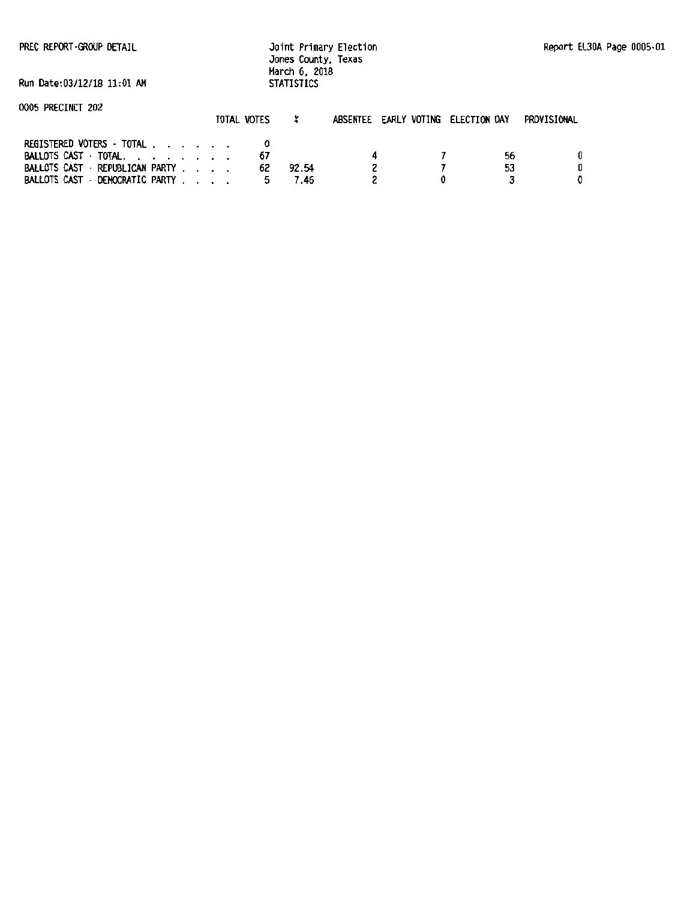PREC REPORT ·GROOP DETAIL

Joint Primary Election Jones County, Texas March 6. 2018 **STATISTICS** 

Run Date:03/12!18 11:01 AM

| 0005 PRECINCT 202 |  |
|-------------------|--|
|                   |  |

|                                                                                                                        | TOTAL VOTES |    |               | ABSENTEE EARLY VOTING ELECTION DAY |          | PROVISIONAL |
|------------------------------------------------------------------------------------------------------------------------|-------------|----|---------------|------------------------------------|----------|-------------|
| REGISTERED VOTERS - TOTAL<br>BALLOTS CAST TOTAL,<br>BALLOTS CAST - REPUBLICAN PARTY<br>BALLOTS CAST - DEMOCRATIC PARTY |             | 62 | 92.54<br>7.46 |                                    | 56<br>53 |             |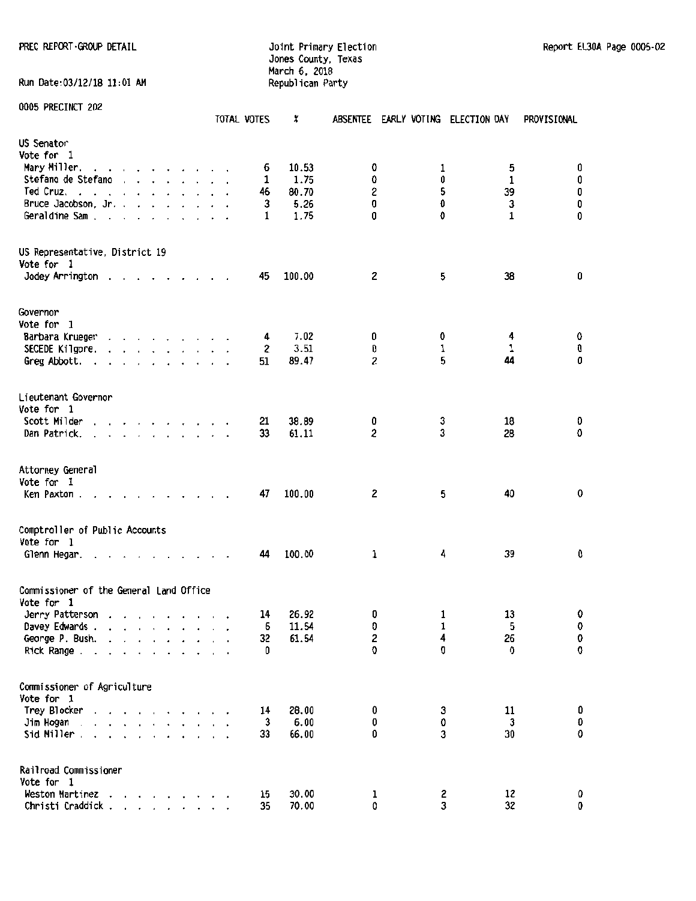Run Date:03/12/18 11:01 AM

#### PREC REPORT GROUP DETAIL **Interpretate and South Primary Election** Report Elampha Report Elain Page 0005-02 Jones County, Texas March 6, 2018

| 0005 PRECINCT 202                                                                                                                                                                                                                                              |  | TOTAL VOTES | ×      |        | ABSENTEE EARLY VOTING ELECTION DAY |                   | PROVISIONAL    |
|----------------------------------------------------------------------------------------------------------------------------------------------------------------------------------------------------------------------------------------------------------------|--|-------------|--------|--------|------------------------------------|-------------------|----------------|
| US Senator                                                                                                                                                                                                                                                     |  |             |        |        |                                    |                   |                |
| Vote for 1                                                                                                                                                                                                                                                     |  |             |        |        |                                    |                   |                |
| Mary Miller.<br>the company of the company of the company of                                                                                                                                                                                                   |  | 6           | 10.53  | 0      | 1<br>0                             | 5<br>1            | O              |
| Stefano de Stefano                                                                                                                                                                                                                                             |  | 1           | 1.75   | 0      |                                    | 39                | 0              |
| Ted Cruz<br>and the contract of the contract of<br>$\overline{\phantom{a}}$                                                                                                                                                                                    |  | 46          | 80.70  | 2      | 5                                  |                   | 0              |
| Bruce Jacobson, Jr.                                                                                                                                                                                                                                            |  | 3           | 5.26   | 0<br>0 | 0<br>0                             | $\mathbf{3}$<br>1 | 0<br>0         |
| Geraldine Sam.<br>and a series of the series of<br>$\sim$                                                                                                                                                                                                      |  | 1           | 1.75   |        |                                    |                   |                |
| US Representative, District 19                                                                                                                                                                                                                                 |  |             |        |        |                                    |                   |                |
| Vote for 1                                                                                                                                                                                                                                                     |  |             |        |        |                                    |                   |                |
| Jodey Arrington.<br>the contract of the contract of the contract of the contract of the contract of the contract of the contract of the contract of the contract of the contract of the contract of the contract of the contract of the contract o             |  | 45          | 100.00 | 2      | 5                                  | 38                | 0              |
| Governor                                                                                                                                                                                                                                                       |  |             |        |        |                                    |                   |                |
| Vote for 1                                                                                                                                                                                                                                                     |  |             |        |        |                                    |                   |                |
| Barbara Krueger<br>the contract of the contract of the contract of the contract of the contract of the contract of the contract of                                                                                                                             |  | 4           | 7.02   | 0      | 0                                  | 4                 | 0              |
| SECEDE Kilgore.<br>and a series and a series of                                                                                                                                                                                                                |  | 2           | 3.51   | 0      | 1                                  | 1                 | 0              |
| Greg Abbott.<br>the contract of the contract of the                                                                                                                                                                                                            |  | 51          | 89.47  | 2      | 5                                  | 44                | 0              |
| Lieutenant Governor                                                                                                                                                                                                                                            |  |             |        |        |                                    |                   |                |
| Vote for 1                                                                                                                                                                                                                                                     |  |             |        |        |                                    |                   |                |
| Scott Milder<br>.                                                                                                                                                                                                                                              |  | 21          | 38.89  | 0      | 3                                  | 18                | 0              |
| Dan Patrick.                                                                                                                                                                                                                                                   |  | 33          | 61.11  | 2      | 3                                  | 28                | 0              |
| Attorney General                                                                                                                                                                                                                                               |  |             |        |        |                                    |                   |                |
| Vote for 1<br>Ken Paxton.<br>$\mathbf{r}$ . The set of the set of the set of the set of the set of the set of the set of the set of the set of the set of the set of the set of the set of the set of the set of the set of the set of the set of the set of t |  | 47          | 100.00 | 2      |                                    | 40<br>5           | 0              |
| Comptroller of Public Accounts                                                                                                                                                                                                                                 |  |             |        |        |                                    |                   |                |
| Vote for 1<br>Glenn Hegar.                                                                                                                                                                                                                                     |  | 44          | 100.00 | 1      | 4                                  | 39                | 0              |
| Commissioner of the General Land Office                                                                                                                                                                                                                        |  |             |        |        |                                    |                   |                |
| Vote for 1                                                                                                                                                                                                                                                     |  |             |        |        |                                    |                   |                |
| Jerry Patterson                                                                                                                                                                                                                                                |  | 14          | 26.92  | 0      |                                    | 13<br>1           | v<br>$\pmb{0}$ |
| Davey Edwards .                                                                                                                                                                                                                                                |  | 6           | 11.54  | 0      |                                    | 1<br>5            |                |
| George P. Bush.                                                                                                                                                                                                                                                |  | 32          | 61.54  | 2      |                                    | 4<br>26<br>0<br>0 | ${\bf 0}$<br>0 |
| Rick Range<br>$\cdot$ $\cdot$ $\cdot$<br>$\sim$<br>$\sim$                                                                                                                                                                                                      |  | 0           |        | 0      |                                    |                   |                |
| Commissioner of Agriculture                                                                                                                                                                                                                                    |  |             |        |        |                                    |                   |                |
| Vote for 1                                                                                                                                                                                                                                                     |  |             |        |        |                                    |                   |                |
| Trey Blocker<br>$\cdots$                                                                                                                                                                                                                                       |  | 14          | 28.00  | 0      |                                    | 11<br>3           | 0              |
| Jim Hogan .<br>and a series of                                                                                                                                                                                                                                 |  | 3           | 6.00   | 0<br>0 |                                    | 0<br>3<br>30<br>3 | 0<br>0         |
| Sid Miller.<br>$\cdot$ $\cdot$ $\cdot$ $\cdot$ $\cdot$                                                                                                                                                                                                         |  | 33          | 66.00  |        |                                    |                   |                |
| Railroad Commissioner<br>Vote for 1                                                                                                                                                                                                                            |  |             |        |        |                                    |                   |                |
| Weston Martinez<br>$\begin{array}{cccccccccccccccccc} . & . & . & . & . & . & . & . & . & . & . \end{array}$                                                                                                                                                   |  | 15          | 30.00  | ı      |                                    | 12<br>2           | 0              |
| Christi Craddick.<br>$\mathbf{r}$ , $\mathbf{r}$ , $\mathbf{r}$ , $\mathbf{r}$ , $\mathbf{r}$                                                                                                                                                                  |  | 35          | 70.00  | 0      |                                    | 3<br>32           | 0              |
|                                                                                                                                                                                                                                                                |  |             |        |        |                                    |                   |                |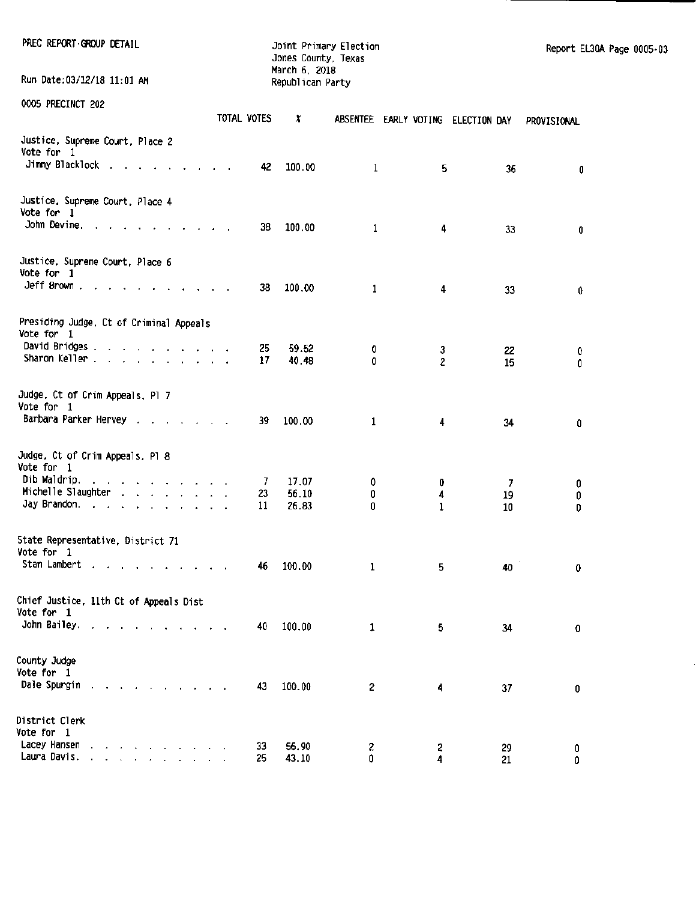| PREC REPORT-GROUP DETAIL<br>Run Date:03/12/18 11:01 AM                                                                                                                                                                         |             | Jones County, Texas<br>March 6, 2018<br>Republican Party | Joint Primary Election |                     |                                    | Report EL30A Page 0005-03 |  |
|--------------------------------------------------------------------------------------------------------------------------------------------------------------------------------------------------------------------------------|-------------|----------------------------------------------------------|------------------------|---------------------|------------------------------------|---------------------------|--|
|                                                                                                                                                                                                                                |             |                                                          |                        |                     |                                    |                           |  |
| 0005 PRECINCT 202                                                                                                                                                                                                              | TOTAL VOTES | x                                                        |                        |                     | ABSENTEE EARLY VOTING ELECTION DAY | PROVISIONAL               |  |
| Justice, Supreme Court, Place 2<br>Vote for 1                                                                                                                                                                                  |             |                                                          |                        |                     |                                    |                           |  |
| Jimmy Blacklock                                                                                                                                                                                                                | 42          | 100.00                                                   | $\mathbf{1}$           | 5                   | 36                                 | 0                         |  |
| Justice. Supreme Court. Place 4<br>Vote for 1                                                                                                                                                                                  |             |                                                          |                        |                     |                                    |                           |  |
| John Devine, $\cdots$ , $\cdots$ , $\cdots$ , $\cdots$                                                                                                                                                                         | 38          | 100.00                                                   | $\mathbf{1}$           | 4                   | 33                                 | 0                         |  |
| Justice, Supreme Court, Place 6<br>Vote for 1                                                                                                                                                                                  |             |                                                          |                        |                     |                                    |                           |  |
|                                                                                                                                                                                                                                | 38          | 100.00                                                   | 1                      | 4                   | 33                                 | 0                         |  |
| Presiding Judge, Ct of Criminal Appeals<br>Vote for 1                                                                                                                                                                          |             |                                                          |                        |                     |                                    |                           |  |
| David Bridges<br>Sharon Keller                                                                                                                                                                                                 | 25<br>17    | 59.52<br>40.48                                           | 0<br>$\mathbf{0}$      | 3<br>$\overline{c}$ | 22<br>15                           | 0<br>0                    |  |
| Judge, Ct of Crim Appeals, Pl 7<br>Vote for 1                                                                                                                                                                                  |             |                                                          |                        |                     |                                    |                           |  |
| Barbara Parker Hervey                                                                                                                                                                                                          | 39          | 100.00                                                   | $\mathbf{1}$           | 4                   | 34                                 | 0                         |  |
| Judge, Ct of Crim Appeals, Pl 8<br>Vote for 1                                                                                                                                                                                  |             |                                                          |                        |                     |                                    |                           |  |
| Dib Waldrip.<br>the contract of the contract of the                                                                                                                                                                            | -7.         | 17.07                                                    | 0                      | 0                   | 7                                  | 0                         |  |
| Michelle Slaughter                                                                                                                                                                                                             | 23          | 56.10                                                    | 0                      | 4                   | 19                                 | 0                         |  |
| Jay Brandon.                                                                                                                                                                                                                   | 11          | 26.83                                                    | 0                      | $\mathbf{1}$        | 10                                 | 0                         |  |
| State Representative, District 71<br>Vote for 1                                                                                                                                                                                |             |                                                          |                        |                     |                                    |                           |  |
| Stan Lambert                                                                                                                                                                                                                   | 46          | 100.00                                                   | 1                      | 5                   | 40                                 | 0                         |  |
| Chief Justice, 11th Ct of Appeals Dist<br>Vote for 1                                                                                                                                                                           |             |                                                          |                        |                     |                                    |                           |  |
| John Bailey.                                                                                                                                                                                                                   | 40          | 100.00                                                   | 1                      | 5                   | 34                                 | 0                         |  |
| County Judge<br>Vote for 1                                                                                                                                                                                                     |             |                                                          |                        |                     |                                    |                           |  |
| Dale Spurgin and a contract of the state of the state of the state of the state of the Sun of the Sun of the Sun of the Sun of the Sun of the Sun of the Sun of the Sun of the Sun of the Sun of the Sun of the Sun of the Sun | 43          | 100.00                                                   | 2                      | 4                   | 37                                 | 0                         |  |
| District Clerk<br>Vote for 1                                                                                                                                                                                                   |             |                                                          |                        |                     |                                    |                           |  |
| Lacey Hansen<br>the contract of the contract of the                                                                                                                                                                            | 33          | 56.90                                                    | z                      | 2                   | 29                                 | 0                         |  |
| Laura Davis.                                                                                                                                                                                                                   | 25          | 43.10                                                    | 0                      | 4                   | 21                                 | 0                         |  |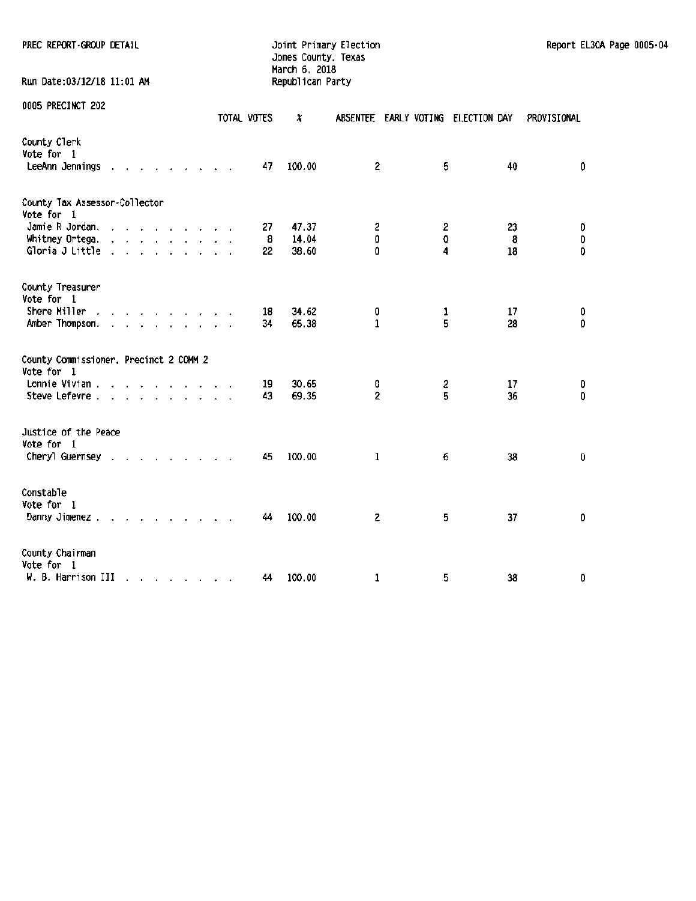PREC REPORT-GROUP DETAIL CHARGE CONSTRUCTED STATE DETAIL Joint Primary Election Report EL30A Page 0005-04

Run Date:03/12/18 11:01 AM

Jones County. Texas March 6, 2018<br>Republican Party

| 0005 PRECINCT 202                                    |                      |                      |                                                                                                                                                                                                                                      |  |  | TOTAL VOTES | x      | <b>ABSENTEE</b>         | EARLY VOTING ELECTION DAY |    | PROVISIONAL |
|------------------------------------------------------|----------------------|----------------------|--------------------------------------------------------------------------------------------------------------------------------------------------------------------------------------------------------------------------------------|--|--|-------------|--------|-------------------------|---------------------------|----|-------------|
| County Clerk<br>Vote for 1<br>LeeAnn Jennings        |                      |                      | design and a state of the                                                                                                                                                                                                            |  |  | 47          | 100.00 | 2                       | 5                         | 40 | 0           |
| County Tax Assessor-Collector<br>Vote for 1          |                      |                      |                                                                                                                                                                                                                                      |  |  |             |        |                         |                           |    |             |
| Jamie R Jordan.                                      |                      | $\sim$               | the company of the company of                                                                                                                                                                                                        |  |  | 27          | 47.37  | 2                       | 2                         | 23 | $\pmb{0}$   |
| Whitney Ortega.                                      | $\ddot{\phantom{a}}$ |                      | $\mathbf{r}$ and $\mathbf{r}$ and $\mathbf{r}$ and $\mathbf{r}$ and $\mathbf{r}$                                                                                                                                                     |  |  | 8           | 14.04  | 0                       | 0                         | 8  | 0           |
| Gloria J Little                                      | $\mathbf{r}$         |                      | $\mathbf{r}$ , and $\mathbf{r}$ , and $\mathbf{r}$ , and $\mathbf{r}$                                                                                                                                                                |  |  | 22          | 38.60  | 0                       | 4                         | 18 | $\pmb{0}$   |
| County Treasurer<br>Vote for 1                       |                      |                      |                                                                                                                                                                                                                                      |  |  |             |        |                         |                           |    |             |
| Shere Miller<br>$\sim$                               |                      |                      | and a state of the state of the state                                                                                                                                                                                                |  |  | 18          | 34.62  | 0                       | 1                         | 17 | 0           |
| Amber Thompson.                                      |                      |                      | <u>in the second contract of the second second</u>                                                                                                                                                                                   |  |  | 34          | 65.38  | $\mathbf{1}$            | 5                         | 28 | 0           |
| County Commissioner. Precinct 2 COMM 2<br>Vote for 1 |                      |                      |                                                                                                                                                                                                                                      |  |  |             |        |                         |                           |    |             |
| Lonnie Vivian.                                       |                      |                      | the contract of the contract of the contract of the contract of the contract of the contract of the contract of                                                                                                                      |  |  | 19          | 30.65  | 0                       | 2                         | 17 | 0           |
| Steve Lefevre .                                      |                      |                      | $\mathbf{r}$ and $\mathbf{r}$ are the set of the set of the set of the set of the set of the set of the set of the set of the set of the set of the set of the set of the set of the set of the set of the set of the set of the set |  |  | 43          | 69.35  | $\overline{\mathbf{c}}$ | 5                         | 36 | 0           |
| Justice of the Peace<br>Vote for 1                   |                      |                      |                                                                                                                                                                                                                                      |  |  |             |        |                         |                           |    |             |
| Cheryl Guernsey .                                    |                      |                      |                                                                                                                                                                                                                                      |  |  | 45          | 100.00 | 1                       | 6                         | 38 | 0           |
| Constable<br>Vote for 1<br>Danny Jimenez.            |                      |                      | the contract of the contract of                                                                                                                                                                                                      |  |  | 44          | 100.00 | 2                       | 5                         | 37 | 0           |
|                                                      |                      |                      |                                                                                                                                                                                                                                      |  |  |             |        |                         |                           |    |             |
| County Chairman<br>Vote for 1                        |                      |                      |                                                                                                                                                                                                                                      |  |  |             |        |                         |                           |    |             |
| W. B. Harrison III                                   |                      | $\ddot{\phantom{a}}$ | and the contract of the contract of the contract of the contract of the contract of the contract of the contract of the contract of the contract of the contract of the contract of the contract of the contract of the contra       |  |  | 44          | 100.00 | 1                       | 5                         | 38 | 0           |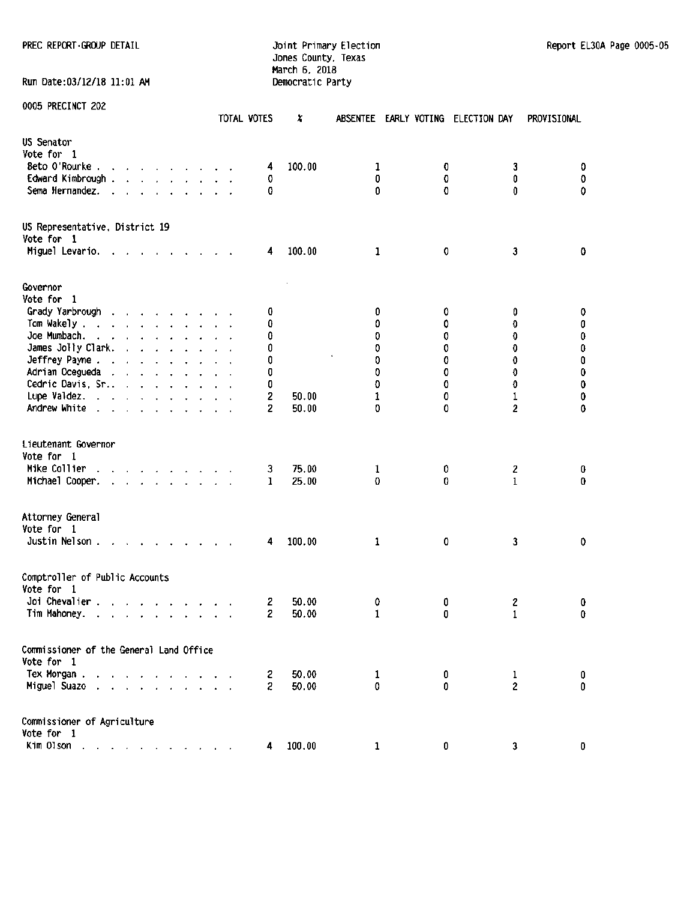PREC REPORT·GROUP DETAIL **CONTRACT CONTRACT CONTRACT CONTRACT DETAIL** Joint Primary Election Report EL30A Page 0005-05

Run Date:03/12/18 11:01 AM

# Jones County, Texas March 6, 2018<br>Democratic Party

|                                                                                | TOTAL VOTES |                | X      |              | ABSENTEE EARLY VOTING ELECTION DAY |                | PROVISIONAL  |
|--------------------------------------------------------------------------------|-------------|----------------|--------|--------------|------------------------------------|----------------|--------------|
| US Senator<br>Vote for 1                                                       |             |                |        |              |                                    |                |              |
| Beto O'Rourke                                                                  |             | 4              | 100.00 | $\mathbf{1}$ | 0                                  | 3              | 0.           |
| Edward Kimbrough.<br>and the company of the                                    |             | 0              |        | 0            | 0                                  | 0              | $\pmb{0}$    |
| Sema Hernandez.                                                                |             | 0              |        | 0            | 0                                  | 0              | 0            |
| US Representative, District 19<br>Vote for 1                                   |             |                |        |              |                                    |                |              |
| Miguel Levario.                                                                |             | 4              | 100.00 | 1            | 0                                  | 3              | 0            |
| Governor                                                                       |             |                |        |              |                                    |                |              |
| Vote for 1                                                                     |             |                |        |              |                                    |                |              |
| Grady Yarbrough                                                                |             | 0              |        | 0            | 0                                  | 0              | 0            |
| Tom Wakely.<br>design and a state of the state                                 |             | 0              |        | 0            | ٥                                  | 0              | 0            |
| Joe Mumbach.                                                                   |             | 0              |        | 0            | 0                                  | 0              | $\pmb{0}$    |
| James Jolly Clark.<br>and the state of the state of the                        |             | 0              |        | 0            | 0                                  | 0              | 0            |
| Jeffrey Payne                                                                  |             | 0              |        | 0            | 0                                  | 0              | $\pmb{0}$    |
| Adrian Ocegueda                                                                |             | 0              |        | 0            | 0                                  | 0              | $\pmb{0}$    |
| Cedric Davis, Sr.,                                                             |             | 0              |        | O            | 0                                  | 0              | $\pmb{0}$    |
| Lupe Valdez.                                                                   |             | 2              | 50.00  | 1            | 0                                  | 1              | 0            |
| Andrew White                                                                   |             | 2              | 50.00  | 0            | 0                                  | 2              | 0            |
| Lieutenant Governor<br>Vote for 1                                              |             |                |        |              |                                    |                |              |
| Mike Collier                                                                   |             | 3              | 75.00  | 1            | 0                                  | 2              | 0            |
| Michael Cooper.<br>and the contract of the contract of<br>$\ddot{\phantom{0}}$ |             | $\mathbf{1}$   | 25.00  | 0            | 0                                  | 1              | 0            |
| Attorney General<br>Vote for 1<br>Justin Nelson.                               |             | 4              | 100.00 | 1            | 0                                  | 3              | 0            |
| Comptroller of Public Accounts<br>Vote for 1<br>Joi Chevalier .                |             | 2              | 50.00  | 0            | 0                                  | 2              | 0            |
| Tim Mahoney.<br><u>in the second second second</u><br>$\sim$                   |             | 2              | 50.00  | 1            | 0                                  | 1              | 0            |
| Commissioner of the General Land Office                                        |             |                |        |              |                                    |                |              |
| Vote for 1                                                                     |             |                |        |              |                                    |                |              |
| Tex Morgan.<br>$\mathbf{r} = \mathbf{r}$                                       |             | 2              | 50.00  | 1            | 0                                  | 1              | 0            |
| Miguel Suazo<br>$\sim$                                                         |             | $\overline{c}$ | 50.00  | 0.           | 0.                                 | $\overline{2}$ | $\mathbf{0}$ |
| Commissioner of Agriculture                                                    |             |                |        |              |                                    |                |              |
| Vote for 1                                                                     |             |                |        |              |                                    |                |              |
| Kim Olson<br>$\mathcal{A}^{\mathcal{A}}$                                       |             | 4              | 100.00 | $\mathbf{1}$ | 0                                  | 3              | $\mathbf 0$  |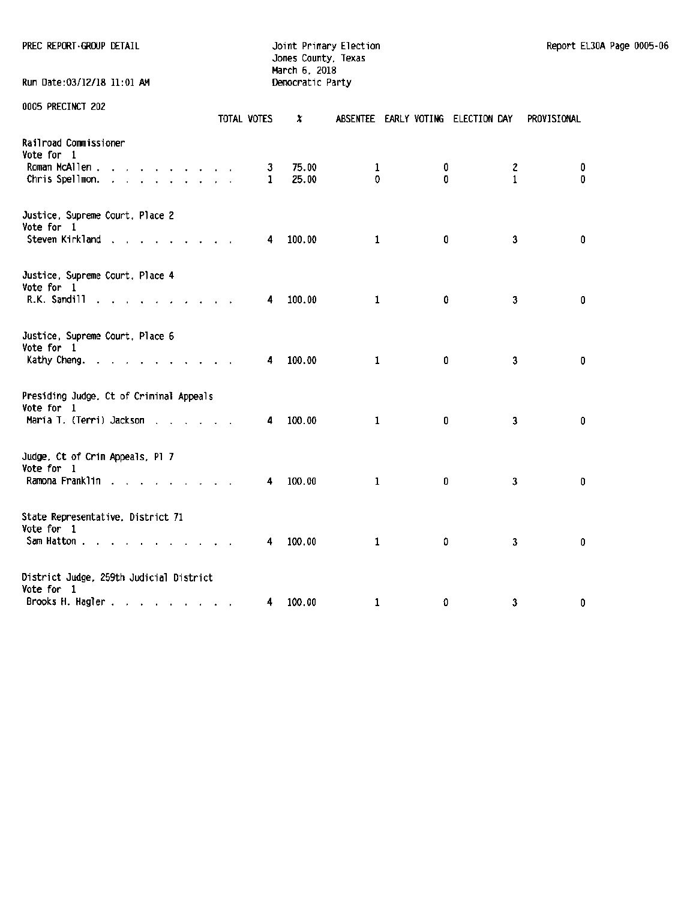PREC REPORT ·ffiOUP DETAIL Joint Primary Election Report EL30A Page 0005·06

Jones County, Texas March 6. 2018 Run Date:OJ/12/18 11:01 AM ~cratic Party

|                                                       | TOTAL VOTES  | x      |              | ABSENTEE EARLY VOTING ELECTION DAY |                         | PROVISIONAL |
|-------------------------------------------------------|--------------|--------|--------------|------------------------------------|-------------------------|-------------|
| Railroad Commissioner<br>Vote for 1                   |              |        |              |                                    |                         |             |
| Roman McAllen                                         | 3            | 75.00  | 1            | 0                                  | 2                       | 0           |
| Chris Spellmon.                                       | $\mathbf{1}$ | 25.00  | $\mathbf 0$  | 0                                  | $\mathbf{1}$            | 0           |
| Justice, Supreme Court, Place 2<br>Vote for 1         |              |        |              |                                    |                         |             |
| Steven Kirkland                                       | 4            | 100.00 | $\mathbf{1}$ | 0                                  | 3                       | 0           |
| Justice, Supreme Court, Place 4<br>Vote for 1         |              |        |              |                                    |                         |             |
| R.K. Sandill<br><b>Contract Contract Contract</b>     | 4            | 100.00 | 1            | 0                                  | $\mathbf{3}$            | 0           |
| Justice, Supreme Court, Place 6<br>Vote for 1         |              |        |              |                                    |                         |             |
| Kathy Cheng.                                          | 4            | 100.00 | 1            | 0                                  | $\mathbf{3}$            | 0           |
| Presiding Judge, Ct of Criminal Appeals<br>Vote for 1 |              |        |              |                                    |                         |             |
| Maria T. (Terri) Jackson                              | 4            | 100.00 | 1            | 0                                  | $\overline{\mathbf{3}}$ | $\pmb{0}$   |
| Judge, Ct of Crim Appeals, Pl 7<br>Vote for 1         |              |        |              |                                    |                         |             |
| Ramona Franklin                                       | 4            | 100.00 | $\mathbf 1$  | 0                                  | $\overline{\mathbf{3}}$ | 0           |
| State Representative. District 71                     |              |        |              |                                    |                         |             |
| Vote for 1<br>Sam Hatton                              | 4            | 100.00 | $\mathbf{1}$ | 0                                  | $\overline{\mathbf{3}}$ | 0           |
| District Judge, 259th Judicial District               |              |        |              |                                    |                         |             |
| Vote for 1                                            |              |        |              |                                    |                         |             |
| Brooks H. Hagler                                      | 4            | 100.00 | 1            | O                                  | 3                       | 0           |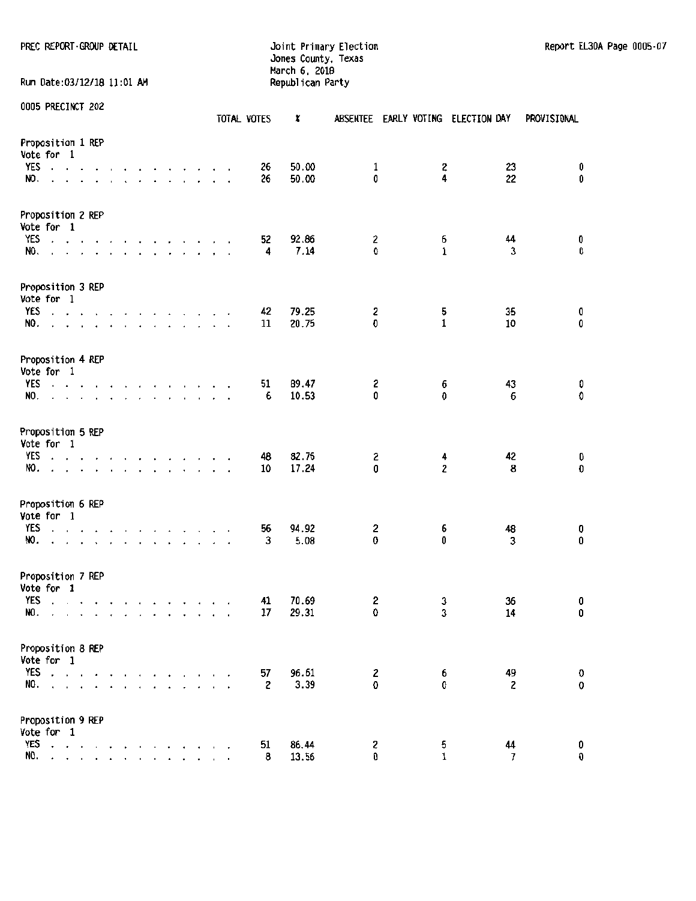#### PREC REPCRT ·GROUP t:HAIL Joint Primary Election Report EL30A Page 0005·07 Jones County, Texas March 6, 2018

Run Date:03/12/18 11:01 AM

|                                                              |                                                                                                                     |                                                                                                                                                                                                                                                                                                                                                                                                 | TOTAL VOTES        | ×              | ABSENTEE EARLY VOTING ELECTION DAY |                     |                               | PROVISIONAL   |
|--------------------------------------------------------------|---------------------------------------------------------------------------------------------------------------------|-------------------------------------------------------------------------------------------------------------------------------------------------------------------------------------------------------------------------------------------------------------------------------------------------------------------------------------------------------------------------------------------------|--------------------|----------------|------------------------------------|---------------------|-------------------------------|---------------|
| Proposition 1 REP<br>Vote for 1<br>YES<br>and a state<br>NO. | $\mathbf{r}$<br>$\mathcal{A}$                                                                                       | and a series of the series of                                                                                                                                                                                                                                                                                                                                                                   | 26<br>$\sim$<br>26 | 50.00<br>50.00 | $\mathbf{1}$<br>0                  | 2<br>4              | 23<br>22                      | 0<br>0        |
|                                                              |                                                                                                                     |                                                                                                                                                                                                                                                                                                                                                                                                 |                    |                |                                    |                     |                               |               |
| Proposition 2 REP<br>Vote for 1                              |                                                                                                                     |                                                                                                                                                                                                                                                                                                                                                                                                 |                    |                |                                    |                     |                               |               |
| YES<br>NO.                                                   |                                                                                                                     | the contract of the contract of the contract of the contract of the contract of the contract of the contract of the contract of the contract of the contract of the contract of the contract of the contract of the contract o<br>$\frac{1}{2}$ , $\frac{1}{2}$ , $\frac{1}{2}$ , $\frac{1}{2}$ , $\frac{1}{2}$ , $\frac{1}{2}$ , $\frac{1}{2}$ , $\frac{1}{2}$ , $\frac{1}{2}$ , $\frac{1}{2}$ | 52<br>4            | 92.86<br>7.14  | 2<br>0                             | 6<br>$\mathbf{1}$   | 44<br>3                       | 0<br>0        |
|                                                              |                                                                                                                     |                                                                                                                                                                                                                                                                                                                                                                                                 |                    |                |                                    |                     |                               |               |
| Proposition 3 REP<br>Vote for 1                              |                                                                                                                     |                                                                                                                                                                                                                                                                                                                                                                                                 |                    |                |                                    |                     |                               |               |
| YES                                                          |                                                                                                                     | the contract of the contract of the contract of                                                                                                                                                                                                                                                                                                                                                 | 42<br>11           | 79.25          | 2<br>O                             | 5<br>$\mathbf 1$    | 35<br>10                      | 0<br>0        |
| NO.                                                          |                                                                                                                     | and the service and a series of                                                                                                                                                                                                                                                                                                                                                                 |                    | 20.75          |                                    |                     |                               |               |
| Proposition 4 REP<br>Vote for 1                              |                                                                                                                     |                                                                                                                                                                                                                                                                                                                                                                                                 |                    |                |                                    |                     |                               |               |
| YES                                                          |                                                                                                                     | the contract of the contract of the contract of                                                                                                                                                                                                                                                                                                                                                 | 51                 | 89.47          | 2<br>0                             | 6<br>0              | 43<br>$\boldsymbol{6}$        | 0<br>0        |
| NO.                                                          |                                                                                                                     | design and a series of the contract of                                                                                                                                                                                                                                                                                                                                                          | 6                  | 10.53          |                                    |                     |                               |               |
| Proposition 5 REP<br>Vote for 1                              |                                                                                                                     |                                                                                                                                                                                                                                                                                                                                                                                                 |                    |                |                                    |                     |                               |               |
| YES                                                          |                                                                                                                     | and a series and a series and a                                                                                                                                                                                                                                                                                                                                                                 | 48                 | 82.76          | 2<br>0                             | 4<br>$\overline{2}$ | 42                            | 0<br>0        |
| NO.                                                          |                                                                                                                     | and the company of the company of the company of                                                                                                                                                                                                                                                                                                                                                | 10                 | 17.24          |                                    |                     | 8                             |               |
| Proposition 6 REP<br>Vote for 1                              |                                                                                                                     |                                                                                                                                                                                                                                                                                                                                                                                                 |                    |                |                                    |                     |                               |               |
| YES                                                          |                                                                                                                     | design and a state of the contract of the                                                                                                                                                                                                                                                                                                                                                       | 56                 | 94.92          | 2                                  | 6                   | 48                            | 0             |
| NO.<br>$\ddot{\phantom{a}}$                                  |                                                                                                                     | .                                                                                                                                                                                                                                                                                                                                                                                               | 3                  | 5.08           | 0                                  | 0                   | 3                             | 0             |
| Proposition 7 REP<br>Vote for 1                              |                                                                                                                     |                                                                                                                                                                                                                                                                                                                                                                                                 |                    |                |                                    |                     |                               |               |
| <b>YES</b>                                                   |                                                                                                                     | and the company of the company of                                                                                                                                                                                                                                                                                                                                                               | 41                 | 70.69          | 2                                  | 3                   | 36                            | 0             |
| NO.<br>$\mathbf{r}$                                          |                                                                                                                     | and the company of the company of                                                                                                                                                                                                                                                                                                                                                               | 17<br>$\mathbf{r}$ | 29.31          | 0                                  | 3                   | 14                            | 0             |
| Proposition 8 REP                                            |                                                                                                                     |                                                                                                                                                                                                                                                                                                                                                                                                 |                    |                |                                    |                     |                               |               |
| Vote for 1                                                   |                                                                                                                     |                                                                                                                                                                                                                                                                                                                                                                                                 |                    |                |                                    |                     |                               |               |
| <b>YES</b><br>$\sim$ $\sim$ $\sim$<br>NO.                    |                                                                                                                     |                                                                                                                                                                                                                                                                                                                                                                                                 | 57<br>2            | 96.61<br>3.39  | 2<br>0                             | 6<br>G.             | 49<br>$\overline{\mathbf{c}}$ | 0<br>0        |
|                                                              |                                                                                                                     |                                                                                                                                                                                                                                                                                                                                                                                                 |                    |                |                                    |                     |                               |               |
| Proposition 9 REP                                            |                                                                                                                     |                                                                                                                                                                                                                                                                                                                                                                                                 |                    |                |                                    |                     |                               |               |
| Vote for 1<br><b>YES</b>                                     |                                                                                                                     |                                                                                                                                                                                                                                                                                                                                                                                                 |                    | 86.44          |                                    |                     | 44                            |               |
| NO.<br>$\ddot{\phantom{0}}$                                  | the contract of the contract of<br>$\mathbf{r}$ and $\mathbf{r}$ and $\mathbf{r}$ and $\mathbf{r}$ and $\mathbf{r}$ |                                                                                                                                                                                                                                                                                                                                                                                                 | 51<br>8            | 13.56          | 2<br>0                             | 5<br>$\mathbf{1}$   | $\overline{7}$                | 0<br>$\bf{0}$ |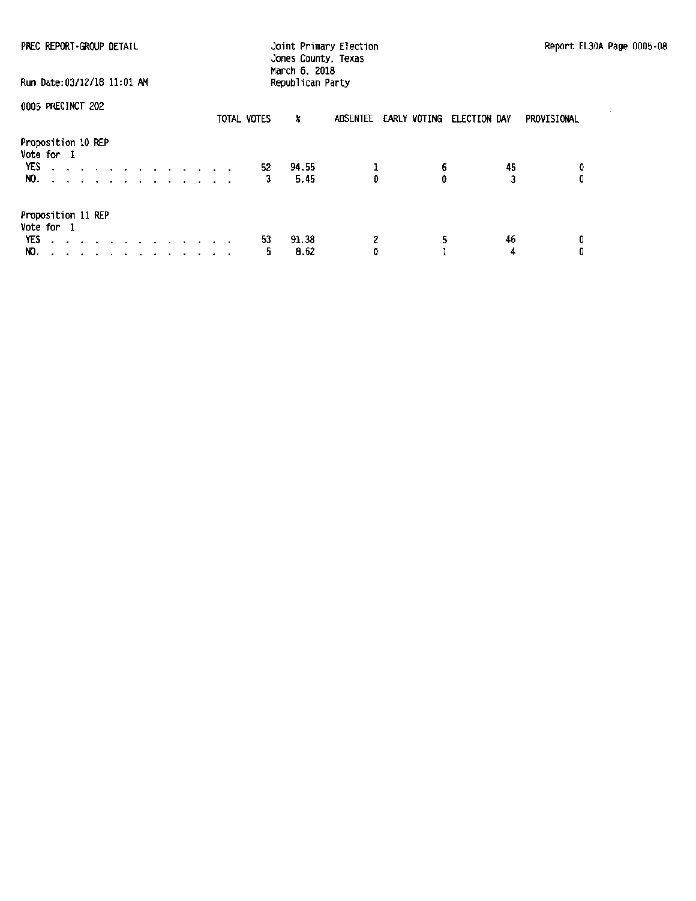| PREC REPORT GROUP DETAIL                                                                        | Joint Primary Election<br>Jones County, Texas<br>March 6, 2018 |                                    | Report EL30A Page 0005-08 |  |
|-------------------------------------------------------------------------------------------------|----------------------------------------------------------------|------------------------------------|---------------------------|--|
| Run Date:03/12/18 11:01 AM                                                                      | Republican Party                                               |                                    |                           |  |
| 0005 PRECINCT 202                                                                               | TOTAL VOTES<br>x                                               | ABSENTEE EARLY VOTING ELECTION DAY | PROVISIONAL               |  |
| Proposition 10 REP<br>Vote for 1<br>YES described a series and a series of<br>NO. <i>.</i>      | 94.55<br>52<br>5.45                                            | 6.<br>0                            | 45<br>0<br>0              |  |
| Proposition 11 REP<br>Vote for 1<br>YES.<br>design and contract the contract of the con-<br>NO. | 91.38<br>53<br>8.62<br>5.                                      | 5<br>z<br>0                        | 46<br>0<br>0<br>4         |  |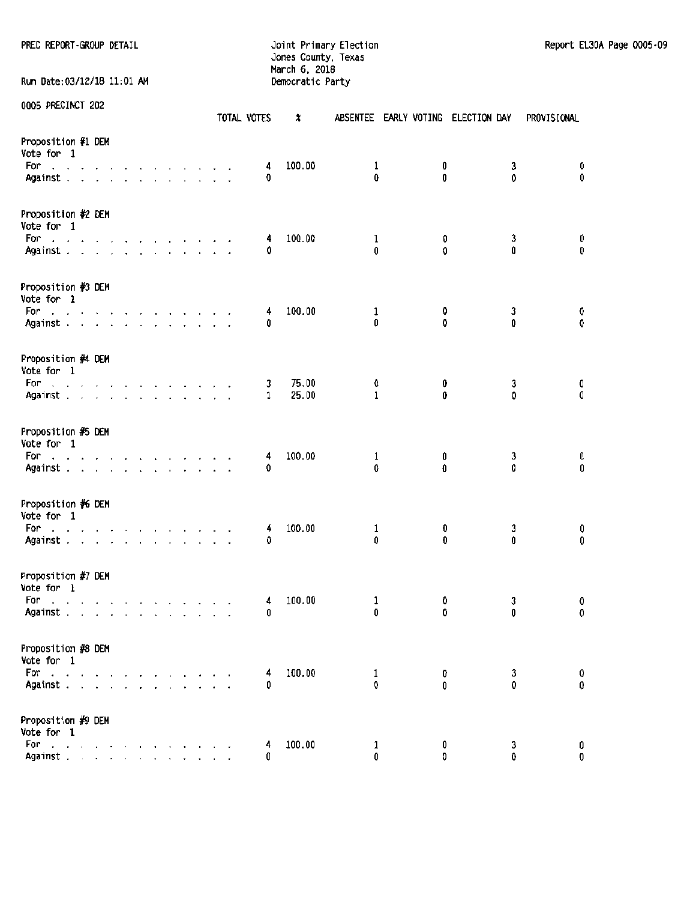PREC REPORT-GROUP DETAIL **SECONDATION** Joint Primary Election Report El30A Page 0005-09

## Jones County, Texas March 6. 2018 Run Date:03/12/18 11:01 AM Democratic Party

|                                                                                                                                                                                                                                                                    |                                 |  |                                           |  |  |  | TOTAL VOTES | x      |                   |        | ABSENTEE EARLY VOTING ELECTION DAY | PROVISIONAL |
|--------------------------------------------------------------------------------------------------------------------------------------------------------------------------------------------------------------------------------------------------------------------|---------------------------------|--|-------------------------------------------|--|--|--|-------------|--------|-------------------|--------|------------------------------------|-------------|
| Proposition #1 DEM<br>Vote for 1<br>For<br>the contract of the contract of the contract of<br>Against                                                                                                                                                              |                                 |  |                                           |  |  |  | 4<br>0      | 100.00 | 1<br>0            | 0<br>0 | 3<br>0                             | 0<br>0      |
| Proposition #2 DEM<br>Vote for 1<br>For a construction of the construction of the second service of the service of the service of the service of the service of the service of the service of the service of the service of the service of the service of the serv |                                 |  |                                           |  |  |  | 4           | 100.00 | 1                 | 0      | 3                                  | 0           |
| Against                                                                                                                                                                                                                                                            |                                 |  |                                           |  |  |  | 0           |        | 0                 | O      | 0                                  | O           |
| Proposition #3 DEM<br>Vote for 1<br>For<br>and a series and a series and a                                                                                                                                                                                         |                                 |  |                                           |  |  |  | 4           | 100.00 | 1                 | 0      | 3                                  | 0           |
| Against                                                                                                                                                                                                                                                            |                                 |  |                                           |  |  |  | 0           |        | 0                 | 0      | 0                                  | 0           |
| Proposition #4 DEM<br>Vote for 1<br>For                                                                                                                                                                                                                            |                                 |  |                                           |  |  |  |             | 75.00  | 0                 | 0      |                                    | 0           |
| the contract of the contract of the contract of<br>Against                                                                                                                                                                                                         |                                 |  |                                           |  |  |  | 3<br>1      | 25.00  | 1                 | 0      | 3<br>$\Omega$                      | 0           |
| Proposition #5 DEM<br>Vote for 1                                                                                                                                                                                                                                   |                                 |  |                                           |  |  |  |             |        |                   |        |                                    |             |
| For<br>the contract of the contract of the contract of<br>Against                                                                                                                                                                                                  |                                 |  |                                           |  |  |  | 4<br>0      | 100.00 | 1<br>0            | 0<br>O | 3<br>O                             | 0<br>0      |
| Proposition #6 DEM<br>Vote for 1<br>and a straightful and a straight and<br>For<br>Against                                                                                                                                                                         |                                 |  |                                           |  |  |  | 4           | 100.00 | 1<br>0            | 0<br>O | 3<br>0                             | 0<br>0      |
|                                                                                                                                                                                                                                                                    |                                 |  |                                           |  |  |  | 0           |        |                   |        |                                    |             |
| Proposition #7 DEM<br>Vote for 1<br>For<br>the contract of the contract of the contract of the<br>Against                                                                                                                                                          |                                 |  |                                           |  |  |  | 4<br>0      | 100.00 | ı<br>0            | 0      | 3<br>0<br>0                        | 0<br>0      |
| Proposition #8 DEM<br>Vote for 1                                                                                                                                                                                                                                   |                                 |  |                                           |  |  |  |             |        |                   |        |                                    |             |
| For<br>$\mathbf{r}$<br>Against.                                                                                                                                                                                                                                    | $\cdot$ $\cdot$ $\cdot$ $\cdot$ |  | $\alpha$ , $\alpha$ , $\alpha$ , $\alpha$ |  |  |  | 4<br>0      | 100.00 | $\mathbf{1}$<br>0 |        | 3<br>0<br>0<br>$\mathbf 0$         | 0<br>0      |
| Proposition #9 DEM<br>Vote for 1                                                                                                                                                                                                                                   |                                 |  |                                           |  |  |  |             |        |                   |        |                                    |             |
| For electric contracts of<br>Against.                                                                                                                                                                                                                              |                                 |  |                                           |  |  |  | 4<br>0      | 100.00 | 1<br>0            |        | 0<br>3<br>0<br>O                   | 0<br>0      |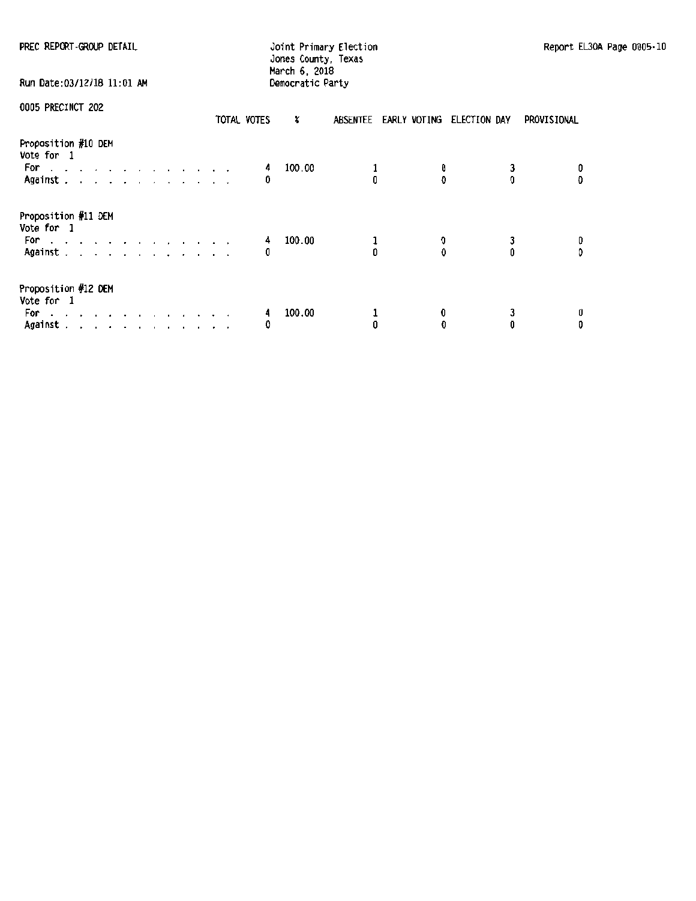| PREC REPORT-GROUP DETAIL                                                                               | Joint Primary Election<br>Report EL<br>Jones County, Texas |             |  |  |  |  |  |  |
|--------------------------------------------------------------------------------------------------------|------------------------------------------------------------|-------------|--|--|--|--|--|--|
| Run Date: 03/12/18 11:01 AM                                                                            | March 6, 2018<br>Democratic Party                          |             |  |  |  |  |  |  |
| 0005 PRECINCT 202<br>TOTAL VOTES                                                                       | x<br>ABSENTEE EARLY VOTING ELECTION DAY                    | PROVISIONAL |  |  |  |  |  |  |
| Proposition #10 DEM<br>Vote for 1<br>For a strategic contract and a strategic<br>Against               | 100.00<br>4<br>Û<br>n<br>0                                 | Ð           |  |  |  |  |  |  |
| Proposition #11 DEM<br>Vote for 1<br>For<br>the contract of the contract of the contract of<br>Against | 100.00<br>1<br>4<br>3<br>0<br>ń<br>0                       |             |  |  |  |  |  |  |
| Proposition #12 DEM<br>Vote for 1<br>For a strategic and a strategic and a<br>Against                  | 100.00<br>4<br>з<br>0<br>O<br>0<br>0<br>0                  | 0           |  |  |  |  |  |  |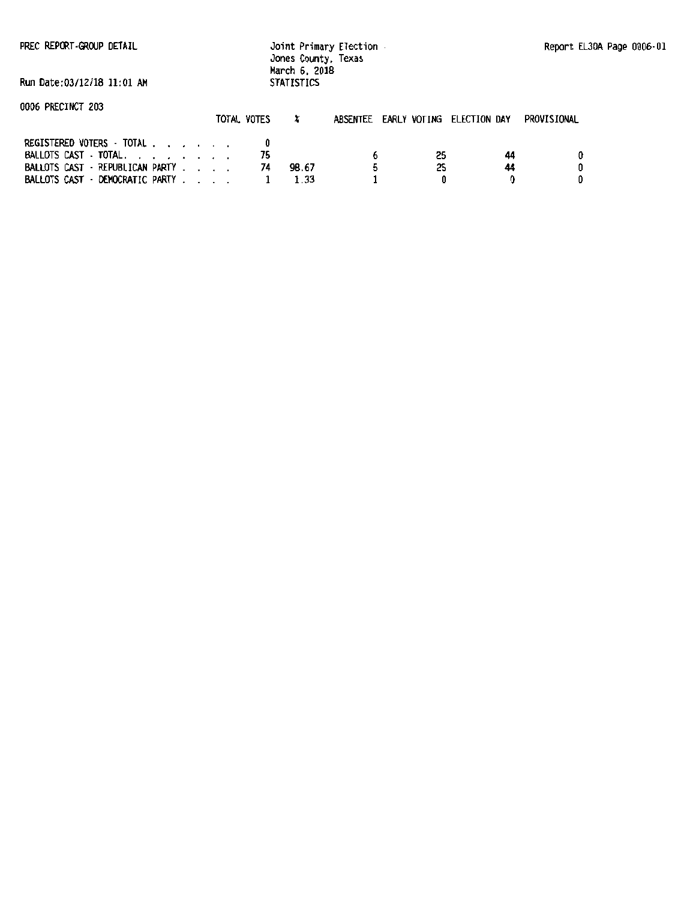PREC REPORT-GROUP DETAIL

Joint Primary Election Jones County, Texas March 6. 2018 STATISTICS

Run Date:03112118 11:01 AM

|                                 | TOTAL VOTES |       | ABSENTEE EARLY VOTING ELECTION DAY |    |    | PROVISIONAL |
|---------------------------------|-------------|-------|------------------------------------|----|----|-------------|
| REGISTERED VOTERS TOTAL         |             |       |                                    |    |    |             |
| BALLOTS CAST - TOTAL.           |             |       |                                    | 25 | 44 |             |
| BALLOTS CAST · REPUBLICAN PARTY |             | 98.67 |                                    | 25 | 44 |             |
| BALLOTS CAST - DEMOCRATIC PARTY |             |       |                                    |    |    |             |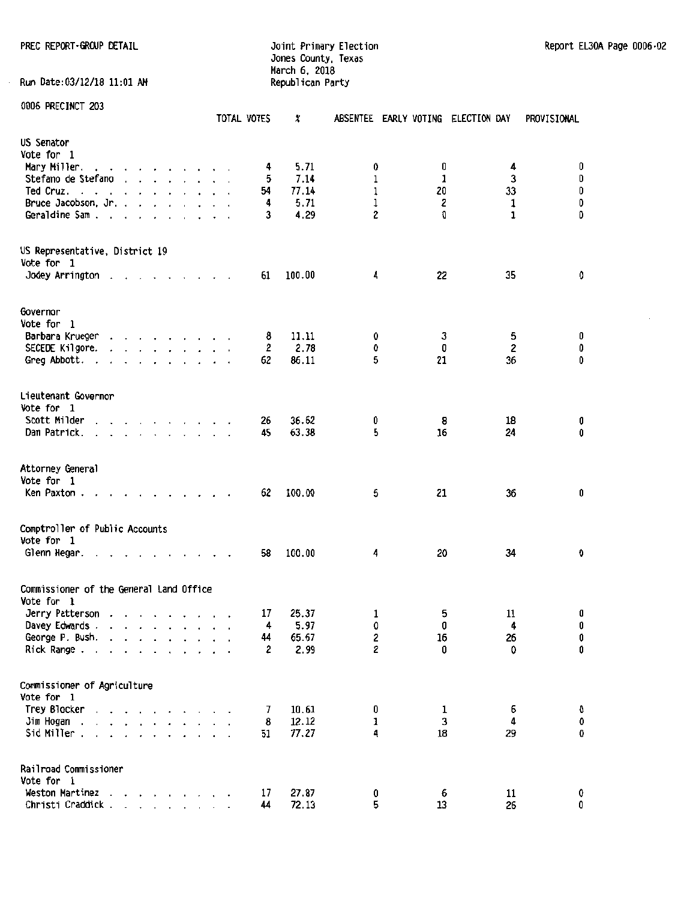PREC REPORT ·GROUP DETAIL **CONTEXT CONTROL** Joint Primary Election Report EL30A Page 0006 · 02 Jones County, Texas March 6, 2018 Run Date:03/12/18 11:01 AM Republican Party

|                                           |                                                                       |                      |         |                                                                                                                                                                                                                                |                   |  | TOTAL VOTES | X      |             |         | ABSENTEE EARLY VOTING ELECTION DAY | PROVISIONAL |
|-------------------------------------------|-----------------------------------------------------------------------|----------------------|---------|--------------------------------------------------------------------------------------------------------------------------------------------------------------------------------------------------------------------------------|-------------------|--|-------------|--------|-------------|---------|------------------------------------|-------------|
| US Senator                                |                                                                       |                      |         |                                                                                                                                                                                                                                |                   |  |             |        |             |         |                                    |             |
| Vote for 1                                |                                                                       |                      |         |                                                                                                                                                                                                                                |                   |  |             |        |             |         |                                    |             |
| Mary Miller.                              |                                                                       |                      |         |                                                                                                                                                                                                                                |                   |  | 4           | 5.71   | 0           | 0       | 4                                  | 0           |
| Stefano de Stefano                        |                                                                       |                      |         | and the contract of the contract of the contract of the contract of the contract of the contract of the contract of the contract of the contract of the contract of the contract of the contract of the contract of the contra |                   |  | 5           | 7.14   | 1           | 1       | $\mathbf{3}$                       | 0           |
| Ted Cruz.                                 | $\sim$                                                                |                      |         | and a series of the series of the series of the series of the series of the series of the series of the series of the series of the series of the series of the series of the series of the series of the series of the series |                   |  | 54          | 77.14  | $\mathbf 1$ | 20      | 33                                 | 0           |
| Bruce Jacobson, Jr.,                      |                                                                       |                      |         |                                                                                                                                                                                                                                |                   |  | 4           | 5.71   | 1           | 2       | $\mathbf{1}$                       | $\pmb{0}$   |
| Geraldine Sam.                            | $\overline{\phantom{a}}$                                              | $\cdot$              | $\cdot$ |                                                                                                                                                                                                                                |                   |  | 3           | 4.29   | 2           | O       | $\mathbf{1}$                       | 0           |
| US Representative, District 19            |                                                                       |                      |         |                                                                                                                                                                                                                                |                   |  |             |        |             |         |                                    |             |
| Vote for 1                                |                                                                       |                      |         |                                                                                                                                                                                                                                |                   |  |             |        |             |         |                                    |             |
| Jodey Arrington.                          |                                                                       |                      |         | the contract of the contract of                                                                                                                                                                                                |                   |  | 61          | 100.00 | 4           | 22      | 35                                 | 0           |
| Governor                                  |                                                                       |                      |         |                                                                                                                                                                                                                                |                   |  |             |        |             |         |                                    |             |
| Vote for 1                                |                                                                       |                      |         |                                                                                                                                                                                                                                |                   |  |             |        |             |         |                                    |             |
| Barbara Krueger                           |                                                                       |                      |         |                                                                                                                                                                                                                                |                   |  | 8           | 11.11  | 0           | 3       | 5                                  | 0           |
| SECEDE Kilgore.                           |                                                                       |                      |         | $\mathbf{r}$ and $\mathbf{r}$ and $\mathbf{r}$ and $\mathbf{r}$ and $\mathbf{r}$                                                                                                                                               |                   |  | 2           | 2.78   | 0           | 0       | 2                                  | 0           |
| Greg Abbott.<br>$\ddot{\phantom{1}}$      | the contract of the contract of the                                   |                      |         |                                                                                                                                                                                                                                |                   |  | 62          | 86.11  | 5           | 21      | 36                                 | $\mathbf 0$ |
|                                           |                                                                       |                      |         |                                                                                                                                                                                                                                |                   |  |             |        |             |         |                                    |             |
| Lieutenant Governor                       |                                                                       |                      |         |                                                                                                                                                                                                                                |                   |  |             |        |             |         |                                    |             |
| Vote for 1                                |                                                                       |                      |         |                                                                                                                                                                                                                                |                   |  |             |        |             |         |                                    |             |
| Scott Milder                              |                                                                       |                      |         | the contract of the contract of the                                                                                                                                                                                            |                   |  | 26          | 36.62  | 0           | 8       | 18                                 | 0           |
| Dan Patrick.                              |                                                                       |                      |         | $\mathbf{r}$ , $\mathbf{r}$ , $\mathbf{r}$ , $\mathbf{r}$ , $\mathbf{r}$                                                                                                                                                       |                   |  | 45          | 63.38  | 5           | 16      | 24                                 | 0           |
| Attorney General                          |                                                                       |                      |         |                                                                                                                                                                                                                                |                   |  |             |        |             |         |                                    |             |
| Vote for 1                                |                                                                       |                      |         |                                                                                                                                                                                                                                |                   |  |             |        |             |         |                                    |             |
| Ken Paxton.                               |                                                                       |                      |         | the contract of the contract of the contract of the contract of the contract of the contract of the contract of                                                                                                                |                   |  | 62          | 100.00 | 5           | 21      | 36                                 | 0           |
| Comptroller of Public Accounts            |                                                                       |                      |         |                                                                                                                                                                                                                                |                   |  |             |        |             |         |                                    |             |
| Vote for 1                                |                                                                       |                      |         |                                                                                                                                                                                                                                |                   |  |             |        |             |         |                                    |             |
| Glenn Hegar.<br>$\blacksquare$            |                                                                       |                      |         |                                                                                                                                                                                                                                | $\cdots$ $\cdots$ |  | 58          | 100.00 | 4           | 20      | 34                                 | 0           |
| Commissioner of the General Land Office   |                                                                       |                      |         |                                                                                                                                                                                                                                |                   |  |             |        |             |         |                                    |             |
| Vote for 1                                |                                                                       |                      |         |                                                                                                                                                                                                                                |                   |  |             |        |             |         |                                    |             |
| Jerry Patterson                           |                                                                       |                      |         |                                                                                                                                                                                                                                |                   |  | 17          | 25.37  | 1           | 5       | 11                                 | 0           |
| Davey Edwards                             |                                                                       |                      |         |                                                                                                                                                                                                                                |                   |  | 4           | 5.97   | 0           | 0       | $\ddot{4}$                         | 0           |
| George P. Bush.                           | $\ddot{\phantom{0}}$                                                  |                      |         |                                                                                                                                                                                                                                |                   |  | 44          | 65.67  | 2           | 16      | 26                                 | 0           |
| Rick Range                                |                                                                       | $\ddot{\phantom{a}}$ |         | $\cdot$ $\cdot$ $\cdot$ $\cdot$                                                                                                                                                                                                |                   |  | 2           | 2.99   | $\mathbf 2$ | 0       | 0                                  | 0           |
|                                           |                                                                       |                      |         |                                                                                                                                                                                                                                |                   |  |             |        |             |         |                                    |             |
| Commissioner of Agriculture<br>Vote for 1 |                                                                       |                      |         |                                                                                                                                                                                                                                |                   |  |             |        |             |         |                                    |             |
| Trey Blocker                              |                                                                       |                      |         |                                                                                                                                                                                                                                |                   |  | 7           | 10.61  | 0           | 1       | 6                                  | 0           |
| Jim Hogan<br>$\sim$                       | and a strain and a strain                                             |                      |         |                                                                                                                                                                                                                                |                   |  | 8           | 12.12  | 1           | 3       | 4                                  | 0           |
| Sid Miller.                               | $\mathbf{r}$ , and $\mathbf{r}$ , and $\mathbf{r}$ , and $\mathbf{r}$ |                      |         |                                                                                                                                                                                                                                |                   |  | 51          | 77.27  | 4           | 18      | 29                                 | 0           |
| Railroad Commissioner                     |                                                                       |                      |         |                                                                                                                                                                                                                                |                   |  |             |        |             |         |                                    |             |
| Vote for 1<br>Weston Martinez             |                                                                       |                      |         |                                                                                                                                                                                                                                |                   |  |             |        |             |         |                                    |             |
| Christi Craddick.                         |                                                                       |                      |         | and a series of the series of                                                                                                                                                                                                  |                   |  | 17          | 27.87  | 0<br>5      | 6<br>13 | 11<br>26                           | 0<br>0      |
|                                           |                                                                       |                      |         | <b>Service Control</b>                                                                                                                                                                                                         |                   |  | 44          | 72.13  |             |         |                                    |             |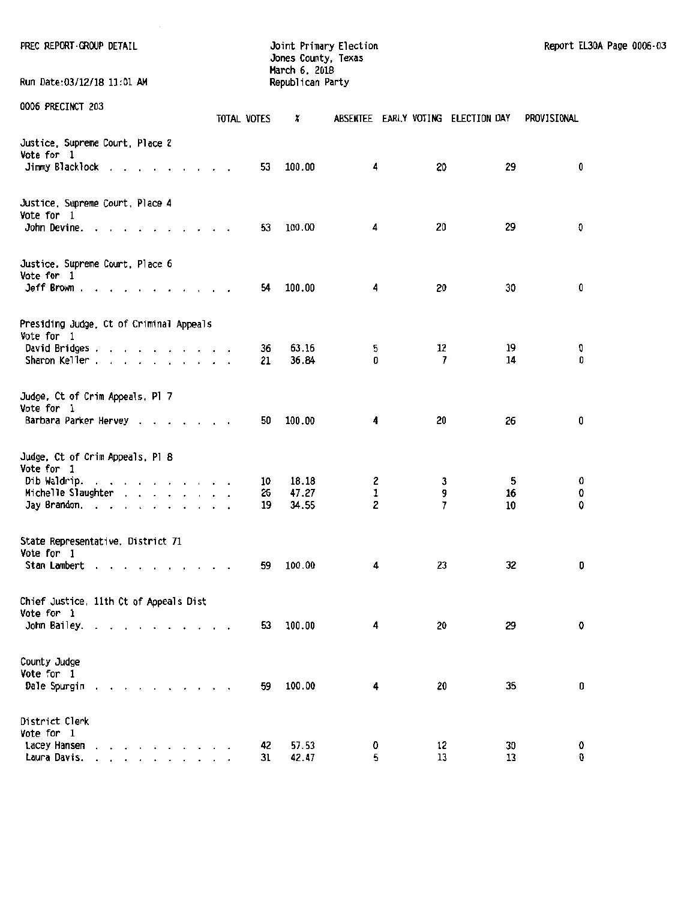| PREC REPORT GROUP DETAIL<br>Run Date:03/12/18 11:01 AM                                                                          |                      |             | Jones County, Texas<br>March 6, 2018<br>Republican Party | Joint Primary Election             |          |          | Report EL30A Page 0006-03 |  |
|---------------------------------------------------------------------------------------------------------------------------------|----------------------|-------------|----------------------------------------------------------|------------------------------------|----------|----------|---------------------------|--|
| 0006 PRECINCT 203                                                                                                               |                      |             |                                                          |                                    |          |          |                           |  |
|                                                                                                                                 |                      | TOTAL VOTES | x                                                        | ABSENTEE EARLY VOTING ELECTION DAY |          |          | PROVISIONAL               |  |
| Justice, Supreme Court, Place 2<br>Vote for 1<br>Jimmy Blacklock                                                                |                      | 53          | 100.00                                                   | 4                                  | 20       | 29       | 0                         |  |
| Justice, Supreme Court, Place 4<br>Vote for 1<br>John Devine.                                                                   |                      | 53          | 100.00                                                   | 4                                  | 20       | 29       | O                         |  |
|                                                                                                                                 |                      |             |                                                          |                                    |          |          |                           |  |
| Justice, Supreme Court, Place 6<br>Vote for 1                                                                                   |                      |             |                                                          |                                    |          | 30       |                           |  |
| $Jeff$ Brown.                                                                                                                   |                      | 54          | 100.00                                                   | 4                                  | 20       |          | 0                         |  |
| Presiding Judge, Ct of Criminal Appeals<br>Vote for 1                                                                           |                      |             |                                                          |                                    |          |          |                           |  |
| David Bridges<br>Sharon Keller                                                                                                  |                      | 36<br>21    | 63.16<br>36.84                                           | 5<br>0                             | 12<br>7  | 19<br>14 | 0<br>0                    |  |
| Judge, Ct of Crim Appeals, Pl 7<br>Vote for 1                                                                                   |                      |             |                                                          |                                    |          |          |                           |  |
| Barbara Parker Hervey                                                                                                           |                      | 50          | 100.00                                                   | 4                                  | 20       | 26       | 0                         |  |
| Judge, Ct of Crim Appeals, Pl 8<br>Vote for 1                                                                                   |                      |             |                                                          |                                    |          |          |                           |  |
| Dib Waldrip.                                                                                                                    |                      | 10          | 18.18                                                    | 2                                  | 3        | 5        | 0                         |  |
| Michelle Slaughter                                                                                                              |                      | 26          | 47.27                                                    | $\mathbf{1}$                       | 9        | 16       | 0                         |  |
| Jay Brandon.                                                                                                                    |                      | 19          | 34.55                                                    | 2                                  | 7        | 10       | 0                         |  |
| State Representative, District 71<br>Vote for 1                                                                                 |                      |             |                                                          |                                    |          |          |                           |  |
| Stan Lambert                                                                                                                    |                      | 59          | 100.00                                                   | 4                                  | 23       | 32       | 0                         |  |
| Chief Justice, 11th Ct of Appeals Dist<br>Vote for 1                                                                            |                      |             |                                                          |                                    |          |          |                           |  |
| John Bailey.                                                                                                                    | $\sim$ $\sim$ $\sim$ | 53          | 100.00                                                   | 4                                  | 20       | 29       | 0                         |  |
| County Judge<br>Vote for 1<br>Dale Spurgin<br>والمناولة والمناول والمناول والمناول                                              |                      | 59          | 100.00                                                   | 4                                  | 20       | 35       | 0                         |  |
|                                                                                                                                 |                      |             |                                                          |                                    |          |          |                           |  |
| District Clerk<br>Vote for 1                                                                                                    |                      |             |                                                          |                                    |          |          |                           |  |
| Lacey Hansen<br>$\mathbf{r}$ , $\mathbf{r}$ , $\mathbf{r}$ , $\mathbf{r}$ , $\mathbf{r}$<br>Laura Davis.<br>and a series of the |                      | 42<br>31    | 57.53<br>42.47                                           | 0<br>5                             | 12<br>13 | 30<br>13 | 0<br>0                    |  |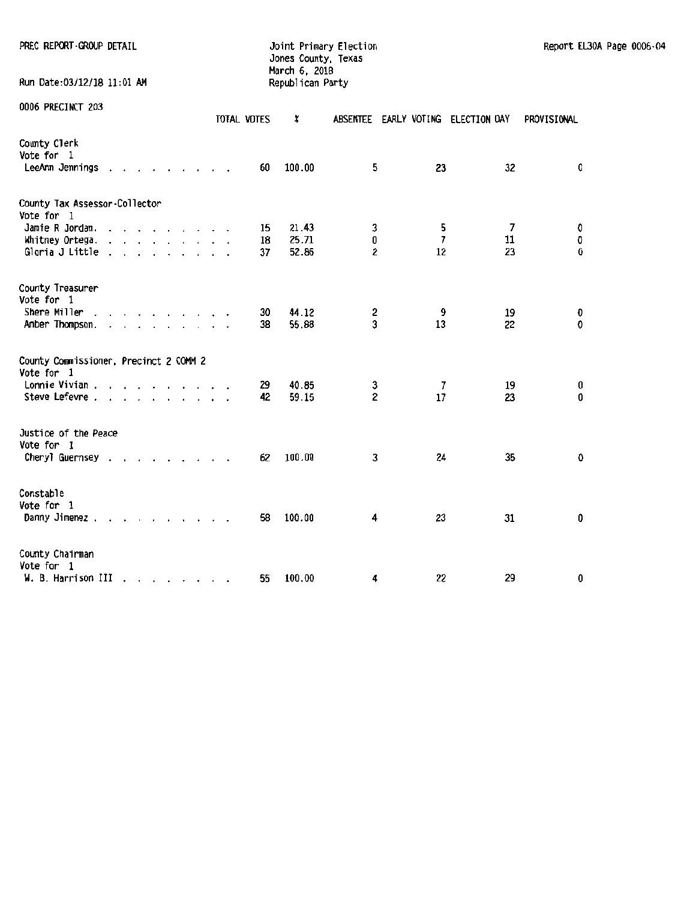| PREC REPORT GROUP DETAIL                                  |                                                                                                                                                                                                                                |  |             |    | Jones County, Texas<br>March 6, 2018 | Joint Primary Election |                                    |    |             | Report EL30A Page 0006-04 |
|-----------------------------------------------------------|--------------------------------------------------------------------------------------------------------------------------------------------------------------------------------------------------------------------------------|--|-------------|----|--------------------------------------|------------------------|------------------------------------|----|-------------|---------------------------|
| Run Date:03/12/18 11:01 AM                                |                                                                                                                                                                                                                                |  |             |    | Republican Party                     |                        |                                    |    |             |                           |
| 0006 PRECINCT 203                                         |                                                                                                                                                                                                                                |  | TOTAL VOTES |    | x                                    |                        | ABSENTEE EARLY VOTING ELECTION DAY |    | PROVISIONAL |                           |
| County Clerk<br>Vote for 1<br>LeeAnn Jennings             |                                                                                                                                                                                                                                |  |             | 60 | 100.00                               | 5.                     | 23                                 | 32 | 0           |                           |
| County Tax Assessor-Collector<br>Vote for 1               |                                                                                                                                                                                                                                |  |             |    |                                      |                        |                                    |    |             |                           |
| Jamie R Jordan.                                           | the contract of the contract of the contract of the contract of the contract of the contract of the contract of the contract of the contract of the contract of the contract of the contract of the contract of the contract o |  |             | 15 | 21.43                                | 3                      | 5                                  | 7  | O           |                           |
| Whitney Ortega.                                           |                                                                                                                                                                                                                                |  |             | 18 | 25.71                                | 0                      | $\overline{7}$                     | 11 | 0           |                           |
| Gloria J Little                                           |                                                                                                                                                                                                                                |  |             | 37 | 52.86                                | 2                      | 12                                 | 23 | 0           |                           |
| County Treasurer<br>Vote for 1                            |                                                                                                                                                                                                                                |  |             |    |                                      |                        |                                    |    |             |                           |
| Shere Miller                                              |                                                                                                                                                                                                                                |  |             | 30 | 44.12                                | 2                      | 9                                  | 19 | 0           |                           |
| Amber Thompson.                                           |                                                                                                                                                                                                                                |  |             | 38 | 55.88                                | 3                      | 13                                 | 22 | 0           |                           |
| County Commissioner, Precinct 2 COMM 2<br>Vote for 1      |                                                                                                                                                                                                                                |  |             |    |                                      |                        |                                    |    |             |                           |
| Lonnie Vivian                                             |                                                                                                                                                                                                                                |  |             | 29 | 40.85                                | 3                      | 7                                  | 19 | 0           |                           |
| Steve Lefevre                                             |                                                                                                                                                                                                                                |  |             | 42 | 59.15                                | $\mathbf{2}$           | 17                                 | 23 | 0           |                           |
| Justice of the Peace<br>Vote for 1                        |                                                                                                                                                                                                                                |  |             |    |                                      |                        |                                    |    |             |                           |
| Cheryl Guernsey                                           |                                                                                                                                                                                                                                |  |             | 62 | 100.00                               | 3                      | 24                                 | 35 | 0           |                           |
| Constable<br>Vote for 1                                   |                                                                                                                                                                                                                                |  |             |    |                                      |                        |                                    |    |             |                           |
| Danny Jimenez                                             |                                                                                                                                                                                                                                |  |             | 58 | 100.00                               | 4                      | 23                                 | 31 | 0           |                           |
| County Chairman                                           |                                                                                                                                                                                                                                |  |             |    |                                      |                        |                                    |    |             |                           |
| Vote for 1<br>$W. B.$ Harrison III $\ldots$ , , , , , , , |                                                                                                                                                                                                                                |  |             | 55 | 100.00                               | 4                      | 22                                 | 29 | 0           |                           |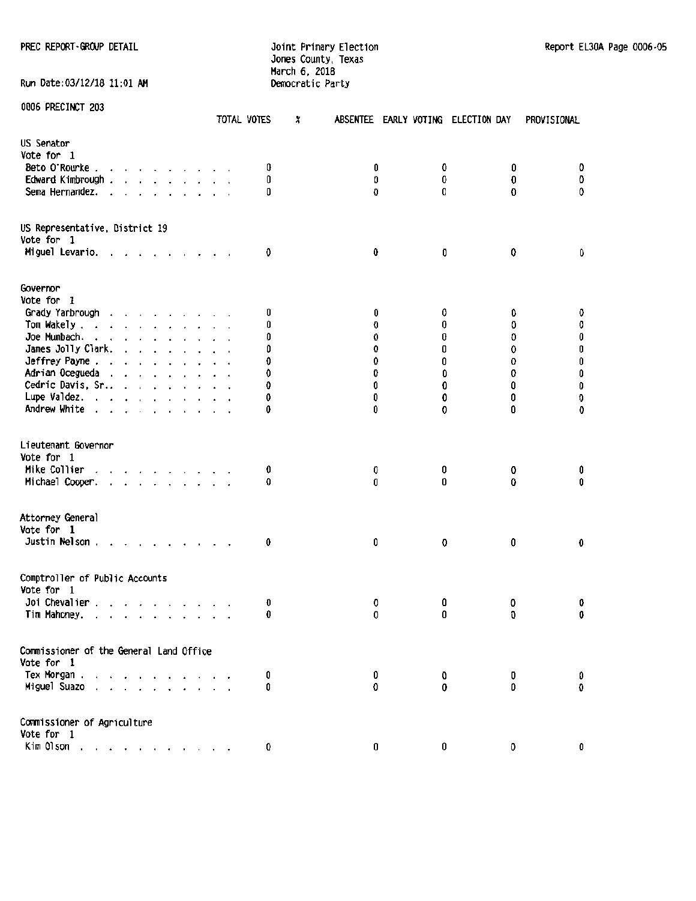## Jones County, Texas March 6, 2018 Run Date:03/12/18 11:01 AM Democratic Party

|                                                                                                                                                                                                                                                             | TOTAL VOTES          | X      | ABSENTEE EARLY VOTING ELECTION DAY |         | PROVISIONAL |
|-------------------------------------------------------------------------------------------------------------------------------------------------------------------------------------------------------------------------------------------------------------|----------------------|--------|------------------------------------|---------|-------------|
| US Senator                                                                                                                                                                                                                                                  |                      |        |                                    |         |             |
| Vote for 1                                                                                                                                                                                                                                                  |                      |        |                                    |         |             |
| Beto O'Rourke                                                                                                                                                                                                                                               | 0                    | 0      | 0                                  | 0       | 0           |
| Edward Kimbrough .<br>$\mathbf{r}$ and $\mathbf{r}$ are associated to the set of the set of the set of the set of the set of the set of the set of the set of the set of the set of the set of the set of the set of the set of the set of the set of the s | 0                    | 0      | 0                                  | 0       | 0           |
| Sema Hernandez.<br>the contract of the contract of the contract of the contract of the contract of the contract of the contract of<br>$\ddot{\phantom{1}}$                                                                                                  | O                    | o      | 0                                  | Ð       | 0           |
|                                                                                                                                                                                                                                                             |                      |        |                                    |         |             |
| US Representative, District 19<br>Vote for 1                                                                                                                                                                                                                |                      |        |                                    |         |             |
| Miguel Levario.                                                                                                                                                                                                                                             | 0                    | 0      | 0                                  | 0       | 0           |
| Governor                                                                                                                                                                                                                                                    |                      |        |                                    |         |             |
| Vote for 1                                                                                                                                                                                                                                                  |                      |        |                                    |         |             |
| Grady Yarbrough                                                                                                                                                                                                                                             | 0                    | 0      | 0                                  | 0       | 0           |
| Tom Wakely <i>.</i>                                                                                                                                                                                                                                         | 0                    | 0      | 0                                  | 0       | O           |
| Joe Mumbach.                                                                                                                                                                                                                                                | 0                    | 0      | 0                                  | Û       | 0           |
|                                                                                                                                                                                                                                                             | Û                    | 0      | 0                                  |         |             |
| James Jolly Clark.                                                                                                                                                                                                                                          |                      |        |                                    | 0       | 0           |
| Jeffrey Payne.                                                                                                                                                                                                                                              | 0                    | 0      | 0                                  | 0       | 0           |
| Adrian Ocegueda                                                                                                                                                                                                                                             | 0                    | 0      | 0                                  | 0       | 0           |
| Cedric Davis, Sr.,                                                                                                                                                                                                                                          | 0                    | 0      | 0                                  | 0       | 0           |
| Lupe Valdez.                                                                                                                                                                                                                                                | 0                    | 0      | 0                                  | 0       | O           |
| Andrew White                                                                                                                                                                                                                                                | 0<br>$\cdot$ $\cdot$ | 0      | 0                                  | 0       | 0           |
| Lieutenant Governor<br>Vote for 1<br>Mike Collier                                                                                                                                                                                                           | 0                    | 0      | 0                                  | 0       | 0           |
| Michael Cooper.<br>$\mathbf{r}$ and $\mathbf{r}$ and $\mathbf{r}$ and $\mathbf{r}$ and $\mathbf{r}$                                                                                                                                                         | 0                    | 0      | 0                                  | 0       | 0           |
| Attorney General                                                                                                                                                                                                                                            |                      |        |                                    |         |             |
| Vote for 1                                                                                                                                                                                                                                                  |                      |        |                                    |         |             |
| Justin Nelson $\cdots$ $\cdots$ $\cdots$                                                                                                                                                                                                                    | 0                    | 0      | O                                  | 0       | 0           |
| Comptroller of Public Accounts<br>Vote for 1                                                                                                                                                                                                                |                      |        |                                    |         |             |
| Joi Chevalier                                                                                                                                                                                                                                               | O.                   | 0      | 0                                  | 0       | 0           |
| Tim Mahoney.<br>a construction of the construction                                                                                                                                                                                                          | 0                    | 0      | 0                                  | 0       | 0           |
| Commissioner of the General Land Office                                                                                                                                                                                                                     |                      |        |                                    |         |             |
| Vote for 1                                                                                                                                                                                                                                                  |                      |        |                                    |         |             |
| Tex Morgan.                                                                                                                                                                                                                                                 |                      |        |                                    |         |             |
|                                                                                                                                                                                                                                                             | 0                    | 0<br>0 | 0<br>0                             | 0<br>O. | O<br>O      |
| Miguel Suazo                                                                                                                                                                                                                                                | 0                    |        |                                    |         |             |
| Commissioner of Agriculture                                                                                                                                                                                                                                 |                      |        |                                    |         |             |
| Vote for 1                                                                                                                                                                                                                                                  |                      |        |                                    |         |             |
| Kim 01son                                                                                                                                                                                                                                                   | 0                    | 0      | 0                                  | 0       | 0           |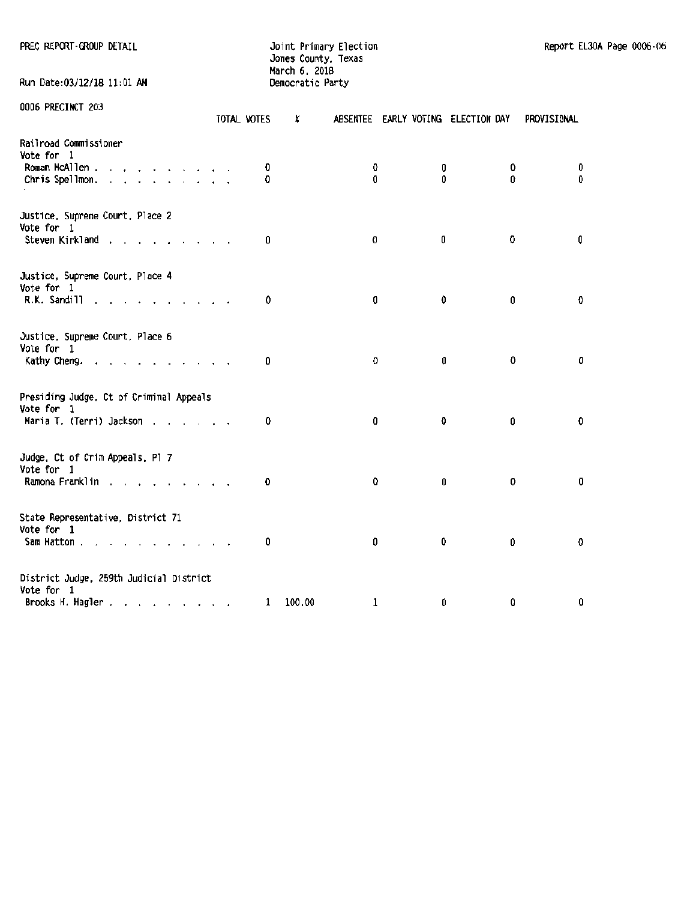Run Date: 03/12/18 11:01 AM

PREC REPORT-GROUP DETAIL **All and South Automatic State of Automatic Primary Election** Report EL30A Page 0006-06 Jones County, Texas March 6, 2018<br>Democratic Party

| UUUD PREGINGI ZU3                                      | TOTAL VOTES  | X      |             |   | ABSENTEE EARLY VOTING ELECTION DAY | PROVISIONAL |
|--------------------------------------------------------|--------------|--------|-------------|---|------------------------------------|-------------|
| Railroad Commissioner<br>Vote for 1                    |              |        |             |   |                                    |             |
| Roman McAllen                                          | 0            |        | 0           | 0 |                                    | 0<br>0      |
| Chris Spellmon.                                        | 0            |        | 0           | 0 |                                    | 0<br>0      |
| Justice, Supreme Court, Place 2<br>Vote for 1          |              |        |             |   |                                    |             |
| Steven Kirkland                                        | 0            |        | 0           | 0 |                                    | 0<br>0      |
| Justice, Supreme Court, Place 4                        |              |        |             |   |                                    |             |
| Vote for 1<br>R.K. Sandill<br>the contract of the con- | 0            |        | 0           | 0 |                                    | Đ<br>0      |
| Justice, Supreme Court, Place 6                        |              |        |             |   |                                    |             |
| Vote for 1<br>Kathy Cheng.                             | 0            |        | 0           | 0 |                                    | 0<br>0      |
|                                                        |              |        |             |   |                                    |             |
| Presiding Judge, Ct of Criminal Appeals<br>Vote for 1  |              |        |             |   |                                    |             |
| Maria T. (Terri) Jackson                               | 0            |        | 0           | O |                                    | 0<br>0      |
| Judge, Ct of Crim Appeals, Pl 7                        |              |        |             |   |                                    |             |
| Vote for 1<br>Ramona Franklin                          | 0            |        | 0           | 0 |                                    | 0<br>0      |
|                                                        |              |        |             |   |                                    |             |
| State Representative, District 71<br>Vote for 1        |              |        |             |   |                                    |             |
| Sam Hatton                                             | 0            |        | 0           | 0 |                                    | 0<br>0      |
| District Judge, 259th Judicial District                |              |        |             |   |                                    |             |
| Vote for 1<br>Brooks H. Hagler                         | $\mathbf{1}$ | 100.00 | $\mathbf 1$ | 0 |                                    | 0<br>0      |
|                                                        |              |        |             |   |                                    |             |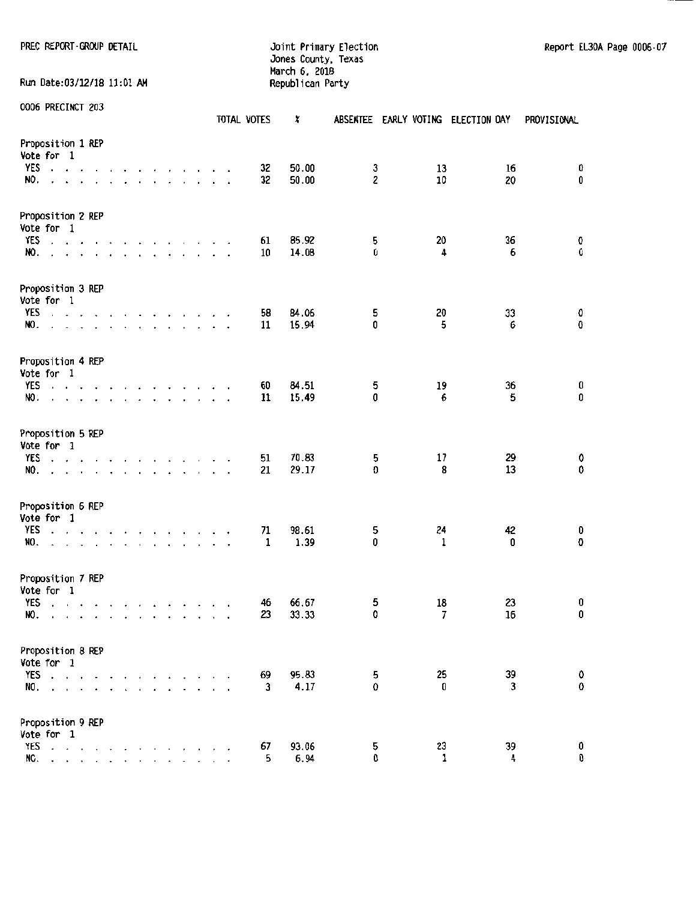#### PREC REPORT-GROUP DETAIL **Detail and Automobium Country Election** Report EL30A Page 0006-07 Jones County, Texas March 6. 2018 Run Date:03/12/18 11:01 AM Republican Party

|                                                                                                                                                                                                                                                                                                           |                                                                                                                 | TOTAL VOTES   | x                        | ABSENTEE EARLY VOTING ELECTION DAY | PROVISIONAL       |
|-----------------------------------------------------------------------------------------------------------------------------------------------------------------------------------------------------------------------------------------------------------------------------------------------------------|-----------------------------------------------------------------------------------------------------------------|---------------|--------------------------|------------------------------------|-------------------|
| Proposition 1 REP<br>Vote for 1<br>YES                                                                                                                                                                                                                                                                    | the contract of the contract of the contract of the contract of the contract of the contract of the contract of | 32            | 50.00<br>3               | 13                                 | 16<br>0           |
| NO.                                                                                                                                                                                                                                                                                                       | and a straight and a straight and a straight and                                                                | 32            | $\overline{c}$<br>50.00  | 10                                 | $\mathbf 0$<br>20 |
| Proposition 2 REP<br>Vote for 1<br><b>YES</b><br>$\mathbf{r}$ . The contract of the contract of the contract of the contract of the contract of the contract of the contract of the contract of the contract of the contract of the contract of the contract of the contract of th<br>NO.<br>$\mathbf{r}$ | $\overline{\phantom{a}}$<br>the company of the company<br>and a state of the                                    | 61<br>10      | 85.92<br>5<br>0<br>14.08 | 20<br>4                            | 36<br>0<br>0<br>6 |
| Proposition 3 REP                                                                                                                                                                                                                                                                                         |                                                                                                                 |               |                          |                                    |                   |
| Vote for 1<br>YES<br>NO.                                                                                                                                                                                                                                                                                  | the contract of the contract of the contract of<br>and the contract of the contract of the                      | 58<br>11      | 84.06<br>5<br>0<br>15.94 | 20<br>5                            | 0<br>33<br>0<br>6 |
| Proposition 4 REP<br>Vote for 1<br>YES                                                                                                                                                                                                                                                                    |                                                                                                                 | 60            | 84.51<br>5               | 19                                 | 36<br>0           |
| NO.<br>$\cdot$                                                                                                                                                                                                                                                                                            | and a strain and a strain and a<br>the contract of the contract of the contract of                              | $\cdot$<br>11 | $\pmb{0}$<br>15.49       | 6                                  | 0<br>5            |
| Proposition 5 REP<br>Vote for 1<br>YES                                                                                                                                                                                                                                                                    | design and contract and contract and con-                                                                       | 51            | 70.83<br>5               | 17                                 | 29<br>0           |
| NO.<br>$\mathbf{r}$                                                                                                                                                                                                                                                                                       | and a series of the company                                                                                     | 21            | 29.17<br>O               | 8                                  | 0<br>13           |
| Proposition 6 REP<br>Vote for 1<br>YES<br>NO.                                                                                                                                                                                                                                                             | the contract of the contract of the contract of<br>and the series of the series of the series                   | 71<br>1       | 98.61<br>5<br>1.39<br>0  | 24<br>$\mathbf{1}$                 | 42<br>0<br>0<br>0 |
| Proposition 7 REP<br>Vote for 1<br><b>YES</b>                                                                                                                                                                                                                                                             | and a series of the contract of the                                                                             | 46            | 66.67<br>5               | 18                                 | 23<br>0           |
| NO.<br><b>CALCASS AND A</b><br>$\cdot$                                                                                                                                                                                                                                                                    | and the state of the<br>$\cdot$                                                                                 | 23            | 0<br>33.33               | 7                                  | 0<br>16           |
| Proposition 8 REP<br>Vote for 1<br>YES<br>$\cdot$ $\cdot$ $\cdot$<br>NO.<br>$\cdot$ $\cdot$ $\cdot$ $\cdot$ $\cdot$ $\cdot$<br>$\ddot{\phantom{0}}$<br>$\mathbf{r}$                                                                                                                                       | $\overline{\phantom{a}}$<br>$\Delta$                                                                            | 69<br>3       | 95.83<br>5<br>4.17<br>0  | 25<br>0                            | 39<br>0<br>0<br>3 |
| Proposition 9 REP<br>Vote for 1<br>YES<br>$\sim$<br>$\Delta$<br>$\bullet$ $\bullet$ $\bullet$ $\bullet$<br>NO.                                                                                                                                                                                            |                                                                                                                 | 67<br>5       | 93.06<br>5<br>0<br>6.94  | 23<br>1                            | 0<br>39<br>0<br>4 |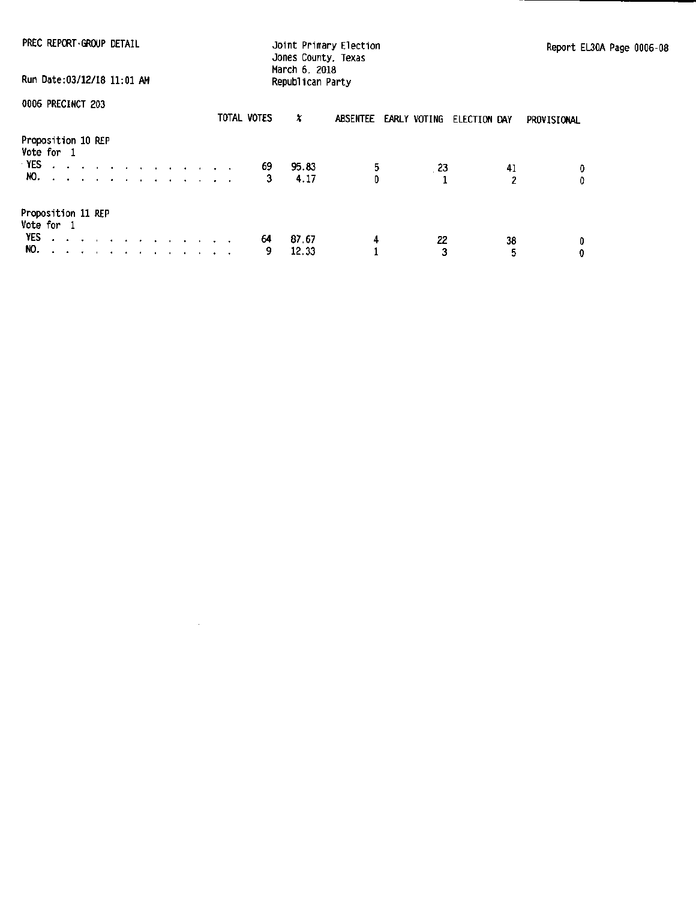PREC REPCRT·GROUP DETAIL

Joint Primary Election Jones County, Texas March 6. 2018 Republican Party

Report EL30A Page 0006·08

Run Date:OJ/12118 11:01 AH

0006 PRECINCT 203

|                                  | **** ********* LVU                                 |  |  |                                                                                                                       |  |  |  | TOTAL VOTES | x     |    |    | ABSENTEE EARLY VOTING ELECTION DAY | PROVISIONAL |
|----------------------------------|----------------------------------------------------|--|--|-----------------------------------------------------------------------------------------------------------------------|--|--|--|-------------|-------|----|----|------------------------------------|-------------|
| Proposition 10 REP<br>Vote for 1 |                                                    |  |  |                                                                                                                       |  |  |  |             |       |    |    |                                    |             |
| YES.                             | الوالوا والوالوا والوالو المالوا والمالوا والمالوا |  |  |                                                                                                                       |  |  |  | 69          | 95.83 | 5. | 23 | 41                                 | ٥           |
|                                  | NO.                                                |  |  |                                                                                                                       |  |  |  | 3           | 4.17  |    |    | 2                                  | 0.          |
| Proposition 11 REP<br>Vote for 1 |                                                    |  |  |                                                                                                                       |  |  |  |             |       |    |    |                                    |             |
| YES                              |                                                    |  |  | and a series of the contract of the contract of the                                                                   |  |  |  | 64          | 87.67 | 4  | 22 | 38                                 | 0           |
| NO.                              |                                                    |  |  | <u>no provincialmente de la característica de la característica de la característica de la característica de la c</u> |  |  |  | 9           | 12.33 |    | 3  |                                    | 0           |

 $\sim 10^7$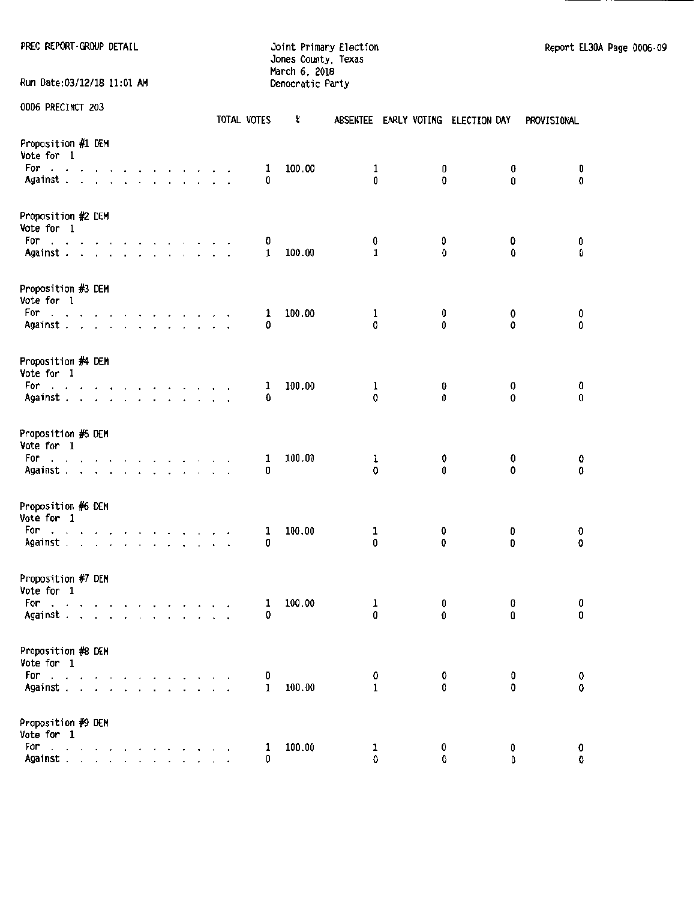PREC REPORT-GROUP DETAIL **CONTRACT CONTRACT CONTRACT DETAILS A** Joint Primary Election Contract Contract Report EL30A Page 0006-09 Jones County, Texas March 6. 2018 Run Date:03/12/18 11:01 AM Democratic Party

|                                                                                                        |  |  |  |  |  | TOTAL VOTES | X      | <b>ABSENTEE</b> |        | EARLY VOTING ELECTION DAY | PROVISIONAL                |
|--------------------------------------------------------------------------------------------------------|--|--|--|--|--|-------------|--------|-----------------|--------|---------------------------|----------------------------|
| Proposition #1 DEM<br>Vote for 1<br>For<br>the contract of the contract of the contract of<br>Against  |  |  |  |  |  | 1<br>0      | 100.00 | 1<br>0          | 0<br>O | 0<br>0                    | 0<br>O                     |
| Proposition #2 DEM<br>Vote for 1                                                                       |  |  |  |  |  |             |        |                 |        |                           |                            |
| For<br>Against.                                                                                        |  |  |  |  |  | 0<br>1      | 100.00 | 0<br>1          | 0<br>0 | 0<br>0                    | 0<br>0                     |
| Proposition #3 DEM<br>Vote for 1<br>For<br>والمناولة والمناولة والمناولة والمناولة والمناول<br>Against |  |  |  |  |  | ı<br>0      | 100.00 | 1<br>c          | 0<br>0 | 0<br>û                    | 0<br>0                     |
|                                                                                                        |  |  |  |  |  |             |        |                 |        |                           |                            |
| Proposition #4 DEM<br>Vote for 1<br>For<br>and a straightful contract and a straight<br>Against        |  |  |  |  |  | 1<br>O      | 100.00 | 1<br>0          | 0<br>Û | 0<br>0                    | 0<br>0                     |
| Proposition #5 DEM<br>Vote for 1<br>For a state of a state of a state of a                             |  |  |  |  |  | 1<br>0      | 100.00 | ı<br>0          | 0<br>Û | 0<br>0                    | 0<br>0                     |
| Against                                                                                                |  |  |  |  |  |             |        |                 |        |                           |                            |
| Proposition #6 DEM<br>Vote for 1<br>For<br>design and a state of the state of the state<br>Against     |  |  |  |  |  | 1<br>0      | 100.00 | 1<br>0          | 0<br>0 | 0                         | 0<br>0<br>0                |
| Proposition #7 DEM<br>Vote for 1<br>For<br>and a series of the contract of the<br>Against              |  |  |  |  |  | 1<br>0      | 100.00 | 1<br>0          | O<br>0 | C<br>0                    | 0<br>0                     |
|                                                                                                        |  |  |  |  |  |             |        |                 |        |                           |                            |
| Proposition #8 DEM<br>Vote for 1<br>For<br>and a series of<br>Against .                                |  |  |  |  |  | 0<br>1      | 100.00 | 0<br>1          | 0<br>0 |                           | 0<br>O<br>0<br>$\mathbf 0$ |
| Proposition #9 DEM<br>Vote for 1                                                                       |  |  |  |  |  |             |        |                 |        |                           |                            |
| For<br>the contract of the con-<br>Against                                                             |  |  |  |  |  | 1<br>0      | 100.00 | ı<br>Û          | 0<br>0 |                           | 0<br>0<br>0<br>0           |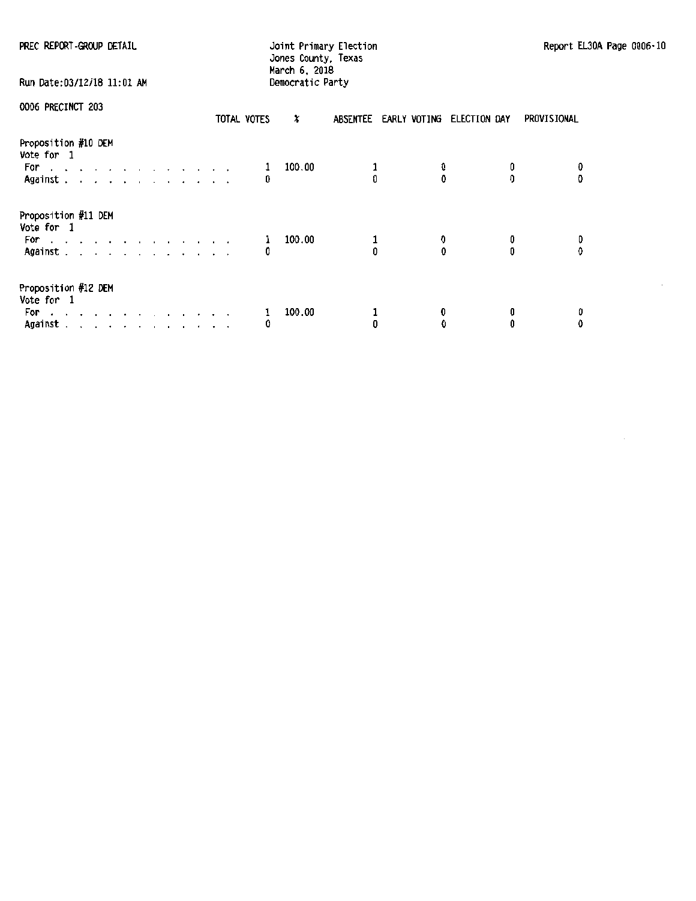|  |  | PREC REPORT-GROUP DETAIL |  |
|--|--|--------------------------|--|
|--|--|--------------------------|--|

## Jones County, Texas March 6, 2018 Run Date:03112/18 11:01 AM Democratic Party

| . Kun pate:u3/12/18 11:u1 |  |
|---------------------------|--|
|                           |  |

|  | 0006 PRECINCT 203 |  |
|--|-------------------|--|
|--|-------------------|--|

| UVVV IINJVIIVI LVV                                                                                                                                               |                                                                                                                                                                                                                                   |  |  |  |  | TOTAL VOTES | X      |  | ABSENTEE EARLY VOTING ELECTION DAY | PROVISIONAL |
|------------------------------------------------------------------------------------------------------------------------------------------------------------------|-----------------------------------------------------------------------------------------------------------------------------------------------------------------------------------------------------------------------------------|--|--|--|--|-------------|--------|--|------------------------------------|-------------|
| Proposition #10 DEM<br>Vote for 1<br>For example and a series are a series of the series of the series of the series of the series of the series of<br>Against . | and a strain and a strain and a                                                                                                                                                                                                   |  |  |  |  | 0           | 100.00 |  |                                    | 0           |
| Proposition #11 DEM<br>Vote for 1<br>For<br>فالقاط والمتعارف والمتعارف والمتعارف<br>Against .                                                                    | $\mathbf{r}$ . The contract of the contract of the contract of the contract of the contract of the contract of the contract of the contract of the contract of the contract of the contract of the contract of the contract of th |  |  |  |  | 1<br>0      | 100.00 |  |                                    | 0<br>0      |
| Proposition #12 DEM<br>Vote for 1<br>For<br>$\sim$ $\sim$<br>Against.                                                                                            | the company of the company of the company of<br>a construction of the construction of the con-                                                                                                                                    |  |  |  |  | ı<br>0      | 100.00 |  |                                    | 0           |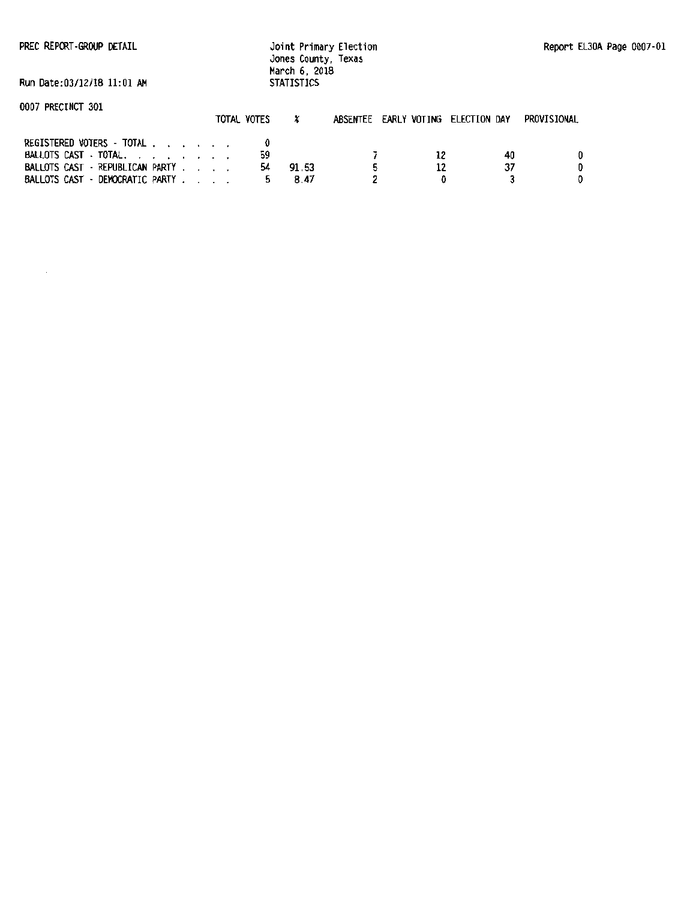PREC REPORT-GROUP DETAIL

Joint Primary Election Jones County, Texas March 6, 2018 **STATISTICS** 

Run Date:03/12/18 11:01 AM

|                                 | TOTAL VOTES |       | ABSENTEE EARLY VOTING ELECTION DAY |    | PROVISIONAL |
|---------------------------------|-------------|-------|------------------------------------|----|-------------|
| REGISTERED VOTERS - TOTAL       |             |       |                                    |    |             |
| BALLOTS CAST · TOTAL.           | 59          |       |                                    | 40 |             |
| BALLOTS CAST - REPUBLICAN PARTY | 54          | 91.53 |                                    |    |             |
| BALLOTS CAST - DEMOCRATIC PARTY |             | 8.47  |                                    |    |             |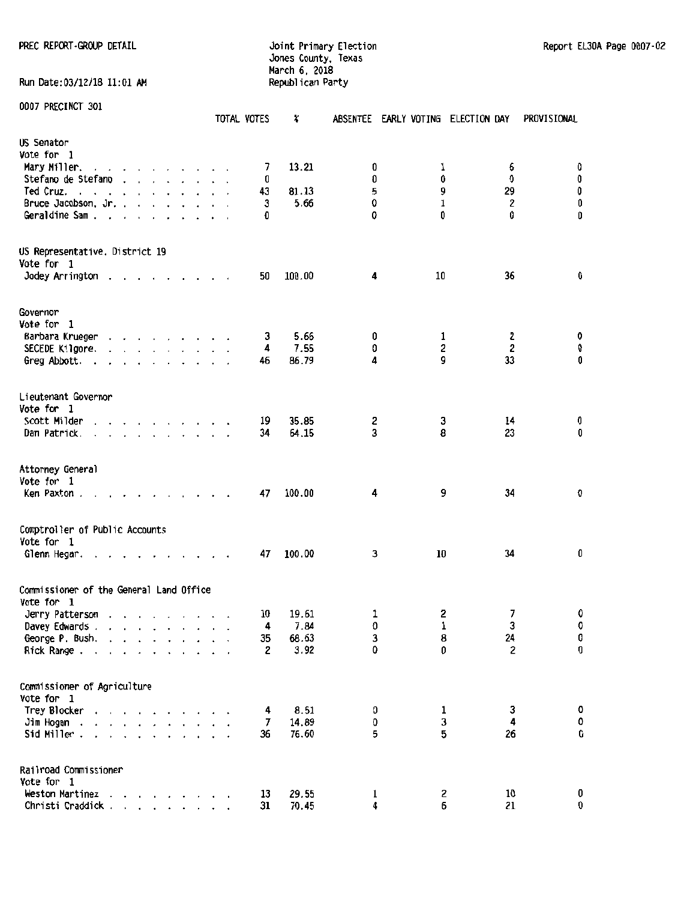Run Date: 03/12/18 11:01 AM

Jones County, Texas March 6, 2018

| <b>DOAL LIVEOTIACI PAT</b>                                                                                                                                                                                                                           |                                                                          | TOTAL VOTES | X      |    | ABSENTEE EARLY VOTING ELECTION DAY |    | PROVISIONAL                          |
|------------------------------------------------------------------------------------------------------------------------------------------------------------------------------------------------------------------------------------------------------|--------------------------------------------------------------------------|-------------|--------|----|------------------------------------|----|--------------------------------------|
| US Senator                                                                                                                                                                                                                                           |                                                                          |             |        |    |                                    |    |                                      |
| Vote for 1                                                                                                                                                                                                                                           |                                                                          |             |        |    |                                    |    |                                      |
| Mary Miller.                                                                                                                                                                                                                                         |                                                                          | 7           | 13.21  | 0  | 1                                  | 6  | 0                                    |
| Stefano de Stefano                                                                                                                                                                                                                                   |                                                                          | 0           |        | Û  | 0                                  | 0  | $\pmb{0}$                            |
| Ted Cruz.<br>and a series of the contract of the                                                                                                                                                                                                     |                                                                          | 43          | 81.13  | 5  | 9                                  | 29 | $\pmb{0}$                            |
| Bruce Jacobson, Jr.                                                                                                                                                                                                                                  |                                                                          | 3           | 5.66   | 0  | $\mathbf 1$                        | 2  | $\pmb{0}$                            |
| Geraldine Sam                                                                                                                                                                                                                                        |                                                                          | Ð           |        | 0  | 0                                  | 0  | 0                                    |
| US Representative, District 19                                                                                                                                                                                                                       |                                                                          |             |        |    |                                    |    |                                      |
| Vote for 1                                                                                                                                                                                                                                           |                                                                          |             |        |    |                                    |    |                                      |
| Jodey Arrington .<br>$\overline{\phantom{a}}$                                                                                                                                                                                                        | $\cdot$ $\cdot$ $\cdot$ $\cdot$ $\cdot$ $\cdot$ $\cdot$                  | 50          | 100.00 | 4  | 10                                 | 36 | 0                                    |
| Governor                                                                                                                                                                                                                                             |                                                                          |             |        |    |                                    |    |                                      |
| Vote for 1                                                                                                                                                                                                                                           |                                                                          |             |        |    |                                    |    |                                      |
| Barbara Krueger                                                                                                                                                                                                                                      |                                                                          | 3           | 5.66   | 0  | 1                                  | 2  | 0                                    |
| SECEDE Kilgore.                                                                                                                                                                                                                                      |                                                                          | 4           | 7.55   | 0  | $\overline{\mathbf{c}}$            | 2  | 0                                    |
| Greg Abbott.                                                                                                                                                                                                                                         |                                                                          | 46          | 86.79  | 4  | 9                                  | 33 | 0                                    |
|                                                                                                                                                                                                                                                      |                                                                          |             |        |    |                                    |    |                                      |
| Lieutenant Governor                                                                                                                                                                                                                                  |                                                                          |             |        |    |                                    |    |                                      |
| Vote for 1                                                                                                                                                                                                                                           |                                                                          |             |        |    |                                    |    |                                      |
| Scott Milder<br>$\mathbf{r}$ and $\mathbf{r}$ are the set of the set of the set of the set of the set of the set of the set of the set of the set of the set of the set of the set of the set of the set of the set of the set of the set of the set |                                                                          | 19          | 35.85  | 2  | 3                                  | 14 | 0                                    |
| Dan Patrick.<br>and a series of the series of the                                                                                                                                                                                                    |                                                                          | 34          | 64.15  | 3  | 8                                  | 23 | 0                                    |
| Attorney General<br>Vote for 1<br>Ken Paxton                                                                                                                                                                                                         | $\mathbf{r}$ , $\mathbf{r}$ , $\mathbf{r}$ , $\mathbf{r}$ , $\mathbf{r}$ | 47          | 100.00 | 4  | 9                                  | 34 | O                                    |
|                                                                                                                                                                                                                                                      |                                                                          |             |        |    |                                    |    |                                      |
| Comptroller of Public Accounts<br>Vote for 1                                                                                                                                                                                                         |                                                                          |             |        |    |                                    |    |                                      |
| Glenn Hegar.                                                                                                                                                                                                                                         | .                                                                        | 47          | 100.00 | 3  | 10                                 | 34 | 0                                    |
|                                                                                                                                                                                                                                                      |                                                                          |             |        |    |                                    |    |                                      |
| Commissioner of the General Land Office<br>Vote for 1                                                                                                                                                                                                |                                                                          |             |        |    |                                    |    |                                      |
| Jerry Patterson<br>the contract of the contract of the con-                                                                                                                                                                                          |                                                                          | 10          | 19.61  | 1  | 2                                  | 7  | 0                                    |
| Davey Edwards .<br>$\cdot$ $\cdot$<br>$\overline{a}$                                                                                                                                                                                                 |                                                                          | 4           | 7.84   | 0  | 1                                  | 3  | 0                                    |
| George P. Bush.                                                                                                                                                                                                                                      |                                                                          | 35          | 68.63  | 3  | 8                                  | 24 | $\begin{matrix} 0 \\ 0 \end{matrix}$ |
| Rick Range.                                                                                                                                                                                                                                          | $\mathbf{a}$ and $\mathbf{a}$ and $\mathbf{a}$ and $\mathbf{a}$          | 2           | 3.92   | 0  | 0                                  | 2  |                                      |
| Commissioner of Agriculture                                                                                                                                                                                                                          |                                                                          |             |        |    |                                    |    |                                      |
| Vote for 1                                                                                                                                                                                                                                           |                                                                          |             |        |    |                                    |    |                                      |
| Trey Blocker                                                                                                                                                                                                                                         |                                                                          | 4           | 8.51   | 0  | 1                                  | 3  | 0                                    |
| Jim Hogan<br>$\overline{\phantom{a}}$                                                                                                                                                                                                                |                                                                          | 7           | 14.89  | 0  | 3                                  | 4  | $\pmb{\mathsf{O}}$                   |
| Sid Miller.                                                                                                                                                                                                                                          |                                                                          | 36          | 76.60  | 5  | 5                                  | 26 | O                                    |
| Railroad Commissioner<br>Vote for 1                                                                                                                                                                                                                  |                                                                          |             |        |    |                                    |    |                                      |
| Weston Martinez                                                                                                                                                                                                                                      | the contract of the con-                                                 | 13          | 29.55  | ı  | 2                                  | 10 | 0                                    |
| Christi Craddick                                                                                                                                                                                                                                     |                                                                          | 31          | 70.45  | 4. | 6                                  | 21 | 0                                    |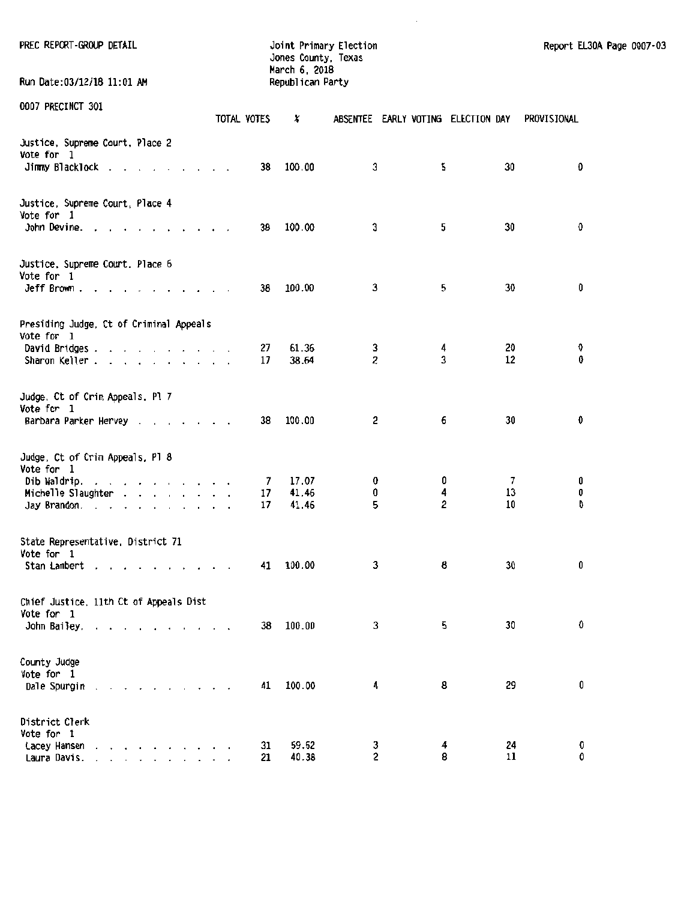| PREC REPORT-GROUP DETAIL                                                                                    |             | Joint Primary Election<br>Jones County, Texas<br>March 6, 2018 |                                    |                     |                          | Report EL30A Page 0007-03 |  |
|-------------------------------------------------------------------------------------------------------------|-------------|----------------------------------------------------------------|------------------------------------|---------------------|--------------------------|---------------------------|--|
| Run Date:03/12/18 11:01 AM                                                                                  |             | Republican Party                                               |                                    |                     |                          |                           |  |
| 0007 PRECINCT 301                                                                                           | TOTAL VOTES | x                                                              | ABSENTEE EARLY VOTING ELECTION DAY |                     |                          | PROVISIONAL               |  |
| Justice, Supreme Court, Place 2<br>Vote for 1<br>Jimmy Blacklock                                            |             | 100.00<br>38                                                   | 3                                  | 5                   | 30                       | 0                         |  |
|                                                                                                             |             |                                                                |                                    |                     |                          |                           |  |
| Justice, Supreme Court, Place 4<br>Vote for 1<br>John Devine. $\ldots$ $\ldots$ $\ldots$ $\ldots$ $\ldots$  |             | 100.00<br>38                                                   | 3                                  | 5                   | 30                       | O                         |  |
| Justice, Supreme Court, Place 6<br>Vote for 1<br>$Jeff Brown.$ $\ldots$ $\ldots$ $\ldots$                   |             | 100.00<br>38                                                   | 3                                  | 5                   | 30                       | 0                         |  |
|                                                                                                             |             |                                                                |                                    |                     |                          |                           |  |
| Presiding Judge, Ct of Criminal Appeals<br>Vote for 1                                                       |             |                                                                |                                    |                     |                          |                           |  |
| David Bridges<br>Sharon Keller                                                                              |             | 61.36<br>27<br>38.64<br>17                                     | 3<br>$\overline{c}$                | 4<br>3              | 20<br>12                 | 0<br>0                    |  |
| Judge. Ct of Crim Appeals. Pl 7<br>Vote for 1                                                               |             |                                                                |                                    |                     |                          |                           |  |
| Barbara Parker Hervey                                                                                       |             | 100.00<br>38                                                   | 2                                  | 6                   | 30                       | 0                         |  |
| Judge. Ct of Crim Appeals, Pl 8<br>Vote for 1                                                               |             |                                                                |                                    |                     |                          |                           |  |
| Dib Waldrip.                                                                                                |             | 17.07<br>$\mathcal{I}$                                         | 0                                  | 0                   | $\overline{\phantom{a}}$ | 0                         |  |
| Michelle Slaughter                                                                                          |             | 41.46<br>17                                                    | 0<br>5                             | 4<br>$\overline{c}$ | 13<br>10                 | 0<br>O                    |  |
| Jay Brandon.                                                                                                |             | 41.46<br>17                                                    |                                    |                     |                          |                           |  |
| State Representative, District 71<br>Vote for 1                                                             |             |                                                                |                                    |                     |                          |                           |  |
| Stan Lambert                                                                                                |             | 100.00<br>41                                                   | 3                                  | 8                   | 30                       | 0                         |  |
| Chief Justice, 11th Ct of Appeals Dist<br>Vote for 1                                                        |             |                                                                |                                    |                     |                          |                           |  |
| John Bailey. $\ldots$ $\ldots$ $\ldots$                                                                     |             | 100.00<br>38                                                   | 3                                  | 5                   | 30                       | O                         |  |
| County Judge<br>Vote for 1                                                                                  |             |                                                                |                                    |                     |                          |                           |  |
| Dale Spurgin<br>the contract of the contract of the                                                         |             | 100.00<br>41                                                   | 4                                  | 8                   | 29                       | 0                         |  |
| District Clerk<br>Vote for 1                                                                                |             |                                                                |                                    |                     |                          |                           |  |
| Lacey Hansen<br>a construction of the construction of<br>Laura Davis.<br>the contract of the con-<br>$\sim$ |             | 59.62<br>31<br>40.38<br>21                                     | 3<br>$\overline{2}$                | 4<br>8              | 24<br>11                 | 0<br>0                    |  |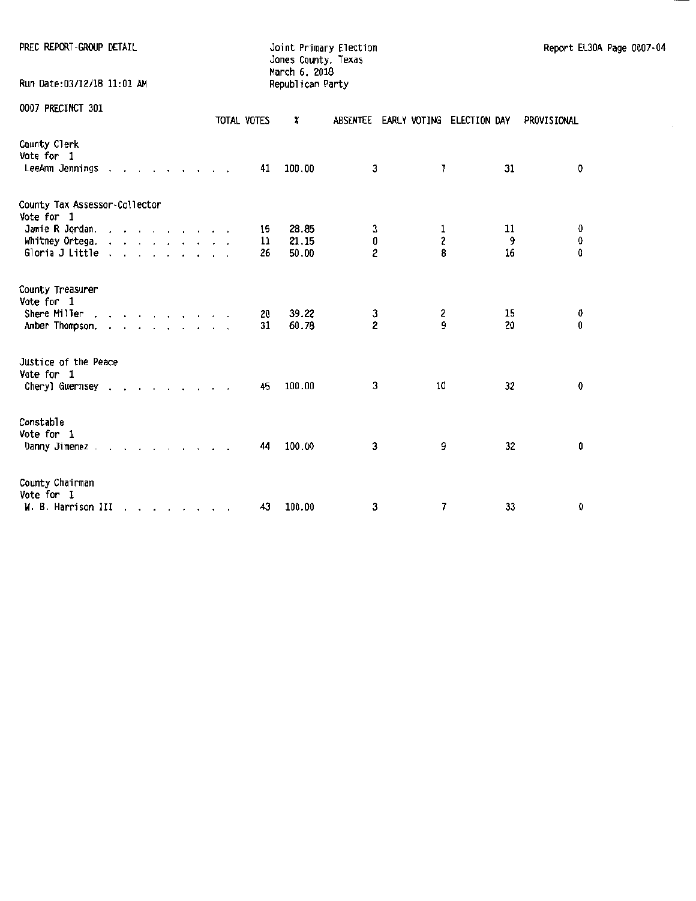| PREC REPORT-GROUP DETAIL                              |  |  |  |  |  |  |  |  |                                 |             | Joint Primary Election<br>Jones County. Texas<br>March 6, 2018 |                         | Report EL30A Page 0007-04          |   |             |               |             |             |  |
|-------------------------------------------------------|--|--|--|--|--|--|--|--|---------------------------------|-------------|----------------------------------------------------------------|-------------------------|------------------------------------|---|-------------|---------------|-------------|-------------|--|
| Run Date:03/12/18 11:01 AM                            |  |  |  |  |  |  |  |  |                                 |             |                                                                | Republican Party        |                                    |   |             |               |             |             |  |
| 0007 PRECINCT 301                                     |  |  |  |  |  |  |  |  |                                 | TOTAL VOTES |                                                                | x                       | ABSENTEE EARLY VOTING ELECTION DAY |   |             |               | PROVISIONAL |             |  |
| County Clerk<br>Vote for 1<br>LeeAnn Jennings         |  |  |  |  |  |  |  |  |                                 |             | 41                                                             | 100.00                  |                                    | 3 | 7           | 31            |             | 0           |  |
| County Tax Assessor-Collector<br>Vote for 1           |  |  |  |  |  |  |  |  |                                 |             |                                                                |                         |                                    |   |             |               |             |             |  |
| Jamie R Jordan.<br>Whitney Ortega.<br>Gloria J Little |  |  |  |  |  |  |  |  |                                 |             | 15<br>11<br>26                                                 | 28.85<br>21.15<br>50.00 | 0<br>$\overline{c}$                | 3 | 1<br>2<br>8 | 11<br>9<br>16 |             | 0<br>0<br>0 |  |
| County Treasurer<br>Vote for 1                        |  |  |  |  |  |  |  |  |                                 |             |                                                                |                         |                                    |   |             |               |             |             |  |
| Shere Miller<br>Amber Thompson.                       |  |  |  |  |  |  |  |  |                                 |             | 20<br>31                                                       | 39.22<br>60.78          | 3<br>$\overline{2}$                |   | 2<br>9      | 15<br>20      |             | 0<br>0      |  |
| Justice of the Peace<br>Vote for 1                    |  |  |  |  |  |  |  |  |                                 |             |                                                                |                         |                                    |   |             |               |             |             |  |
| Cheryl Guernsey                                       |  |  |  |  |  |  |  |  |                                 |             | 45                                                             | 100.00                  |                                    | 3 | 10          | 32            |             | 0           |  |
| Constable<br>Vote for 1<br>Danny Jimenez              |  |  |  |  |  |  |  |  |                                 |             | 44                                                             | 100.00                  |                                    | 3 | 9           | 32            |             | 0           |  |
| County Chairman<br>Vote for 1<br>W. B. Harrison III   |  |  |  |  |  |  |  |  | the contract of the contract of |             | 43                                                             | 100.00                  |                                    | 3 | 7           | 33            |             | 0           |  |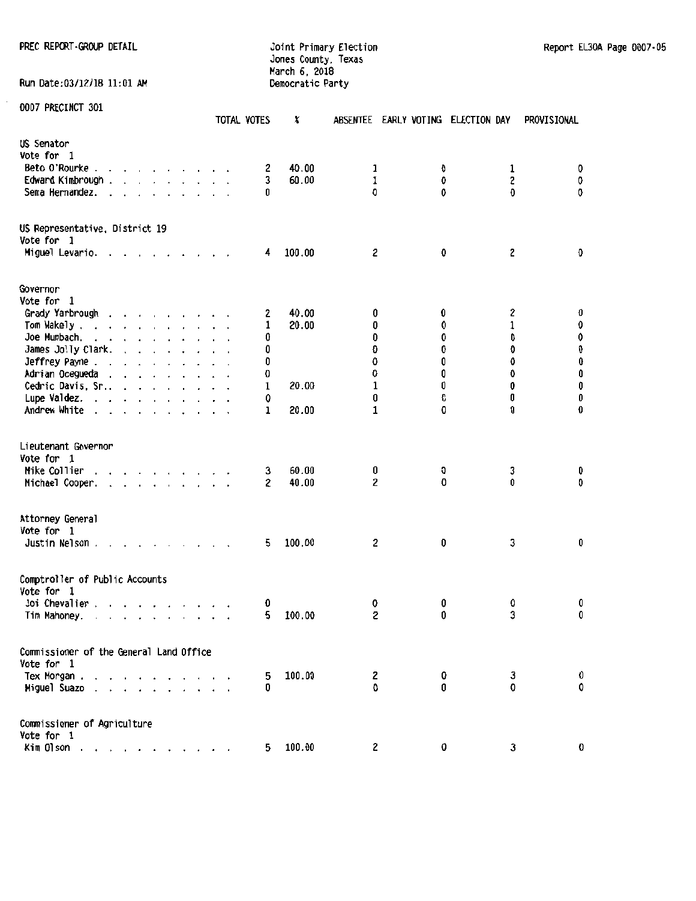#### PREC REPORT·GROUP DETAIL **Primary Election Report EL30A Page 0007**-05 Jones County, Texas March 6, 2018 Run Date: 03/12/18 11:01 AM Democratic Party

|                                                                                                                                                                                                                                                   | TOTAL VOTES       | X              |                     | ABSENTEE EARLY VOTING ELECTION DAY |             | PROVISIONAL                          |
|---------------------------------------------------------------------------------------------------------------------------------------------------------------------------------------------------------------------------------------------------|-------------------|----------------|---------------------|------------------------------------|-------------|--------------------------------------|
| US Senator                                                                                                                                                                                                                                        |                   |                |                     |                                    |             |                                      |
| Vote for 1                                                                                                                                                                                                                                        |                   |                |                     |                                    |             |                                      |
| Beto O'Rourke.<br>$\cdots$<br>$\hat{\phantom{a}}$                                                                                                                                                                                                 | 2                 | 40.00          | 1                   | 0                                  | 1           | 0                                    |
| Edward Kimbrough.<br>$\mathbf{r}$ and $\mathbf{r}$ and $\mathbf{r}$ and $\mathbf{r}$                                                                                                                                                              | 3                 | 60.00          | 1                   | 0                                  | 2           | 0                                    |
| Sema Hernandez.<br>$\sim$ $\sim$ $\sim$<br>$\cdot$<br>$\sim$                                                                                                                                                                                      | 0                 |                | 0                   | 0                                  | O           | 0                                    |
|                                                                                                                                                                                                                                                   |                   |                |                     |                                    |             |                                      |
| US Representative, District 19<br>Vote for 1                                                                                                                                                                                                      |                   |                |                     |                                    |             |                                      |
| Miguel Levario. .<br><b>Contract Contract Contract</b>                                                                                                                                                                                            | 4                 | 100.00         | 2                   | 0                                  | 2           | Ð                                    |
| Governor                                                                                                                                                                                                                                          |                   |                |                     |                                    |             |                                      |
| Vote for 1                                                                                                                                                                                                                                        |                   |                |                     |                                    |             |                                      |
|                                                                                                                                                                                                                                                   |                   |                | 0                   | 0                                  |             | O                                    |
| Grady Yarbrough                                                                                                                                                                                                                                   | 2                 | 40.00<br>20.00 |                     |                                    | 2           | 0                                    |
| Tom Wakely                                                                                                                                                                                                                                        | 1                 |                | 0                   | 0                                  | $\mathbf 1$ |                                      |
| Joe Mumbach.<br>the service of the service                                                                                                                                                                                                        | 0                 |                | 0                   | 0                                  | 0           | 0                                    |
| James Jolly Clark.<br>$\mathbf{r}$ , $\mathbf{r}$ , $\mathbf{r}$ , $\mathbf{r}$ , $\mathbf{r}$                                                                                                                                                    | Û                 |                | O                   | 0                                  | 0           | $\begin{matrix} 0 \\ 0 \end{matrix}$ |
| Jeffrey Payne                                                                                                                                                                                                                                     | 0                 |                | 0                   | 0                                  | 0           |                                      |
| Adrian Ocegueda                                                                                                                                                                                                                                   | 0                 |                | 0                   | 0                                  | 0           | 0                                    |
| Cedric Davis, Sr                                                                                                                                                                                                                                  | 1                 | 20.00          | 1                   | 0                                  | 0           | 0                                    |
| Lupe Valdez. $\ldots$ $\ldots$ $\ldots$                                                                                                                                                                                                           | 0                 |                | 0                   | O                                  | 0           | 0                                    |
| Andrew White                                                                                                                                                                                                                                      | 1                 | 20.00          | 1                   | 0                                  | 0           | 0                                    |
| Lieutenant Governor<br>Vote for 1<br>Mike Collier<br>the contract of the contract of the contract of the contract of the contract of the contract of the contract of<br>Michael Cooper.                                                           | 3<br>$\mathbf{2}$ | 60.00<br>40.00 | 0<br>$\overline{c}$ | 0<br>0                             | 3<br>0      | 0<br>0                               |
| Attorney General<br>Vote for 1<br>Justin Nelson.                                                                                                                                                                                                  | 5.                | 100.00         | 2                   | 0                                  | 3           | 0                                    |
| Comptroller of Public Accounts<br>Vote for 1                                                                                                                                                                                                      |                   |                |                     |                                    |             |                                      |
| Joi Chevalier                                                                                                                                                                                                                                     | 0                 |                | 0                   | 0                                  | 0           | 0                                    |
| Tim Mahoney.<br>$\mathbf{r}$ . The state of the state of the state of the state of the state of the state of the state of the state of the state of the state of the state of the state of the state of the state of the state of the state of th | 5                 | 100.00         | S                   | 0                                  | 3           | 0                                    |
| Commissioner of the General Land Office                                                                                                                                                                                                           |                   |                |                     |                                    |             |                                      |
| Vote for 1                                                                                                                                                                                                                                        |                   |                |                     |                                    |             |                                      |
| Tex Morgan.                                                                                                                                                                                                                                       | 5                 | 100.00         | 2                   | 0                                  | 3           | 0                                    |
| Miguel Suazo<br>$\sim$ $\sim$<br>$\ddot{\phantom{0}}$<br>$\cdot$                                                                                                                                                                                  | 0                 |                | 0                   | U                                  | 0           | 0                                    |
| Commissioner of Agriculture                                                                                                                                                                                                                       |                   |                |                     |                                    |             |                                      |
| Vote for 1                                                                                                                                                                                                                                        |                   |                |                     |                                    |             |                                      |
| Kim Olson                                                                                                                                                                                                                                         | 5.                | 100.00         | $\mathbf{2}$        | 0                                  | 3           | 0                                    |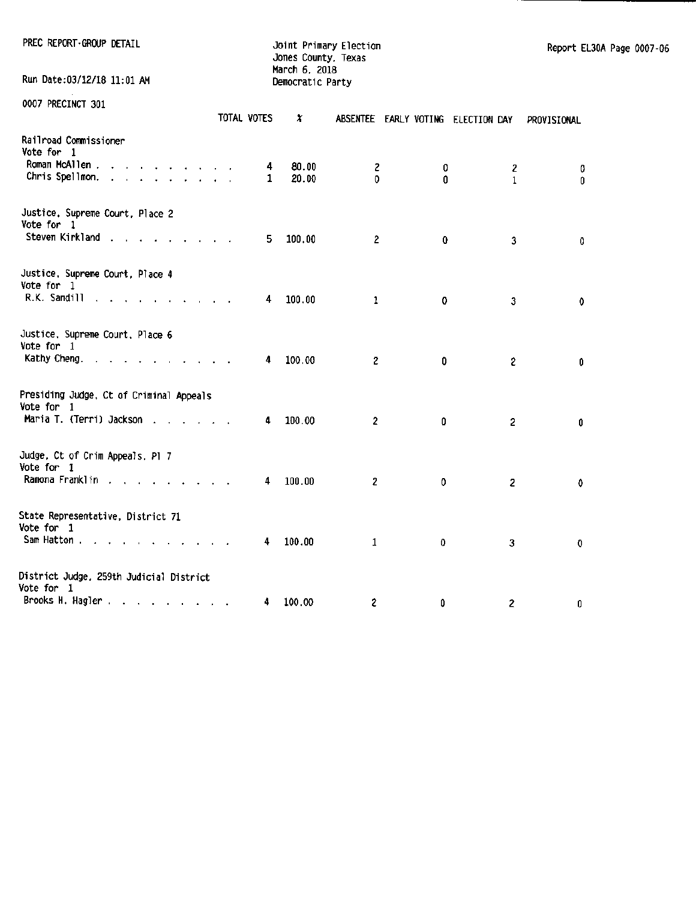PREC REPORT-GROUP DETAIL Joint Primary Election<br>Jones County, Texas March 6, 2018 Run Date:03/12/18 11:01 AM Democratic Party

| AAAN LUCCTIMAT AAT                                                                                                              |                          | TOTAL VOTES | x      |                         |           | ABSENTEE EARLY VOTING ELECTION DAY | PROVISIONAL |
|---------------------------------------------------------------------------------------------------------------------------------|--------------------------|-------------|--------|-------------------------|-----------|------------------------------------|-------------|
| Railroad Commissioner<br>Vote for 1                                                                                             |                          |             |        |                         |           |                                    |             |
| Roman McAllen.<br>the contract of the contract of                                                                               |                          | 4           | 80.00  | 2                       | 0         | 2                                  | 0           |
| Chris Spellmon.<br>the contract of the contract of the con-                                                                     |                          | 1           | 20.00  | 0                       | 0         | $\mathbf{1}$                       | 0           |
| Justice, Supreme Court, Place 2<br>Vote for 1                                                                                   |                          |             |        |                         |           |                                    |             |
| Steven Kirkland                                                                                                                 |                          | 5.          | 100.00 | $\overline{2}$          | $\pmb{0}$ | 3                                  | 0           |
| Justice, Supreme Court, Place 4<br>Vote for 1                                                                                   |                          |             |        |                         |           |                                    |             |
| R.K. Sandill<br><b>Contract Contract Contract</b>                                                                               |                          | 4           | 100.00 | $\mathbf{1}$            | 0         | $\overline{\mathbf{3}}$            | 0           |
| Justice, Supreme Court, Place 6<br>Vote for 1                                                                                   |                          |             |        |                         |           |                                    |             |
| Kathy Cheng.<br>the contract of the contract of the contract of the contract of the contract of the contract of the contract of |                          | 4           | 100.00 | $\overline{c}$          | 0         | $\mathbf{2}$                       | 0           |
| Presiding Judge, Ct of Criminal Appeals<br>Vote for 1                                                                           |                          |             |        |                         |           |                                    |             |
| Maria T. (Terri) Jackson                                                                                                        |                          | 4           | 100.00 | $\overline{\mathbf{c}}$ | 0         | $\mathbf{2}$                       | 0           |
| Judge, Ct of Crim Appeals, Pl 7<br>Vote for 1                                                                                   |                          |             |        |                         |           |                                    |             |
| Ramona Franklin                                                                                                                 |                          | 4           | 100.00 | $\overline{c}$          | 0         | $\overline{c}$                     | 0           |
| State Representative, District 71                                                                                               |                          |             |        |                         |           |                                    |             |
| Vote for 1<br>Sam Hatton<br>$\sim 10^{-1}$<br><b>Contract Contract</b>                                                          | <b>Contract Contract</b> | 4           | 100.00 | $\mathbf{1}$            | 0         | 3                                  | $\mathbf 0$ |
| District Judge, 259th Judicial District                                                                                         |                          |             |        |                         |           |                                    |             |
| Vote for 1                                                                                                                      |                          |             |        |                         |           |                                    |             |
| Brooks H. Hagler                                                                                                                |                          | 4           | 100.00 | 2                       | 0         | $\overline{\mathbf{c}}$            | 0           |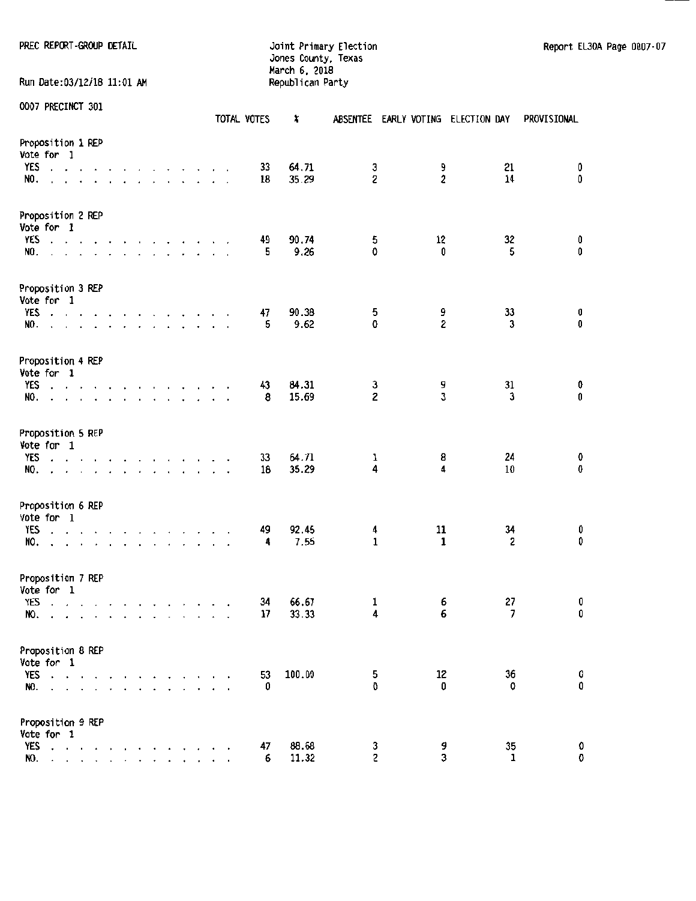Run Date:03/12/18 11:01 AM

Jones County, Texas March 6. 2018

PREC REPORT-GROUP DETAIL **Fig. 10** Joint Primary Election Report EL30A Page 0007-07

|                                                                                                                                                                                                                                                                                                |                                 |                      |              |                                                                                         |  |                                 |                                                                                             |                          | TOTAL VOTES | X              |                              |                              | ABSENTEE EARLY VOTING ELECTION DAY | PROVISIONAL      |
|------------------------------------------------------------------------------------------------------------------------------------------------------------------------------------------------------------------------------------------------------------------------------------------------|---------------------------------|----------------------|--------------|-----------------------------------------------------------------------------------------|--|---------------------------------|---------------------------------------------------------------------------------------------|--------------------------|-------------|----------------|------------------------------|------------------------------|------------------------------------|------------------|
| Proposition 1 REP<br>Vote for 1<br>YES<br>$\mathcal{L}=\mathcal{L}=\mathcal{L}=\mathcal{L}$                                                                                                                                                                                                    |                                 | $\ddot{\phantom{1}}$ | $\mathbf{r}$ | the contract of the contract of                                                         |  |                                 |                                                                                             | $\overline{\phantom{a}}$ | 33          | 64.71          | 3                            | 9                            | 21                                 | 0                |
| NO.                                                                                                                                                                                                                                                                                            | $\ddot{\phantom{1}}$            |                      |              | $\mathbf{r}$ , $\mathbf{r}$ , $\mathbf{r}$ , $\mathbf{r}$ , $\mathbf{r}$ , $\mathbf{r}$ |  |                                 |                                                                                             |                          | 18          | 35.29          | $\overline{\mathbf{c}}$      | 2                            | 14                                 | 0                |
| Proposition 2 REP<br>Vote for 1                                                                                                                                                                                                                                                                |                                 |                      |              |                                                                                         |  |                                 |                                                                                             |                          |             |                |                              |                              |                                    |                  |
| YES<br>NO.<br>.                                                                                                                                                                                                                                                                                |                                 |                      |              |                                                                                         |  |                                 |                                                                                             |                          | 49<br>5     | 90.74<br>9.26  | 5<br>0                       | 12<br>0                      | 32<br>5                            | $0\atop 0$       |
|                                                                                                                                                                                                                                                                                                |                                 |                      |              |                                                                                         |  |                                 |                                                                                             |                          |             |                |                              |                              |                                    |                  |
| Proposition 3 REP<br>Vote for 1                                                                                                                                                                                                                                                                |                                 |                      |              |                                                                                         |  |                                 |                                                                                             |                          |             |                |                              |                              |                                    |                  |
| YES<br>the contract of the contract of the contract of<br>and a series of the contract of the<br>NO.                                                                                                                                                                                           |                                 |                      |              |                                                                                         |  |                                 |                                                                                             |                          | 47<br>5     | 90.38<br>9.62  | 5<br>0                       | 9<br>$\overline{c}$          | 33<br>$\mathbf{3}$                 | 0<br>$\mathbf 0$ |
|                                                                                                                                                                                                                                                                                                |                                 |                      |              |                                                                                         |  |                                 |                                                                                             |                          |             |                |                              |                              |                                    |                  |
| Proposition 4 REP<br>Vote for 1                                                                                                                                                                                                                                                                |                                 |                      |              |                                                                                         |  |                                 |                                                                                             |                          |             |                |                              |                              |                                    |                  |
| YES<br>$\cdot$ $\cdot$ $\cdot$ $\cdot$<br>NO.                                                                                                                                                                                                                                                  |                                 |                      |              |                                                                                         |  |                                 | the contract of the con-<br>$\mathbf{r}$ and $\mathbf{r}$ and $\mathbf{r}$ and $\mathbf{r}$ | $\bullet$                | 43<br>8     | 84.31<br>15.69 | 3<br>$\overline{\mathbf{c}}$ | 9<br>3                       | 31<br>3                            | 0<br>0           |
|                                                                                                                                                                                                                                                                                                |                                 |                      |              |                                                                                         |  |                                 |                                                                                             |                          |             |                |                              |                              |                                    |                  |
| Proposition 5 REP<br>Vote for 1                                                                                                                                                                                                                                                                |                                 |                      |              |                                                                                         |  |                                 |                                                                                             |                          |             |                |                              |                              |                                    |                  |
| YES<br>the contract of the contract of the contract of<br>a construction of the construction of the construction of the construction of the construction of the construction of the construction of the construction of the construction of the construction of the construction of the<br>NO. |                                 |                      |              |                                                                                         |  |                                 |                                                                                             |                          | 33<br>18    | 64.71<br>35.29 | 1<br>4                       | 8<br>$\overline{\mathbf{4}}$ | 24<br>10                           | 0<br>0           |
|                                                                                                                                                                                                                                                                                                |                                 |                      |              |                                                                                         |  |                                 |                                                                                             |                          |             |                |                              |                              |                                    |                  |
| Proposition 6 REP<br>Vote for 1                                                                                                                                                                                                                                                                |                                 |                      |              |                                                                                         |  |                                 |                                                                                             |                          |             |                |                              |                              |                                    |                  |
| YES<br>and a series of<br>NO.<br>$\cdot$                                                                                                                                                                                                                                                       | the contract of the contract of |                      |              |                                                                                         |  | the contract of the contract of |                                                                                             |                          | 49<br>4     | 92.45<br>7.55  | 4<br>$\mathbf{1}$            | 11<br>$\mathbf{1}$           | 34<br>2                            | 0<br>0           |
|                                                                                                                                                                                                                                                                                                |                                 |                      |              |                                                                                         |  |                                 |                                                                                             |                          |             |                |                              |                              |                                    |                  |
| Proposition 7 REP<br>Vote for 1                                                                                                                                                                                                                                                                |                                 |                      |              |                                                                                         |  |                                 |                                                                                             |                          |             |                |                              |                              |                                    |                  |
| <b>YES</b><br>and the company of the company of the<br>and the contract of the contract of                                                                                                                                                                                                     |                                 |                      |              |                                                                                         |  |                                 |                                                                                             |                          | 34<br>17    | 66.67<br>33.33 | 1<br>4                       | 6<br>6                       | 27<br>7                            | 0<br>0           |
| NO.                                                                                                                                                                                                                                                                                            |                                 |                      |              |                                                                                         |  |                                 |                                                                                             |                          |             |                |                              |                              |                                    |                  |
| Proposition 8 REP<br>Vote for 1                                                                                                                                                                                                                                                                |                                 |                      |              |                                                                                         |  |                                 |                                                                                             |                          |             |                |                              |                              |                                    |                  |
| $YES \cdot \cdot \cdot$                                                                                                                                                                                                                                                                        |                                 |                      |              |                                                                                         |  |                                 |                                                                                             |                          | 53          | 100.00         | 5                            | 12                           | 36                                 | $0\atop 0$       |
| NO.<br>the contract of the contract of                                                                                                                                                                                                                                                         |                                 |                      |              | $\cdot$                                                                                 |  |                                 |                                                                                             |                          | 0           |                | 0                            | 0                            | 0                                  |                  |
| Proposition 9 REP                                                                                                                                                                                                                                                                              |                                 |                      |              |                                                                                         |  |                                 |                                                                                             |                          |             |                |                              |                              |                                    |                  |
| Vote for 1                                                                                                                                                                                                                                                                                     |                                 |                      |              |                                                                                         |  |                                 |                                                                                             |                          |             |                |                              |                              |                                    |                  |
| YES<br>the contract of the contract of<br>NO. <i>.</i>                                                                                                                                                                                                                                         |                                 |                      |              |                                                                                         |  |                                 |                                                                                             |                          | 47<br>6     | 88.68<br>11.32 | 3<br>$\overline{c}$          | 9<br>3                       | 35<br>1                            | 0<br>0           |
|                                                                                                                                                                                                                                                                                                |                                 |                      |              |                                                                                         |  |                                 |                                                                                             |                          |             |                |                              |                              |                                    |                  |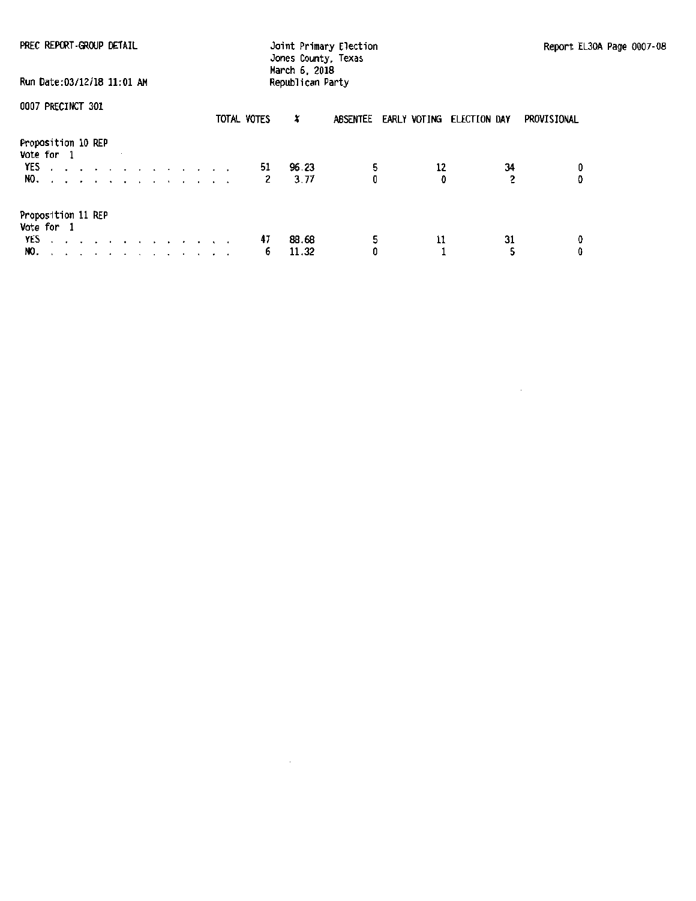| PREC REPORT-GROUP DETAIL                                                                          | Joint Primary Election<br>Jones County, Texas<br>March 6, 2018 |                                              | Report EL30A Page 0007-08 |
|---------------------------------------------------------------------------------------------------|----------------------------------------------------------------|----------------------------------------------|---------------------------|
| Run Date:03/12/18 11:01 AM                                                                        | Republican Party                                               |                                              |                           |
| 0007 PRECINCT 301                                                                                 | TOTAL VOTES<br>x                                               | <b>ABSENTEE</b><br>EARLY VOTING ELECTION DAY | PROVISIONAL               |
| Proposition 10 REP<br>Vote for 1<br>YES<br>the contract of the contract of the contract of<br>NO. | 96.23<br>51<br>3.77<br>2                                       | 5<br>12<br>0                                 | 34<br>0<br>2<br>0         |
| Proposition 11 REP<br>Vote for 1<br>YES<br>a car a car a car a car a car a car<br>NO.             | 47<br>88.68<br>11.32<br>6.                                     | 5<br>11                                      | 31<br>0<br>Û              |

 $\hat{\mathcal{A}}$ 

 $\mathcal{A}$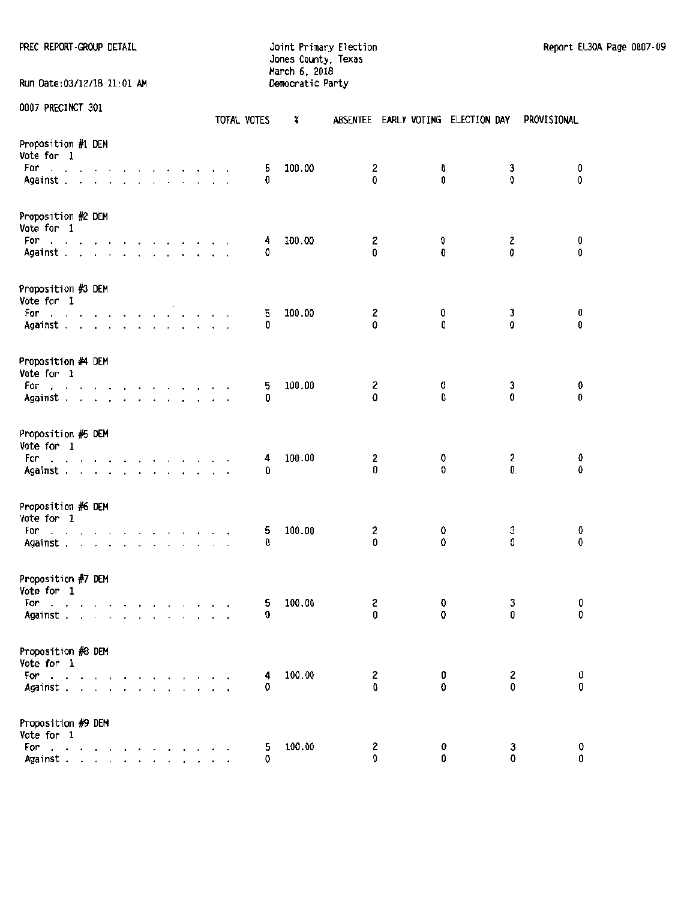| PREC REPORT GROUP DETAIL |  |  |  |
|--------------------------|--|--|--|
|--------------------------|--|--|--|

PREC REPORT GROUP DETAIL **The Contract Contract Contract Contract** Doint Primary Election Report EL30A Page 0007-09 Jones County, Texas March 6, 2018 Run Date:03/12/18 11:01 AM Democratic Party

|                                                                                                                                                                                                                                                 |  |                                 |  |  |  |  | TOTAL VOTES | x      |               |        | ABSENTEE EARLY VOTING ELECTION DAY |                    | PROVISIONAL |  |
|-------------------------------------------------------------------------------------------------------------------------------------------------------------------------------------------------------------------------------------------------|--|---------------------------------|--|--|--|--|-------------|--------|---------------|--------|------------------------------------|--------------------|-------------|--|
| Proposition #1 DEM<br>Vote for 1<br>For<br>the contract of the contract of the contract of                                                                                                                                                      |  |                                 |  |  |  |  | 5<br>0      | 100.00 | 2<br>$\Omega$ | 0<br>0 |                                    | 3<br>0             | 0<br>0      |  |
| Against                                                                                                                                                                                                                                         |  |                                 |  |  |  |  |             |        |               |        |                                    |                    |             |  |
| Proposition #2 DEM<br>Vote for 1                                                                                                                                                                                                                |  |                                 |  |  |  |  |             |        |               |        |                                    |                    |             |  |
| For<br>والمناولة والمناولة والمناولة والمناولة والمناول<br>Against.                                                                                                                                                                             |  |                                 |  |  |  |  | 4<br>O      | 100.00 | 2<br>0        | 0<br>0 |                                    | 2<br>0             | 0<br>0      |  |
| Proposition #3 DEM<br>Vote for 1                                                                                                                                                                                                                |  |                                 |  |  |  |  |             |        |               |        |                                    |                    |             |  |
| ter and and a series of the series of the series of the series of the series of the series of the series of the series of the series of the series of the series of the series of the series of the series of the series of t<br>For<br>Against |  |                                 |  |  |  |  | 5<br>0      | 100.00 | 2<br>0        | 0<br>0 |                                    | 3<br>0             | 0<br>0      |  |
| Proposition #4 DEM<br>Vote for 1                                                                                                                                                                                                                |  |                                 |  |  |  |  |             |        |               |        |                                    |                    |             |  |
| For<br>the contract of the contract of the contract of<br>Against                                                                                                                                                                               |  |                                 |  |  |  |  | 5<br>0      | 100.00 | 2<br>0        | 0<br>0 |                                    | 3<br>0             | 0<br>0      |  |
| Proposition #5 DEM<br>Vote for 1                                                                                                                                                                                                                |  |                                 |  |  |  |  |             |        |               |        |                                    |                    |             |  |
| For<br>and a series and a series and a<br>Against                                                                                                                                                                                               |  |                                 |  |  |  |  | 4<br>0      | 100.00 | 2<br>0        | 0<br>0 |                                    | $\mathbf{2}$<br>0. | 0<br>0      |  |
| Proposition #6 DEM                                                                                                                                                                                                                              |  |                                 |  |  |  |  |             |        |               |        |                                    |                    |             |  |
| Vote for 1<br>For<br>والمتابع المتناول والمتناول والمتناول والمتناول والمتناول                                                                                                                                                                  |  |                                 |  |  |  |  | 5           | 100.00 | 2             | 0      |                                    | 3                  | 0           |  |
| Against                                                                                                                                                                                                                                         |  |                                 |  |  |  |  | 0           |        | O             | 0      |                                    | 0                  | 0           |  |
| Proposition #7 DEM<br>Vote for 1                                                                                                                                                                                                                |  |                                 |  |  |  |  |             |        |               |        |                                    |                    |             |  |
| For<br>and a series of the contract of the<br>Against                                                                                                                                                                                           |  |                                 |  |  |  |  | 5<br>0      | 100.00 | 2<br>0        | O<br>0 |                                    | 3<br>0             | 0<br>0      |  |
| Proposition #8 DEM<br>Vote for 1                                                                                                                                                                                                                |  |                                 |  |  |  |  |             |        |               |        |                                    |                    |             |  |
| For $\cdots$<br>Against.                                                                                                                                                                                                                        |  |                                 |  |  |  |  | 4<br>0      | 100.00 | 2<br>0        | 0<br>Û |                                    | 2<br>0             | 0<br>0      |  |
| Proposition #9 DEM                                                                                                                                                                                                                              |  |                                 |  |  |  |  |             |        |               |        |                                    |                    |             |  |
| Vote for 1<br>For                                                                                                                                                                                                                               |  |                                 |  |  |  |  | 5           | 100.00 | 2             | 0      |                                    | 3                  | 0           |  |
| and a series of the<br>Against.                                                                                                                                                                                                                 |  | $\cdot$ $\cdot$ $\cdot$ $\cdot$ |  |  |  |  | 0           |        | 0             | 0      |                                    | 0                  | Û           |  |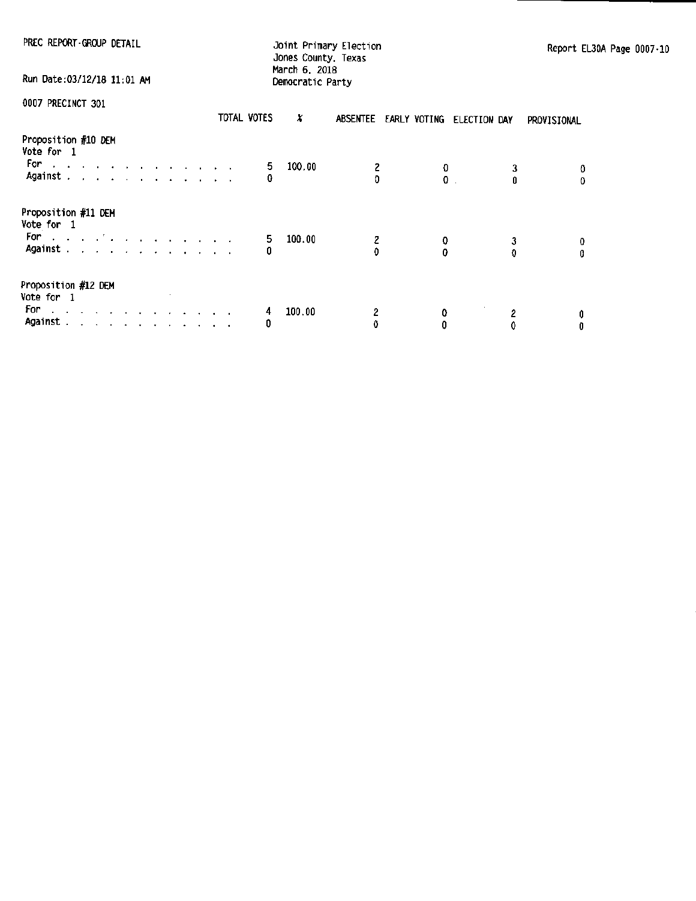PREC REPORT GROUP DETAIL Joint Primary Election<br>Jones County, Texas March 6, 2018

Run Date:03/12/18 11:01 AM Democratic Party

| VVV/ FACUINUI JUI                                                                                        |                                               |  |  |  |  | TOTAL VOTES | X      | ABSENTEE |        | EARLY VOTING ELECTION DAY | PROVISIONAL |
|----------------------------------------------------------------------------------------------------------|-----------------------------------------------|--|--|--|--|-------------|--------|----------|--------|---------------------------|-------------|
| Proposition #10 DEM<br>Vote for 1<br>For:<br>the contract of the contract of the contract of<br>Against. | and a series of the contract of the           |  |  |  |  | 5.<br>0     | 100.00 | 2<br>O   | o<br>0 |                           | 0           |
| Proposition #11 DEM<br>Vote for 1<br>For the company's company of the company of<br>Against .            | and a series of the contract and a series of  |  |  |  |  | 5.<br>0     | 100.00 | 2        | 0      | o                         | 0<br>0      |
| Proposition #12 DEM<br>Vote for 1<br>For<br>Against                                                      | الموالي والموالي والموالي والموالية والمحاربة |  |  |  |  | 4<br>0      | 100.00 | 2<br>0   | 0      | 2                         | 0<br>0      |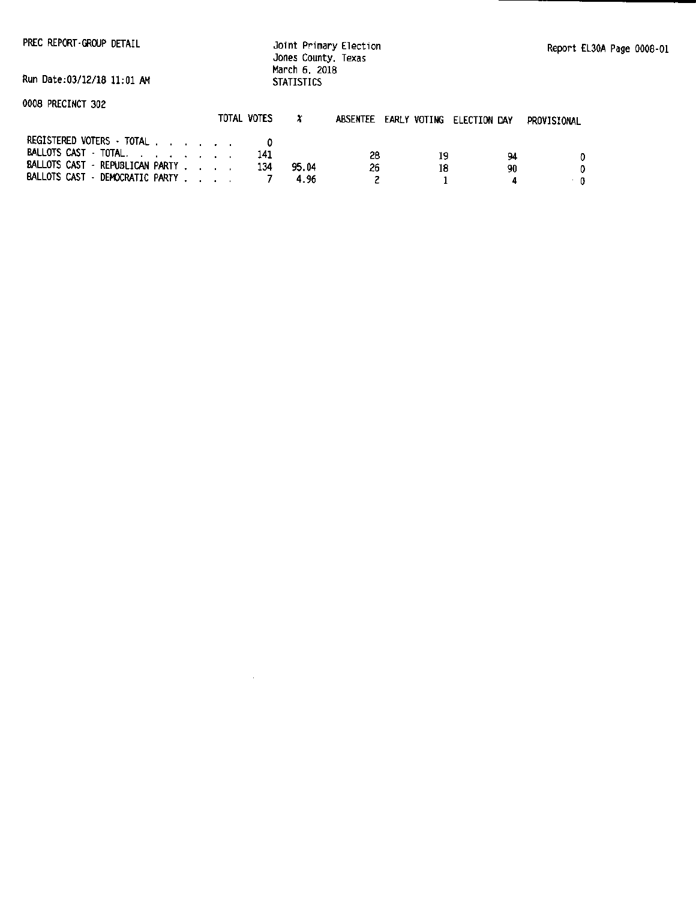Jo1nt Primary Election Jones County, Texas March 6, 2018 **STATISTICS** 

Run Date:03/12/18 11:01 AM

0008 PRECINCT 302

|                                 | TUTAL VOTES |       | absentee |    | EARLY VOTING ELECTION DAY | PROVISIONAL |
|---------------------------------|-------------|-------|----------|----|---------------------------|-------------|
| REGISTERED VOTERS $\cdot$ total |             |       |          |    |                           |             |
| BALLOTS CAST TOTAL.             |             |       | 28       | 19 | 94                        |             |
| BALLOTS CAST - REPUBLICAN PARTY |             | 95.04 | 26       |    | 90                        |             |
| BALLOTS CAST · DEMOCRATIC PARTY |             | 496   |          |    |                           |             |

 $\sim 10^7$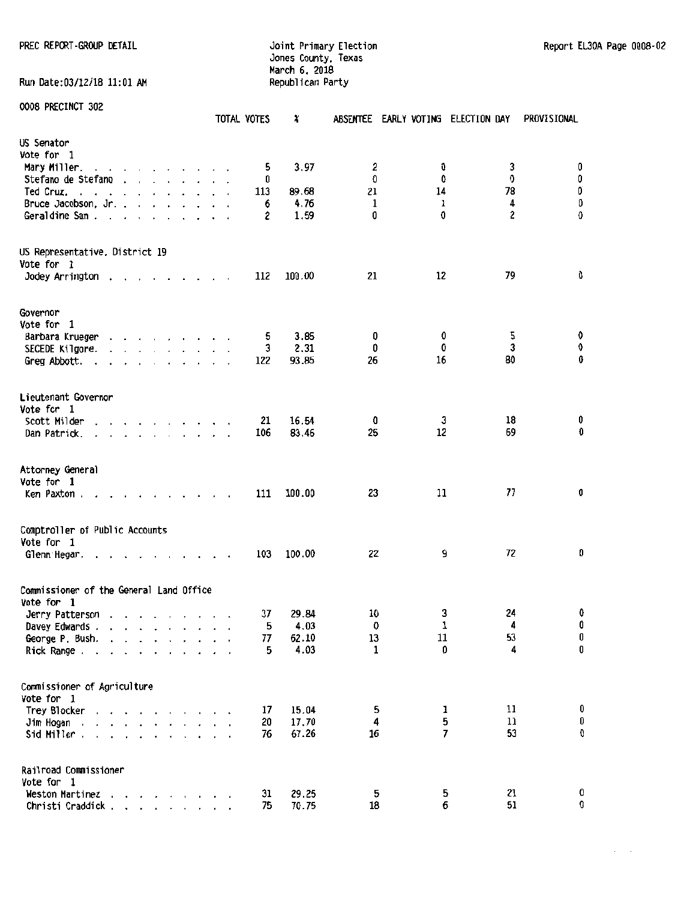Run Date:03/12/18 11:01 AM

Jones County, Texas March 6. 2018

PREC REPCRT -GROUP DETAIL Joint Primary Election Report EL30A Page 0008-02

 $\mathcal{L}^{\text{max}}$ 

|                                              |                                                                                                                       |                          |        |               |                                                                                                                                                         |         |                      |  | TOTAL VOTES | X      |              |        | ABSENTEE EARLY VOTING ELECTION DAY | PROVISIONAL    |
|----------------------------------------------|-----------------------------------------------------------------------------------------------------------------------|--------------------------|--------|---------------|---------------------------------------------------------------------------------------------------------------------------------------------------------|---------|----------------------|--|-------------|--------|--------------|--------|------------------------------------|----------------|
| US Senator                                   |                                                                                                                       |                          |        |               |                                                                                                                                                         |         |                      |  |             |        |              |        |                                    |                |
| Vote for 1                                   |                                                                                                                       |                          |        |               |                                                                                                                                                         |         |                      |  |             |        |              |        |                                    |                |
| Mary Miller.                                 | $\cdots$                                                                                                              |                          |        |               | <b>Contract Contract</b>                                                                                                                                |         |                      |  | 5           | 3.97   | 2            | 0      | 3                                  | 0              |
| Stefano de Stefano                           |                                                                                                                       | $\ddot{\phantom{a}}$     |        |               | $\mathbf{r}$ , $\mathbf{r}$                                                                                                                             |         |                      |  | 0           |        | Û            | 0      | 0                                  | 0              |
| Ted Cruz.                                    |                                                                                                                       |                          |        |               |                                                                                                                                                         |         |                      |  | 113         | 89.68  | 21           | 14     | 78                                 | O              |
| Bruce Jacobson, Jr. .                        |                                                                                                                       |                          |        | $\sim$ $\sim$ |                                                                                                                                                         |         |                      |  | 6           | 4.76   | 1            | 1      | 4                                  | $\pmb{0}$      |
| Geraldine Sam.                               | $\overline{\phantom{a}}$                                                                                              | $\overline{\phantom{a}}$ | $\sim$ | $\bullet$     | $\sim$                                                                                                                                                  | $\cdot$ |                      |  | 2           | 1.59   | 0            | 0      | 2                                  | 0              |
| US Representative, District 19<br>Vote for 1 |                                                                                                                       |                          |        |               |                                                                                                                                                         |         |                      |  |             |        |              |        |                                    |                |
| Jodey Arrington                              | $\bullet$                                                                                                             |                          |        |               | $\overline{\phantom{a}}$                                                                                                                                |         | $\sim$ $\sim$ $\sim$ |  | 112         | 100.00 | 21           | 12     | 79                                 | 0              |
| Governor                                     |                                                                                                                       |                          |        |               |                                                                                                                                                         |         |                      |  |             |        |              |        |                                    |                |
| Vote for 1                                   |                                                                                                                       |                          |        |               |                                                                                                                                                         |         |                      |  |             |        |              |        |                                    |                |
| Barbara Krueger                              |                                                                                                                       |                          |        |               | $\begin{array}{cccccccccccccc} \bullet & \bullet & \bullet & \bullet & \bullet & \bullet & \bullet & \bullet & \bullet & \bullet & \bullet \end{array}$ |         |                      |  | 5           | 3.85   | 0            | 0      | 5                                  | 0              |
| SECEDE Kilgore.                              |                                                                                                                       |                          |        |               | $\cdot$ $\cdot$ $\cdot$ $\cdot$ $\cdot$ $\cdot$ $\cdot$                                                                                                 |         |                      |  | 3           | 2.31   | 0            | 0      | 3                                  | 0              |
| Greg Abbott.                                 |                                                                                                                       | $\ddot{\phantom{0}}$     |        |               | and a state of the state of the                                                                                                                         |         |                      |  | 122         | 93.85  | 26           | 16     | 80                                 | 0              |
|                                              |                                                                                                                       |                          |        |               |                                                                                                                                                         |         |                      |  |             |        |              |        |                                    |                |
| Lieutenant Governor                          |                                                                                                                       |                          |        |               |                                                                                                                                                         |         |                      |  |             |        |              |        |                                    |                |
| Vote for 1                                   |                                                                                                                       |                          |        |               |                                                                                                                                                         |         |                      |  |             |        |              |        |                                    |                |
| Scott Milder                                 |                                                                                                                       | $\sim$                   |        |               | $\cdots$ $\cdots$                                                                                                                                       |         |                      |  | 21          | 16.54  | 0            | 3      | 18                                 | 0              |
| Dan Patrick.                                 | the contract of the con-                                                                                              |                          |        |               |                                                                                                                                                         |         |                      |  | 106         | 83.46  | 25           | 12     | 69                                 | Û              |
| Attorney General<br>Vote for 1               |                                                                                                                       |                          |        |               |                                                                                                                                                         |         |                      |  |             |        |              |        |                                    |                |
| Ken Paxton.                                  |                                                                                                                       |                          |        |               |                                                                                                                                                         |         |                      |  | 111         | 100.00 | 23           | 11     | 77                                 | 0              |
|                                              |                                                                                                                       |                          |        |               |                                                                                                                                                         |         |                      |  |             |        |              |        |                                    |                |
| Comptroller of Public Accounts<br>Vote for 1 |                                                                                                                       |                          |        |               |                                                                                                                                                         |         |                      |  |             |        |              |        |                                    |                |
| Glenn Hegar.                                 |                                                                                                                       |                          |        |               |                                                                                                                                                         |         |                      |  | 103         | 100.00 | 22           | 9      | 72                                 | 0              |
| Commissioner of the General Land Office      |                                                                                                                       |                          |        |               |                                                                                                                                                         |         |                      |  |             |        |              |        |                                    |                |
| Vote for 1                                   |                                                                                                                       |                          |        |               |                                                                                                                                                         |         |                      |  |             |        |              |        |                                    |                |
| Jerry Patterson                              | the contract of the contract of the                                                                                   |                          |        |               |                                                                                                                                                         |         |                      |  | 37          | 29.84  | 10           | 3      | 24                                 | 0              |
| Davey Edwards.                               | $\sim$ $\sim$ $\sim$                                                                                                  |                          |        |               |                                                                                                                                                         |         |                      |  | 5           | 4.03   | 0            | 1      | 4                                  | 0              |
| George P. Bush.                              | $\ddot{\phantom{1}}$                                                                                                  |                          | $\sim$ | $\sim$ $\sim$ |                                                                                                                                                         |         |                      |  | 77          | 62.10  | 13           | $11\,$ | 53                                 | $\pmb{0}$<br>0 |
| Rick Range.                                  |                                                                                                                       |                          |        | $\sim$ $\sim$ |                                                                                                                                                         |         |                      |  | 5           | 4.03   | $\mathbf{1}$ | 0      | 4                                  |                |
| Commissioner of Agriculture                  |                                                                                                                       |                          |        |               |                                                                                                                                                         |         |                      |  |             |        |              |        |                                    |                |
| Vote for 1                                   |                                                                                                                       |                          |        |               |                                                                                                                                                         |         |                      |  |             |        |              |        |                                    |                |
| Trey Blocker                                 |                                                                                                                       |                          |        |               |                                                                                                                                                         |         |                      |  | 17          | 15.04  | 5            | 1      | 11                                 | 0              |
| Jim Hogan.                                   | $\mathbf{r}$ , and $\mathbf{r}$ , and $\mathbf{r}$ , and $\mathbf{r}$                                                 |                          |        |               |                                                                                                                                                         |         |                      |  | 20          | 17.70  | 4            | 5      | 11                                 | 0              |
| Sid Miller.                                  | $\mathbf{r}$ , $\mathbf{r}$ , $\mathbf{r}$ , $\mathbf{r}$ , $\mathbf{r}$ , $\mathbf{r}$ , $\mathbf{r}$ , $\mathbf{r}$ |                          |        |               |                                                                                                                                                         |         |                      |  | 76          | 67.26  | 16           | 7      | 53                                 | 0              |
| Railroad Commissioner<br>Vote for 1          |                                                                                                                       |                          |        |               |                                                                                                                                                         |         |                      |  |             |        |              |        |                                    |                |
| Weston Martinez                              |                                                                                                                       |                          |        |               | <b>Contract Contract</b>                                                                                                                                |         |                      |  | 31          | 29.25  | 5            | 5      | 21                                 | 0              |
| Christi Craddick.                            |                                                                                                                       |                          |        |               | $\mathbf{r}$ , $\mathbf{r}$ , $\mathbf{r}$ , $\mathbf{r}$ , $\mathbf{r}$ , $\mathbf{r}$                                                                 |         |                      |  | 75          | 70.75  | 18           | 6      | 51                                 | 0              |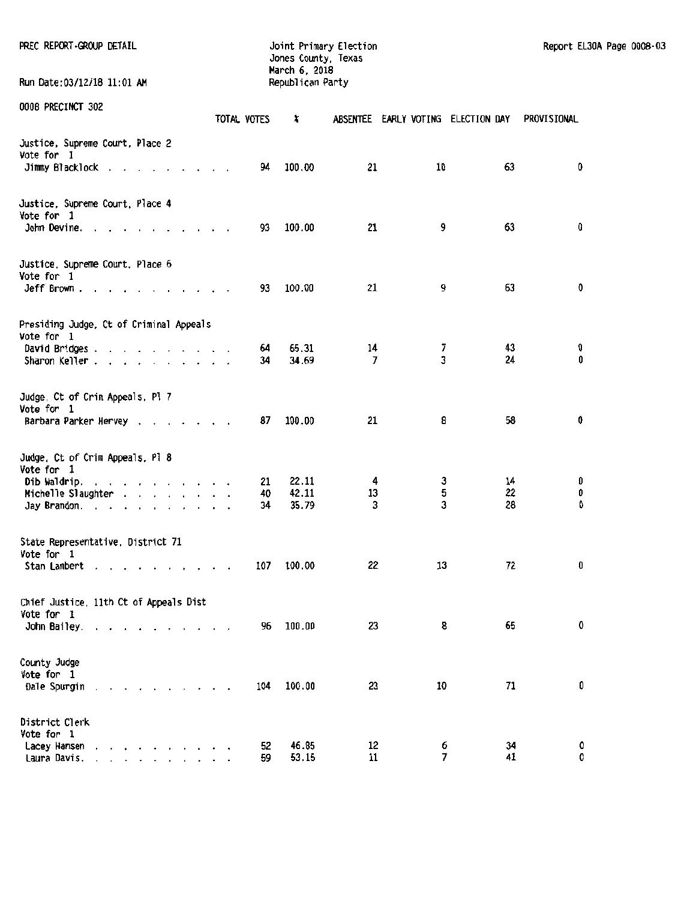| PREC REPORT-GROUP DETAIL                                                                              |             | Jones County, Texas<br>March 6, 2018 | Joint Primary Election             |        |          | Report EL30A Page 0008-03 |  |
|-------------------------------------------------------------------------------------------------------|-------------|--------------------------------------|------------------------------------|--------|----------|---------------------------|--|
| Run Date: 03/12/18 11:01 AM                                                                           |             | Republican Party                     |                                    |        |          |                           |  |
| 0008 PRECINCT 302                                                                                     | TOTAL VOTES | ×                                    | ABSENTEE EARLY VOTING ELECTION DAY |        |          | PROVISIONAL               |  |
| Justice, Supreme Court, Place 2<br>Vote for 1                                                         |             | 100.00                               | 21                                 | 10     | 63       | 0                         |  |
| Jimmy Blacklock                                                                                       |             | 94                                   |                                    |        |          |                           |  |
| Justice, Supreme Court, Place 4<br>Vote for 1<br>John Devine.                                         |             | 100.00<br>93                         | 21                                 | 9      | 63       | O                         |  |
| Justice, Supreme Court, Place 6<br>Vote for 1                                                         |             | 100.00<br>93                         | 21                                 | 9      | 63       | O                         |  |
| Jeff Brown.                                                                                           |             |                                      |                                    |        |          |                           |  |
| Presiding Judge, Ct of Criminal Appeals<br>Vote for 1<br>David Bridges                                |             | 65.31<br>64.                         | 14                                 | 7      | 43       | 0                         |  |
| Sharon Keller                                                                                         |             | 34.69<br>34                          | 7                                  | 3      | 24       | 0                         |  |
| Judge. Ct of Crim Appeals, Pl 7<br>Vote for 1                                                         |             |                                      |                                    |        |          |                           |  |
| Barbara Parker Hervey                                                                                 |             | 100.00<br>87                         | 21                                 | 8      | 58       | 0                         |  |
| Judge, Ct of Crim Appeals, Pl 8<br>Vote for 1<br>Dib Waldrip.                                         |             | 22.11<br>21                          | 4                                  | 3      | 14       | 0                         |  |
| Michelle Slaughter                                                                                    |             | 42.11<br>40                          | 13                                 | 5      | 22       | 0                         |  |
| Jay Brandon.                                                                                          |             | 35.79<br>34                          | 3                                  | 3      | 28       | 0                         |  |
| State Representative, District 71<br>Vote for 1                                                       |             |                                      |                                    |        |          |                           |  |
| Stan Lambert<br>the contract of the contract of the con-                                              |             | 100.00<br>107                        | 22                                 | 13     | 72       | 0                         |  |
| Chief Justice, 11th Ct of Appeals Dist<br>Vote for 1                                                  |             | 100.00                               | 23                                 | 8      | 65       | 0                         |  |
| John Bailey.                                                                                          |             | 96                                   |                                    |        |          |                           |  |
| County Judge<br>Vote for 1<br>Dale Spurgin                                                            |             | 100.00<br>104                        | 23                                 | 10     | 71       | 0                         |  |
| District Clerk<br>Vote for 1                                                                          |             |                                      |                                    |        |          |                           |  |
| Lacey Hansen<br>and a series of the control of the<br>Laura Davis.<br>and a series of the contract of |             | 46.85<br>52<br>53.15<br>59           | 12<br>11                           | 6<br>7 | 34<br>41 | 0<br>0                    |  |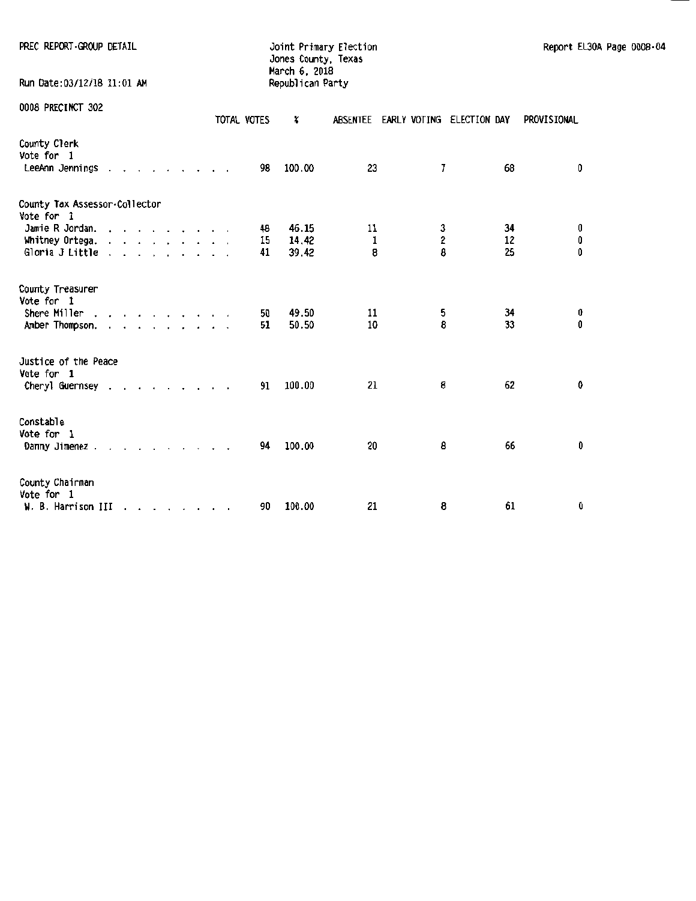| PREC REPORT GROUP DETAIL                            |  |  |  |  |  |             | March 6, 2018    | Joint Primary Election<br>Jones County, Texas |   |    |             |   | Report EL30A Page 0008-04 |
|-----------------------------------------------------|--|--|--|--|--|-------------|------------------|-----------------------------------------------|---|----|-------------|---|---------------------------|
| Run Date: 03/12/18 11:01 AM                         |  |  |  |  |  |             | Republican Party |                                               |   |    |             |   |                           |
| 0008 PRECINCT 302                                   |  |  |  |  |  | TOTAL VOTES | X                | ABSENTEE EARLY VOTING ELECTION DAY            |   |    | PROVISIONAL |   |                           |
| County Clerk<br>Vote for 1<br>LeeAnn Jennings       |  |  |  |  |  | 98          | 100.00           | 23                                            | 7 | 68 |             | 0 |                           |
| County Tax Assessor.Collector<br>Vote for 1         |  |  |  |  |  |             |                  |                                               |   |    |             |   |                           |
| Jamie R Jordan.                                     |  |  |  |  |  | 48          | 46.15            | 11                                            | 3 | 34 |             | 0 |                           |
| Whitney Ortega.                                     |  |  |  |  |  | 15          | 14.42            | 1                                             | 2 | 12 |             | 0 |                           |
| Gloria J Little                                     |  |  |  |  |  | 41          | 39.42            | 8                                             | 8 | 25 |             | 0 |                           |
| County Treasurer<br>Vote for 1                      |  |  |  |  |  |             |                  |                                               |   |    |             |   |                           |
| Shere Miller                                        |  |  |  |  |  | 50          | 49.50            | 11                                            | 5 | 34 |             | 0 |                           |
| Amber Thompson.                                     |  |  |  |  |  | 51          | 50.50            | 10                                            | 8 | 33 |             | 0 |                           |
| Justice of the Peace<br>Vote for 1                  |  |  |  |  |  |             |                  |                                               |   |    |             |   |                           |
| Cheryl Guernsey                                     |  |  |  |  |  | 91          | 100.00           | 21                                            | 8 | 62 |             | 0 |                           |
| Constable<br>Vote for 1<br>Danny Jimenez            |  |  |  |  |  | 94          | 100.00           | 20                                            | 8 | 66 |             | 0 |                           |
| County Chairman<br>Vote for 1<br>W. B. Harrison III |  |  |  |  |  | 90          | 100.00           | 21                                            | 8 | 61 |             | 0 |                           |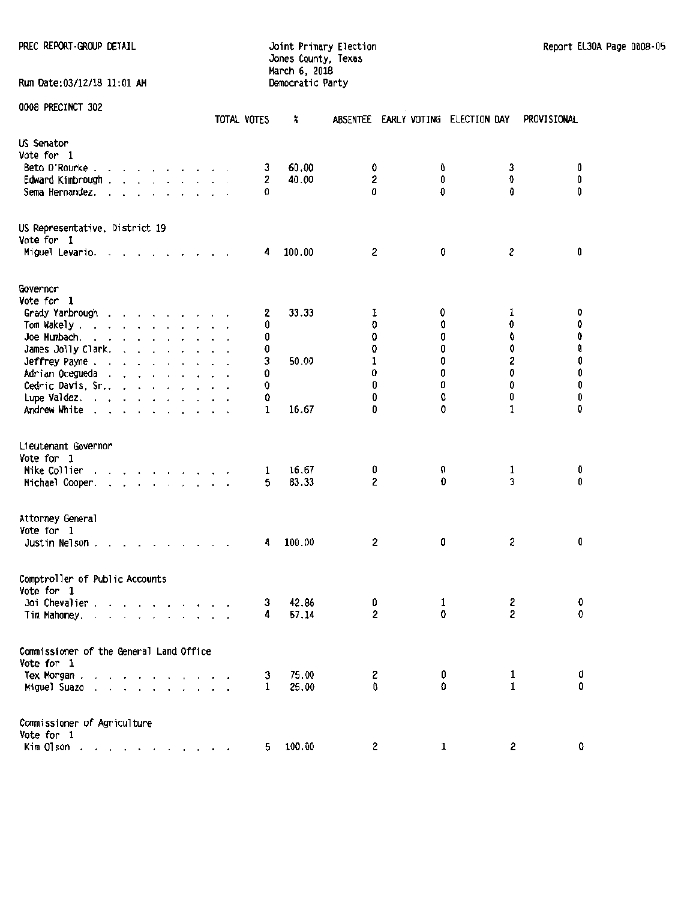#### PREC REPORT ·GROUP DETAIL **Find Accord Contract Contract Contract Contract CONT** Report EL30A Page 0008-05 Jones County, Texas March 6, 2018 Run Date:03/12/18 11:01 AM Democratic Party

|                                                                                                                                                                                                        | TOTAL VOTES | x           |                          | ABSENTEE EARLY VOTING ELECTION DAY |                | PROVISIONAL |
|--------------------------------------------------------------------------------------------------------------------------------------------------------------------------------------------------------|-------------|-------------|--------------------------|------------------------------------|----------------|-------------|
| US Senator<br>Vote for 1                                                                                                                                                                               |             |             |                          |                                    |                |             |
| Beto O'Rourke.                                                                                                                                                                                         |             | 3           | 60.00<br>0               | 0                                  | 3              | 0           |
| Edward Kimbrough.<br>$\cdot$ $\cdot$ $\cdot$ $\cdot$                                                                                                                                                   |             | 2           | $\mathbf 2$<br>40.00     | 0                                  | 0              | 0           |
| Sema Hernandez.                                                                                                                                                                                        |             | O           | 0                        | O                                  | 0              | 0           |
| US Representative. District 19<br>Vote for 1                                                                                                                                                           |             |             |                          |                                    |                |             |
| Miguel Levario.                                                                                                                                                                                        |             | 100.00<br>4 | 2                        | 0                                  | 2              | 0           |
| Governor                                                                                                                                                                                               |             |             |                          |                                    |                |             |
| Vote for 1                                                                                                                                                                                             |             |             |                          |                                    |                |             |
| Grady Yarbrough<br>and a strain and a strain and                                                                                                                                                       |             | 2           | 33.33<br>1               | 0                                  | ı              | 0           |
| Tom Wakely .<br>and a series and a series                                                                                                                                                              |             | 0           | 0                        | Û                                  | 0              | $\pmb{0}$   |
| Joe Mumbach.<br>and a series and a                                                                                                                                                                     |             | 0           | 0                        | 0                                  | 0              | 0           |
| James Jolly Clark.<br>and a series of                                                                                                                                                                  |             | 0           | 0                        | 0                                  | 0              | 0           |
| Jeffrey Payne                                                                                                                                                                                          |             | 3           | 50.00<br>1               | 0                                  | 2              | 0           |
| Adrian Ocegueda                                                                                                                                                                                        |             | 0           | 0                        | 0                                  | 0              | 0           |
| Cedric Davis, Sr                                                                                                                                                                                       |             | 0           | 0                        | 0                                  | 0              | 0           |
| Lupe Valdez.                                                                                                                                                                                           |             | 0           | 0                        | 0                                  | 0              | 0           |
| Andrew White                                                                                                                                                                                           |             | 1           | 16.67<br>0               | 0                                  | 1              | O           |
| Lieutenant Governor<br>Vote for 1                                                                                                                                                                      |             |             |                          |                                    |                |             |
| Mike Collier                                                                                                                                                                                           |             | 1           | 16.67<br>0               | 0                                  | 1              | 0           |
| Michael Cooper.<br>the contract of the contract of                                                                                                                                                     |             | 5           | 2<br>83.33               | 0                                  | 3              | 0           |
| Attorney General<br>Vote for 1<br>Justin Nelson.                                                                                                                                                       |             | 4           | 100.00<br>2              | 0                                  | 2              | 0           |
| Comptroller of Public Accounts<br>Vote for 1<br>Joi Chevalier .<br>and a series of the con-<br>Tim Mahoney.<br>$\mathbf{r}$ , $\mathbf{r}$ , $\mathbf{r}$ , $\mathbf{r}$ , $\mathbf{r}$ , $\mathbf{r}$ |             | 3<br>4      | 42.86<br>0<br>2<br>57.14 | 1<br>0                             | 2<br>2         | 0<br>0      |
| Commissioner of the General Land Office<br>Vote for 1                                                                                                                                                  |             |             |                          |                                    |                |             |
| Tex Morgan                                                                                                                                                                                             |             | 3           | 75.00<br>2               | 0                                  | 1              | 0           |
| Miguel Suazo                                                                                                                                                                                           |             | 1           | 25.00<br>Û               | O.                                 | $\mathbf{1}$   | 0           |
| Commissioner of Agriculture<br>Vote for 1                                                                                                                                                              |             |             |                          |                                    |                |             |
| Kim Olson.                                                                                                                                                                                             |             | 5.          | 100.00                   | $\mathbf{2}$<br>$\mathbf{1}$       | $\overline{c}$ | 0           |
|                                                                                                                                                                                                        |             |             |                          |                                    |                |             |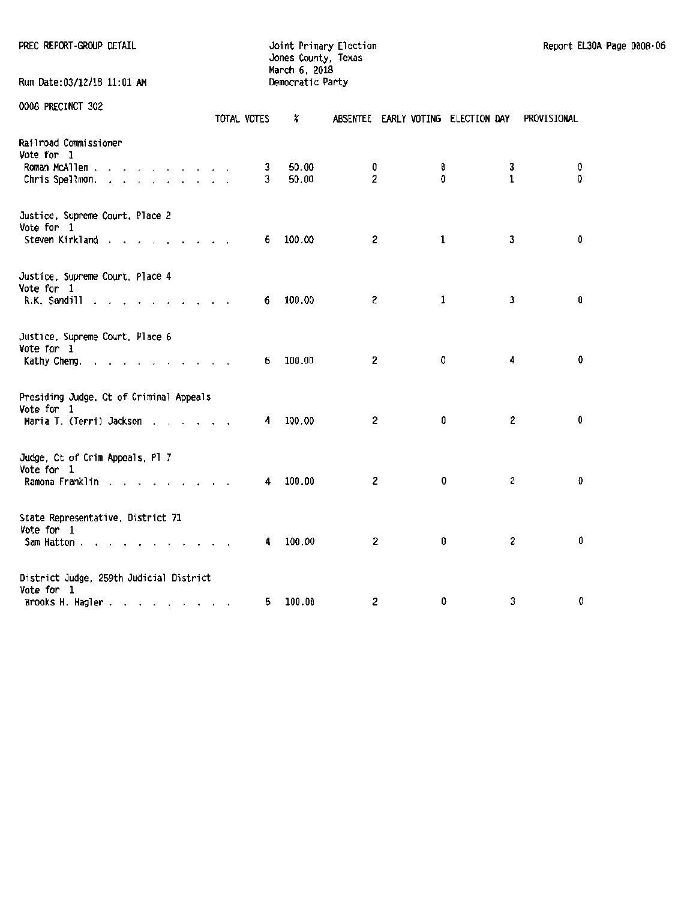|  | PREC REPORT-GROUP DETAIL |  |
|--|--------------------------|--|
|--|--------------------------|--|

Run Date:03/12/18 11:01 AM

PREC REPORT-GROUP DETAIL **CONTRACT CONTRACT CONTRACT DETAILS A** Joint Primary Election Report EL30A Page 0008-06 Jones County, Texas March 6, 2018

| AAAA LUCCTIICI SAC                                 | TOTAL VOTES | X      |                         | ABSENTEE EARLY VOTING ELECTION DAY |              | PROVISIONAL |
|----------------------------------------------------|-------------|--------|-------------------------|------------------------------------|--------------|-------------|
| Railroad Commissioner<br>Vote for 1                |             |        |                         |                                    |              |             |
| Roman McAllen                                      | 3           | 50.00  | 0                       | 0                                  | 3            | 0           |
| Chris Spellmon.                                    | 3           | 50.00  | $\overline{2}$          | $\Omega$                           | $\mathbf{1}$ | $\mathbf 0$ |
| Justice, Supreme Court, Place 2<br>Vote for 1      |             |        |                         |                                    |              |             |
| Steven Kirkland                                    | 6           | 100.00 | $\mathbf{2}$            | 1                                  | 3            | 0           |
| Justice, Supreme Court, Place 4<br>Vote for 1      |             |        |                         |                                    |              |             |
| R.K. Sandill<br>$\sim$ $\sim$ $\sim$ $\sim$ $\sim$ | 6.          | 100.00 | $\mathbf{2}$            | 1                                  | 3            | 0           |
| Justice, Supreme Court, Place 6                    |             |        |                         |                                    |              |             |
| Vote for 1<br>Kathy Cheng.                         | 6           | 100.00 | 2                       | 0                                  | 4            | 0           |
| Presiding Judge, Ct of Criminal Appeals            |             |        |                         |                                    |              |             |
| Vote for 1                                         | 4           | 100.00 | $\overline{\mathbf{2}}$ | 0                                  | 2            | 0           |
| Maria T. (Terri) Jackson                           |             |        |                         |                                    |              |             |
| Judge, Ct of Crim Appeals, Pl 7<br>Vote for 1      |             |        |                         |                                    |              |             |
| Ramona Franklin                                    | 4           | 100.00 | 2                       | 0                                  | 2            | 0           |
| State Representative, District 71<br>Vote for 1    |             |        |                         |                                    |              |             |
| Sam Hatton                                         | 4.          | 100.00 | $\mathbf{2}$            | 0                                  | $\mathbf{z}$ | 0           |
| District Judge, 259th Judicial District            |             |        |                         |                                    |              |             |
| Vote for 1                                         |             |        |                         |                                    |              |             |
| Brooks H. Hagler                                   | 5           | 100.00 | 2                       | 0                                  | 3            | 0           |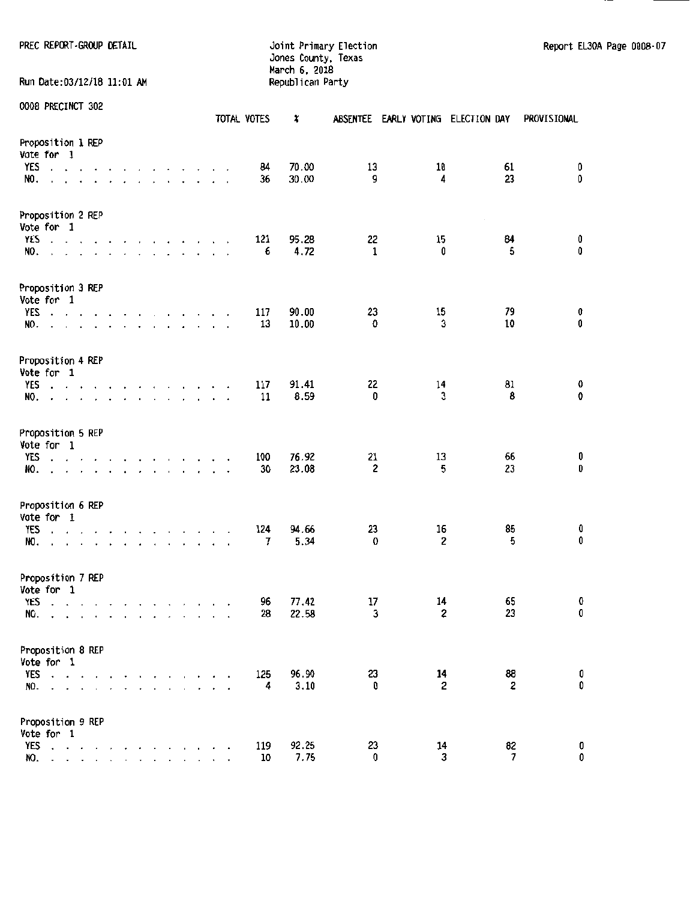Run Date:03/12/18 11:01 AM

Jones County, Texas March 6. 2018

PREC REPORT-GROUP DETAIL **CONTRAINSITY CONTRAINSITY CONTRAINING** Doint Primary Election Report El30A Page 0008-07

|                                                                                                                                                                                                                                          |                                                                                                                       |                      |                                                                                         |  |  |                      |                          | TOTAL VOTES | ×     |              | ABSENTEE EARLY VOTING ELECTION DAY |         |              | PROVISIONAL |
|------------------------------------------------------------------------------------------------------------------------------------------------------------------------------------------------------------------------------------------|-----------------------------------------------------------------------------------------------------------------------|----------------------|-----------------------------------------------------------------------------------------|--|--|----------------------|--------------------------|-------------|-------|--------------|------------------------------------|---------|--------------|-------------|
| Proposition 1 REP<br>Vote for 1<br>YES<br>$\cdot$ $\cdot$                                                                                                                                                                                |                                                                                                                       | $\overline{a}$       | the contract of the contract of                                                         |  |  |                      | $\bullet$                | 84          | 70.00 | 13           |                                    | 10      | 61           | 0           |
| NO.                                                                                                                                                                                                                                      |                                                                                                                       |                      | $\mathbf{r}$ , $\mathbf{r}$ , $\mathbf{r}$ , $\mathbf{r}$ , $\mathbf{r}$                |  |  |                      |                          | 36          | 30.00 | 9            |                                    | 4       | 23           | 0           |
| Proposition 2 REP<br>Vote for 1                                                                                                                                                                                                          |                                                                                                                       |                      |                                                                                         |  |  |                      |                          |             |       |              |                                    |         | $\cdot$      |             |
| YES<br>$\mathbf{r}$ . The set of the set of the set of the set of the set of the set of the set of the set of the set of the set of the set of the set of the set of the set of the set of the set of the set of the set of the set of t |                                                                                                                       |                      | the contract of the contract of                                                         |  |  |                      |                          | 121         | 95.28 | 22           |                                    | 15      | 84           | 0           |
| NO.<br>$\mathbf{r}$ and $\mathbf{r}$ and $\mathbf{r}$                                                                                                                                                                                    |                                                                                                                       |                      | $\mathbf{r}$ , $\mathbf{r}$ , $\mathbf{r}$ , $\mathbf{r}$ , $\mathbf{r}$ , $\mathbf{r}$ |  |  |                      |                          | 6           | 4.72  | $\mathbf{1}$ |                                    | 0       | 5            | 0           |
| Proposition 3 REP<br>Vote for 1                                                                                                                                                                                                          |                                                                                                                       |                      |                                                                                         |  |  |                      |                          |             |       |              |                                    |         |              |             |
| YES<br>the contract of the contract of the contract of                                                                                                                                                                                   |                                                                                                                       |                      |                                                                                         |  |  |                      |                          | 117         | 90.00 | 23           |                                    | 15      | 79           | 0           |
|                                                                                                                                                                                                                                          |                                                                                                                       |                      |                                                                                         |  |  |                      |                          | 13          | 10.00 | 0            |                                    | 3       | 10           | 0           |
| NO.<br>the contract of the contract of the<br>$\Box$                                                                                                                                                                                     |                                                                                                                       |                      |                                                                                         |  |  |                      |                          |             |       |              |                                    |         |              |             |
| Proposition 4 REP<br>Vote for 1                                                                                                                                                                                                          |                                                                                                                       |                      |                                                                                         |  |  |                      |                          |             |       |              |                                    |         |              |             |
| YES                                                                                                                                                                                                                                      |                                                                                                                       |                      |                                                                                         |  |  |                      |                          | 117         | 91.41 | 22           |                                    | 14      | 81           | 0           |
| design and a series of the control of the series of the series of the series of the series of the series of the                                                                                                                          |                                                                                                                       |                      |                                                                                         |  |  | $\ddot{\phantom{1}}$ | $\overline{\phantom{a}}$ | 11          | 8.59  | 0            |                                    | 3       | 8            | 0           |
| NO.<br>$\mathbf{r}$<br>$\ddot{\phantom{1}}$                                                                                                                                                                                              | $\mathbf{r}$ , $\mathbf{r}$ , $\mathbf{r}$ , $\mathbf{r}$ , $\mathbf{r}$ , $\mathbf{r}$ , $\mathbf{r}$ , $\mathbf{r}$ |                      |                                                                                         |  |  |                      |                          |             |       |              |                                    |         |              |             |
| Proposition 5 REP                                                                                                                                                                                                                        |                                                                                                                       |                      |                                                                                         |  |  |                      |                          |             |       |              |                                    |         |              |             |
| Vote for 1                                                                                                                                                                                                                               |                                                                                                                       |                      |                                                                                         |  |  |                      |                          |             |       |              |                                    |         |              |             |
| YES<br>$\cdot$ $\cdot$ $\cdot$ $\cdot$ $\cdot$                                                                                                                                                                                           |                                                                                                                       | $\ddot{\phantom{0}}$ | and a series of the series of the                                                       |  |  |                      |                          | 100         | 76.92 | 21           |                                    | 13<br>5 | 66<br>23     | 0<br>0      |
| NO.                                                                                                                                                                                                                                      | the contract of the contract of the con-                                                                              |                      |                                                                                         |  |  |                      |                          | 30          | 23.08 | $\mathbf 2$  |                                    |         |              |             |
| Proposition 6 REP                                                                                                                                                                                                                        |                                                                                                                       |                      |                                                                                         |  |  |                      |                          |             |       |              |                                    |         |              |             |
| Vote for 1                                                                                                                                                                                                                               |                                                                                                                       |                      |                                                                                         |  |  |                      |                          |             |       |              |                                    |         |              |             |
| YES<br>$\mathbf{r}$ and $\mathbf{r}$                                                                                                                                                                                                     |                                                                                                                       |                      | the contract of the contract of the                                                     |  |  |                      |                          | 124         | 94.66 | 23           |                                    | 16      | 85           | 0           |
| NO.<br>$\mathbf{r}$                                                                                                                                                                                                                      |                                                                                                                       |                      | $\mathbf{r}$ , $\mathbf{r}$ , $\mathbf{r}$ , $\mathbf{r}$                               |  |  |                      |                          | 7           | 5.34  | 0            |                                    | 2       | 5            | 0           |
| Proposition 7 REP                                                                                                                                                                                                                        |                                                                                                                       |                      |                                                                                         |  |  |                      |                          |             |       |              |                                    |         |              |             |
| Vote for 1                                                                                                                                                                                                                               |                                                                                                                       |                      |                                                                                         |  |  |                      |                          |             |       |              |                                    |         |              |             |
| <b>YES</b><br><b>The Commission Commission Commission</b>                                                                                                                                                                                |                                                                                                                       |                      |                                                                                         |  |  |                      |                          | 96          | 77.42 | 17           |                                    | 14      | 65           | 0           |
| NO.<br>a carrier and a carrier and a car                                                                                                                                                                                                 |                                                                                                                       |                      |                                                                                         |  |  |                      |                          | 28          | 22.58 | 3            |                                    | 2       | 23           | 0           |
| Proposition 8 REP                                                                                                                                                                                                                        |                                                                                                                       |                      |                                                                                         |  |  |                      |                          |             |       |              |                                    |         |              |             |
| Vote for 1                                                                                                                                                                                                                               |                                                                                                                       |                      |                                                                                         |  |  |                      |                          |             |       |              |                                    |         |              |             |
| YES<br>$\cdot$ $\cdot$                                                                                                                                                                                                                   |                                                                                                                       |                      |                                                                                         |  |  |                      |                          | 125         | 96.90 | 23           |                                    | 14      | 88           | 0           |
| NO.<br>$\ddot{\phantom{0}}$                                                                                                                                                                                                              | $\mathbf{r} = \mathbf{r} - \mathbf{r}$ . $\mathbf{r}$                                                                 |                      | ٠                                                                                       |  |  |                      |                          | 4           | 3.10  | 0            |                                    | 2       | $\mathbf{z}$ | 0           |
| Proposition 9 REP                                                                                                                                                                                                                        |                                                                                                                       |                      |                                                                                         |  |  |                      |                          |             |       |              |                                    |         |              |             |
| Vote for 1                                                                                                                                                                                                                               |                                                                                                                       |                      |                                                                                         |  |  |                      |                          |             |       |              |                                    |         |              |             |
| YES                                                                                                                                                                                                                                      |                                                                                                                       |                      |                                                                                         |  |  |                      |                          | 119         | 92.25 | 23           |                                    | 14      | 82           | 0           |
| NO.                                                                                                                                                                                                                                      | $\mathbf{r}$ , $\mathbf{r}$ , $\mathbf{r}$                                                                            |                      |                                                                                         |  |  |                      |                          | 10          | 7.75  | 0            |                                    | 3       | 7            | 0           |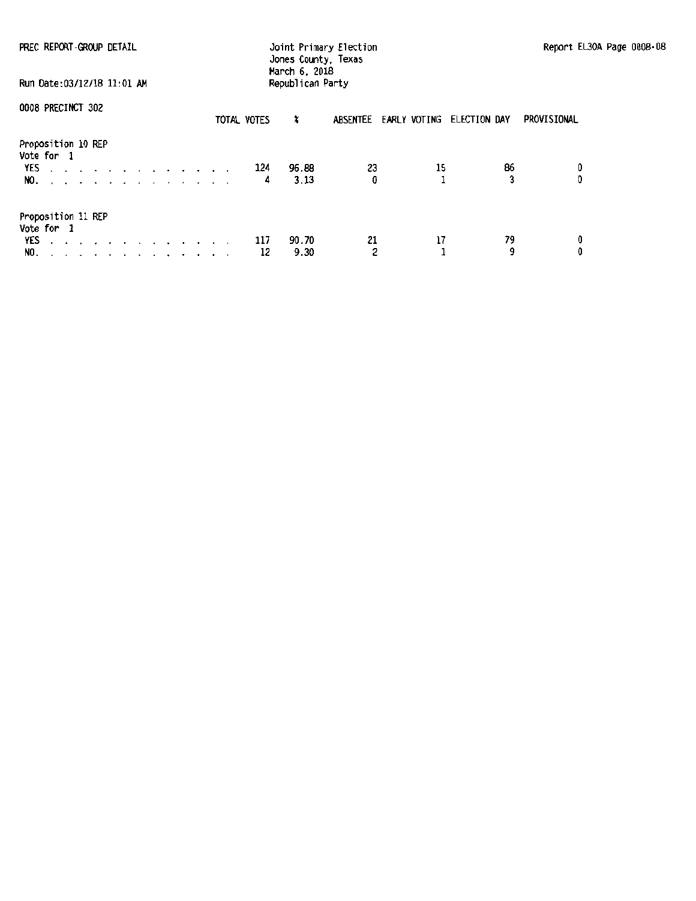| PREC REPORT GROUP DETAIL                                                                                                                                                                                                                                                             | Joint Primary Election<br>Jones County, Texas<br>March 6, 2018 | Report EL30A Page 0008-08 |
|--------------------------------------------------------------------------------------------------------------------------------------------------------------------------------------------------------------------------------------------------------------------------------------|----------------------------------------------------------------|---------------------------|
| Run Date:03/12/18 11:01 AM                                                                                                                                                                                                                                                           | Republican Party                                               |                           |
| 0008 PRECINCT 302                                                                                                                                                                                                                                                                    | x<br>ABSENTEE EARLY VOTING ELECTION DAY<br>TOTAL VOTES         | PROVISIONAL               |
| Proposition 10 REP<br>Vote for 1<br>YES<br>and a series of the contract of the con-<br>NO.                                                                                                                                                                                           | 23<br>96.88<br>124<br>0<br>3.13<br>4                           | 86<br>15<br>0<br>3<br>O   |
| Proposition 11 REP<br>Vote for 1<br>YES described and a series of the series of the series of the series of the series of the series of the series of the series of the series of the series of the series of the series of the series of the series of the series<br>NO. . <i>.</i> | 21<br>90.70<br>117<br>2<br>9.30<br>12                          | 79<br>17<br>0<br>9<br>0   |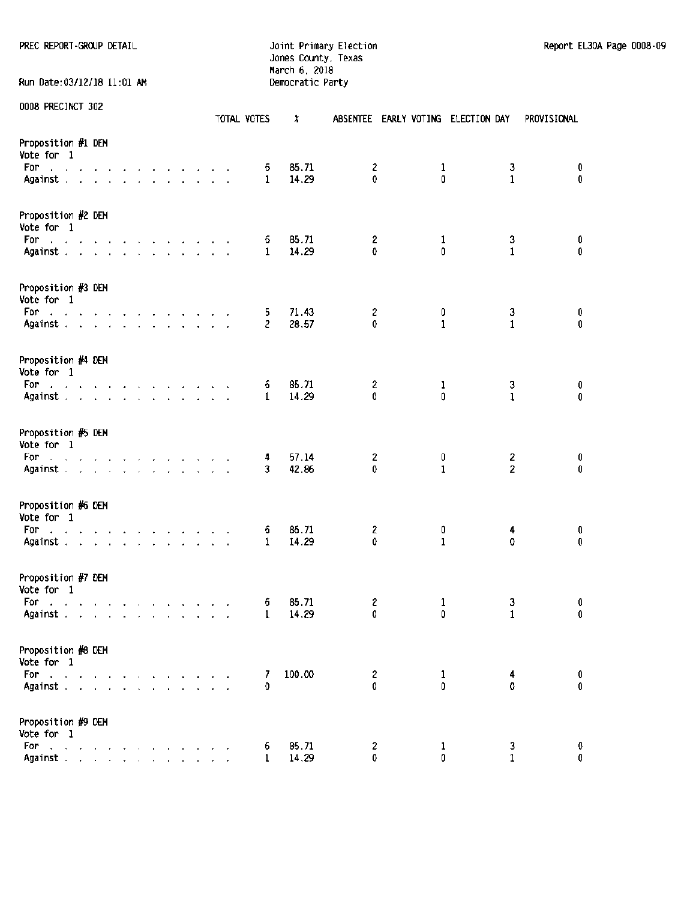## Jones County, Texas March 6, 2018 Run Date:03/12/18 11:01 AM Democratic Party

| <b>AND LUCCTION AND</b>                                                                          |  |                             |                          |  |  |  | TOTAL VOTES       | × |                |                              |              | ABSENTEE EARLY VOTING ELECTION DAY |                   | PROVISIONAL |
|--------------------------------------------------------------------------------------------------|--|-----------------------------|--------------------------|--|--|--|-------------------|---|----------------|------------------------------|--------------|------------------------------------|-------------------|-------------|
| Proposition #1 DEM<br>Vote for 1                                                                 |  |                             |                          |  |  |  |                   |   |                |                              |              |                                    |                   |             |
| For<br>and the contract of the contract of the con-<br>Against                                   |  |                             |                          |  |  |  | 6<br>1            |   | 85.71<br>14.29 | 2<br>0                       | 1<br>0       |                                    | 3<br>$\mathbf{1}$ | 0<br>0      |
|                                                                                                  |  |                             |                          |  |  |  |                   |   |                |                              |              |                                    |                   |             |
| Proposition #2 DEM<br>Vote for 1                                                                 |  |                             |                          |  |  |  |                   |   |                |                              |              |                                    |                   |             |
| For a contract and contract and a                                                                |  |                             |                          |  |  |  | 6                 |   | 85.71<br>14.29 | 2<br>0                       | 1<br>0       |                                    | 3<br>$\mathbf{1}$ | 0<br>0      |
| Against                                                                                          |  |                             |                          |  |  |  | 1                 |   |                |                              |              |                                    |                   |             |
| Proposition #3 DEM<br>Vote for 1                                                                 |  |                             |                          |  |  |  |                   |   |                |                              |              |                                    |                   |             |
| For.<br>and the contract of the contract of the contract of<br>Against                           |  |                             |                          |  |  |  | 5<br>$\mathbf{2}$ |   | 71.43<br>28.57 | $\overline{\mathbf{c}}$<br>0 | 0<br>1       |                                    | 3<br>1            | 0<br>0      |
|                                                                                                  |  |                             |                          |  |  |  |                   |   |                |                              |              |                                    |                   |             |
| Proposition #4 DEM<br>Vote for 1                                                                 |  |                             |                          |  |  |  |                   |   |                |                              |              |                                    |                   |             |
| and a series of the contract of the contract of<br>For .<br>Against                              |  |                             |                          |  |  |  | 6<br>1            |   | 85.71<br>14.29 | 2<br>0                       | 1<br>0       |                                    | з<br>$\mathbf{1}$ | 0<br>0      |
|                                                                                                  |  |                             |                          |  |  |  |                   |   |                |                              |              |                                    |                   |             |
| Proposition #5 DEM<br>Vote for 1                                                                 |  |                             |                          |  |  |  |                   |   |                |                              |              |                                    |                   |             |
| For<br>the contract of the contract of the contract of                                           |  |                             |                          |  |  |  | 4                 |   | 57.14          | $\overline{\mathbf{c}}$      | 0            |                                    | 2                 | 0           |
| Against                                                                                          |  |                             |                          |  |  |  | 3                 |   | 42.86          | 0                            | $\mathbf{1}$ |                                    | $\overline{2}$    | 0           |
| Proposition #6 DEM<br>Vote for 1                                                                 |  |                             |                          |  |  |  |                   |   |                |                              |              |                                    |                   |             |
| and a state of the contract of the contract of<br>For                                            |  |                             |                          |  |  |  | 6                 |   | 85.71          | 2                            | 0            |                                    | 4                 | 0           |
| Against                                                                                          |  |                             |                          |  |  |  | 1                 |   | 14.29          | 0                            | $\mathbf{1}$ |                                    | 0                 | 0           |
| Proposition #7 DEM<br>Vote for 1                                                                 |  |                             |                          |  |  |  |                   |   |                |                              |              |                                    |                   |             |
| For<br>the contract of the contract of the contract of                                           |  |                             |                          |  |  |  | 6                 |   | 85.71          | 2                            | 1            |                                    | 3                 | 0           |
| Against $x = x + y + z + z + z + z + z + z$                                                      |  |                             |                          |  |  |  | 1                 |   | 14.29          | 0                            | 0            |                                    | $\mathbf{1}$      | 0           |
| Proposition #8 DEM                                                                               |  |                             |                          |  |  |  |                   |   |                |                              |              |                                    |                   |             |
| Vote for 1                                                                                       |  |                             |                          |  |  |  |                   |   |                |                              |              |                                    |                   |             |
| For<br>and the company of                                                                        |  |                             |                          |  |  |  | 7                 |   | 100.00         | $\mathbf{2}$                 | 1            |                                    | 4                 | 0           |
| Against .                                                                                        |  | and the control of the con- | <b>Contract Contract</b> |  |  |  | 0                 |   |                | 0                            | 0            |                                    | 0                 | 0           |
| Proposition #9 DEM<br>Vote for 1                                                                 |  |                             |                          |  |  |  |                   |   |                |                              |              |                                    |                   |             |
| For<br>$\mathcal{A}$ . The contribution of the contribution of the contribution of $\mathcal{A}$ |  |                             |                          |  |  |  | 6                 |   | 85.71          | 2                            | 1            |                                    | 3                 | 0           |
| Against                                                                                          |  |                             |                          |  |  |  | 1                 |   | 14.29          | 0                            | 0            |                                    | 1.                | O           |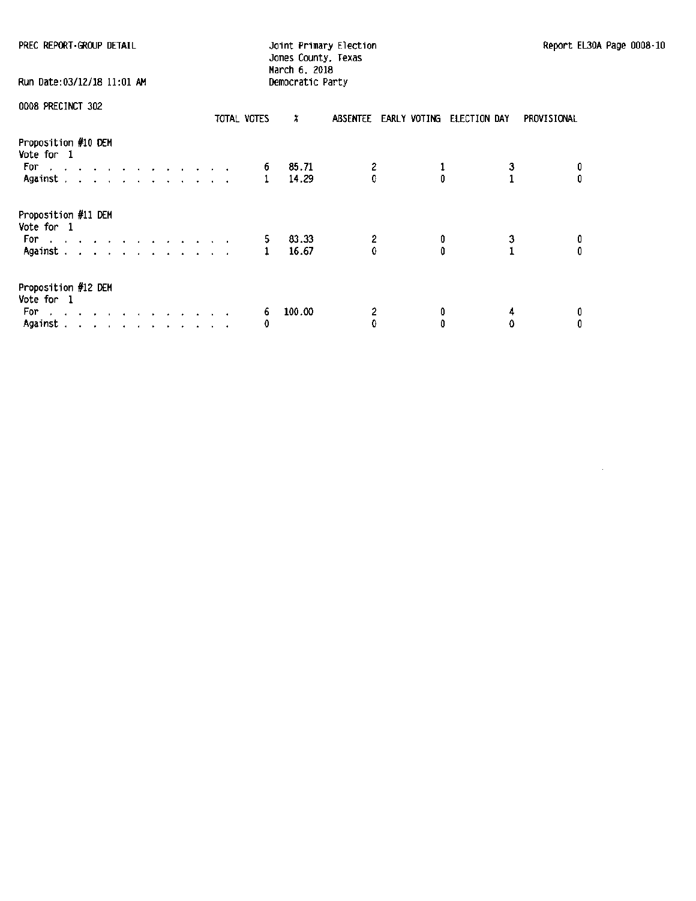| PREC REPORT GROUP DETAIL                                                                                                                     | Report EL<br>Joint Primary Election<br>Jones County, Texas            |                   |  |  |  |  |  |  |
|----------------------------------------------------------------------------------------------------------------------------------------------|-----------------------------------------------------------------------|-------------------|--|--|--|--|--|--|
| Run Date:03/12/18 11:01 AM                                                                                                                   | March 6, 2018<br>Democratic Party                                     |                   |  |  |  |  |  |  |
| 0008 PRECINCT 302<br>TOTAL VOTES                                                                                                             | x<br>ABSENTEE EARLY VOTING<br>ELECTION DAY<br>PROVISIONAL             |                   |  |  |  |  |  |  |
| Proposition #10 DEM<br>Vote for 1<br>For<br>والمناورة والمناورة والمناورة والمناورة<br>Against .                                             | 85.71<br>$\frac{3}{1}$<br>6<br>$\theta$<br>$\mathbf{0}$<br>1<br>14.29 | $\mathbf{0}$      |  |  |  |  |  |  |
| Proposition #11 DEM<br>Vote for 1<br>For<br>والمتابع المتابع العالم العالم العالم العالم العالمي<br>Against                                  | 83.33<br>2<br>3<br>1<br>5.<br>0<br>$\theta$<br>Û<br>16.67             | 0<br>$\mathbf{0}$ |  |  |  |  |  |  |
| Proposition #12 DEM<br>Vote for 1<br>For.<br>the contract of the contract of<br>Against .<br>the contract of the contract of the contract of | 100.00<br>2<br>0<br>6<br>4<br>0<br>0<br>0<br>0                        | 0<br>0            |  |  |  |  |  |  |

 $\sim 10^{-1}$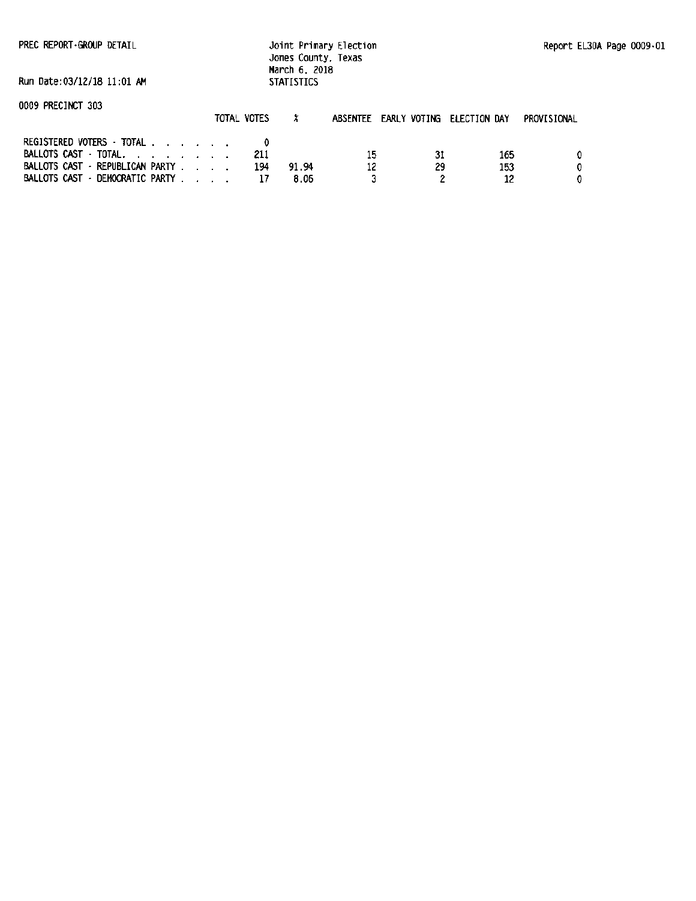PREC REPORT ·GROUP DETAIL

Joint Primary Election Jones County, Texas March 6, 2018 **STATISTICS** 

Run Date:03/12/18 11:01 AM

|                                   | TOTAL VOTES |       | ABSENTEE EARLY VOTING ELECTION DAY |    |     | PROVISIONAL |
|-----------------------------------|-------------|-------|------------------------------------|----|-----|-------------|
| REGISTERED VOTERS - TOTAL         |             |       |                                    |    |     |             |
| BALLOTS CAST TOTAL, , , , , , , , | -211        |       | 15                                 | 31 | 165 |             |
| BALLOTS CAST - REPUBLICAN PARTY   | 194         | 91.94 | 12                                 | 29 | 153 |             |
| BALLOTS CAST - DEMOCRATIC PARTY   |             | 8.06  |                                    |    |     |             |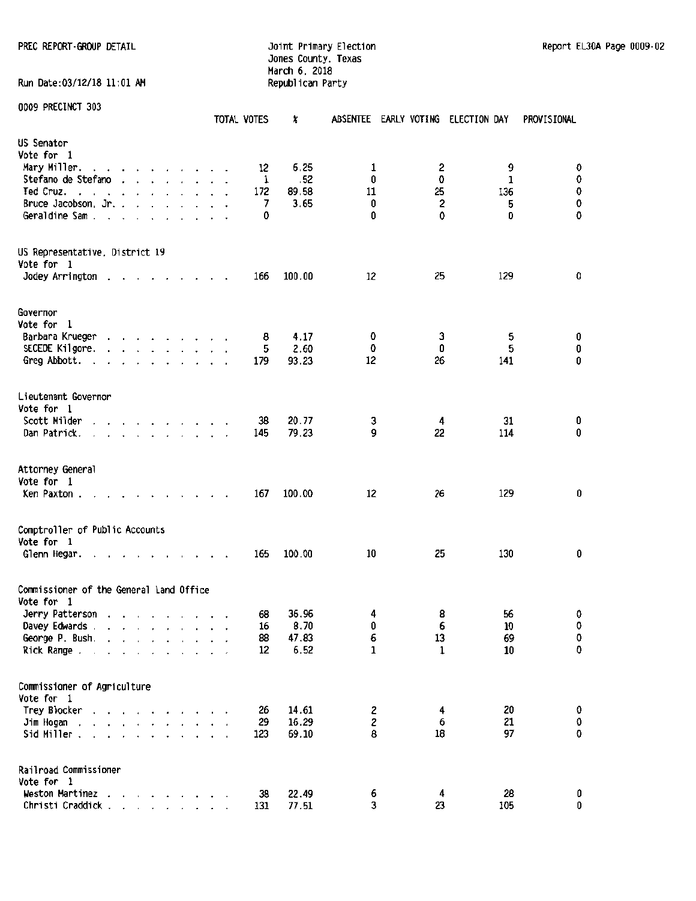#### PREC REPORT-GROUP DETAIL **Interpretation and Automobility Primary Election** Report Elaino Report EL30A Page 0009-02 Jones County, Texas March 6, 2018 Run Date:03/12/18 11:01 AM Republican Party

| <b>ODDA PRECTIACI 902</b>                                                                                                       | TOTAL VOTES | ×      |    | ABSENTEE EARLY VOTING ELECTION DAY |     | PROVISIONAL |
|---------------------------------------------------------------------------------------------------------------------------------|-------------|--------|----|------------------------------------|-----|-------------|
| US Senator                                                                                                                      |             |        |    |                                    |     |             |
| Vote for 1                                                                                                                      |             |        |    |                                    |     |             |
| Mary Miller.<br>and a series of the contract of                                                                                 | 12          | 6.25   | 1  | $\overline{\mathbf{c}}$            | 9   | 0           |
| Stefano de Stefano                                                                                                              | 1           | .52    | 0  | 0                                  | 1   | 0           |
| Ted Cruz.<br>and the car and a state of the                                                                                     | 172         | 89.58  | 11 | 25                                 | 136 | 0           |
| Bruce Jacobson, Jr.                                                                                                             | 7           | 3.65   | 0  | $\overline{\mathbf{c}}$            | 5   | 0           |
| Geraldine Sam                                                                                                                   | 0           |        | 0  | 0                                  | 0   | 0           |
| US Representative, District 19                                                                                                  |             |        |    |                                    |     |             |
| Vote for 1                                                                                                                      |             |        |    |                                    |     |             |
| Jodey Arrington<br>the contract of the con-                                                                                     | 166         | 100.00 | 12 | 25                                 | 129 | 0           |
| Governor                                                                                                                        |             |        |    |                                    |     |             |
| Vote for 1                                                                                                                      |             |        |    |                                    |     |             |
| Barbara Krueger                                                                                                                 | 8           | 4.17   | 0  | 3                                  | 5   | 0           |
| SECEDE Kilgore.<br>$\mathbf{r}$ and $\mathbf{r}$ and $\mathbf{r}$ and $\mathbf{r}$ and $\mathbf{r}$                             | 5           | 2.60   | 0  | 0                                  | 5   | 0           |
| Greg Abbott.                                                                                                                    | 179         | 93.23  | 12 | 26                                 | 141 | 0           |
|                                                                                                                                 |             |        |    |                                    |     |             |
| Lieutenant Governor                                                                                                             |             |        |    |                                    |     |             |
| Vote for 1                                                                                                                      |             |        |    |                                    |     |             |
| Scott Milder<br>$\mathbf{r}$ and $\mathbf{r}$ and $\mathbf{r}$ and $\mathbf{r}$ and $\mathbf{r}$                                | 38          | 20.77  | 3  | 4                                  | 31  | 0           |
| Dan Patrick.<br>$\mathbf{r}$ and $\mathbf{r}$ and $\mathbf{r}$ and $\mathbf{r}$                                                 | 145         | 79.23  | 9  | 22                                 | 114 | 0           |
| Attorney General<br>Vote for 1                                                                                                  |             |        |    |                                    |     |             |
| Ken Paxton.<br>$\sim$<br>$\sim$                                                                                                 | 167         | 100.00 | 12 | 26                                 | 129 | 0           |
| Comptroller of Public Accounts                                                                                                  |             |        |    |                                    |     |             |
| Vote for 1                                                                                                                      |             |        |    |                                    |     |             |
| Glenn Hegar.<br>the contract of the contract of the contract of the contract of the contract of the contract of the contract of | 165         | 100.00 | 10 | 25                                 | 130 | 0           |
| Commissioner of the General Land Office                                                                                         |             |        |    |                                    |     |             |
| Vote for 1                                                                                                                      |             |        |    |                                    |     |             |
| Jerry Patterson                                                                                                                 | 68          | 36.96  | 4  | 8                                  | 56  | 0           |
| Davey Edwards                                                                                                                   | 16          | 8.70   | 0  | 6                                  | 10  | 0           |
| George P. Bush.                                                                                                                 | 88          | 47.83  | 6  | 13                                 | 69  | 0           |
| Rick Range<br>$\sim$                                                                                                            | 12          | 6.52   | 1  | $\mathbf 1$                        | 10  | 0           |
| Commissioner of Agriculture                                                                                                     |             |        |    |                                    |     |             |
| Vote for 1                                                                                                                      |             |        |    |                                    |     |             |
| Trey Blocker<br>.                                                                                                               | 26          | 14.61  | 2  | 4                                  | 20  | 0           |
| Jim Hogan<br>and a series of the series<br>$\sim$                                                                               | 29          | 16.29  | 2  | 6                                  | 21  | $\pmb{0}$   |
| Sid Miller.                                                                                                                     | 123         | 69.10  | 8  | 18                                 | 97  | 0           |
|                                                                                                                                 |             |        |    |                                    |     |             |
| Railroad Commissioner                                                                                                           |             |        |    |                                    |     |             |
| Vote for 1                                                                                                                      |             |        |    |                                    |     |             |
| Weston Martinez                                                                                                                 | 38          | 22.49  | 6  | 4                                  | 28  | 0           |
| Christi Craddick                                                                                                                | 131         | 77.51  | 3  | 23                                 | 105 | 0           |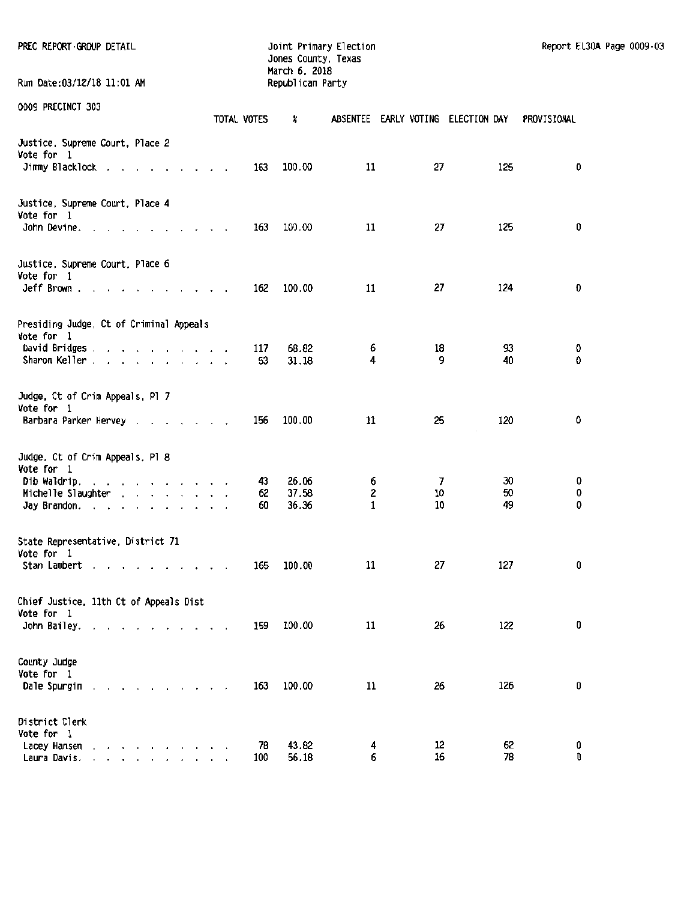| PREC REPORT GROUP DETAIL<br>Run Date:03/12/18 11:01 AM                                                                                                                                    |                        | Joint Primary Election<br>Jones County, Texas<br>March 6, 2018 |                                    |          |          | Report EL30A Page 0009-03 |  |
|-------------------------------------------------------------------------------------------------------------------------------------------------------------------------------------------|------------------------|----------------------------------------------------------------|------------------------------------|----------|----------|---------------------------|--|
|                                                                                                                                                                                           |                        | Republican Party                                               |                                    |          |          |                           |  |
| 0009 PRECINCT 303                                                                                                                                                                         | TOTAL VOTES            | x                                                              | ABSENTEE EARLY VOTING ELECTION DAY |          |          | PROVISIONAL               |  |
| Justice, Supreme Court, Place 2<br>Vote for 1                                                                                                                                             |                        |                                                                |                                    |          |          |                           |  |
| Jimmy Blacklock                                                                                                                                                                           | 163                    | 100.00                                                         | 11                                 | 27       | 125      | 0                         |  |
| Justice, Supreme Court, Place 4<br>Vote for 1                                                                                                                                             |                        |                                                                |                                    |          |          |                           |  |
| John Devine.                                                                                                                                                                              | 163                    | 100.00                                                         | 11                                 | 27       | 125      | 0                         |  |
| Justice, Supreme Court, Place 6<br>Vote for 1                                                                                                                                             |                        |                                                                |                                    |          |          |                           |  |
| Jeff Brown                                                                                                                                                                                | 162                    | 100.00                                                         | 11                                 | 27       | 124      | 0                         |  |
| Presiding Judge, Ct of Criminal Appeals<br>Vote for 1                                                                                                                                     |                        |                                                                |                                    |          |          |                           |  |
| David Bridges<br>Sharon Keller.                                                                                                                                                           | 117<br>53              | 68.82<br>31.18                                                 | 6<br>4                             | 18<br>9  | 93<br>40 | O<br>0                    |  |
| Judge, Ct of Crim Appeals, Pl 7<br>Vote for 1                                                                                                                                             |                        |                                                                |                                    |          |          |                           |  |
| Barbara Parker Hervey                                                                                                                                                                     | 156                    | 100.00                                                         | 11                                 | 25       | 120      | 0                         |  |
| Judge. Ct of Crim Appeals, Pl 8<br>Vote for 1                                                                                                                                             |                        |                                                                |                                    |          |          |                           |  |
| Dib Waldrip.<br>the contract of the contract of the                                                                                                                                       |                        | 26.06<br>43                                                    | 6                                  | 7        | 30       | 0                         |  |
| Michelle Slaughter<br>Jay Brandon.                                                                                                                                                        |                        | 37.58<br>62<br>36.36<br>60                                     | 2<br>1                             | 10<br>10 | 50<br>49 | 0<br>0                    |  |
|                                                                                                                                                                                           |                        |                                                                |                                    |          |          |                           |  |
| State Representative, District 71<br>Vote for 1                                                                                                                                           |                        |                                                                |                                    |          |          |                           |  |
| Stan Lambert<br>$\begin{array}{cccccccccccccc} \bullet & \bullet & \bullet & \bullet & \bullet & \bullet & \bullet & \bullet & \bullet & \bullet & \bullet \end{array}$<br>$\blacksquare$ | 165<br>$\cdot$ $\cdot$ | 100.00                                                         | 11                                 | 27       | 127      | 0                         |  |
| Chief Justice, 11th Ct of Appeals Dist<br>Vote for 1                                                                                                                                      |                        |                                                                |                                    |          |          |                           |  |
| John Bailey.                                                                                                                                                                              | 159                    | 100.00                                                         | 11                                 | 26       | 122      | 0                         |  |
| County Judge<br>Vote for 1                                                                                                                                                                |                        |                                                                |                                    |          |          |                           |  |
| Dale Spurgin<br>the contract of the contract of the con-                                                                                                                                  | 163                    | 100.00                                                         | 11                                 | 26       | 126      | 0                         |  |
| District Clerk<br>Vote for 1                                                                                                                                                              |                        |                                                                |                                    |          |          |                           |  |
| Lacey Hansen<br>and a series and a series<br>Laura Davis.<br>$\mathbf{r}$ , $\mathbf{r}$ , $\mathbf{r}$ , $\mathbf{r}$                                                                    | 100                    | 43.82<br>78<br>56.18                                           | 4<br>6                             | 12<br>16 | 62<br>78 | 0<br>0                    |  |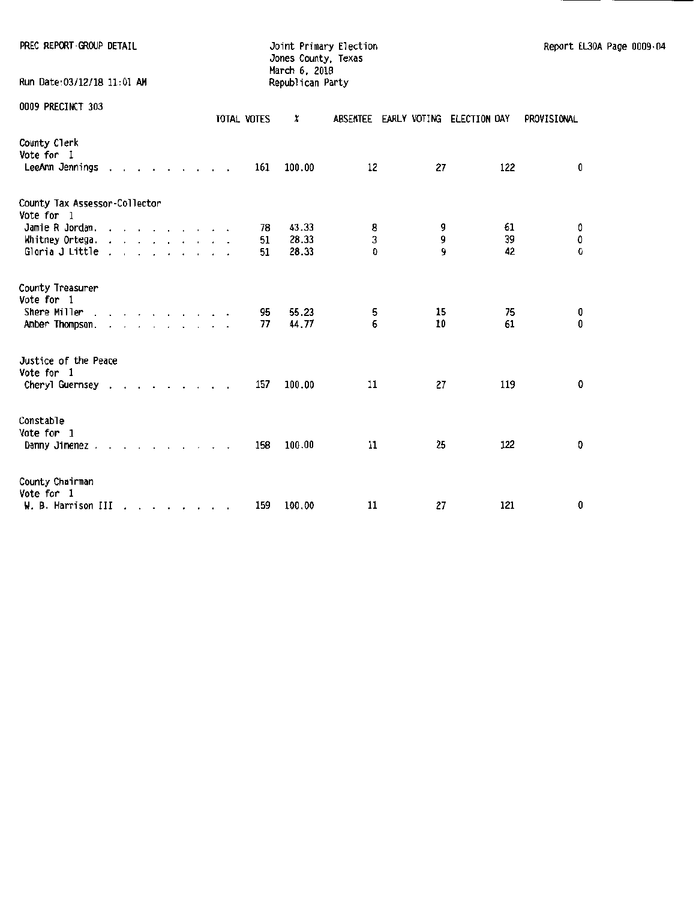| PREC REPORT-GROUP DETAIL                              |  |  |  |  |  |                | Joint Primary Election<br>Jones County, Texas<br>March 6, 2018 |             |             |                                    |             | Report EL30A Page 0009.04 |  |
|-------------------------------------------------------|--|--|--|--|--|----------------|----------------------------------------------------------------|-------------|-------------|------------------------------------|-------------|---------------------------|--|
| Run Date:03/12/18 11:01 AM                            |  |  |  |  |  |                | Republican Party                                               |             |             |                                    |             |                           |  |
| 0009 PRECINCT 303                                     |  |  |  |  |  | TOTAL VOTES    | x                                                              |             |             | ABSENTEE EARLY VOTING ELECTION DAY | PROVISIONAL |                           |  |
| County Clerk<br>Vote for I<br>LeeAnn Jennings         |  |  |  |  |  | 161            | 100.00                                                         | 12          | 27          | 122                                |             | 0                         |  |
| County Tax Assessor-Collector<br>Vote for 1           |  |  |  |  |  |                |                                                                |             |             |                                    |             |                           |  |
| Jamie R Jordan.<br>Whitney Ortega.<br>Gloria J Little |  |  |  |  |  | 78<br>51<br>51 | 43.33<br>28.33<br>28.33                                        | 8<br>3<br>Ð | 9<br>9<br>9 | 61<br>39<br>42                     |             | 0<br>0<br>$\Omega$        |  |
| County Treasurer<br>Vote for 1                        |  |  |  |  |  |                |                                                                |             |             |                                    |             |                           |  |
| Shere Miller<br>Amber Thompson,                       |  |  |  |  |  | 95<br>77       | 55.23<br>44.77                                                 | 5<br>6      | 15<br>10    |                                    | 75<br>61    | 0<br>0                    |  |
| Justice of the Peace<br>Vote for 1<br>Cheryl Guernsey |  |  |  |  |  | 157            | 100.00                                                         | 11          | 27          | 119                                |             | 0                         |  |
| Constable                                             |  |  |  |  |  |                |                                                                |             |             |                                    |             |                           |  |
| Vote for 1<br>Danny Jimenez                           |  |  |  |  |  | 158            | 100.00                                                         | 11          | 25          | 122                                |             | 0                         |  |
| County Chairman<br>Vote for 1<br>W. B. Harrison III   |  |  |  |  |  | 159            | 100.00                                                         | 11          | 27          | 121                                |             | 0                         |  |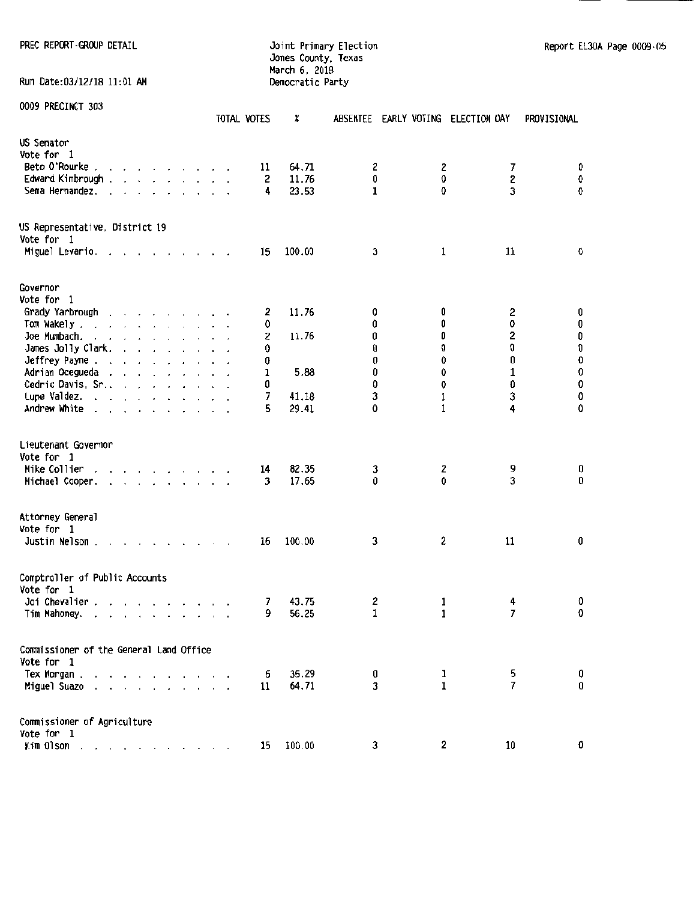PREC REPORT-GROUP DETAIL **CONTRAINSITY CONTRAINSITY** Joint Primary Election Report EL30A Page 0009-05

# Jones County, Texas March 6, 2018 Run Date:03/12/18 11:01 AM Democratic Party

|                                                                                                                                                                                                                                                                                        | TOTAL VOTES                     | X              |        | ABSENTEE EARLY VOTING ELECTION DAY |                | PROVISIONAL                       |
|----------------------------------------------------------------------------------------------------------------------------------------------------------------------------------------------------------------------------------------------------------------------------------------|---------------------------------|----------------|--------|------------------------------------|----------------|-----------------------------------|
| US Senator                                                                                                                                                                                                                                                                             |                                 |                |        |                                    |                |                                   |
| Vote for 1                                                                                                                                                                                                                                                                             |                                 |                |        |                                    |                |                                   |
| Beto O'Rourke<br>$\mathbf{r}$ , and $\mathbf{r}$ , and $\mathbf{r}$ , and $\mathbf{r}$                                                                                                                                                                                                 | 11                              | 64.71          | 2      | 2                                  | 7              | O                                 |
| Edward Kimbrough .<br>$\mathbf{r}$ and $\mathbf{r}$ and $\mathbf{r}$ and $\mathbf{r}$ and $\mathbf{r}$                                                                                                                                                                                 | 2                               | 11.76          | 0      | 0                                  | 2              | 0                                 |
| Sema Hernandez.<br>$\mathbf{r}$ . The set of the set of the set of the set of the set of the set of the set of the set of the set of the set of the set of the set of the set of the set of the set of the set of the set of the set of the set of t<br>$\sim$<br>$\ddot{\phantom{1}}$ | 4                               | 23.53          | 1      | 0                                  | 3              | 0                                 |
| US Representative, District 19<br>Vote for 1                                                                                                                                                                                                                                           |                                 |                |        |                                    |                |                                   |
| Miguel Levario.<br>the contract of the contract of<br>$\overline{\phantom{a}}$                                                                                                                                                                                                         | 15                              | 100.00         | 3      | $\mathbf 1$                        | 11             | 0                                 |
| Governor                                                                                                                                                                                                                                                                               |                                 |                |        |                                    |                |                                   |
| Vote for 1                                                                                                                                                                                                                                                                             |                                 |                |        |                                    |                |                                   |
| Grady Yarbrough<br>and a series and a series of                                                                                                                                                                                                                                        | 2                               | 11.76          | O      | 0                                  | 2              | 0                                 |
| Tom Wakely.<br>and a state of the state of the state of the<br>$\ddot{\phantom{0}}$                                                                                                                                                                                                    | 0                               |                | 0      | 0                                  | 0              | $\pmb{0}$                         |
| Joe Mumbach.<br>and a state of the state of                                                                                                                                                                                                                                            | 2                               | 11.76          | 0      | 0                                  | 2              |                                   |
| James Jolly Clark.<br>the contract of the contract of the                                                                                                                                                                                                                              | 0                               |                | 0      | 0                                  | 0              | $\begin{matrix}0\0\0\end{matrix}$ |
| Jeffrey Payne<br>and the company of the com-                                                                                                                                                                                                                                           | 0                               |                | 0      | Û                                  | 0              |                                   |
| Adrian Ocegueda                                                                                                                                                                                                                                                                        | 1                               | 5.88           | 0      | 0                                  | 1              | $\pmb{0}$                         |
| Cedric Davis, Sr                                                                                                                                                                                                                                                                       | 0                               |                | 0      | 0                                  | 0              | 0                                 |
| Lupe Valdez.                                                                                                                                                                                                                                                                           | 7                               | 41.18          | 3      | 1                                  | 3              | 0                                 |
| Andrew White                                                                                                                                                                                                                                                                           | 5                               | 29.41          | 0      | 1                                  | 4              | 0                                 |
| Lieutenant Governor<br>Vote for 1<br>Mike Collier<br>the contract of the contract<br>$\sim$ $\sim$<br>Michael Cooper.                                                                                                                                                                  | 14<br>$\ddot{\phantom{a}}$<br>3 | 82.35<br>17.65 | 3<br>0 | 2<br>0                             | 9<br>3         | 0<br>0                            |
| Attorney General<br>Vote for 1<br>Justin Nelson.                                                                                                                                                                                                                                       | 16                              | 100.00         | 3      | 2                                  | $11\,$         | 0                                 |
| Comptroller of Public Accounts                                                                                                                                                                                                                                                         |                                 |                |        |                                    |                |                                   |
| Vote for 1                                                                                                                                                                                                                                                                             |                                 |                |        |                                    |                |                                   |
| Joi Chevalier .<br>$\mathbf{r}$ and $\mathbf{r}$ and $\mathbf{r}$ and $\mathbf{r}$<br>Tim Mahoney.<br>and a series and a series of                                                                                                                                                     | 7<br>9                          | 43.75<br>56.25 | 2<br>1 | 1<br>1                             | 4<br>7         | O<br>0                            |
| Commissioner of the General Land Office                                                                                                                                                                                                                                                |                                 |                |        |                                    |                |                                   |
| Vote for 1                                                                                                                                                                                                                                                                             |                                 |                |        |                                    |                |                                   |
| Tex Morgan.                                                                                                                                                                                                                                                                            | 6                               | 35.29          | 0      | 1                                  | 5              | 0                                 |
| Miguel Suazo<br>and the control of<br>$\mathbf{r}$                                                                                                                                                                                                                                     | 11                              | 64.71          | 3      | $\mathbf{I}$                       | $\overline{7}$ | 0                                 |
| Commissioner of Agriculture<br>Vote for 1                                                                                                                                                                                                                                              |                                 |                |        |                                    |                |                                   |
| Kim Olson                                                                                                                                                                                                                                                                              | 15                              | 100.00         | 3      | 2                                  | 10             | Û                                 |
|                                                                                                                                                                                                                                                                                        |                                 |                |        |                                    |                |                                   |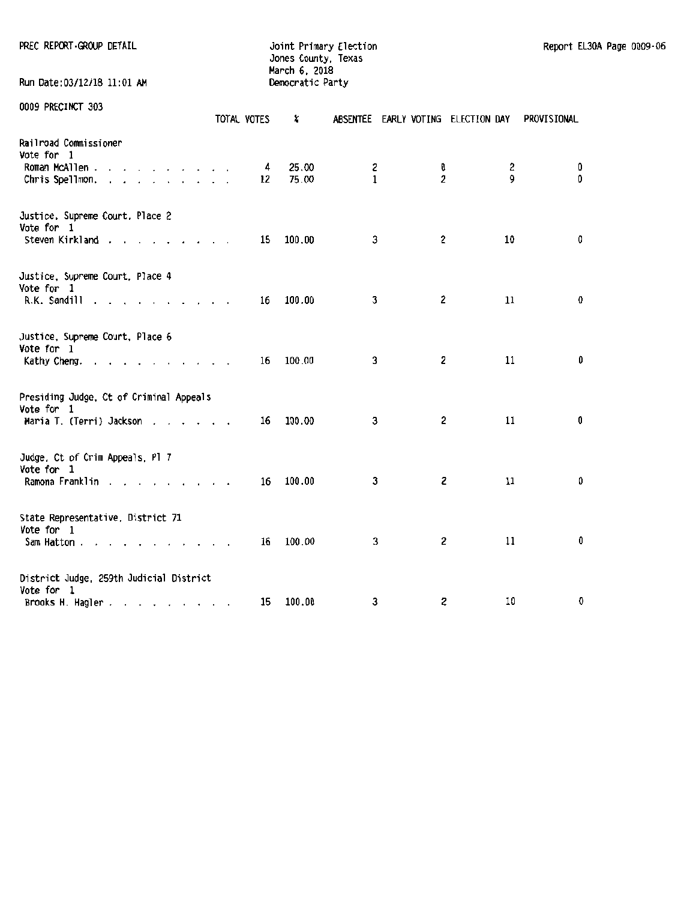| PREC REPORT GROUP DETAIL                              |             | Joint Primary Election<br>Jones County, Texas<br>March 6, 2018 |                   |                         |                                    |             | Report EL30A Page 0009-06 |  |
|-------------------------------------------------------|-------------|----------------------------------------------------------------|-------------------|-------------------------|------------------------------------|-------------|---------------------------|--|
| Run Date:03/12/18 11:01 AM                            |             | Democratic Party                                               |                   |                         |                                    |             |                           |  |
| 0009 PRECINCT 303                                     | TOTAL VOTES | x                                                              |                   |                         | ABSENTEE EARLY VOTING ELECTION DAY | PROVISIONAL |                           |  |
| Railroad Commissioner<br>Vote for 1                   |             |                                                                |                   |                         |                                    |             |                           |  |
| Roman McAllen<br>Chris Spellmon.                      | 4<br>12     | 25.00<br>75.00                                                 | z<br>$\mathbf{1}$ | o<br>$\overline{c}$     | 2<br>9                             |             | 0<br>0                    |  |
| Justice, Supreme Court, Place 2<br>Vote for 1         |             |                                                                |                   |                         |                                    |             |                           |  |
| Steven Kirkland                                       | 15          | 100.00                                                         | 3                 | $\overline{\mathbf{c}}$ | 10                                 |             | 0                         |  |
| Justice, Supreme Court, Place 4<br>Vote for 1         |             |                                                                |                   |                         |                                    |             |                           |  |
| R.K. Sandill                                          | 16          | 100.00                                                         | 3                 | $\mathbf{2}$            | 11                                 |             | 0                         |  |
| Justice, Supreme Court, Place 6<br>Vote for 1         |             |                                                                |                   |                         |                                    |             |                           |  |
| Kathy Cheng.                                          | 16          | 100.00                                                         | 3                 | 2                       | 11                                 |             | 0                         |  |
| Presiding Judge, Ct of Criminal Appeals<br>Vote for 1 |             |                                                                |                   |                         |                                    |             |                           |  |
| Maria T. (Terri) Jackson                              | 16          | 100.00                                                         | 3                 | $\mathbf{2}$            | 11                                 |             | 0                         |  |
| Judge, Ct of Crim Appeals, Pl 7<br>Vote for 1         |             |                                                                |                   |                         |                                    |             |                           |  |
| Ramona Franklin                                       | 16          | 100.00                                                         | 3                 | $\mathbf{z}$            | 11                                 |             | 0                         |  |
| State Representative, District 71<br>Vote for 1       |             |                                                                |                   |                         |                                    |             |                           |  |
| Sam Hatton                                            | 16          | 100.00                                                         | 3                 | 2                       | 11                                 |             | 0                         |  |

| District Judge, 259th Judicial District |           |  |    |  |
|-----------------------------------------|-----------|--|----|--|
| Vote for                                |           |  |    |  |
| Brooks H. Hagler.                       | 15 100.00 |  | າຄ |  |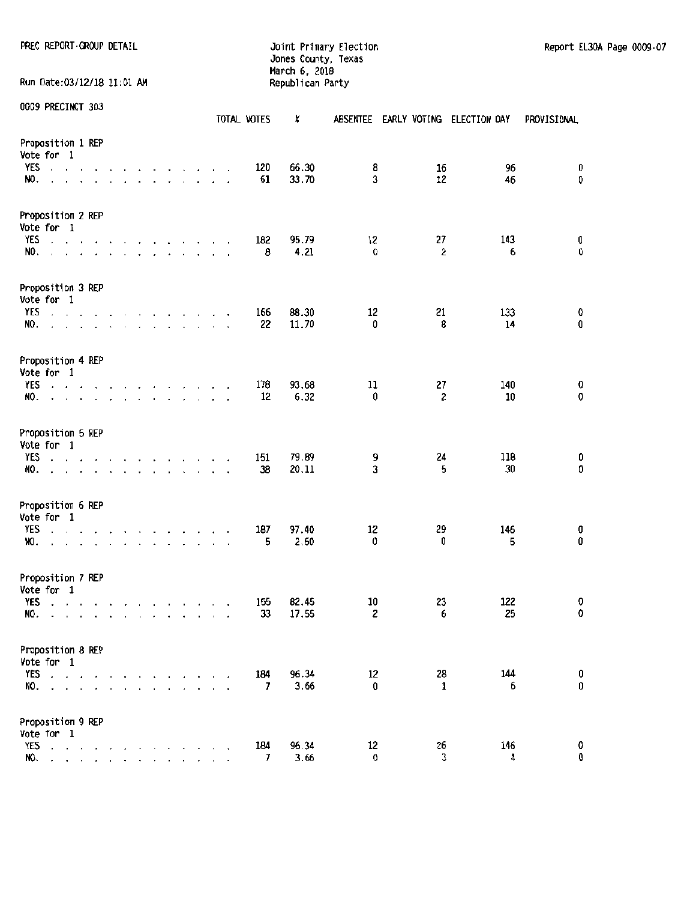PREC REPORT ·GROUP DETAIL **CONTRAINING CONTRAINING CONTRAINING** Joint Primary Election Report EL30A Page 0009-07 Jones County, Texas March 6, 2018 Run Date:03/12/18 11:01 AM Republican Party

|                                                                                                                                                                  |                      |                                                  |           |                                                                                                                                                                     |                                |              |                                         |                      |            |                      | TOTAL VOTES | X              | <b>ABSENTEE</b> |          | EARLY VOTING ELECTION DAY | <b>PROVISIONAL</b> |
|------------------------------------------------------------------------------------------------------------------------------------------------------------------|----------------------|--------------------------------------------------|-----------|---------------------------------------------------------------------------------------------------------------------------------------------------------------------|--------------------------------|--------------|-----------------------------------------|----------------------|------------|----------------------|-------------|----------------|-----------------|----------|---------------------------|--------------------|
| Proposition 1 REP<br>Vote for 1<br>YES<br>$\alpha$ , $\alpha$ , $\alpha$<br>NO.                                                                                  | $\ddot{\phantom{0}}$ | $\ddot{\phantom{1}}$<br>$\overline{\phantom{a}}$ |           |                                                                                                                                                                     | $\sim$<br>$\ddot{\phantom{0}}$ | $\mathbf{r}$ | $\cdot$ $\cdot$ $\cdot$<br>$\mathbf{r}$ | $\cdot$              |            |                      | 120<br>61   | 66.30<br>33.70 | 8<br>3          | 16<br>12 | 96<br>46                  | 0<br>0             |
| Proposition 2 REP<br>Vote for 1                                                                                                                                  |                      |                                                  |           |                                                                                                                                                                     |                                |              |                                         |                      |            |                      |             |                |                 |          |                           |                    |
| YES<br>$\sim$ $\sim$<br>NO.                                                                                                                                      |                      | $\sim$                                           |           | $\mathbf{r}$ , $\mathbf{r}$ , $\mathbf{r}$ , $\mathbf{r}$ , $\mathbf{r}$ , $\mathbf{r}$                                                                             |                                |              |                                         |                      |            | $\mathbf{r}$         | 182<br>8    | 95.79<br>4,21  | 12<br>0         | 27<br>2  | 143<br>6                  | 0<br>0             |
| Proposition 3 REP<br>Vote for 1                                                                                                                                  |                      |                                                  |           |                                                                                                                                                                     |                                |              |                                         |                      |            |                      |             |                |                 |          |                           |                    |
| YES<br><b>Contractor</b><br>NO.<br>a construction of the construction of                                                                                         |                      |                                                  | $\sim$    | the contract of the contract of                                                                                                                                     |                                |              |                                         |                      |            |                      | 166<br>22   | 88.30<br>11.70 | 12<br>0         | 21<br>8  | 133<br>14                 | 0<br>$\pmb{0}$     |
| Proposition 4 REP<br>Vote for 1                                                                                                                                  |                      |                                                  |           |                                                                                                                                                                     |                                |              |                                         |                      |            |                      |             |                |                 |          |                           |                    |
| YES<br>$\cdot$ $\cdot$ $\cdot$<br>NO.                                                                                                                            |                      | $\overline{\phantom{a}}$                         |           | $\ddot{\phantom{0}}$                                                                                                                                                |                                | $\sim$       |                                         |                      |            |                      | 178<br>12   | 93.68<br>6.32  | 11<br>0         | 27<br>2  | 140<br>$10\,$             | 0<br>0             |
| Proposition 5 REP<br>Vote for 1                                                                                                                                  |                      |                                                  |           |                                                                                                                                                                     |                                |              |                                         |                      |            |                      |             |                |                 |          |                           |                    |
| <b>YES</b><br>$\cdot$ $\cdot$ $\cdot$ $\cdot$<br>NO.                                                                                                             |                      |                                                  | $\bullet$ | $\mathbf{r}$ , $\mathbf{r}$ , $\mathbf{r}$ , $\mathbf{r}$ , $\mathbf{r}$<br>$\mathbf{r}$ , $\mathbf{r}$ , $\mathbf{r}$ , $\mathbf{r}$ , $\mathbf{r}$ , $\mathbf{r}$ |                                |              |                                         |                      |            | $\ddot{\phantom{a}}$ | 151<br>38   | 79.89<br>20.11 | 9<br>3          | 24<br>5  | 118<br>30                 | 0<br>0             |
| Proposition 6 REP<br>Vote for 1                                                                                                                                  |                      |                                                  |           |                                                                                                                                                                     |                                |              |                                         |                      |            |                      |             |                |                 |          |                           |                    |
| YES<br>and a state of the<br>NO.<br>and the company of the company of                                                                                            |                      |                                                  |           | the contract of the contract of the                                                                                                                                 |                                |              |                                         | $\ddot{\phantom{0}}$ |            | $\cdot$              | 187<br>5    | 97.40<br>2.60  | 12<br>0         | 29<br>0  | 146<br>5                  | 0<br>0             |
| Proposition 7 REP<br>Vote for 1                                                                                                                                  |                      |                                                  |           |                                                                                                                                                                     |                                |              |                                         |                      |            |                      |             |                |                 |          |                           |                    |
| YES<br>and the company of the company of<br>NO.<br>and a strain and a strain and a strain and a strain and a strain and a strain and a strain and a strain and a |                      |                                                  |           |                                                                                                                                                                     |                                |              |                                         |                      | $\epsilon$ | $\cdot$              | 155<br>33   | 82.45<br>17.55 | 10<br>2         | 23<br>6  | 122<br>25                 | 0<br>0             |
| Proposition 8 REP<br>Vote for 1                                                                                                                                  |                      |                                                  |           |                                                                                                                                                                     |                                |              |                                         |                      |            |                      |             |                |                 |          |                           |                    |
| <b>YES</b><br>$\cdot$ $\cdot$ $\cdot$ $\cdot$<br>NO.<br>$\cdot$ $\cdot$ $\cdot$ $\cdot$ $\cdot$ $\cdot$                                                          |                      |                                                  |           | $\ddot{\phantom{0}}$                                                                                                                                                | $\mathcal{L}$                  |              | $\epsilon$                              |                      |            |                      | 184<br>7    | 96.34<br>3.66  | 12<br>0         | 28<br>1  | 144<br>6                  | 0<br>$\pmb{0}$     |
| Proposition 9 REP<br>Vote for 1                                                                                                                                  |                      |                                                  |           |                                                                                                                                                                     |                                |              |                                         |                      |            |                      |             |                |                 |          |                           |                    |
| YES<br>and a series of the<br>NO.                                                                                                                                |                      |                                                  |           | $\cdot$                                                                                                                                                             |                                |              |                                         |                      |            |                      | 184<br>7    | 96.34<br>3.66  | 12<br>0         | 26<br>3  | 146<br>4                  | 0<br>0             |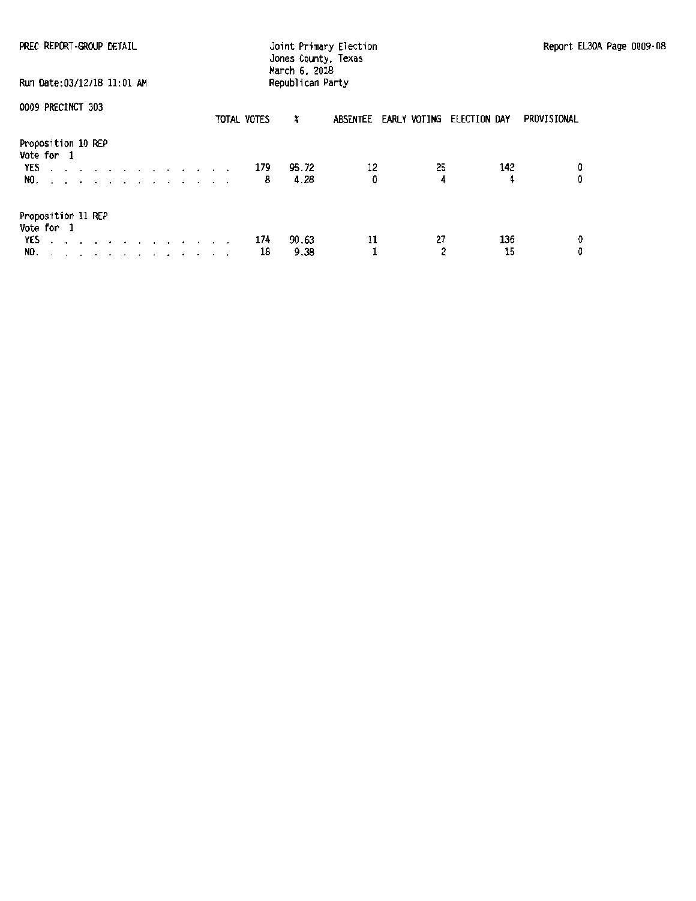| PREC REPORT-GROUP DETAIL<br>Run Date: 03/12/18 11:01 AM     | Joint Primary Election<br>Jones County, Texas<br>March 6, 2018<br>Republican Party | Report EL30A Page 0009-08 |
|-------------------------------------------------------------|------------------------------------------------------------------------------------|---------------------------|
| 0009 PRECINCT 303                                           | TOTAL VOTES<br>ABSENTEE EARLY VOTING ELECTION DAY<br>×                             | PROVISIONAL               |
| Proposition 10 REP<br>Vote for 1<br>YES 179<br>NO. <i>.</i> | 12<br>25<br>142<br>95.72<br>0<br>4<br>4.28<br>4<br>8                               | 0<br>0                    |
| Proposition 11 REP<br>Vote for 1<br>YES<br>NO. <i>.</i>     | 27<br>136<br>90.63<br>11<br>174<br>2<br>15<br>18<br>9.38                           | 0<br>0                    |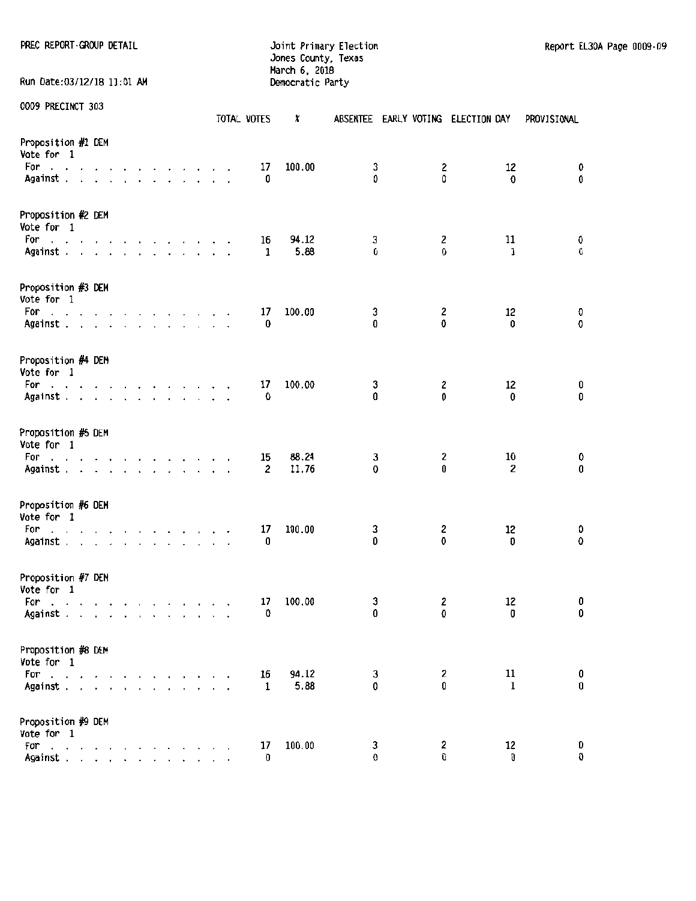PREC REPORT ·GROUP DETAIL **SECONDENT · CONTRACT CONTRACT CONTRACT CONTRACT CONTRACT CONTRACT PROPORT · CONTRACT CONTRACT CONTRACT CONTRACT JOINT CONTRACT CONTRACT CONTRACT CONTRACT CONTRACT CONTRACT CONTRACT CONTRACT CONTR** 

Jones County, Texas March 6, 2018 Run Date:03/12/18 11:01 AM Democratic Party

|                                                                                                                                   |  |                                                           |           |  |  |              |        | TOTAL VOTES | x              |        |        | ABSENTEE EARLY VOTING ELECTION DAY | PROVISIONAL      |
|-----------------------------------------------------------------------------------------------------------------------------------|--|-----------------------------------------------------------|-----------|--|--|--------------|--------|-------------|----------------|--------|--------|------------------------------------|------------------|
| Proposition #1 DEM<br>Vote for 1<br>For<br>the contract of the contract of the contract of                                        |  |                                                           |           |  |  |              | $\sim$ | 17          | 100.00         | 3      | 2      | 12                                 | 0                |
| Against .                                                                                                                         |  | and a series of the series of the                         |           |  |  |              |        | 0           |                | 0      | 0      | 0                                  | 0                |
| Proposition #2 DEM<br>Vote for 1                                                                                                  |  |                                                           |           |  |  |              |        |             |                |        |        |                                    |                  |
| For<br>the contract of the contract of the contract of<br>Against                                                                 |  |                                                           |           |  |  |              |        | 16<br>1     | 94.12<br>5.88  | 3<br>0 | 2<br>0 | 11<br>1                            | 0<br>0           |
| Proposition #3 DEM<br>Vote for 1                                                                                                  |  |                                                           |           |  |  |              |        |             |                |        |        |                                    |                  |
| For a series and a series and a series<br>Against                                                                                 |  |                                                           |           |  |  |              |        | 17<br>0     | 100.00         | 3<br>0 | 2<br>0 | 12<br>$\mathbf{0}$                 | 0<br>0           |
| Proposition #4 DEM<br>Vote for 1                                                                                                  |  |                                                           |           |  |  |              |        |             |                |        |        |                                    |                  |
| For<br>the contract of the contract of the contract of<br>Against .                                                               |  | the contract of the contract of the                       |           |  |  |              | $\sim$ | 17<br>0     | 100.00         | 3<br>0 | 2<br>0 | 12<br>0                            | 0<br>0           |
| Proposition #5 DEM<br>Vote for 1                                                                                                  |  |                                                           |           |  |  |              |        |             |                |        |        |                                    |                  |
| For<br>the contract of the contract of the contract of the contract of the contract of the contract of the contract of<br>Against |  |                                                           |           |  |  |              |        | 15<br>2     | 88.24<br>11.76 | 3<br>0 | 2<br>0 | 10<br>$\mathbf{2}$                 | 0<br>0           |
| Proposition #6 DEM<br>Vote for 1                                                                                                  |  |                                                           |           |  |  |              |        |             |                |        |        |                                    |                  |
| For<br>the contract of the contract of the contract of<br>Against                                                                 |  |                                                           |           |  |  | $\mathbf{r}$ |        | 17<br>0     | 100.00         | 3<br>0 | 2<br>0 | 12<br>0                            | 0<br>0           |
| Proposition #7 DEM<br>Vote for 1                                                                                                  |  |                                                           |           |  |  |              |        |             |                |        |        |                                    |                  |
| For<br>Against                                                                                                                    |  | and a series of the company of                            |           |  |  |              |        | 17<br>0     | 100.00         | 3<br>0 | 2<br>0 | 12<br>0                            | 0<br>0           |
| Proposition #8 DEM<br>Vote for 1                                                                                                  |  |                                                           |           |  |  |              |        |             |                |        |        |                                    |                  |
| For<br>Against                                                                                                                    |  |                                                           | $\cdot$ . |  |  |              |        | 16<br>1     | 94.12<br>5.88  | 3<br>0 | 2<br>0 | 11<br>$\mathbf{1}$                 | 0<br>$\mathbf 0$ |
| Proposition #9 DEM                                                                                                                |  |                                                           |           |  |  |              |        |             |                |        |        |                                    |                  |
| Vote for 1<br>For<br>المناصر والمناصر والمناصر<br>Against .                                                                       |  | $\mathbf{r}$ , $\mathbf{r}$ , $\mathbf{r}$ , $\mathbf{r}$ |           |  |  |              |        | 17<br>O     | 100.00         | 3<br>0 | 2<br>0 | 12<br>0                            | 0<br>0           |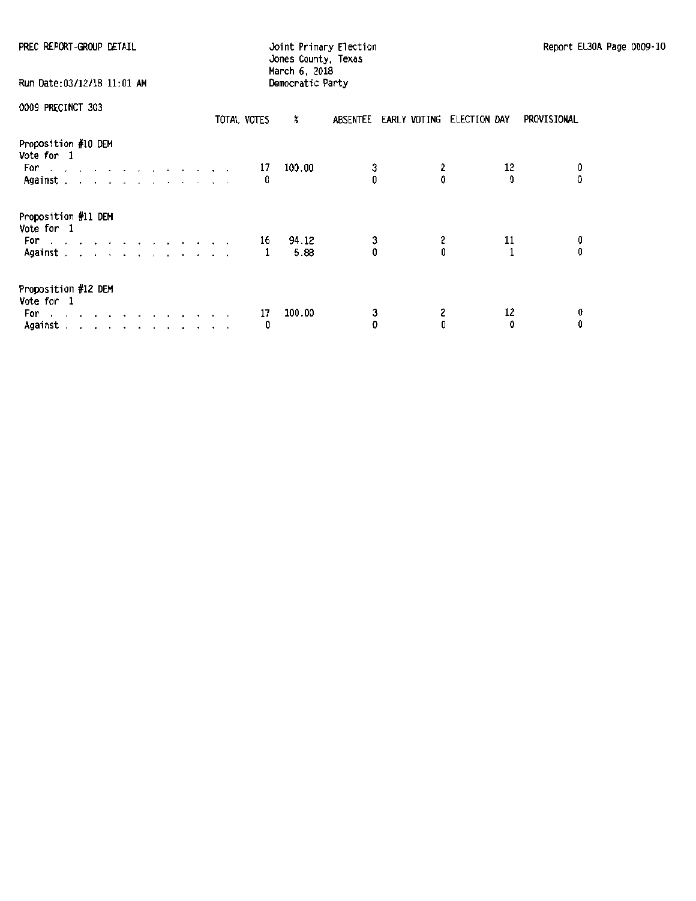| PREC REPORT-GROUP DETAIL                                                                                                                                                                                                                                                        |             | Joint Primary Election<br>Jones County, Texas<br>March 6, 2018 | Report EL30A Page 0009-10          |   |         |             |  |
|---------------------------------------------------------------------------------------------------------------------------------------------------------------------------------------------------------------------------------------------------------------------------------|-------------|----------------------------------------------------------------|------------------------------------|---|---------|-------------|--|
| Run Date:03/12/18 11:01 AM                                                                                                                                                                                                                                                      |             | Democratic Party                                               |                                    |   |         |             |  |
| 0009 PRECINCT 303                                                                                                                                                                                                                                                               | TOTAL VOTES | X                                                              | ABSENTEE EARLY VOTING ELECTION DAY |   |         | PROVISIONAL |  |
| Proposition #10 DEM<br>Vote for 1<br>For a contract and a contract of the second second second second second second second second second second second second second second second second second second second second second second second second second second sec<br>Against. | 17<br>O     | 100.00                                                         |                                    | 2 | 12      | 0<br>0      |  |
| Proposition #11 DEM<br>Vote for 1<br>For a construction of the construction of<br>Against                                                                                                                                                                                       | 16          | 94.12<br>5.88                                                  | Û.                                 | 2 | 11      | O<br>0      |  |
| Proposition #12 DEM<br>Vote for 1<br>For a strategic contract of the contract of<br>Against $\cdots$ $\cdots$ $\cdots$ $\cdots$ $\cdots$                                                                                                                                        | 17<br>0     | 100.00                                                         | 3<br>0                             | 0 | 12<br>0 | 0<br>0      |  |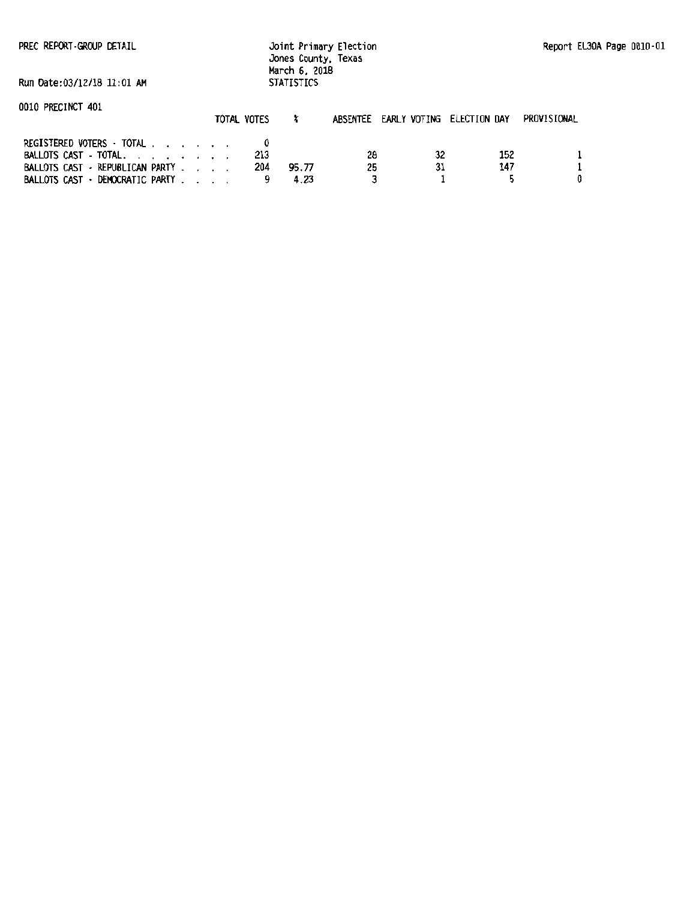PREC REPORT ·GROOP DETAIL

Joint Primary Election Jones County, Texas March 6. 2018 STATISTICS

Run Oate:03/12/18 11:01 AM

| UUIU PREUINUI 4UI                                |  | TOTAL VOTES |       |    |    | ABSENTEE EARLY VOTING ELECTION DAY | PROVISIONAL |
|--------------------------------------------------|--|-------------|-------|----|----|------------------------------------|-------------|
| REGISTERED VOTERS TOTAL<br>BALLOTS CAST - TOTAL. |  | 213         |       | 28 | 32 | 152                                |             |
| BALLOTS CAST · REPUBLICAN PARTY                  |  | 204         | 95.77 | 25 | 31 | 147                                |             |
| BALLOTS CAST · DEMOCRATIC PARTY                  |  |             |       |    |    |                                    |             |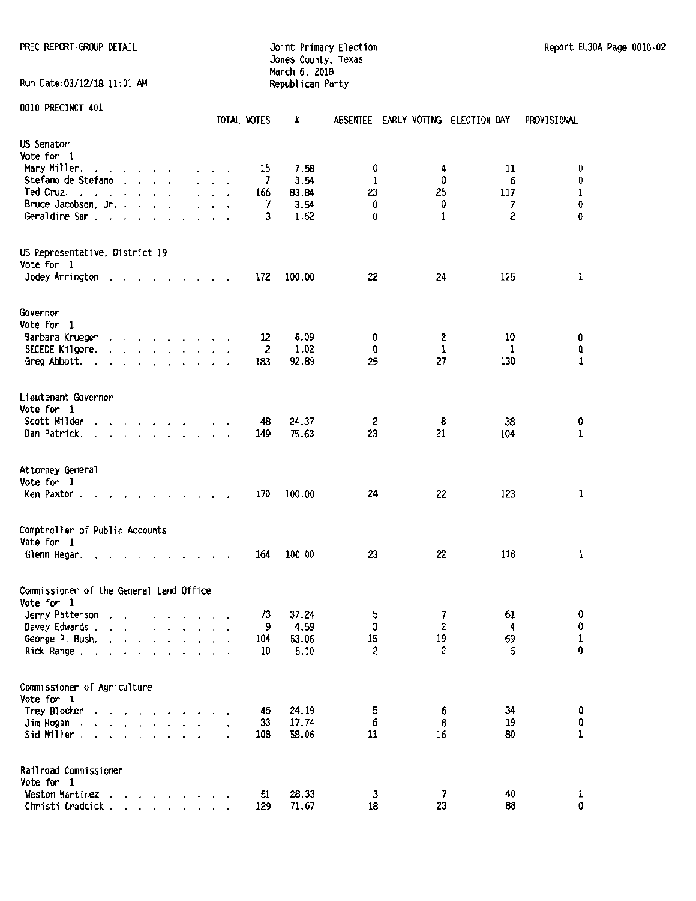PREC REPORT-GROUP DETAIL **SECOND CONTROL** 30 The Strimary Election Report EL30A Page 0010-02

Jones County, Texas March 6, 2018 Run Date:03/12/18 11:01 AM Republican Party

|                                         |                                                                                                                 |                      |                          |                                                                          |  |           | TOTAL VOTES | x      | ABSENTEE       | EARLY VOTING ELECTION DAY |                        | PROVISIONAL |
|-----------------------------------------|-----------------------------------------------------------------------------------------------------------------|----------------------|--------------------------|--------------------------------------------------------------------------|--|-----------|-------------|--------|----------------|---------------------------|------------------------|-------------|
| US Senator                              |                                                                                                                 |                      |                          |                                                                          |  |           |             |        |                |                           |                        |             |
| Vote for 1                              |                                                                                                                 |                      |                          |                                                                          |  |           |             |        |                |                           |                        |             |
| Mary Miller.                            | and a series and a series of the                                                                                |                      |                          |                                                                          |  |           | 15          | 7.58   | 0              | 4                         | 11                     | 0           |
| Stefano de Stefano                      |                                                                                                                 |                      |                          | $\mathbf{r}$ , $\mathbf{r}$ , $\mathbf{r}$ , $\mathbf{r}$ , $\mathbf{r}$ |  |           | 7           | 3.54   | ı              | O                         | 6                      | 0           |
| Ted Cruz.                               | the contract of the contract of the contract of the contract of the contract of the contract of the contract of |                      |                          |                                                                          |  |           | 166         | 83.84  | 23             | 25                        | 117                    | $\mathbf 1$ |
| Bruce Jacobson, Jr.                     |                                                                                                                 |                      |                          |                                                                          |  |           | 7           | 3.54   | 0              | 0                         | 7                      | 0           |
| Geraldine Sam.                          | $\overline{\phantom{a}}$                                                                                        | $\cdot$              |                          |                                                                          |  |           | 3           | 1.52   | 0              | 1                         | 2                      | 0           |
| US Representative, District 19          |                                                                                                                 |                      |                          |                                                                          |  |           |             |        |                |                           |                        |             |
| Vote for 1                              |                                                                                                                 |                      |                          |                                                                          |  |           |             |        |                |                           |                        |             |
| Jodey Arrington                         |                                                                                                                 |                      |                          |                                                                          |  |           | 172         | 100.00 | 22             | 24                        | 125                    | 1           |
| Governor                                |                                                                                                                 |                      |                          |                                                                          |  |           |             |        |                |                           |                        |             |
| Vote for 1                              |                                                                                                                 |                      |                          |                                                                          |  |           |             |        |                |                           |                        |             |
| Barbara Krueger                         |                                                                                                                 |                      |                          | .                                                                        |  |           | 12          | 6.09   | 0              | 2                         | 10                     | 0           |
| SECEDE Kilgore.                         |                                                                                                                 |                      |                          | .                                                                        |  |           | 2           | 1.02   | 0              | 1                         | 1                      | 0           |
| Greg Abbott.                            | $\blacksquare$                                                                                                  |                      |                          | the contract of the con-                                                 |  |           | 183         | 92.89  | 25             | 27                        | 130                    | $\mathbf 1$ |
|                                         |                                                                                                                 |                      |                          |                                                                          |  |           |             |        |                |                           |                        |             |
| Lieutenant Governor<br>Vote for 1       |                                                                                                                 |                      |                          |                                                                          |  |           |             |        |                |                           |                        |             |
| Scott Milder                            |                                                                                                                 |                      |                          | the contract of the contract of the                                      |  |           | 48          | 24.37  | 2              | 8                         | 38                     | 0           |
| Dan Patrick.                            | $\sim$                                                                                                          |                      |                          | $\mathbf{r}$ . The state of the state $\mathbf{r}$                       |  |           | 149         | 75.63  | 23             | 21                        | 104                    | $\mathbf 1$ |
|                                         |                                                                                                                 |                      |                          |                                                                          |  |           |             |        |                |                           |                        |             |
| Attorney General                        |                                                                                                                 |                      |                          |                                                                          |  |           |             |        |                |                           |                        |             |
| Vote for 1                              |                                                                                                                 |                      |                          |                                                                          |  |           |             |        |                |                           |                        |             |
| Ken Paxton.                             |                                                                                                                 |                      |                          | the contract of the contract of the contract of                          |  |           | 170         | 100.00 | 24             | 22                        | 123                    | $\mathbf 1$ |
| Comptroller of Public Accounts          |                                                                                                                 |                      |                          |                                                                          |  |           |             |        |                |                           |                        |             |
| Vote for 1                              |                                                                                                                 |                      |                          |                                                                          |  |           |             |        |                |                           |                        |             |
| Glenn Hegar.                            |                                                                                                                 |                      |                          |                                                                          |  |           | 164         | 100.00 | 23             | 22                        | 118                    | 1           |
| Commissioner of the General Land Office |                                                                                                                 |                      |                          |                                                                          |  |           |             |        |                |                           |                        |             |
| Vote for 1                              |                                                                                                                 |                      |                          |                                                                          |  |           |             |        |                |                           |                        |             |
| Jerry Patterson                         |                                                                                                                 |                      |                          |                                                                          |  |           | 73          | 37.24  | 5              | 7                         | 61                     | 0           |
| Davey Edwards                           |                                                                                                                 | $\sim$               |                          |                                                                          |  |           | 9           | 4.59   | 3              | $\boldsymbol{2}$          | $\boldsymbol{\Lambda}$ | 0           |
| George P. Bush.                         | $\mathbf{r} = \mathbf{r}$                                                                                       |                      | $\ddots$                 |                                                                          |  |           | 104         | 53.06  | 15             | 19                        | 69                     | $\mathbf 1$ |
| Rick Range                              |                                                                                                                 | $\ddot{\phantom{a}}$ |                          | $\cdot \cdot \cdot \cdot$ $\cdot \cdot$                                  |  | $\lambda$ | 10          | 5.10   | $\overline{c}$ | 2                         | 6                      | 0           |
| Commissioner of Agriculture             |                                                                                                                 |                      |                          |                                                                          |  |           |             |        |                |                           |                        |             |
| Vote for 1                              |                                                                                                                 |                      |                          |                                                                          |  |           |             |        |                |                           |                        |             |
| Trey Blocker                            |                                                                                                                 |                      |                          |                                                                          |  |           | 45          | 24.19  | 5              | 6                         | 34                     | 0           |
| Jim Hogan<br>$\cdot$                    | $\ddotsc$                                                                                                       |                      | <b>Contract Contract</b> |                                                                          |  |           | 33          | 17.74  | 6              | 8                         | 19                     | 0           |
| Sid Miller.                             | $\mathbf{r}$ , $\mathbf{r}$ , $\mathbf{r}$ , $\mathbf{r}$ , $\mathbf{r}$ , $\mathbf{r}$                         |                      |                          |                                                                          |  |           | 108         | 58.06  | 11             | 16                        | 80                     | $\mathbf 1$ |
| Railroad Commissioner<br>Vote for 1     |                                                                                                                 |                      |                          |                                                                          |  |           |             |        |                |                           |                        |             |
| Weston Martinez                         |                                                                                                                 |                      |                          | $\mathbf{r}$ , and $\mathbf{r}$ , and $\mathbf{r}$                       |  |           | 51          | 28.33  | 3              | 7                         | 40                     | 1           |
| Christi Craddick.                       |                                                                                                                 |                      |                          | $\mathcal{L}=\mathcal{L}=\mathcal{L}=\mathcal{L}=\mathcal{L}$            |  |           | 129         | 71.67  | 18             | 23                        | 88                     | 0           |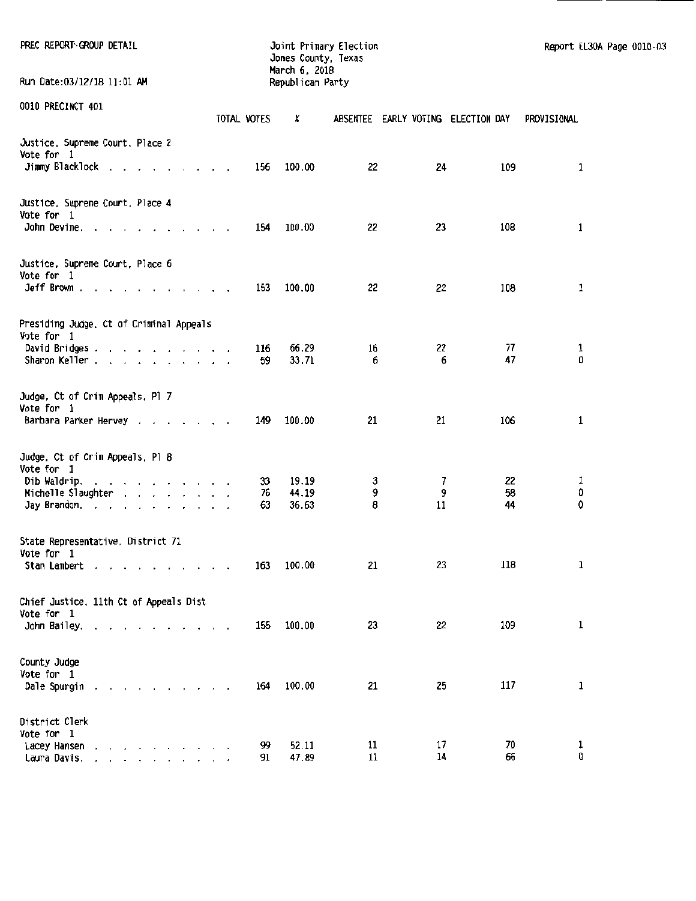| PREC REPORT GROUP DETAIL<br>Run Date:03/12/18 11:01 AM                                             |             | Jones County, Texas<br>March 6, 2018<br>Republican Party | Joint Primary Election |          |                                    | Report EL30A Page 0010-03 |  |
|----------------------------------------------------------------------------------------------------|-------------|----------------------------------------------------------|------------------------|----------|------------------------------------|---------------------------|--|
|                                                                                                    |             |                                                          |                        |          |                                    |                           |  |
| 0010 PRECINCT 401                                                                                  | TOTAL VOTES | X                                                        |                        |          | ABSENTEE EARLY VOTING ELECTION DAY | PROVISIONAL.              |  |
| Justice, Supreme Court, Place 2<br>Vote for 1<br>Jimmy Blacklock                                   | 156         | 100.00                                                   | 22                     | 24       | 109                                | 1                         |  |
| Justice, Supreme Court, Place 4<br>Vote for 1                                                      |             |                                                          |                        |          |                                    |                           |  |
| John Devine, $\ldots$ $\ldots$ $\ldots$ $\ldots$                                                   | 154         | 100.00                                                   | 22                     | 23       | 108                                | 1                         |  |
| Justice, Supreme Court, Place 6<br>Vote for 1<br>Jeff Brown                                        | 153         | 100.00                                                   | 22                     | 22       | 108                                | 1                         |  |
|                                                                                                    |             |                                                          |                        |          |                                    |                           |  |
| Presiding Judge, Ct of Criminal Appeals<br>Vote for 1                                              |             |                                                          |                        |          |                                    |                           |  |
| David Bridges.<br>Sharon Keller                                                                    | 116<br>59   | 66.29<br>33.71                                           | 16<br>6                | 22<br>6  | 77<br>47                           | 1<br>0                    |  |
| Judge, Ct of Crim Appeals, Pl 7<br>Vote for 1                                                      |             |                                                          |                        |          |                                    |                           |  |
| Barbara Parker Hervey                                                                              | 149         | 100.00                                                   | 21                     | 21       | 106                                | 1                         |  |
| Judge. Ct of Crim Appeals, Pl 8<br>Vote for 1                                                      |             |                                                          |                        |          |                                    |                           |  |
| Dib Waldrip.                                                                                       | 33          | 19.19                                                    | 3                      | 7.       | 22                                 | 1                         |  |
| Michelle Slaughter                                                                                 | 76          | 44.19                                                    | 9                      | 9        | 58                                 | 0                         |  |
| Jay Brandon.                                                                                       | 63          | 36.63                                                    | 8                      | 11       | 44                                 | 0                         |  |
| State Representative, District 71<br>Vote for 1                                                    |             |                                                          |                        |          |                                    |                           |  |
| Stan Lambert                                                                                       | 163         | 100.00                                                   | 21                     | 23       | 118                                | 1                         |  |
| Chief Justice, 11th Ct of Appeals Dist<br>Vote for 1                                               |             |                                                          |                        |          |                                    |                           |  |
| John Bailey.                                                                                       | 155         | 100.00                                                   | 23                     | 22       | 109                                | 1                         |  |
| County Judge                                                                                       |             |                                                          |                        |          |                                    |                           |  |
| Vote for 1<br>Dale Spurgin                                                                         | 164         | 100.00                                                   | 21                     | 25       | 117                                | 1                         |  |
| District Clerk<br>Vote for 1                                                                       |             |                                                          |                        |          |                                    |                           |  |
| Lacey Hansen<br>and a state of the state of the<br>Laura Davis.<br>the contract of the contract of | 99<br>91    | 52.11<br>47.89                                           | 11<br>11               | 17<br>14 | 70<br>66                           | 1<br>0                    |  |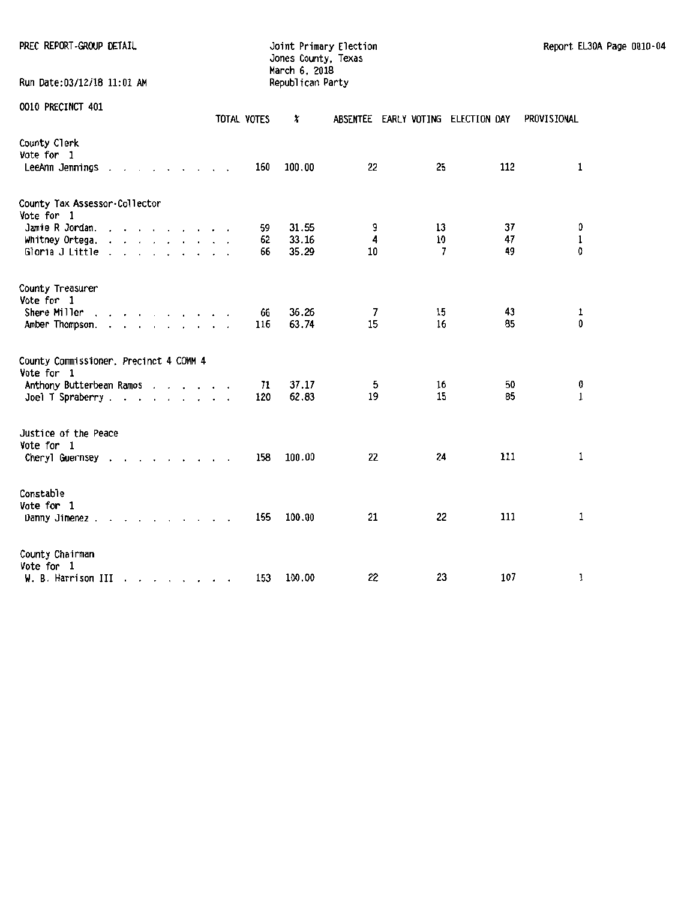| PREC REPORT-GROUP DETAIL<br>Run Date:03/12/18 11:01 AM                                                                                        |             | Jones County, Texas<br>March 6, 2018<br>Republican Party | Joint Primary Election |         |                                    | Report EL30A Page 0010-04 |  |
|-----------------------------------------------------------------------------------------------------------------------------------------------|-------------|----------------------------------------------------------|------------------------|---------|------------------------------------|---------------------------|--|
| <b>0010 PRECINCT 401</b>                                                                                                                      | TOTAL VOTES | x                                                        |                        |         | ABSENTEE EARLY VOTING ELECTION DAY | PROVISIONAL               |  |
| County Clerk<br><b>Vote for 1</b><br>LeeAnn Jennings $\ldots$ $\ldots$ $\ldots$ $\ldots$                                                      | 160         | 100.00                                                   | 22                     | 25      | 112                                | 1                         |  |
| County Tax Assessor-Collector<br>Vote for 1                                                                                                   |             |                                                          |                        |         |                                    |                           |  |
| Jamie R Jordan.                                                                                                                               | 59.         | 31.55                                                    | 9                      | 13      | 37                                 | 0                         |  |
| Whitney Ortega. $\ldots$<br>Gloria J Little                                                                                                   | 62<br>66    | 33.16<br>35.29                                           | 4<br>10                | 10<br>7 | 47<br>49                           | $\mathbf 1$<br>0          |  |
| County Treasurer                                                                                                                              |             |                                                          |                        |         |                                    |                           |  |
| Vote for 1<br>Shere Miller<br>and the state of the state of the state of the state of the state of the state of the state of the state of the | 66          | 36.26                                                    | 7                      | 15      | 43                                 | 1                         |  |
| Amber Thompson.                                                                                                                               | 116         | 63.74                                                    | 15                     | 16      | 85                                 | 0                         |  |
| County Commissioner, Precinct 4 COMM 4<br>Vote for 1                                                                                          |             |                                                          |                        |         |                                    |                           |  |
| Anthony Butterbean Ramos                                                                                                                      | 71          | 37.17                                                    | 5                      | 16      | 50                                 | 0                         |  |
| Joel T Spraberry $\ldots$ $\ldots$ $\ldots$ $\ldots$                                                                                          | 120         | 62.83                                                    | 19                     | 15      | 85                                 | 1                         |  |
| Justice of the Peace<br>Vote for 1                                                                                                            |             |                                                          |                        |         |                                    |                           |  |
| Cheryl Guernsey                                                                                                                               | 158         | 100.00                                                   | 22                     | 24      | 111                                | 1                         |  |
| Constable                                                                                                                                     |             |                                                          |                        |         |                                    |                           |  |
| Vote for 1<br>Danny Jimenez                                                                                                                   | 155         | 100.00                                                   | 21                     | 22      | 111                                | 1                         |  |
| County Chairman                                                                                                                               |             |                                                          |                        |         |                                    |                           |  |
| Vote for 1<br>W. B. Harrison III                                                                                                              | 153         | 100.00                                                   | 22                     | 23      | 107                                | 1                         |  |
|                                                                                                                                               |             |                                                          |                        |         |                                    |                           |  |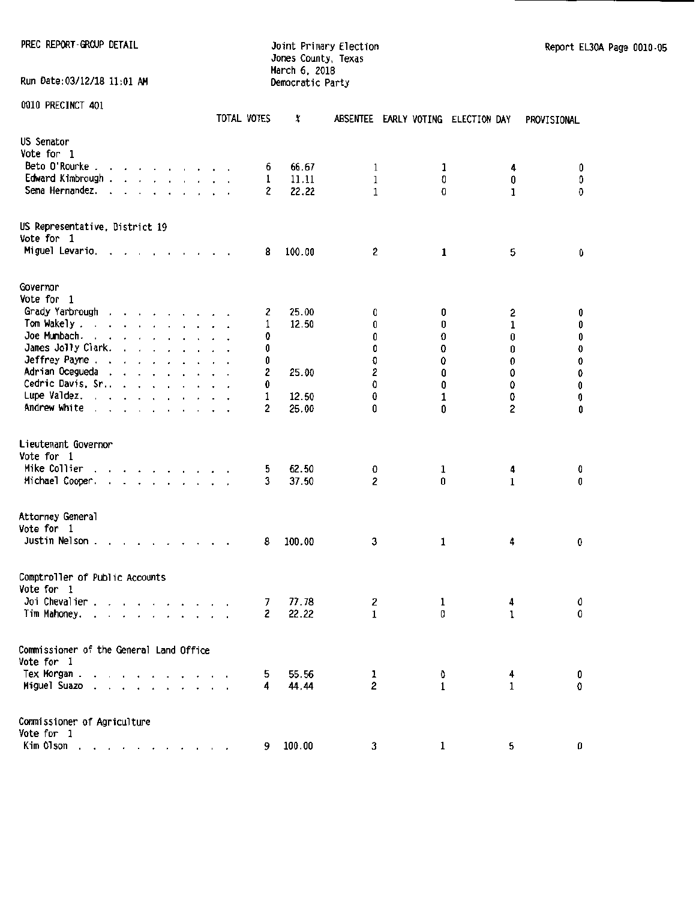PREC REPORT GROUP DETAIL **Find the State of Australian** Joint Primary Election Report EL30A Page 0010-05 Jones County, Texas March 6. 2018 Run Date:03/12/18 11:01 AM Democratic Party

|                                                                                                                                                                                                                                                        |                             | TOTAL VOTES                            | X      | <b>ABSENTEE</b> | EARLY VOTING ELECTION DAY |              | PROVISIONAL |
|--------------------------------------------------------------------------------------------------------------------------------------------------------------------------------------------------------------------------------------------------------|-----------------------------|----------------------------------------|--------|-----------------|---------------------------|--------------|-------------|
| US Senator                                                                                                                                                                                                                                             |                             |                                        |        |                 |                           |              |             |
| Vote for 1                                                                                                                                                                                                                                             |                             |                                        |        |                 |                           |              |             |
| Beto O'Rourke.<br>$\mathbf{r}$ , $\mathbf{r}$ , $\mathbf{r}$ , $\mathbf{r}$ , $\mathbf{r}$ , $\mathbf{r}$ , $\mathbf{r}$ , $\mathbf{r}$                                                                                                                |                             | 6                                      | 66.67  | 1               | 1                         | 4            | 0           |
| Edward Kimbrough.<br>and the contract of the contract of                                                                                                                                                                                               |                             | 1                                      | 11.11  | 1               | 0                         | 0            | 0           |
| Sema Hernandez.<br>the contract of the contract of<br>$\overline{\phantom{a}}$                                                                                                                                                                         |                             | $\overline{c}$<br>$\ddot{\phantom{0}}$ | 22.22  | 1               | 0                         | 1            | 0           |
|                                                                                                                                                                                                                                                        |                             |                                        |        |                 |                           |              |             |
| US Representative, District 19<br>Vote for 1                                                                                                                                                                                                           |                             |                                        |        |                 |                           |              |             |
| Miguel Levario. .<br>$\overline{\phantom{a}}$<br>$\overline{\phantom{a}}$                                                                                                                                                                              | and a state of the state of | 8                                      | 100.00 | 2               | 1                         | 5            | 0           |
|                                                                                                                                                                                                                                                        |                             |                                        |        |                 |                           |              |             |
| Governor<br>Vote for 1                                                                                                                                                                                                                                 |                             |                                        |        |                 |                           |              |             |
| Grady Yarbrough<br>$\mathbf{r}$ , and a set of the set of the set of the set of the set of the set of the set of the set of the set of the set of the set of the set of the set of the set of the set of the set of the set of the set of the set of   |                             | 2                                      | 25.00  | 0               | 0                         | 2            | 0           |
| Tom Wakely.<br>$\mathbf{r}$ , $\mathbf{r}$ , $\mathbf{r}$ , $\mathbf{r}$ , $\mathbf{r}$ , $\mathbf{r}$                                                                                                                                                 |                             | 1                                      | 12.50  | 0               | 0                         | 1            | 0           |
| Joe Mumbach.<br>the contract of the contract of the                                                                                                                                                                                                    |                             | 0                                      |        | 0               | O                         | 0            | 0           |
| James Jolly Clark.<br>and a state of the                                                                                                                                                                                                               |                             | 0                                      |        | 0               | 0                         | 0            | $\pmb{0}$   |
| Jeffrey Payne                                                                                                                                                                                                                                          |                             | 0                                      |        | O               | 0                         | 0            | 0           |
| Adrian Ocegueda<br>and the second service of                                                                                                                                                                                                           |                             | 2                                      | 25.00  | 2               | Û                         | 0            | 0           |
| Cedric Davis, Sr                                                                                                                                                                                                                                       |                             | 0                                      |        | 0               | 0                         | 0            | 0           |
| Lupe Valdez.                                                                                                                                                                                                                                           |                             | 1                                      | 12.50  | 0               | 1                         | 0            |             |
| Andrew White                                                                                                                                                                                                                                           |                             | 2                                      |        | û               | 0                         |              | 0           |
|                                                                                                                                                                                                                                                        |                             |                                        | 25.00  |                 |                           | 2            | 0           |
| Lieutenant Governor<br>Vote for 1                                                                                                                                                                                                                      |                             |                                        |        |                 |                           |              |             |
| Mike Collier                                                                                                                                                                                                                                           |                             | 5                                      | 62.50  | 0               | 1                         | 4            | 0           |
| Michael Cooper.<br>$\mathbf{r}$ . The set of the set of the set of the set of the set of the set of the set of the set of the set of the set of the set of the set of the set of the set of the set of the set of the set of the set of the set of t   |                             | 3                                      | 37.50  | 2               | 0                         | 1            | 0           |
|                                                                                                                                                                                                                                                        |                             |                                        |        |                 |                           |              |             |
| Attorney General                                                                                                                                                                                                                                       |                             |                                        |        |                 |                           |              |             |
| Vote for 1                                                                                                                                                                                                                                             |                             |                                        |        |                 |                           |              |             |
| Justin Nelson.<br>$\mathbf{r}$ , $\mathbf{r}$ , $\mathbf{r}$ , $\mathbf{r}$                                                                                                                                                                            |                             | 8                                      | 100.00 | 3               | 1                         | 4            | 0           |
| Comptroller of Public Accounts<br>Vote for 1                                                                                                                                                                                                           |                             |                                        |        |                 |                           |              |             |
| Joi Chevalier.<br>$\mathbf{r}$ and $\mathbf{r}$ are the set of the set of the set of the set of the set of the set of the set of the set of the set of the set of the set of the set of the set of the set of the set of the set of the set of the set |                             | 7                                      | 77.78  | 2               | 1                         | 4            | 0           |
| Tim Mahoney.<br>and the contract of the contract of<br>$\sim$                                                                                                                                                                                          |                             | 2                                      | 22.22  | 1               | 0                         | 1            | 0           |
| Commissioner of the General Land Office                                                                                                                                                                                                                |                             |                                        |        |                 |                           |              |             |
| Vote for 1                                                                                                                                                                                                                                             |                             |                                        |        |                 |                           |              |             |
|                                                                                                                                                                                                                                                        |                             |                                        |        |                 |                           |              |             |
| Tex Morgan.                                                                                                                                                                                                                                            |                             | 5.                                     | 55.56  | $\mathbf{1}$    | 0                         | 4            | 0           |
| Miguel Suazo                                                                                                                                                                                                                                           |                             | 4                                      | 44.44  | $\mathbf{2}$    | $\mathbf{1}$              | $\mathbf{1}$ | 0           |
| Commissioner of Agriculture                                                                                                                                                                                                                            |                             |                                        |        |                 |                           |              |             |
| Vote for 1                                                                                                                                                                                                                                             |                             |                                        |        |                 |                           |              |             |
| Kim 01son                                                                                                                                                                                                                                              |                             | 9                                      | 100.00 | 3               | 1                         | 5            | 0           |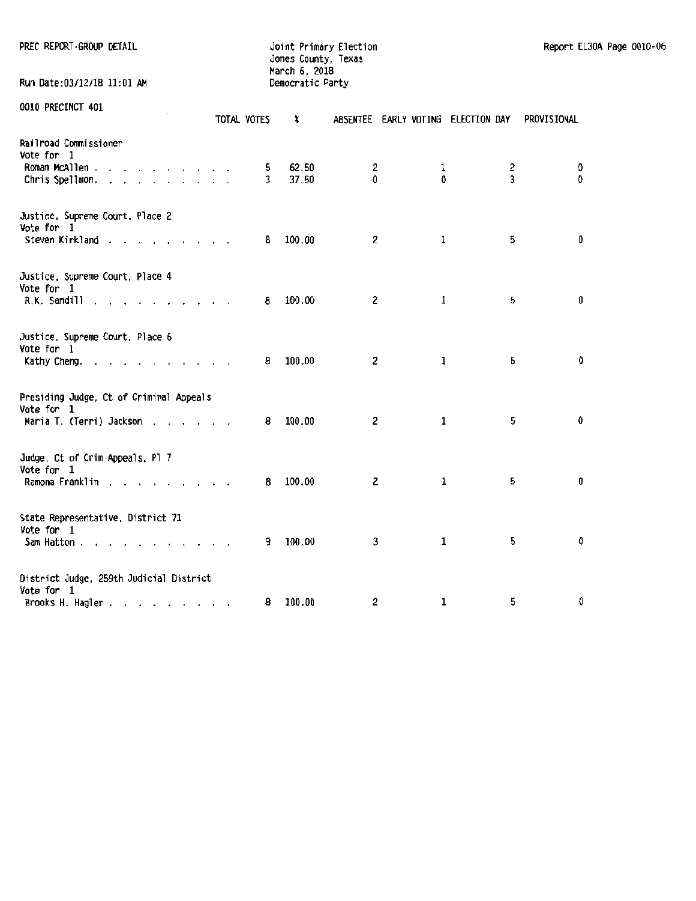Jones County, Texas March 6. 2018 Run Date:03/12/18 11:01 AM Democratic Party

|                                                                                                     | TOTAL VOTES |   | x      |                         |             | ABSENTEE EARLY VOTING ELECTION DAY | PROVISIONAL |
|-----------------------------------------------------------------------------------------------------|-------------|---|--------|-------------------------|-------------|------------------------------------|-------------|
| Railroad Commissioner<br>Vote for 1                                                                 |             |   |        |                         |             |                                    |             |
| Roman McAllen                                                                                       |             | 5 | 62.50  | 2                       | 1           | 2                                  | 0           |
| Chris Spellmon.<br>$\mathbf{r}$ and $\mathbf{r}$ and $\mathbf{r}$ and $\mathbf{r}$ and $\mathbf{r}$ |             | 3 | 37.50  | 0                       | 0           | 3                                  | 0           |
| Justice, Supreme Court, Place 2<br>Vote for 1                                                       |             |   |        |                         |             |                                    |             |
| Steven Kirkland                                                                                     |             | 8 | 100.00 | $\mathbf{z}$            | 1           | 5                                  | 0           |
| Justice, Supreme Court, Place 4                                                                     |             |   |        |                         |             |                                    |             |
| Vote for 1<br>R.K. Sandill<br>and a series of                                                       |             | 8 | 100.00 | $\overline{2}$          | 1           | 5                                  | 0           |
| Justice, Supreme Court, Place 6                                                                     |             |   |        |                         |             |                                    |             |
| Vote for 1<br>Kathy Cheng.                                                                          |             | 8 | 100.00 | $\overline{\mathbf{c}}$ | $\mathbf 1$ | 5                                  | 0           |
| Presiding Judge, Ct of Criminal Appeals<br>Vote for 1                                               |             |   |        |                         |             |                                    |             |
| Maria T. (Terri) Jackson                                                                            |             | 8 | 100.00 | 2                       | 1           | 5                                  | $\mathbf 0$ |
| Judge, Ct of Crim Appeals, Pl 7<br>Vote for 1                                                       |             |   |        |                         |             |                                    |             |
| Ramona Franklin                                                                                     |             | 8 | 100.00 | $\overline{c}$          | $\mathbf 1$ | 5                                  | 0           |
| State Representative, District 71                                                                   |             |   |        |                         |             |                                    |             |
| Vote for 1<br>Sam Hatton<br>.<br>$\ddot{\phantom{0}}$                                               |             | 9 | 100.00 | 3                       | 1           | 5                                  | 0           |
| District Judge, 259th Judicial District                                                             |             |   |        |                         |             |                                    |             |
| Vote for 1                                                                                          |             | 8 | 100.00 | 2                       | 1           | 5                                  | 0           |
| Brooks H. Hagler                                                                                    |             |   |        |                         |             |                                    |             |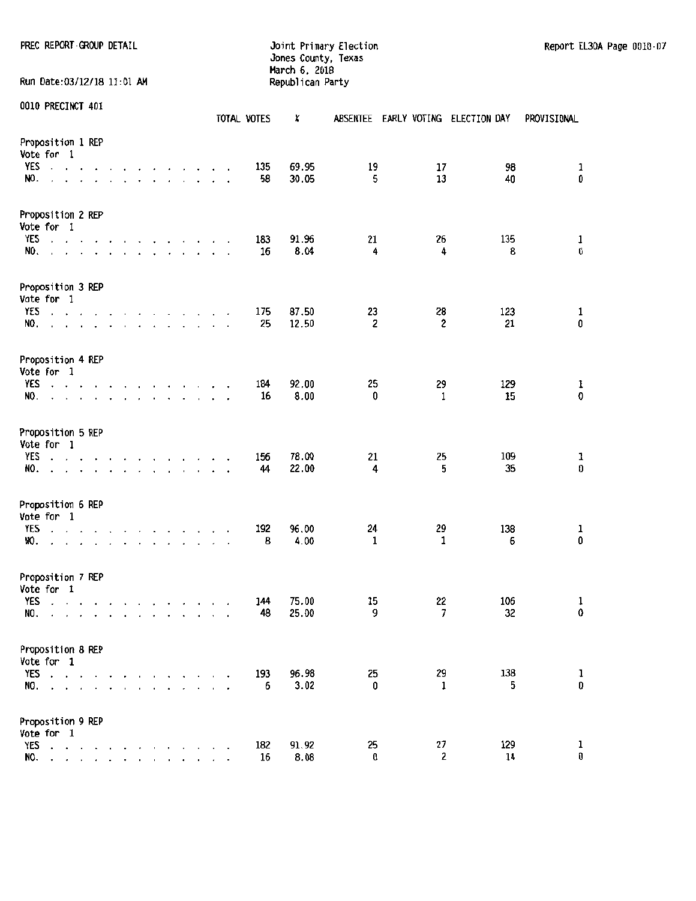PREC REPORT GROUP DETAIL **Fitting Community Election** and the primary Election Report EL30A Page 0010-07

# Jones County, Texas March 6. 2018 Run Date:03/12/18 11:01 AM Republican Party

| 0010 PRECINCT 401               |                                                          |           |                                 |                      |                                        |                                   |                      |                        |                                                                                                                                                                                                                                                                                                      |                                    | TOTAL VOTES | X              | <b>ABSENTEE</b>               |                    | EARLY VOTING ELECTION DAY | PROVISIONAL                               |
|---------------------------------|----------------------------------------------------------|-----------|---------------------------------|----------------------|----------------------------------------|-----------------------------------|----------------------|------------------------|------------------------------------------------------------------------------------------------------------------------------------------------------------------------------------------------------------------------------------------------------------------------------------------------------|------------------------------------|-------------|----------------|-------------------------------|--------------------|---------------------------|-------------------------------------------|
| Proposition 1 REP<br>Vote for 1 |                                                          |           |                                 |                      |                                        |                                   |                      |                        |                                                                                                                                                                                                                                                                                                      |                                    |             |                |                               |                    |                           |                                           |
| YES<br>NO.                      | $\sim$ $\sim$                                            |           |                                 |                      |                                        |                                   |                      |                        |                                                                                                                                                                                                                                                                                                      |                                    | 135<br>58   | 69.95<br>30.05 | 19<br>5                       | 17<br>13           | 98<br>40                  | $\mathbf 1$<br>0                          |
| Proposition 2 REP<br>Vote for 1 |                                                          |           |                                 |                      |                                        |                                   |                      |                        |                                                                                                                                                                                                                                                                                                      |                                    |             |                |                               |                    |                           |                                           |
| <b>YES</b><br>NO.               | $\ddot{\phantom{0}}$                                     |           | $\cdot$ $\cdot$                 |                      |                                        |                                   |                      |                        | $\mathbf{r}$ . The contract of the contract of the contract of the contract of the contract of the contract of the contract of the contract of the contract of the contract of the contract of the contract of the contract of th<br>$\cdot$ $\cdot$ $\cdot$ $\cdot$ $\cdot$ $\cdot$ $\cdot$ $\cdot$ | $\overline{\phantom{a}}$<br>$\sim$ | 183<br>16   | 91.96<br>8.04  | 21<br>4                       | 26<br>4            | 135<br>8                  | $\mathbf{1}$<br>$\pmb{0}$                 |
| Proposition 3 REP<br>Vote for 1 |                                                          |           |                                 |                      |                                        |                                   |                      |                        |                                                                                                                                                                                                                                                                                                      |                                    |             |                |                               |                    |                           |                                           |
| YES<br>NO.                      | and a state of the<br>and the company of the company of  |           |                                 |                      |                                        |                                   |                      |                        | the contract of the contract of                                                                                                                                                                                                                                                                      |                                    | 175<br>25   | 87.50<br>12.50 | 23<br>$\overline{\mathbf{c}}$ | 28<br>2            | 123<br>21                 | $\frac{1}{0}$                             |
| Proposition 4 REP<br>Vote for 1 |                                                          |           |                                 |                      |                                        |                                   |                      |                        |                                                                                                                                                                                                                                                                                                      |                                    |             |                |                               |                    |                           |                                           |
| YES<br>NO.                      | $\cdot$ $\cdot$ $\cdot$ $\cdot$                          |           |                                 |                      |                                        | $\cdot$                           | $\sim$               |                        |                                                                                                                                                                                                                                                                                                      |                                    | 184<br>16   | 92.00<br>8.00  | 25<br>0                       | 29<br>1            | 129<br>15                 | 1<br>0                                    |
| Proposition 5 REP<br>Vote for 1 |                                                          |           |                                 |                      |                                        |                                   |                      |                        |                                                                                                                                                                                                                                                                                                      |                                    |             |                |                               |                    |                           |                                           |
| <b>YES</b><br>NO.               | $\cdot$ $\cdot$ $\cdot$                                  |           |                                 |                      | $\ddot{\phantom{1}}$<br>$\overline{a}$ |                                   |                      |                        | $\mathbf{r}$ , and $\mathbf{r}$ , and $\mathbf{r}$<br>the contract of the contract of the contract of                                                                                                                                                                                                |                                    | 156<br>44   | 78.00<br>22.00 | 21<br>4                       | 25<br>5            | 109<br>35                 | 1<br>0                                    |
| Proposition 6 REP<br>Vote for 1 |                                                          |           |                                 |                      |                                        |                                   |                      |                        |                                                                                                                                                                                                                                                                                                      |                                    |             |                |                               |                    |                           |                                           |
| YES<br>NO.                      | $\sim$ $\sim$<br>$\bullet$                               | $\bullet$ | <b>Contract Contract Street</b> | $\sim$ $\sim$ $\sim$ | $\overline{\phantom{a}}$               | <b>Contract Contract Contract</b> |                      | <b>Service Control</b> | $\ddot{\phantom{0}}$                                                                                                                                                                                                                                                                                 |                                    | 192<br>8    | 96.00<br>4.00  | 24<br>1                       | 29<br>1            | 138<br>6                  | ı<br>0                                    |
| Proposition 7 REP<br>Vote for 1 |                                                          |           |                                 |                      |                                        |                                   |                      |                        |                                                                                                                                                                                                                                                                                                      |                                    |             |                |                               |                    |                           |                                           |
| YES<br>NO.                      | المنام المناجي والمناجي والمناجي والمناجي                |           |                                 |                      |                                        |                                   |                      |                        |                                                                                                                                                                                                                                                                                                      |                                    | 144<br>48   | 75.00<br>25.00 | 15<br>9                       | 22<br>7            | 106<br>32                 | $\mathbf{1}$<br>0                         |
| Proposition 8 REP<br>Vote for 1 |                                                          |           |                                 |                      |                                        |                                   |                      |                        |                                                                                                                                                                                                                                                                                                      |                                    |             |                |                               |                    |                           |                                           |
| NO.                             | YES $\ldots$ $\ldots$<br>and a state of the state of the |           |                                 |                      |                                        |                                   | $\ddot{\phantom{0}}$ |                        |                                                                                                                                                                                                                                                                                                      |                                    | 193<br>6    | 96.98<br>3.02  | 25<br>0                       | 29<br>$\mathbf{1}$ | 138<br>5                  | $\begin{smallmatrix}1\0\end{smallmatrix}$ |
| Proposition 9 REP<br>Vote for 1 |                                                          |           |                                 |                      |                                        |                                   |                      |                        |                                                                                                                                                                                                                                                                                                      |                                    |             |                |                               |                    |                           |                                           |
| YES                             | and a series of the<br>NO.                               |           |                                 |                      |                                        |                                   |                      |                        |                                                                                                                                                                                                                                                                                                      |                                    | 182<br>16   | 91.92<br>8.08  | 25<br>0                       | 27<br>2            | 129<br>14                 | 1<br>0                                    |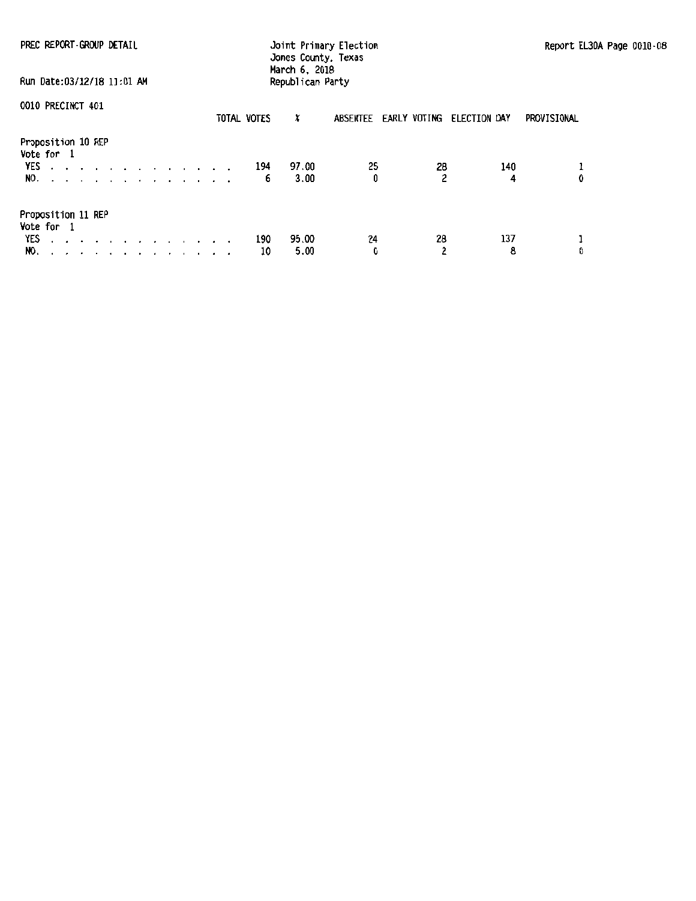| PREC REPORT-GROUP DETAIL<br>Run Date:03/12/18 11:01 AM    | Joint Primary Election<br>Jones County, Texas<br>March 6, 2018<br>Republican Party |             |           |               |                                    |                      | Report EL30A Page 0010-08 |             |  |
|-----------------------------------------------------------|------------------------------------------------------------------------------------|-------------|-----------|---------------|------------------------------------|----------------------|---------------------------|-------------|--|
| 0010 PRECINCT 401                                         |                                                                                    | TOTAL VOTES |           | x             | ABSENTEE EARLY VOTING ELECTION DAY |                      |                           | PROVISIONAL |  |
| Proposition 10 REP<br>Vote for 1<br><b>YES</b> 194<br>NO. |                                                                                    |             | 6         | 97.00<br>3.00 | 25<br>0                            | 28<br>$\overline{2}$ | 140<br>4                  | 0           |  |
| Proposition 11 REP<br>Vote for 1<br>YES<br>NO.            |                                                                                    |             | 190<br>10 | 95.00<br>5.00 | 24<br>0                            | 28<br>$\overline{2}$ | 137<br>8                  | ı<br>Đ      |  |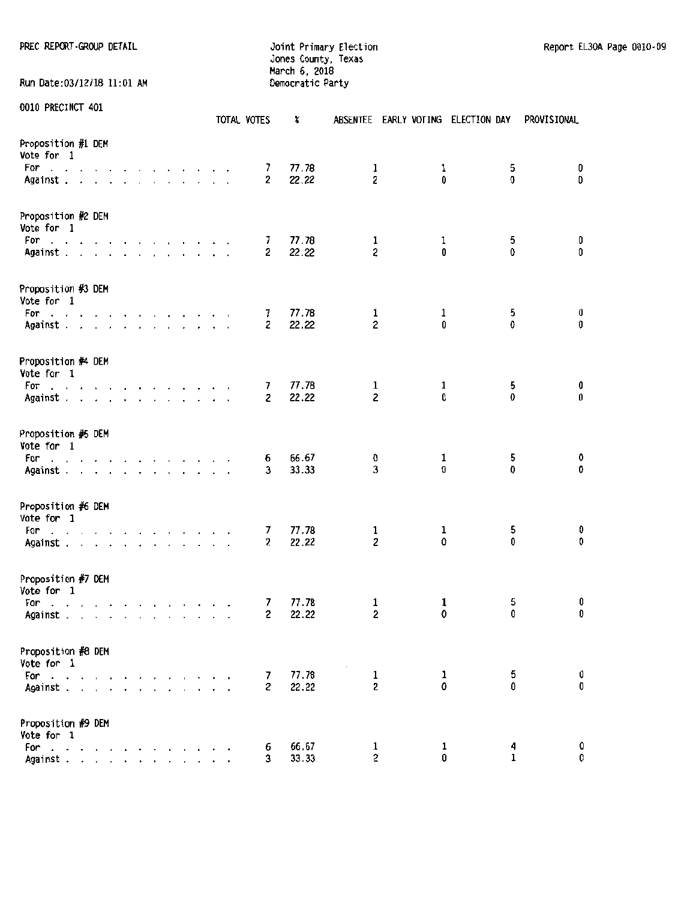PREC REPORT·GROUP DETAIL **Frimary Election** Joint Primary Election Report EL30A Page 0010-09

Jones County. Texas March 6. 2018 Run Date:03/12/18 11:01 AM Democratic Party

|                                                                                                                                                                                                                                |  |  |  |  |  | TOTAL VOTES         | x              |                         |        | ABSENTEE EARLY VOTING ELECTION DAY | PROVISIONAL |
|--------------------------------------------------------------------------------------------------------------------------------------------------------------------------------------------------------------------------------|--|--|--|--|--|---------------------|----------------|-------------------------|--------|------------------------------------|-------------|
| Proposition #1 DEM<br>Vote for 1                                                                                                                                                                                               |  |  |  |  |  |                     |                |                         |        |                                    |             |
| For<br>the contract of the contract of the contract of the contract of the contract of the contract of the contract of                                                                                                         |  |  |  |  |  | 7                   | 77.78          | 1                       | 1      | 5                                  | 0           |
| Against                                                                                                                                                                                                                        |  |  |  |  |  | 2                   | 22.22          | $\overline{\mathbf{c}}$ | 0      | 0                                  | $\mathbf 0$ |
| Proposition #2 DEM<br>Vote for 1                                                                                                                                                                                               |  |  |  |  |  |                     |                |                         |        |                                    |             |
| For a subsequence of the state of the state of the state of the state of the state of the state of the state of the state of the state of the state of the state of the state of the state of the state of the state of the st |  |  |  |  |  | 7                   | 77.78          | 1                       | 1      | 5                                  | 0           |
| Against                                                                                                                                                                                                                        |  |  |  |  |  | 2                   | 22.22          | $\boldsymbol{z}$        | 0      | 0                                  | 0           |
| Proposition #3 DEM<br>Vote for 1                                                                                                                                                                                               |  |  |  |  |  |                     |                |                         |        |                                    |             |
| For<br>the contract of the contract of the contract of                                                                                                                                                                         |  |  |  |  |  | 7.                  | 77.78          | 1                       | 1      | 5                                  | 0           |
| Against                                                                                                                                                                                                                        |  |  |  |  |  | $\mathbf{z}$        | 22.22          | $\overline{c}$          | 0      | 0                                  | 0           |
| Proposition #4 DEM<br>Vote for 1                                                                                                                                                                                               |  |  |  |  |  |                     |                |                         |        |                                    |             |
| For<br>and a series of a series of the control                                                                                                                                                                                 |  |  |  |  |  | 7                   | 77.78          | 1                       | 1      | 5                                  | 0           |
| Against                                                                                                                                                                                                                        |  |  |  |  |  | $\mathbf{2}$        | 22.22          | $\overline{c}$          | 0      | 0                                  | $\bf 0$     |
| Proposition #5 DEM<br>Vote for 1                                                                                                                                                                                               |  |  |  |  |  |                     |                |                         |        |                                    |             |
| For<br>the contract of the contract of the contract of the contract of the contract of the contract of the contract of                                                                                                         |  |  |  |  |  | 6                   | 66.67          | 0                       | 1      | 5                                  | 0           |
| Against                                                                                                                                                                                                                        |  |  |  |  |  | 3                   | 33.33          | 3                       | 0      | 0                                  | 0           |
| Proposition #6 DEM<br>Vote for 1                                                                                                                                                                                               |  |  |  |  |  |                     |                |                         |        |                                    |             |
| For<br>and the contract of the contract of the contract of                                                                                                                                                                     |  |  |  |  |  | 7                   | 77.78          | 1                       | ı      | 5                                  | 0           |
| Against                                                                                                                                                                                                                        |  |  |  |  |  | 2                   | 22.22          | 2                       | 0      | 0                                  | 0           |
| Proposition #7 DEM<br>Vote for 1                                                                                                                                                                                               |  |  |  |  |  |                     |                |                         |        |                                    |             |
| For<br>and a straightful contract and a                                                                                                                                                                                        |  |  |  |  |  | 7                   | 77.78          | 1                       | 1      | 5                                  | 0           |
| Against                                                                                                                                                                                                                        |  |  |  |  |  | $\mathbf{2}$        | 22.22          | 2                       | 0      | 0                                  | 0           |
| Proposition #8 DEM                                                                                                                                                                                                             |  |  |  |  |  |                     |                |                         |        |                                    |             |
| Vote for 1                                                                                                                                                                                                                     |  |  |  |  |  |                     |                |                         |        |                                    |             |
| For                                                                                                                                                                                                                            |  |  |  |  |  | 7<br>$\overline{c}$ | 77.78<br>22.22 | $\mathbf{1}$<br>2       | 1<br>0 | 5<br>0                             | 0<br>0      |
| Against                                                                                                                                                                                                                        |  |  |  |  |  |                     |                |                         |        |                                    |             |
| Proposition #9 DEM                                                                                                                                                                                                             |  |  |  |  |  |                     |                |                         |        |                                    |             |
| Vote for 1                                                                                                                                                                                                                     |  |  |  |  |  |                     |                |                         |        |                                    | 0           |
| For                                                                                                                                                                                                                            |  |  |  |  |  | 6<br>3              | 66.67<br>33.33 | 1<br>$\overline{c}$     | 1<br>0 | 4<br>$\mathbf{1}$                  | 0           |
| Against                                                                                                                                                                                                                        |  |  |  |  |  |                     |                |                         |        |                                    |             |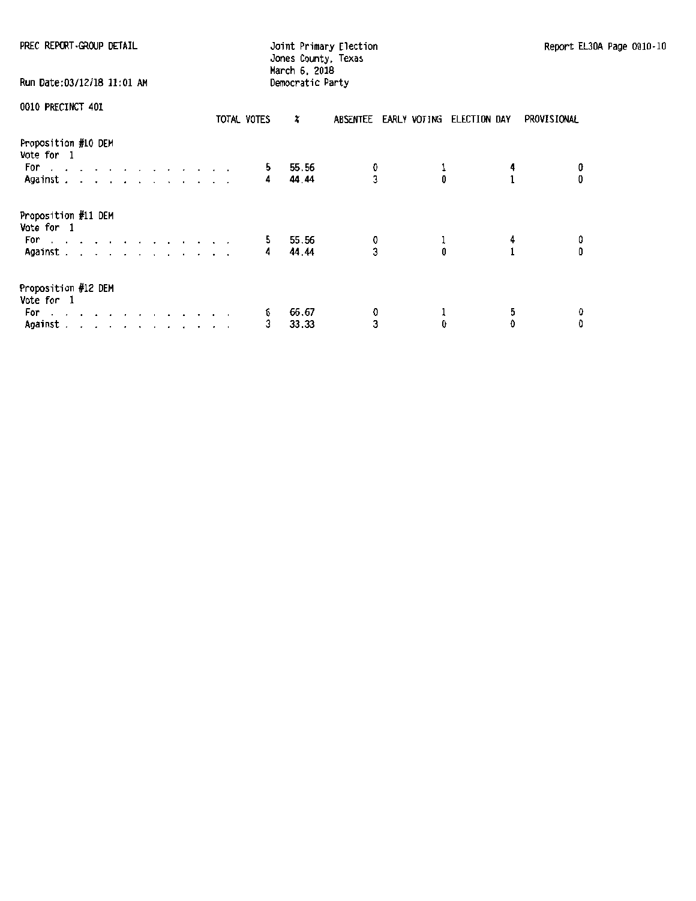| PREC REPORT-GROUP DETAIL                                                                                                                                                                                                                  |             |                  | Report EL                          |              |   |                   |
|-------------------------------------------------------------------------------------------------------------------------------------------------------------------------------------------------------------------------------------------|-------------|------------------|------------------------------------|--------------|---|-------------------|
| Run Date:03/12/18 11:01 AM                                                                                                                                                                                                                |             | Democratic Party |                                    |              |   |                   |
| <b>0010 PRECINCT 401</b>                                                                                                                                                                                                                  | TOTAL VOTES | ×                | ABSENTEE EARLY VOTING ELECTION DAY |              |   | PROVISIONAL       |
| Proposition #10 DEM<br>Vote for 1                                                                                                                                                                                                         |             |                  |                                    |              |   |                   |
| For a contract and a contract of the Post of the Contract of the Contract of the Contract of the Contract of the Contract of the Contract of the Contract of the Contract of the Contract of the Contract of the Contract of t<br>Against | 5<br>4      | 55.56<br>44.44   | 0<br>$\overline{3}$                | $\mathbf{0}$ |   | 0<br>$\bf{0}$     |
| Proposition #11 DEM<br>Vote for 1                                                                                                                                                                                                         |             |                  |                                    |              |   |                   |
| For a contract and contract and contract of the second series of the series of the series of the series of the<br>Against $\cdots$ $\cdots$ $\cdots$ $\cdots$                                                                             | 5<br>4      | 55.56<br>44.44   | 0<br>3                             |              | 4 | 0<br>$\mathbf{0}$ |
| Proposition #12 DEM<br>Vote for 1                                                                                                                                                                                                         |             |                  |                                    |              |   |                   |
| For .<br>the company of the company of the company of<br>$\cdot$ $\cdot$                                                                                                                                                                  | 6           | 66.67            | 0                                  |              | 5 |                   |
| Against                                                                                                                                                                                                                                   | 3           | 33.33            | 3                                  | 0            | 0 | û                 |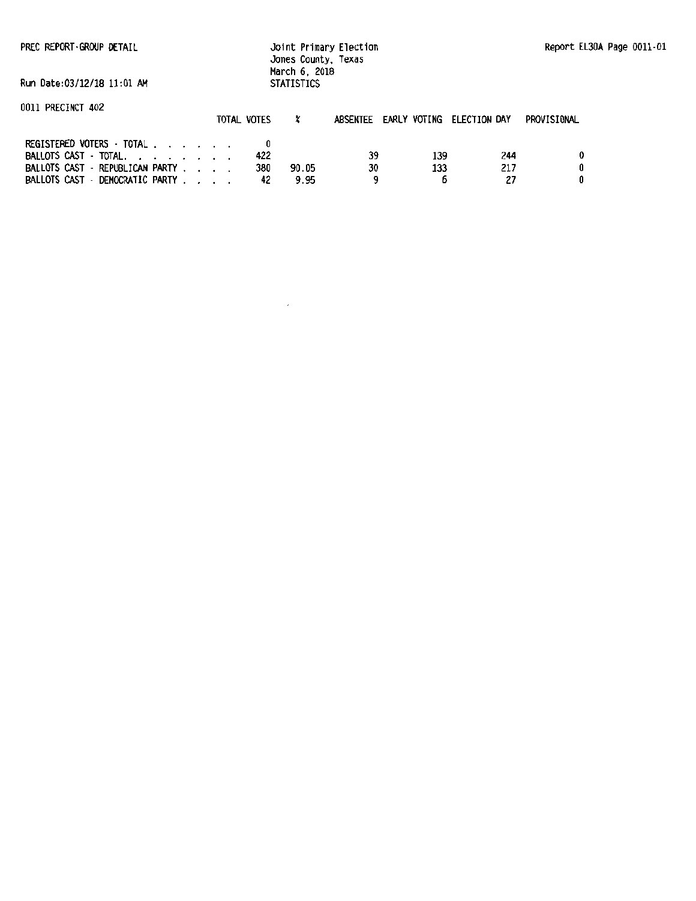PREC REPORT · GROUP DETAIL

Joint Primary Election Jones County, Texas March 6, 2018 **STATISTICS** 

Run Date:03/12/18 11:01 AM

### 0011 PRECINCT 402

| UUII PRECINCI 40Z                                                  | TOTAL VOTES |               | ABSENTEE EARLY VOTING ELECTION DAY |     |     | PROVISIONAL |
|--------------------------------------------------------------------|-------------|---------------|------------------------------------|-----|-----|-------------|
| REGISTERED VOTERS - TOTAL<br>BALLOTS CAST - TOTAL.                 | 422         |               | 39                                 | 139 | 244 |             |
| BALLOTS CAST - REPUBLICAN PARTY<br>BALLOTS CAST - DEMOCRATIC PARTY | 380         | 90.05<br>9.95 | 30                                 | 133 | 217 |             |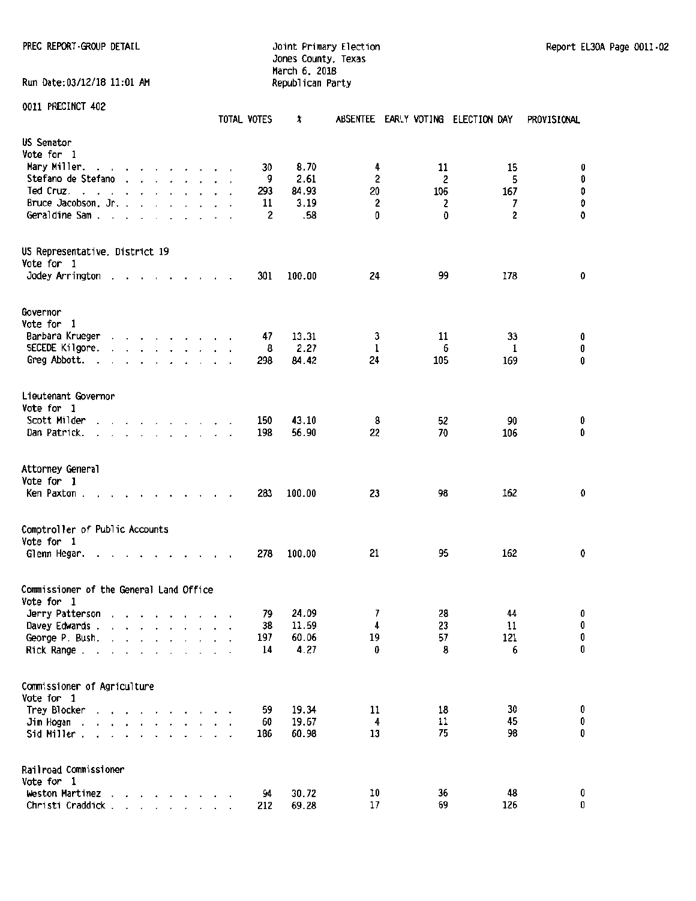PREC REPORT -GROUP DETAIL CONTROL CONTROL DETAIL DESCRIPTION OF THE PRECISION DETAILS AND REPORT -02

Jones County, Texas March 6, 2018<br>Republican Party

Run Date:03/12/18 11:01 AM 0011 PRECINCT 402 TOTAL VOTES  $x$  ABSENTEE EARLY VOTING ELECTION DAY PROVISIONAL US Senator Vote for 1 Mary Miller. . . . . . . . . . 30 8.70 4 11 15 0<br>Stefano de Stefano . . . . . . . . . 9 2.61 2 2 2 5 0 9 2.61 2 2 5 0<br>19 2.93 84.93 20 106 167 0<br>20 106 167 0 Ped Cruz. . . . . . . . . . . . . 293 84.93 20 106 167 0<br>106 167 0 167 167 11 3.19 2 2 2 7 0 Partice Jacobson, Jr. . . . . . . . . . 11 3.19 2 2 2 7 0<br>- Geraldine Sam . . . . . . . . . . . . . 2 .58 0 0 0 2 0 Geraldine Sam . . . . . . . . . . US Representative, District 19 Vote for 1 Jodey Arrington 3 . . . . . . . 301 100.00 24 99 178 0 Governor Vote for 1 Parbara Krueger . . . . . . . . 47 13.31 3 11 33 0<br>SECEDE Kiloore. . . . . . . . . 8 2.27 1 6 1 0 SECEDE Kilgore. 8 *2.27* 1 6 1 0 Greg Abbott. . . . . . . . . . . 298 84.42 24 105 169 0 Lieutenant Governor Vote for 1<br>Scott Milder Scott Hilder 150 43.10 8 52 90 0<br>Scott Hilder 150 43.10 8 56.20 106 0 Dan Patrick. . . . . . . . . . . Attorney General Vote for 1 Ken Paxton . . . . . . . . 283 100.00 23 98 162 0 Comptroller of Public Accounts Vote for 1 Glenn Hegar. . . . . . . . . . 278 100.00 21 95 162 0 Commissioner of the General Land Office Vote for 1 19 19 19 24.09 19 24.09 28 44 0<br>Davev Edwards . . . . . . . . . . 38 11.59 4 23 11 0 Davey Edwards . 38 11.59 4 23 11 0 George P. Bush. . . . . . . . . . 197 60.06 19 57 121 0<br>Rick Range . . . . . . . . . . . . 14 4.27 0 8 6 0 Rick Range . . . . . . . . . . . . Commissioner of Agriculture Vote for 1 19.34 11 18 30 0<br>31 11 18 30 0<br>31 11 15 0 19.67 11 11 15 0 11 11 45 0 19.67 4 11 45 0<br>13 11 125 0 19.67 4 11 45 0 13 13 51d Miller Sid Miller . . . . . . . . . . . Railroad Commissioner Vote for 1

Weston Martinez . . . . . . . 94 30.72 10 36 48 0 Christi Craddick . . . . . . . . 212 69.28 17 69 126 0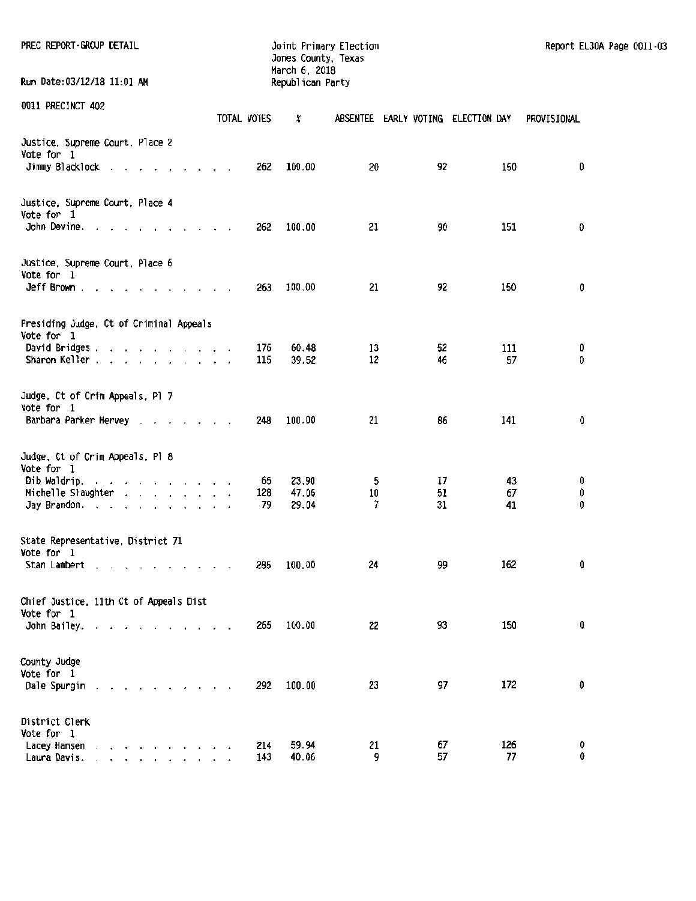| PREC REPORT GROUP DETAIL<br>Run Date:03/12/18 11:01 AM              |             | Jones County, Texas<br>March 6, 2018<br>Republican Party | Joint Primary Election  |          |                                    | Report EL30A Page 0011-03 |
|---------------------------------------------------------------------|-------------|----------------------------------------------------------|-------------------------|----------|------------------------------------|---------------------------|
|                                                                     |             |                                                          |                         |          |                                    |                           |
| 0011 PRECINCT 402                                                   | TOTAL VOTES | x                                                        |                         |          | ABSENTEE EARLY VOTING ELECTION DAY | PROVISIONAL               |
| Justice, Supreme Court, Place 2<br>Vote for 1                       |             |                                                          |                         |          |                                    |                           |
| Jimmy Blacklock                                                     | 262         | 100.00                                                   | 20                      | 92       | 150                                | 0                         |
| Justice, Supreme Court, Place 4<br>Vote for 1                       |             |                                                          |                         |          |                                    |                           |
| John Devine. $\ldots$ $\ldots$ $\ldots$ $\ldots$                    | 262         | 100.00                                                   | 21                      | 90       | 151                                | 0                         |
| Justice, Supreme Court, Place 6<br>Vote for 1                       |             |                                                          |                         |          |                                    |                           |
| Jeff Brown $\ldots$ $\ldots$ $\ldots$ $\ldots$ $\ldots$             | 263         | 100.00                                                   | 21                      | 92       | 150                                | 0                         |
| Presiding Judge, Ct of Criminal Appeals<br>Vote for 1               |             |                                                          |                         |          |                                    |                           |
| David Bridges,<br>Sharon Keller                                     | 176<br>115  | 60.48<br>39.52                                           | 13<br>$12 \overline{ }$ | 52<br>46 | 111<br>57                          | 0<br>O                    |
| Judge, Ct of Crim Appeals, Pl 7<br>Vote for 1                       |             |                                                          |                         |          |                                    |                           |
| Barbara Parker Hervey                                               | 248         | 100.00                                                   | 21                      | 86       | 141                                | 0                         |
| Judge, Ct of Crim Appeals, Pl 8<br>Vote for 1                       |             |                                                          |                         |          |                                    |                           |
| Dib Waldrip.                                                        | 65          | 23.90                                                    | 5                       | 17       | 43                                 | 0                         |
| Michelle Slaughter                                                  | 128         | 47.06                                                    | 10                      | 51       | 67                                 | 0                         |
| Jay Brandon.                                                        | 79          | 29.04                                                    | 7                       | 31       | 41                                 | 0                         |
| State Representative, District 71<br>Vote for 1                     |             |                                                          |                         |          |                                    |                           |
| Stan Lambert                                                        | 285         | 100.00                                                   | 24                      | 99       | 162                                | 0                         |
| Chief Justice, 11th Ct of Appeals Dist<br>Vote for 1                |             |                                                          |                         |          |                                    |                           |
| John Bailey.                                                        | 265         | 100.00                                                   | 22                      | 93       | 150                                | 0                         |
| County Judge<br>Vote for 1                                          |             |                                                          |                         |          |                                    |                           |
| Dale Spurgin<br>the contract of the contract of the con-            | 292         | 100.00                                                   | 23                      | 97       | 172                                | O                         |
| District Clerk<br>Vote for 1                                        |             |                                                          |                         |          |                                    |                           |
| Lacey Hansen<br>and a series of the contract of the<br>Laura Davis. | 214<br>143  | 59.94<br>40.06                                           | 21<br>9                 | 67<br>57 | 126<br>77                          | 0<br>0                    |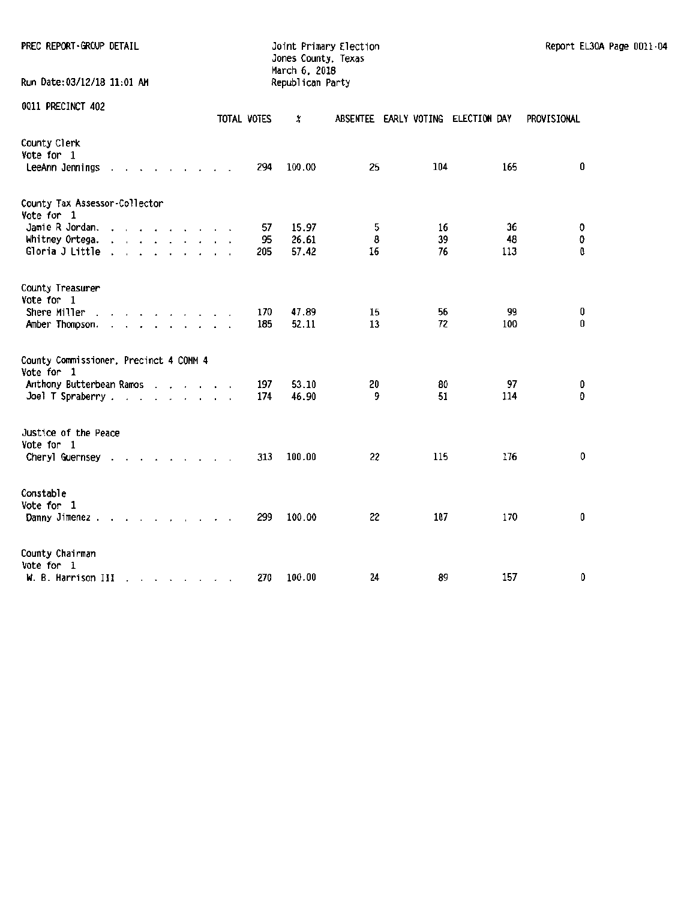PREC REPORT-GROUP DETAIL **Frimary Election** Joint Primary Election Report EL30A Page 0011-04

Jones County, Texas March 6, 2018 Run Date:03/12/18 11:01 AM Republican Party

|                                                                                                                                                                                                                                                                                                                                   | TOTAL VOTES     | x                       | ABSENTEE EARLY VOTING ELECTION DAY |                |                 | PROVISIONAL   |
|-----------------------------------------------------------------------------------------------------------------------------------------------------------------------------------------------------------------------------------------------------------------------------------------------------------------------------------|-----------------|-------------------------|------------------------------------|----------------|-----------------|---------------|
| County Clerk<br>Vote for 1<br>LeeAnn Jennings<br><b>All Street</b>                                                                                                                                                                                                                                                                | 294             | 100.00                  | 25                                 | 104            | 165             | 0             |
| County Tax Assessor-Collector<br>Vote for 1                                                                                                                                                                                                                                                                                       |                 |                         |                                    |                |                 |               |
| Jamie R Jordan.<br>$\mathbf{a}$ and $\mathbf{a}$ and $\mathbf{a}$ and $\mathbf{a}$<br>Whitney Ortega.<br>$\mathbf{a}$ and $\mathbf{a}$ and $\mathbf{a}$ and $\mathbf{a}$ and $\mathbf{a}$<br>$\ddot{\phantom{a}}$<br>Gloria J Little .<br>$\mathbf{r}$ , $\mathbf{r}$ , $\mathbf{r}$ , $\mathbf{r}$ , $\mathbf{r}$ , $\mathbf{r}$ | 57<br>95<br>205 | 15.97<br>26.61<br>57.42 | 5<br>8<br>16                       | 16<br>39<br>76 | 36<br>48<br>113 | 0<br>0<br>0   |
| County Treasurer<br>Vote for 1                                                                                                                                                                                                                                                                                                    |                 |                         |                                    |                |                 |               |
| Shere Miller<br>$\cdot$<br>$\cdots$<br>Amber Thompson.                                                                                                                                                                                                                                                                            | 170<br>185      | 47.89<br>52.11          | 15<br>13                           | 56<br>72       | 99<br>100       | 0<br>0        |
| County Commissioner, Precinct 4 COMM 4<br>Vote for 1                                                                                                                                                                                                                                                                              |                 |                         |                                    |                |                 |               |
| Anthony Butterbean Ramos<br>Joel T Spraberry                                                                                                                                                                                                                                                                                      | 197<br>174      | 53.10<br>46.90          | 20<br>9                            | 80<br>51       | 97<br>114       | 0<br>$\Omega$ |
| Justice of the Peace<br>Vote for 1                                                                                                                                                                                                                                                                                                |                 |                         |                                    |                |                 |               |
| Cheryl Guernsey.<br>$\mathbf{r}$ , $\mathbf{r}$ , $\mathbf{r}$<br>$\cdot$<br>$\cdot$                                                                                                                                                                                                                                              | 313             | 100.00                  | 22                                 | 115            | 176             | 0             |
| Constable<br>Vote for 1<br>Danny Jimenez.<br>the contract of the contract of the contract of the contract of the contract of the contract of the contract of                                                                                                                                                                      | 299             | 100.00                  | 22                                 | 107            | 170             | 0             |
| County Chairman<br>Vote for 1<br>W. B. Harrison III<br>$\mathcal{A}=\mathcal{A}=\mathcal{A}=\mathcal{A}=\mathcal{A}=\mathcal{A}=\mathcal{A}$                                                                                                                                                                                      | 270             | 100.00                  | 24                                 | 89             | 157             | 0             |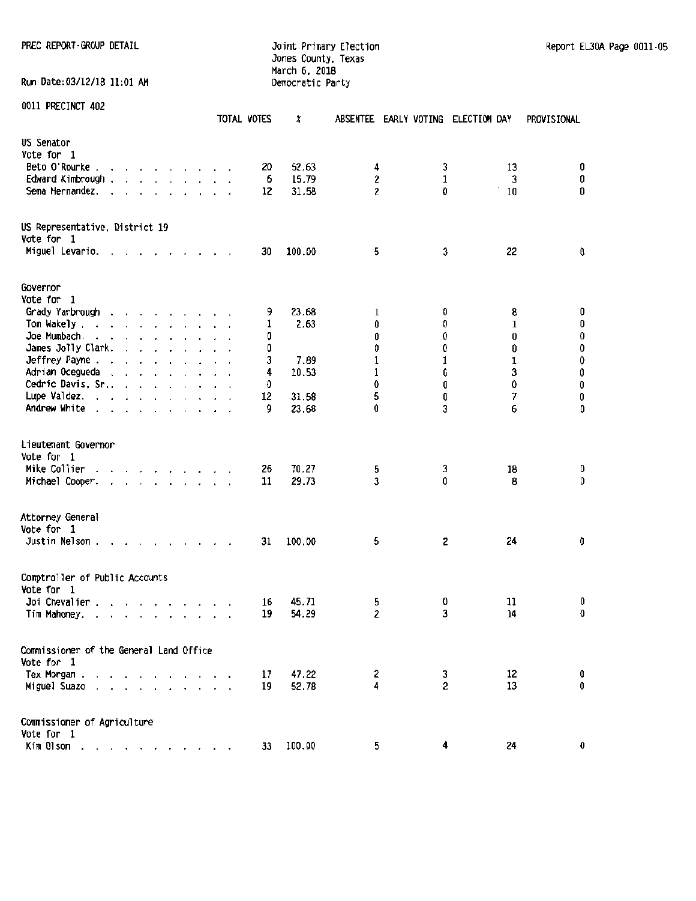## Jones County, Texas March 6. 2018 Run Date:03/12/18 11:01 AM Democratic Party

PREC REPORT ·ffiOUP DETAIL Joint Primary Election Report ELJOA Page 0011-05

|                                                                                                                                                                                               | TOTAL VOTES | χ      | ABSENTEE EARLY VOTING ELECTION DAY |   |    | PROVISIONAL                                 |
|-----------------------------------------------------------------------------------------------------------------------------------------------------------------------------------------------|-------------|--------|------------------------------------|---|----|---------------------------------------------|
| US Senator                                                                                                                                                                                    |             |        |                                    |   |    |                                             |
| Vote for 1                                                                                                                                                                                    |             |        |                                    |   |    |                                             |
| Beto O'Rourke.<br>and a state of the state                                                                                                                                                    | 20          | 52.63  | 4                                  | 3 | 13 | 0                                           |
| Edward Kimbrough .<br>and a strong control of the strong of the                                                                                                                               | 6           | 15.79  | 2                                  | 1 | 3  | 0                                           |
| Sema Hernandez.<br>$\sim$ $\sim$ $\sim$ $\sim$ $\sim$ $\sim$<br>$\sim$<br>$\cdot$<br>$\ddot{\phantom{0}}$                                                                                     | 12          | 31.58  | 2                                  | 0 | 10 | 0                                           |
|                                                                                                                                                                                               |             |        |                                    |   |    |                                             |
| US Representative, District 19<br>Vote for 1                                                                                                                                                  |             |        |                                    |   |    |                                             |
| Miguel Levario.<br>$\cdot$ $\cdot$ $\cdot$ $\cdot$ $\cdot$ $\cdot$ $\cdot$                                                                                                                    | 30          | 100.00 | 5                                  | 3 | 22 | 0                                           |
| Governor                                                                                                                                                                                      |             |        |                                    |   |    |                                             |
| Vote for 1                                                                                                                                                                                    |             |        |                                    |   |    |                                             |
| Grady Yarbrough<br>and a strong control of the state of                                                                                                                                       | 9           | 23.68  | ı                                  | 0 | 8  | 0                                           |
| Tom Wakely                                                                                                                                                                                    | 1           | 2.63   | 0                                  | 0 | 1  | 0                                           |
| Joe Mumbach.                                                                                                                                                                                  | 0           |        | 0                                  | 0 | 0  |                                             |
| James Jolly Clark.                                                                                                                                                                            | Û           |        | 0                                  | 0 | 0  | 0<br>0                                      |
| $\cdot$ $\cdot$ $\cdot$ $\cdot$ $\cdot$ $\cdot$ $\cdot$<br>Jeffrey Payne                                                                                                                      |             |        |                                    | 1 | 1  |                                             |
| and the contract of the con-                                                                                                                                                                  | 3           | 7.89   | 1                                  |   |    | $\begin{smallmatrix}0\0\0\end{smallmatrix}$ |
| Adrian Ocegueda                                                                                                                                                                               | 4           | 10.53  | 1                                  | 0 | 3  |                                             |
| Cedric Davis, Sr.,                                                                                                                                                                            | 0           |        | 0                                  | 0 | 0  | $\pmb{0}$                                   |
| Lupe Valdez.                                                                                                                                                                                  | 12          | 31.58  | 5                                  | 0 | 7  | 0                                           |
| Andrew White                                                                                                                                                                                  | 9           | 23.68  | 0                                  | 3 | 6  | 0                                           |
| Lieutenant Governor                                                                                                                                                                           |             |        |                                    |   |    |                                             |
| Vote for 1                                                                                                                                                                                    |             |        |                                    |   |    |                                             |
| Mike Collier<br>and a series of the series of the                                                                                                                                             | 26          | 70.27  | 5                                  | 3 | 18 | 0                                           |
| Michael Cooper.<br>and the contract of the state of<br>$\sim$                                                                                                                                 | 11          | 29.73  | 3                                  | 0 | 8  | 0                                           |
|                                                                                                                                                                                               |             |        |                                    |   |    |                                             |
| Attorney General                                                                                                                                                                              |             |        |                                    |   |    |                                             |
| Vote for 1                                                                                                                                                                                    |             |        |                                    |   |    |                                             |
| Justin Nelson.                                                                                                                                                                                | 31          | 100.00 | 5                                  | 2 | 24 | 0                                           |
| Comptroller of Public Accounts                                                                                                                                                                |             |        |                                    |   |    |                                             |
| Vote for 1                                                                                                                                                                                    |             |        |                                    |   |    |                                             |
| Joi Chevalier.<br>$\begin{array}{cccccccccccccc} \bullet & \bullet & \bullet & \bullet & \bullet & \bullet & \bullet & \bullet & \bullet & \bullet & \bullet & \bullet & \bullet \end{array}$ | 16          | 45.71  | 5                                  | 0 | 11 | 0                                           |
| Tim Mahoney.<br>$\mathbf{r}$ and $\mathbf{r}$ and $\mathbf{r}$ and $\mathbf{r}$ and $\mathbf{r}$                                                                                              | 19          | 54.29  | 2                                  | 3 | 14 | 0                                           |
| Commissioner of the General Land Office                                                                                                                                                       |             |        |                                    |   |    |                                             |
| Vote for 1                                                                                                                                                                                    |             |        |                                    |   |    |                                             |
| Tex Morgan.                                                                                                                                                                                   | 17          | 47.22  | 2                                  | 3 | 12 | 0                                           |
| Miguel Suazo<br>the contract of the con-                                                                                                                                                      | 19          | 52.78  | 4                                  | 2 | 13 | 0                                           |
|                                                                                                                                                                                               |             |        |                                    |   |    |                                             |
| Commissioner of Agriculture                                                                                                                                                                   |             |        |                                    |   |    |                                             |
| Vote for 1                                                                                                                                                                                    |             |        |                                    |   |    |                                             |
| Kim Olson                                                                                                                                                                                     | 33          | 100.00 | 5                                  | 4 | 24 | 0                                           |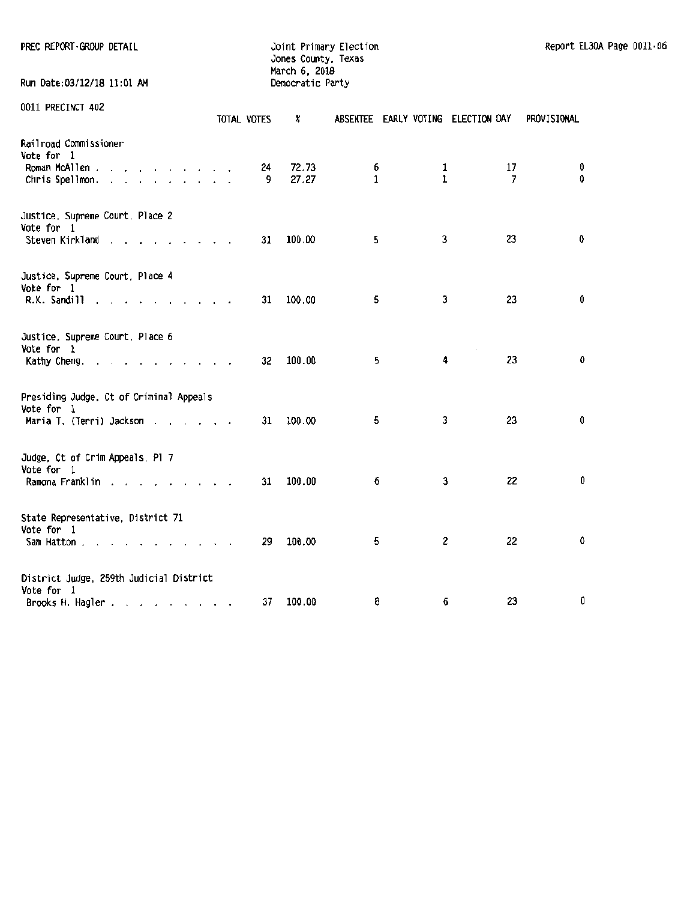| PREC REPORT-GROUP DETAIL | Joint Primary Election | Report EL30A Page 0011-06 |
|--------------------------|------------------------|---------------------------|
|                          | Jones County, Texas    |                           |

Run Date:03/12/18 11:01 AM Democratic Party

0011 PRECINCT 402

| 0011 PRECINCT 402                             | TOTAL VOTES             | x                         | ABSENTEE EARLY VOTING ELECTION DAY |                   |                      | PROVISIONAL      |
|-----------------------------------------------|-------------------------|---------------------------|------------------------------------|-------------------|----------------------|------------------|
| Railroad Commissioner<br>Vote for 1           |                         |                           |                                    |                   |                      |                  |
| Roman McAllen<br>Chris Spellmon.              |                         | 72.73<br>24<br>27.27<br>9 | 6<br>$\mathbf{1}$                  | 1<br>$\mathbf{1}$ | 17<br>$\overline{7}$ | 0<br>$\mathbf 0$ |
| Justice, Supreme Court, Place 2<br>Vote for 1 |                         |                           |                                    |                   |                      |                  |
| Steven Kirkland                               |                         | 100.00<br>31              | 5                                  | 3                 | 23                   | 0                |
| Justice, Supreme Court, Place 4<br>Vote for 1 |                         |                           |                                    |                   |                      |                  |
| R.K. Sandill                                  |                         | 100.00<br>31              | 5                                  | 3                 | 23                   | 0                |
| Justice, Supreme Court, Place 6<br>Vote for 1 |                         |                           |                                    |                   |                      |                  |
| Kathy Cheng.                                  |                         | 100.00<br>32              | 5                                  | 4                 | 23                   | 0                |
| Presiding Judge, Ct of Criminal Appeals       |                         |                           |                                    |                   |                      |                  |
| Vote for 1<br>Maria T. (Terri) Jackson        |                         | 100.00<br>31              | 5                                  | 3                 | 23                   | 0                |
| Judge, Ct of Crim Appeals, Pl 7               |                         |                           |                                    |                   |                      |                  |
| Vote for 1<br>Ramona Franklin                 |                         | 100.00<br>31              | 6                                  | 3                 | 22                   | 0                |
| State Representative, District 71             |                         |                           |                                    |                   |                      |                  |
| Vote for 1<br>Sam Hatton                      | $\cdot$ $\cdot$ $\cdot$ | 100.00<br>29              | 5                                  | 2                 | 22                   | 0                |
| District Judge, 259th Judicial District       |                         |                           |                                    |                   |                      |                  |
| Vote for 1<br>Brooks H. Hagler                |                         | 100.00<br>37              | 8                                  | 6                 | 23                   | 0                |

Jones County, Texas March 6, 2018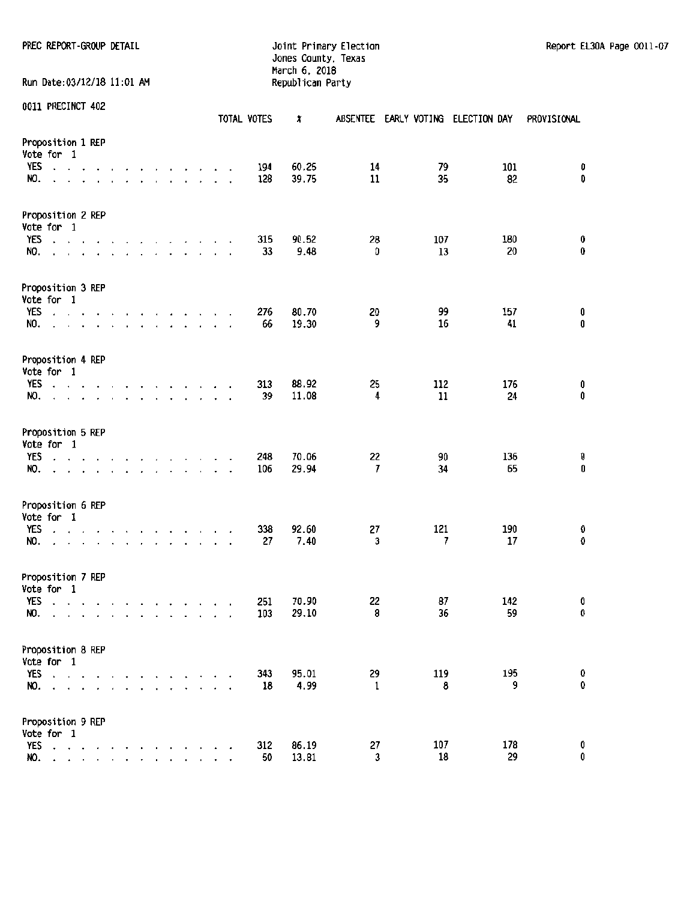### PREC REPORT-GROUP DETAIL **Detail and Automobium Computer Section** and Automobium Report EL30A Page 0011-07 Jones County, Texas March 6, 2018

| Run Date:03/12/18 11:01 AM             |                         |                             |                          |                                                               |                      |        |  |  |                                                                                                                                                                                                                                |                      |                           |             | Republican Party |                      |           |                                    |                |
|----------------------------------------|-------------------------|-----------------------------|--------------------------|---------------------------------------------------------------|----------------------|--------|--|--|--------------------------------------------------------------------------------------------------------------------------------------------------------------------------------------------------------------------------------|----------------------|---------------------------|-------------|------------------|----------------------|-----------|------------------------------------|----------------|
| 0011 PRECINCT 402                      |                         |                             |                          |                                                               |                      |        |  |  |                                                                                                                                                                                                                                |                      |                           | TOTAL VOTES | ×                |                      |           | ABSENTEE EARLY VOTING ELECTION DAY | PROVISIONAL    |
| Proposition 1 REP<br>Vote for 1<br>YES |                         | $\sim$ $\sim$ $\sim$ $\sim$ |                          |                                                               |                      |        |  |  | the contract of the contract of the                                                                                                                                                                                            |                      |                           | 194         | 60.25            | 14                   | 79        | 101                                | 0              |
| NO.                                    | $\ddot{\phantom{0}}$    | $\sim$                      |                          | the contract of the contract of the                           |                      |        |  |  |                                                                                                                                                                                                                                |                      |                           | 128         | 39.75            | 11                   | 35        | 82                                 | 0              |
| Proposition 2 REP<br>Vote for 1        |                         |                             |                          |                                                               |                      |        |  |  |                                                                                                                                                                                                                                |                      |                           |             |                  |                      |           |                                    |                |
| YES<br>NO.                             |                         | $\mathcal{L}_{\mathcal{A}}$ | $\cdot$                  | design a state of the control of the con-<br>$\sim$           | $\ddot{\phantom{0}}$ | $\sim$ |  |  | and a state of the state                                                                                                                                                                                                       |                      |                           | 315<br>33   | 90.52<br>9.48    | 28<br>0              | 107<br>13 | 180<br>20                          | 0<br>0         |
| Proposition 3 REP<br>Vote for 1        |                         |                             |                          |                                                               |                      |        |  |  |                                                                                                                                                                                                                                |                      |                           |             |                  |                      |           |                                    |                |
| YES<br>NO.                             | $\cdot$ $\cdot$         |                             | $\overline{\phantom{a}}$ | $\ddot{\phantom{0}}$<br>$\mathbf{r}$                          |                      |        |  |  | the contract of the contract of the contract of the contract of the contract of the contract of the contract of the contract of the contract of the contract of the contract of the contract of the contract of the contract o |                      | $\mathbf{r}$<br>$\lambda$ | 276<br>66   | 80.70<br>19.30   | 20<br>9              | 99<br>16  | 157<br>41                          | 0<br>$\pmb{0}$ |
| Proposition 4 REP<br>Vote for 1        |                         |                             |                          |                                                               |                      |        |  |  |                                                                                                                                                                                                                                |                      |                           |             |                  |                      |           |                                    |                |
| YES<br>NO.                             | $\cdot$ $\cdot$ $\cdot$ |                             |                          | $\sim$ 40<br>and a series of the contract of the              |                      |        |  |  | the contract of the contract of                                                                                                                                                                                                | $\ddot{\phantom{0}}$ |                           | 313<br>39   | 88.92<br>11.08   | 25<br>4              | 112<br>11 | 176<br>24                          | 0<br>$\pmb{0}$ |
| Proposition 5 REP<br>Vote for 1        |                         |                             |                          |                                                               |                      |        |  |  |                                                                                                                                                                                                                                |                      |                           |             |                  |                      |           |                                    |                |
| YES<br>NO.                             |                         |                             |                          | $\mathcal{L}=\mathcal{L}=\mathcal{L}=\mathcal{L}=\mathcal{L}$ |                      |        |  |  | the contract of the contract of                                                                                                                                                                                                |                      |                           | 248<br>106  | 70.06<br>29.94   | 22<br>7              | 90<br>34  | 136<br>65                          | 0<br>0         |
| Proposition 6 REP<br>Vote for 1        |                         |                             |                          |                                                               |                      |        |  |  |                                                                                                                                                                                                                                |                      |                           |             |                  |                      |           |                                    |                |
| <b>YES</b><br>NO.                      | $\cdot$ $\cdot$         |                             | $\overline{\phantom{a}}$ | $\overline{\phantom{a}}$                                      | $\cdot$              |        |  |  | the contract of the contract of the contract of the contract of the contract of the contract of the contract of<br>$\mathbf{r}$ , and $\mathbf{r}$ , and $\mathbf{r}$ , and $\mathbf{r}$                                       |                      | $\ddot{\phantom{a}}$      | 338<br>27   | 92.60<br>7.40    | 27<br>3              | 121<br>7  | 190<br>17                          | 0<br>0         |
| Proposition 7 REP<br>Vote for 1        |                         |                             |                          |                                                               |                      |        |  |  |                                                                                                                                                                                                                                |                      |                           |             |                  |                      |           |                                    |                |
| YES<br>NO.                             |                         |                             |                          |                                                               |                      |        |  |  |                                                                                                                                                                                                                                |                      |                           | 251<br>103  | 70.90<br>29.10   | 22<br>8              | 87<br>36  | 142<br>59                          | 0<br>0         |
| Proposition 8 REP<br>Vote for 1        |                         |                             |                          |                                                               |                      |        |  |  |                                                                                                                                                                                                                                |                      |                           |             |                  |                      |           |                                    |                |
| YES<br>NO.                             | $\mathbf{r}$            |                             |                          |                                                               |                      |        |  |  |                                                                                                                                                                                                                                |                      |                           | 343<br>18   | 95.01<br>4.99    | 29<br>1              | 119<br>8  | 195<br>9                           | 0<br>0         |
| Proposition 9 REP<br>Vote for 1        |                         |                             |                          |                                                               |                      |        |  |  |                                                                                                                                                                                                                                |                      |                           |             |                  |                      |           |                                    |                |
| YES<br>NO.                             |                         |                             |                          |                                                               |                      |        |  |  |                                                                                                                                                                                                                                |                      |                           | 312<br>50   | 86.19<br>13.81   | 27<br>$\mathfrak{z}$ | 107<br>18 | 178<br>29                          | 0<br>0         |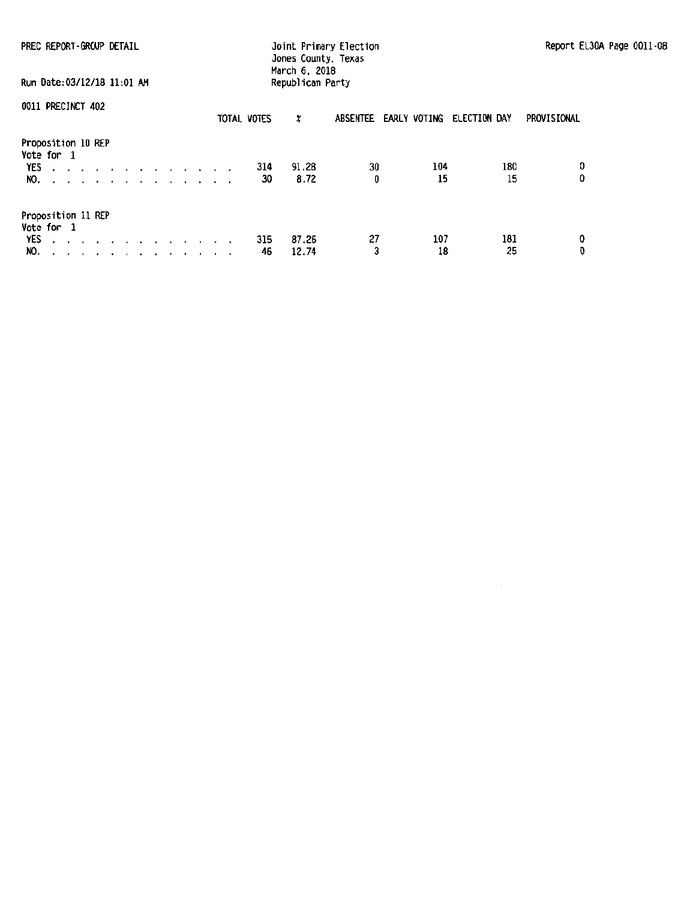| PREC REPORT-GROUP DETAIL<br>Run Date:03/12/18 11:01 AM                                                                                                             | Joint Primary Election<br>Jones County, Texas<br>March 6, 2018<br>Republican Party |                                    | Report EL30A Page 0011-08 |
|--------------------------------------------------------------------------------------------------------------------------------------------------------------------|------------------------------------------------------------------------------------|------------------------------------|---------------------------|
| 0011 PRECINCT 402                                                                                                                                                  | TOTAL VOTES<br>x                                                                   | ABSENTEE EARLY VOTING ELECTION DAY | PROVISIONAL               |
| Proposition 10 REP<br>Vote for 1<br>YES.<br>the contract of the contract of the contract of the contract of the contract of the contract of the contract of<br>NO. | 91.28<br>314<br>8.72<br>30                                                         | 30<br>104<br>0<br>15               | 0<br>180<br>0<br>15       |
| Proposition 11 REP<br>Vote for 1<br><b>YES</b><br>design and a state of the state of the state<br>NO.                                                              | 87.26<br>315<br>46<br>12.74                                                        | 27<br>107<br>3<br>18               | 0<br>181<br>0<br>25       |

 $\mathcal{A}$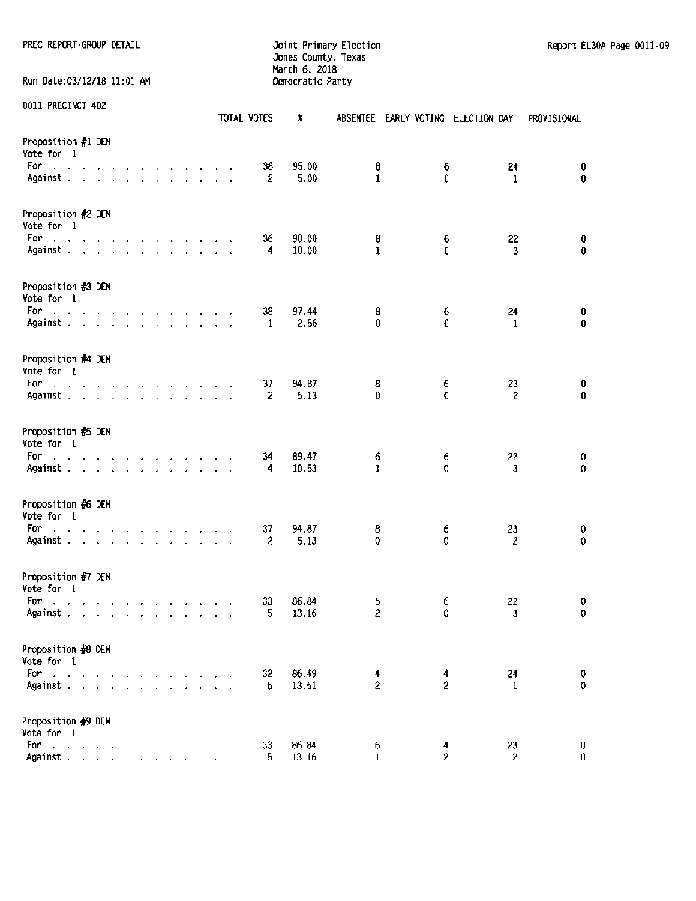PREC REPORT-GROUP DETAIL **The Contract of Contract Contract Contract** Joint Primary Election Report EL30A Page 0011-09

Jones County, Texas March 6, 2018 Run Date:03/12/18 11:01 AM Democratic Party

0011 PRECINCT 402

|                                                                           |  |  |  |  |                                 |  | TOTAL VOTES          | x              |                     |                     | ABSENTEE EARLY VOTING ELECTION DAY | PROVISIONAL         |
|---------------------------------------------------------------------------|--|--|--|--|---------------------------------|--|----------------------|----------------|---------------------|---------------------|------------------------------------|---------------------|
| Proposition #1 OEM<br>Vote for 1                                          |  |  |  |  |                                 |  |                      |                |                     |                     |                                    |                     |
| For<br>and a state of the state<br>Against                                |  |  |  |  | the contract of the contract of |  | 38<br>2              | 95.00<br>5.00  | 8<br>1              | 6<br>0              | 24<br>$\mathbf{1}$                 | 0<br>$\mathbf 0$    |
| Proposition #2 DEM<br>Vote for 1                                          |  |  |  |  |                                 |  |                      |                |                     |                     |                                    |                     |
| For<br>the contract of the contract of the contract of<br>Against         |  |  |  |  |                                 |  | 36<br>4              | 90.00<br>10.00 | 8<br>ı              | 6<br>0              | 22<br>3                            | 0<br>$\bf{0}$       |
| Proposition #3 DEM<br>Vote for 1                                          |  |  |  |  |                                 |  |                      |                |                     |                     |                                    |                     |
| For<br>فالقائل والقارب والقارب والقارب والمنافر والمنافر<br>Against       |  |  |  |  |                                 |  | 38<br>-1             | 97.44<br>2.56  | 8<br>0              | 6<br>$\mathbf{0}$   | 24<br>1                            | 0<br>$\mathbf 0$    |
| Proposition #4 DEM<br>Vote for 1                                          |  |  |  |  |                                 |  |                      |                |                     |                     |                                    |                     |
| For<br>and a series of the contract of the contract of<br>Against         |  |  |  |  |                                 |  | 37<br>$\overline{2}$ | 94.87<br>5.13  | 8<br>0              | 6<br>0              | 23<br>$\overline{c}$               | $\pmb{0}$<br>0      |
| Proposition #5 DEM<br>Vote for 1                                          |  |  |  |  |                                 |  |                      |                |                     |                     |                                    |                     |
| the contract of the contract of the contract of<br>For<br>Against         |  |  |  |  |                                 |  | 34<br>4              | 89.47<br>10.53 | 6<br>$\mathbf{1}$   | 6<br>0              | 22<br>3                            | 0<br>$\overline{0}$ |
| Proposition #6 DEM<br>Vote for 1                                          |  |  |  |  |                                 |  |                      |                |                     |                     |                                    |                     |
| For<br>and a state of the contract of the contract of<br>Against $\cdots$ |  |  |  |  |                                 |  | 37<br>2              | 94.87<br>5.13  | 8<br>$\mathbf 0$    | 6<br>0              | 23<br>2                            | 0<br>0              |
| Proposition #7 DEM<br>Vote for 1                                          |  |  |  |  |                                 |  |                      |                |                     |                     |                                    |                     |
| For<br>and a series of the contract of the con-<br>Against                |  |  |  |  |                                 |  | 33<br>5              | 86.84<br>13.16 | 5<br>2              | 6<br>0              | 22<br>3                            | 0<br>0              |
| Proposition #8 DEM<br>Vote for 1                                          |  |  |  |  |                                 |  |                      |                |                     |                     |                                    |                     |
| For the contract of the contract of<br>Against                            |  |  |  |  |                                 |  | 32<br>5.             | 86.49<br>13.51 | 4<br>$\overline{2}$ | 4<br>$\overline{2}$ | 24<br>1                            | 0<br>$\bf{0}$       |
| Proposition #9 DEM<br>Vote for 1                                          |  |  |  |  |                                 |  |                      |                |                     |                     |                                    |                     |
| For a strategic contract of the strategic<br>Against                      |  |  |  |  |                                 |  | 33<br>5              | 86.84<br>13.16 | 6<br>$\mathbf{1}$   | 4<br>$\overline{2}$ | 23<br>$\overline{2}$               | 0<br>$\mathbf{0}$   |